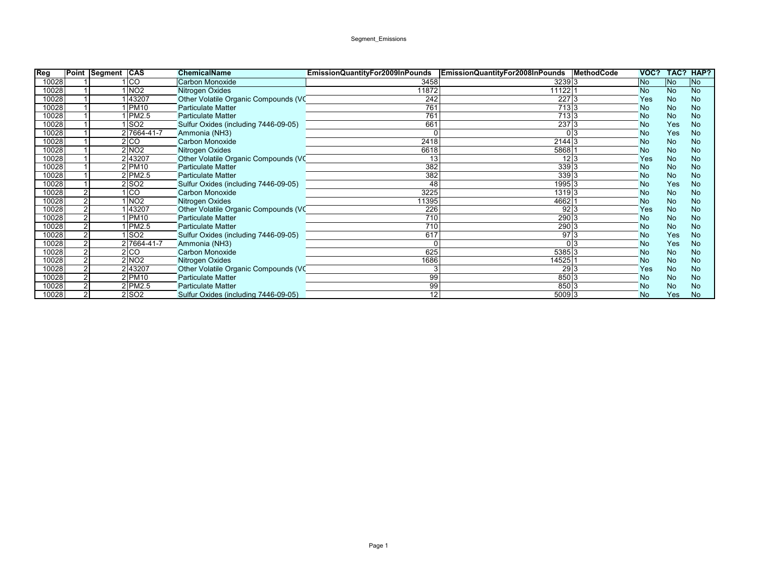## Segment\_Emissions

| Reg   |                | Point Segment CAS |             | <b>ChemicalName</b>                  | EmissionQuantityFor2009InPounds | <b>EmissionQuantityFor2008InPounds</b> | <b>MethodCode</b> | VOC?      | TAC?      | HAP?      |
|-------|----------------|-------------------|-------------|--------------------------------------|---------------------------------|----------------------------------------|-------------------|-----------|-----------|-----------|
| 10028 |                | I CO              |             | <b>Carbon Monoxide</b>               | 3458                            | 3239 3                                 |                   | <b>No</b> | <b>No</b> | No        |
| 10028 |                | NO <sub>2</sub>   |             | Nitrogen Oxides                      | 11872                           | 11122                                  |                   | <b>No</b> | <b>No</b> | <b>No</b> |
| 10028 |                |                   | 43207       | Other Volatile Organic Compounds (VC | 242                             | 227 3                                  |                   | Yes       | <b>No</b> | <b>No</b> |
| 10028 |                |                   | <b>PM10</b> | <b>Particulate Matter</b>            | 761                             | 713 3                                  |                   | <b>No</b> | No        | <b>No</b> |
| 10028 |                |                   | PM2.5       | <b>Particulate Matter</b>            | 761                             | 713 3                                  |                   | <b>No</b> | <b>No</b> | <b>No</b> |
| 10028 |                | SO2               |             | Sulfur Oxides (including 7446-09-05) | 661                             | 237 3                                  |                   | <b>No</b> | Yes       | <b>No</b> |
| 10028 |                |                   | 2 7664-41-7 | Ammonia (NH3)                        |                                 | 0 <sup>3</sup>                         |                   | <b>No</b> | Yes       | <b>No</b> |
| 10028 |                | 2 CO              |             | <b>Carbon Monoxide</b>               | 2418                            | 2144 3                                 |                   | <b>No</b> | <b>No</b> | <b>No</b> |
| 10028 |                | 2 NO2             |             | Nitrogen Oxides                      | 6618                            | 5868                                   |                   | <b>No</b> | <b>No</b> | <b>No</b> |
| 10028 |                | 243207            |             | Other Volatile Organic Compounds (VC | 13                              | 12 3                                   |                   | Yes       | <b>No</b> | <b>No</b> |
| 10028 |                | $2$ PM10          |             | <b>Particulate Matter</b>            | 382                             | 339 3                                  |                   | <b>No</b> | <b>No</b> | <b>No</b> |
| 10028 |                | 2 PM2.5           |             | <b>Particulate Matter</b>            | 382                             | 339 3                                  |                   | <b>No</b> | <b>No</b> | <b>No</b> |
| 10028 |                | so <sub>2</sub>   |             | Sulfur Oxides (including 7446-09-05) | 48                              | 1995 3                                 |                   | <b>No</b> | Yes       | <b>No</b> |
| 10028 |                | $ _{\rm CO}$      |             | Carbon Monoxide                      | 3225                            | 1319 3                                 |                   | <b>No</b> | <b>No</b> | <b>No</b> |
| 10028 |                | INO <sub>2</sub>  |             | Nitrogen Oxides                      | 11395                           | 4662                                   |                   | <b>No</b> | <b>No</b> | <b>No</b> |
| 10028 |                |                   | 43207       | Other Volatile Organic Compounds (VC | 226                             | 92 3                                   |                   | Yes       | No        | <b>No</b> |
| 10028 |                | 1   PM10          |             | <b>Particulate Matter</b>            | 710                             | 290 3                                  |                   | <b>No</b> | No        | <b>No</b> |
| 10028 |                |                   | IPM2.5      | <b>Particulate Matter</b>            | 710                             | 290 3                                  |                   | <b>No</b> | <b>No</b> | <b>No</b> |
| 10028 |                | SO2               |             | Sulfur Oxides (including 7446-09-05) | 617                             | 97 3                                   |                   | <b>No</b> | Yes       | <b>No</b> |
| 10028 |                |                   | 2 7664-41-7 | Ammonia (NH3)                        |                                 | 0 <sup>3</sup>                         |                   | <b>No</b> | Yes       | <b>No</b> |
| 10028 |                | 2 CO              |             | <b>Carbon Monoxide</b>               | 625                             | 5385 3                                 |                   | <b>No</b> | No        | <b>No</b> |
| 10028 |                | 2 NO2             |             | Nitrogen Oxides                      | 1686                            | 14525                                  |                   | <b>No</b> | No        | <b>No</b> |
| 10028 |                | 243207            |             | Other Volatile Organic Compounds (VC |                                 | 29 <sup>2</sup>                        |                   | Yes       | <b>No</b> | <b>No</b> |
| 10028 |                | $2$ PM10          |             | <b>Particulate Matter</b>            | 99                              | 850 3                                  |                   | <b>No</b> | <b>No</b> | <b>No</b> |
| 10028 |                | $2$ PM2.5         |             | <b>Particulate Matter</b>            | 99                              | 850 3                                  |                   | <b>No</b> | <b>No</b> | <b>No</b> |
| 10028 | $\overline{2}$ | 2 SO2             |             | Sulfur Oxides (including 7446-09-05) | 12                              | 5009 3                                 |                   | <b>No</b> | Yes       | <b>No</b> |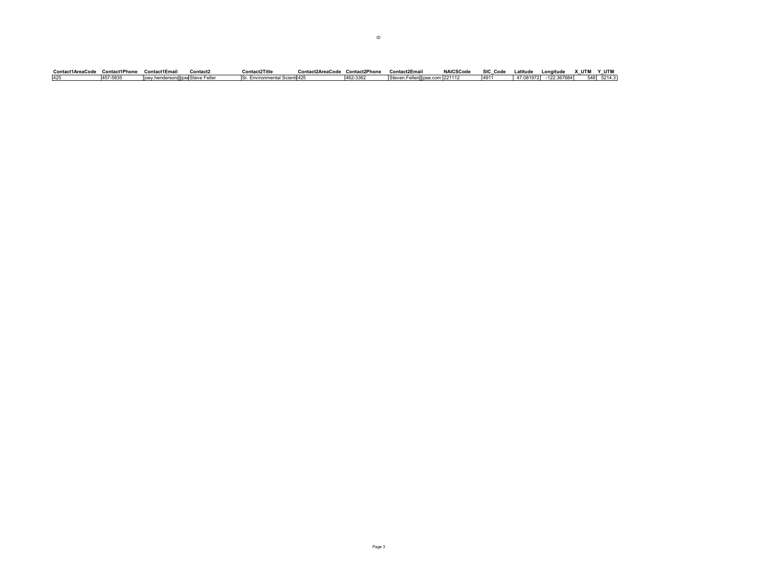| Contact1AreaCode | <b>Contact1Phone</b> | Contact1Email                    | Contact2 | Contact2Title                 | Contact2AreaCode Contact2Phone |          | Contact2Email                | <b>NAICSCode</b> | SIC Code | Latitude | Longitude              | х итм | Y UTM  |
|------------------|----------------------|----------------------------------|----------|-------------------------------|--------------------------------|----------|------------------------------|------------------|----------|----------|------------------------|-------|--------|
|                  | 457-5835             | lioev henderson@pse Steve Feller |          | Sr. Environmental Scienti 425 |                                | 462-3362 | ⊾Steven.Feller@pse.com 22111 |                  | 4911     |          | 47.081972 - 122.367684 | 548   | 5214.3 |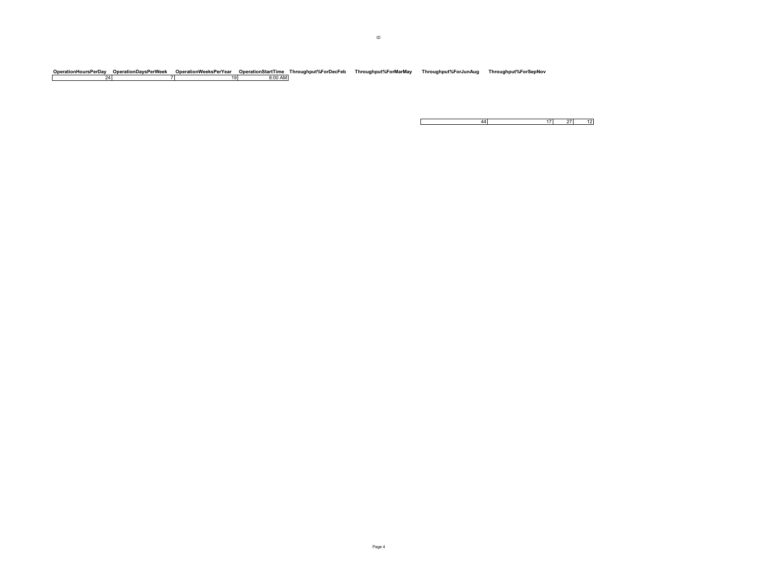$\mathbf{I}$ 

Operation DaysPerWeek Operation WeeksPerYear Operation StartTime Throughput%ForDecFeb Throughput%ForMarMay Throughput%ForJunAug Throughput%ForSepNov<br>24 24 7 19 20 19 20 19 20 19 20 20 21 24 24 24 24 24 25 26 27 27 29 29 2

17 27 12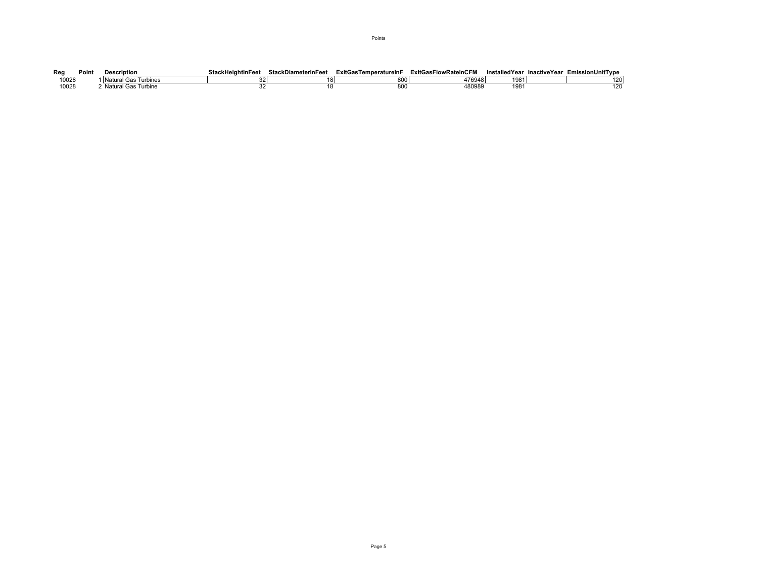| Reg   | Point | Description              | <b>StackHeightInFeet</b> | <b>StackDiameterInFeet</b> | ExitGas <sup>7</sup><br>™emperatureInF | ExitGasFlowRateInCFM | <b>InstalledYear</b> | InactiveYear | <b>EmissionUnitTvpe</b> |
|-------|-------|--------------------------|--------------------------|----------------------------|----------------------------------------|----------------------|----------------------|--------------|-------------------------|
| 10028 |       | Turbines<br>'Natural Gas |                          |                            | 800                                    | 476948               | 1981                 |              | 120                     |
| 10028 |       | Natural Gas<br>Turbine   |                          |                            | $\sim$<br>ouc                          | 480989               | 198                  |              | 120                     |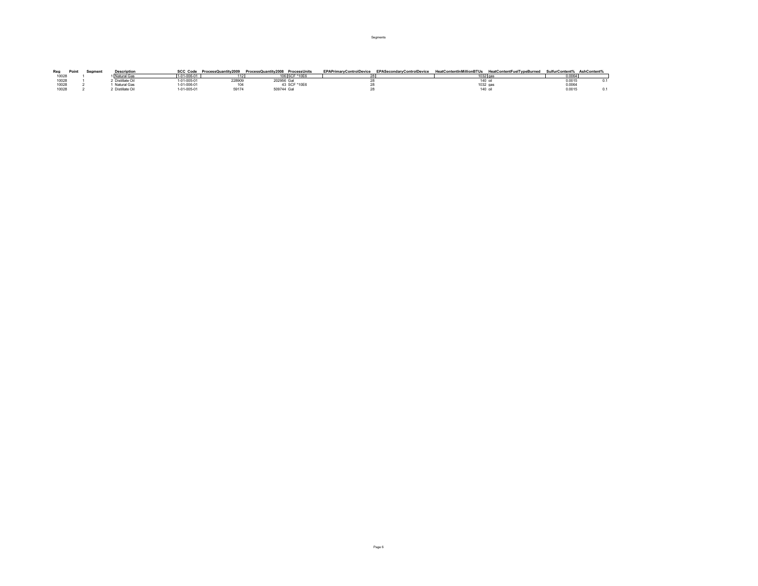| Rea   | Point | Segment | <b>Description</b> | <b>SCC Code</b>  | ProcessQuantitv2009 | ProcessQuantitv2008 ProcessUnits |             | EPAPrimaryControlDevice | EPASecondaryControlDevice | HeatContentInMillionBTUs | HeatContentFuelTvpeBurned SulfurContent% AshContent% |        |  |
|-------|-------|---------|--------------------|------------------|---------------------|----------------------------------|-------------|-------------------------|---------------------------|--------------------------|------------------------------------------------------|--------|--|
| 10028 |       |         | Natural Gas        | $-01 - 006 - 0'$ |                     |                                  |             |                         |                           |                          |                                                      | 0.0064 |  |
| 10028 |       |         | Distillate Oil     | 1-01-005-01      | 228909              | ?02956 Gar                       |             |                         |                           |                          |                                                      | 0.0015 |  |
| 10028 |       |         | Natural Gas        | 1-01-006-01      |                     |                                  | 3 SCF *10E6 |                         |                           | 1032 gas                 |                                                      | 0.0064 |  |
| 10028 |       |         | Distillate Oil     | $-01 - 005 - 01$ | 59174               | 509744 Ga                        |             |                         |                           |                          |                                                      | 0.0015 |  |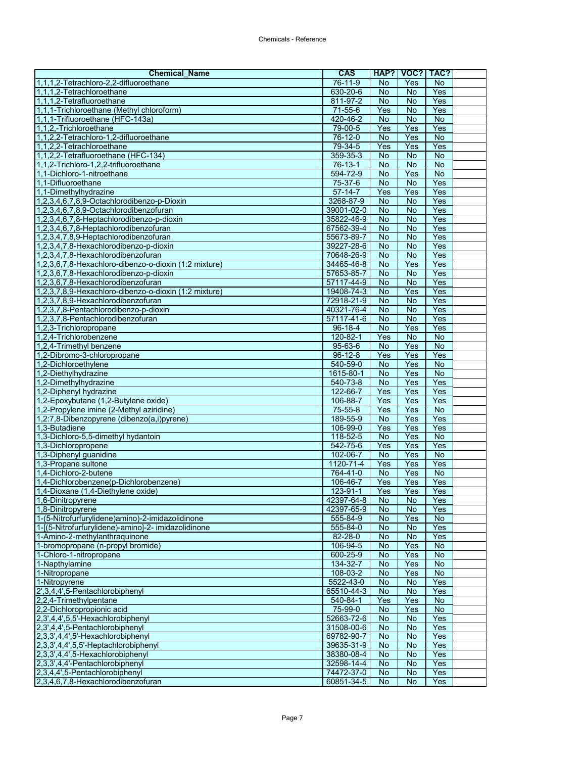| <b>Chemical Name</b>                                                         | <b>CAS</b>               | HAP?                 | VOC?                   | TAC?                  |  |
|------------------------------------------------------------------------------|--------------------------|----------------------|------------------------|-----------------------|--|
| 1,1,1,2-Tetrachloro-2,2-difluoroethane                                       | 76-11-9                  | No                   | Yes                    | <b>No</b>             |  |
| 1,1,1,2-Tetrachloroethane                                                    | 630-20-6                 | <b>No</b>            | <b>No</b>              | Yes                   |  |
| 1,1,1,2-Tetrafluoroethane                                                    | 811-97-2                 | <b>No</b>            | <b>No</b>              | Yes                   |  |
| 1,1,1-Trichloroethane (Methyl chloroform)                                    | $71 - 55 - 6$            | Yes                  | $\overline{N}$         | Yes                   |  |
| 1,1,1-Trifluoroethane (HFC-143a)                                             | 420-46-2                 | $\overline{N}$       | $\overline{N}$         | <b>No</b>             |  |
| 1,1,2,-Trichloroethane                                                       | 79-00-5                  | Yes                  | Yes                    | Yes                   |  |
| 1,1,2,2-Tetrachloro-1,2-difluoroethane                                       | 76-12-0                  | No                   | Yes                    | No                    |  |
| 1,1,2,2-Tetrachloroethane                                                    | 79-34-5                  | Yes                  | Yes                    | Yes                   |  |
| 1,1,2,2-Tetrafluoroethane (HFC-134)<br>1,1,2-Trichloro-1,2,2-trifluoroethane | 359-35-3<br>$76-13-1$    | $\overline{N}$<br>No | $\overline{N}$<br>No   | $\overline{N}$<br>No  |  |
| 1,1-Dichloro-1-nitroethane                                                   | 594-72-9                 | $\overline{N}$       | Yes                    | $\overline{N}$        |  |
| 1,1-Difluoroethane                                                           | 75-37-6                  | $\overline{N}$       | $\overline{N}$         | Yes                   |  |
| 1,1-Dimethylhydrazine                                                        | $57-14-7$                | Yes                  | Yes                    | Yes                   |  |
| 1,2,3,4,6,7,8,9-Octachlorodibenzo-p-Dioxin                                   | 3268-87-9                | No                   | <b>No</b>              | Yes                   |  |
| 1,2,3,4,6,7,8,9-Octachlorodibenzofuran                                       | 39001-02-0               | <b>No</b>            | $\overline{N}$         | Yes                   |  |
| 1,2,3,4,6,7,8-Heptachlorodibenzo-p-dioxin                                    | 35822-46-9               | No                   | No                     | Yes                   |  |
| 1,2,3,4,6,7,8-Heptachlorodibenzofuran                                        | 67562-39-4               | <b>No</b>            | <b>No</b>              | Yes                   |  |
| 1,2,3,4,7,8,9-Heptachlorodibenzofuran                                        | 55673-89-7               | $\overline{N}$       | $\overline{N}$         | Yes                   |  |
| 1,2,3,4,7,8-Hexachlorodibenzo-p-dioxin                                       | 39227-28-6               | $\overline{N}$       | $\overline{N}$         | Yes                   |  |
| 1,2,3,4,7,8-Hexachlorodibenzofuran                                           | 70648-26-9               | No                   | <b>No</b>              | Yes                   |  |
| 1,2,3,6,7,8-Hexachloro-dibenzo-o-dioxin (1:2 mixture)                        | 34465-46-8               | No                   | Yes                    | Yes                   |  |
| 1,2,3,6,7,8-Hexachlorodibenzo-p-dioxin                                       | 57653-85-7               | No                   | No                     | Yes                   |  |
| 1.2.3.6.7.8-Hexachlorodibenzofuran                                           | 57117-44-9               | $\overline{N}$       | <b>No</b>              | Yes                   |  |
| 1,2,3,7,8,9-Hexachloro-dibenzo-o-dioxin (1:2 mixture)                        | 19408-74-3               | No                   | Yes                    | Yes                   |  |
| 1,2,3,7,8,9-Hexachlorodibenzofuran                                           | 72918-21-9               | No                   | No                     | Yes                   |  |
| 1,2,3,7,8-Pentachlorodibenzo-p-dioxin                                        | 40321-76-4               | No                   | $\overline{N}$         | Yes                   |  |
| 1,2,3,7,8-Pentachlorodibenzofuran                                            | 57117-41-6               | <b>No</b>            | <b>No</b>              | Yes                   |  |
| 1,2,3-Trichloropropane                                                       | 96-18-4                  | No                   | Yes                    | Yes                   |  |
| 1,2,4-Trichlorobenzene                                                       | 120-82-1                 | Yes                  | $\overline{N}$         | $\overline{N}$        |  |
| 1,2,4-Trimethyl benzene                                                      | 95-63-6<br>$96 - 12 - 8$ | No<br>Yes            | Yes<br>Yes             | $\overline{N}$<br>Yes |  |
| 1,2-Dibromo-3-chloropropane<br>1,2-Dichloroethylene                          | 540-59-0                 | $\overline{N}$       | Yes                    | $\overline{N}$        |  |
| 1,2-Diethylhydrazine                                                         | 1615-80-1                | No                   | Yes                    | $\overline{N}$        |  |
| 1,2-Dimethylhydrazine                                                        | 540-73-8                 | <b>No</b>            | Yes                    | Yes                   |  |
| 1,2-Diphenyl hydrazine                                                       | 122-66-7                 | Yes                  | Yes                    | Yes                   |  |
| 1,2-Epoxybutane (1,2-Butylene oxide)                                         | 106-88-7                 | Yes                  | Yes                    | Yes                   |  |
| 1,2-Propylene imine (2-Methyl aziridine)                                     | 75-55-8                  | Yes                  | Yes                    | No                    |  |
| 1,2:7,8-Dibenzopyrene (dibenzo(a,i)pyrene)                                   | 189-55-9                 | No                   | Yes                    | Yes                   |  |
| 1,3-Butadiene                                                                | 106-99-0                 | Yes                  | Yes                    | Yes                   |  |
| 1,3-Dichloro-5,5-dimethyl hydantoin                                          | 118-52-5                 | $\overline{N}$       | Yes                    | No                    |  |
| 1,3-Dichloropropene                                                          | 542-75-6                 | Yes                  | Yes                    | Yes                   |  |
| 1,3-Diphenyl guanidine                                                       | 102-06-7                 | $\overline{N}$       | Yes                    | $\overline{N}$        |  |
| 1,3-Propane sultone                                                          | 1120-71-4                | Yes                  | Yes                    | Yes                   |  |
| 1,4-Dichloro-2-butene                                                        | 764-41-0                 | No                   | Yes                    | <b>No</b>             |  |
| 1,4-Dichlorobenzene(p-Dichlorobenzene)                                       | 106-46-7                 | Yes                  | Yes                    | Yes                   |  |
| 1,4-Dioxane (1,4-Diethylene oxide)                                           | 123-91-1                 | Yes                  | Yes                    | Yes                   |  |
| 1,6-Dinitropyrene<br>1,8-Dinitropyrene                                       | 42397-64-8<br>42397-65-9 | No.<br>No            | <b>No</b><br><b>No</b> | Yes<br>Yes            |  |
| 1-(5-Nitrofurfurylidene)amino)-2-imidazolidinone                             | 555-84-9                 | No                   | Yes                    | <b>No</b>             |  |
| 1-[(5-Nitrofurfurylidene)-amino]-2- imidazolidinone                          | 555-84-0                 | No                   | <b>No</b>              | Yes                   |  |
| 1-Amino-2-methylanthraquinone                                                | 82-28-0                  | No                   | No                     | Yes                   |  |
| 1-bromopropane (n-propyl bromide)                                            | 106-94-5                 | No                   | Yes                    | No                    |  |
| 1-Chloro-1-nitropropane                                                      | 600-25-9                 | No                   | Yes                    | No                    |  |
| 1-Napthylamine                                                               | 134-32-7                 | No                   | Yes                    | $\overline{N}$        |  |
| 1-Nitropropane                                                               | 108-03-2                 | <b>No</b>            | Yes                    | No                    |  |
| 1-Nitropyrene                                                                | 5522-43-0                | No                   | No                     | Yes                   |  |
| 2',3,4,4',5-Pentachlorobiphenyl                                              | 65510-44-3               | No                   | No                     | Yes                   |  |
| 2,2,4-Trimethylpentane                                                       | 540-84-1                 | Yes                  | Yes                    | No                    |  |
| 2,2-Dichloropropionic acid                                                   | 75-99-0                  | No                   | Yes                    | No                    |  |
| 2,3',4,4',5,5'-Hexachlorobiphenyl                                            | 52663-72-6               | No                   | $\overline{N}$         | Yes                   |  |
| 2,3',4,4',5-Pentachlorobiphenyl                                              | 31508-00-6               | No                   | No                     | Yes                   |  |
| 2,3,3',4,4',5'-Hexachlorobiphenyl                                            | 69782-90-7               | No                   | No                     | Yes                   |  |
| 2,3,3',4,4',5,5'-Heptachlorobiphenyl                                         | 39635-31-9               | No                   | <b>No</b>              | Yes                   |  |
| 2,3,3',4,4',5-Hexachlorobiphenyl                                             | 38380-08-4               | No                   | No                     | Yes                   |  |
| 2,3,3',4,4'-Pentachlorobiphenyl<br>2,3,4,4',5-Pentachlorobiphenyl            | 32598-14-4<br>74472-37-0 | No<br>No             | No<br>No               | Yes<br>Yes            |  |
| 2,3,4,6,7,8-Hexachlorodibenzofuran                                           | 60851-34-5               | No                   | No                     | Yes                   |  |
|                                                                              |                          |                      |                        |                       |  |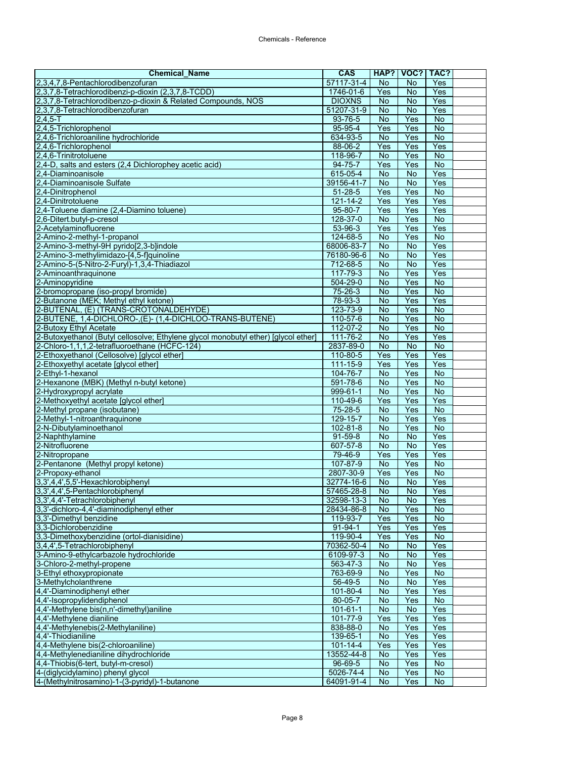| <b>Chemical Name</b>                                                               | <b>CAS</b>             |                 | HAP?   VOC?   TAC? |                             |  |
|------------------------------------------------------------------------------------|------------------------|-----------------|--------------------|-----------------------------|--|
| 2,3,4,7,8-Pentachlorodibenzofuran                                                  | 57117-31-4             | No              | No                 | Yes                         |  |
| 2,3,7,8-Tetrachlorodibenzi-p-dioxin (2,3,7,8-TCDD)                                 | 1746-01-6              | Yes             | <b>No</b>          | Yes                         |  |
| 2,3,7,8-Tetrachlorodibenzo-p-dioxin & Related Compounds, NOS                       | <b>DIOXNS</b>          | <b>No</b>       | No                 | Yes                         |  |
| 2,3,7,8-Tetrachlorodibenzofuran                                                    | 51207-31-9             | <b>No</b>       | <b>No</b>          | Yes                         |  |
| $2,4,5 - T$                                                                        | 93-76-5                | $\overline{N}$  | Yes                | $\overline{N}$              |  |
| 2,4,5-Trichlorophenol                                                              | 95-95-4                | Yes             | Yes                | No                          |  |
| 2,4,6-Trichloroaniline hydrochloride                                               | 634-93-5               | <b>No</b>       | Yes                | No                          |  |
| 2,4,6-Trichlorophenol                                                              | 88-06-2                | Yes             | Yes                | Yes                         |  |
| 2,4,6-Trinitrotoluene                                                              | 118-96-7               | No<br>Yes       | Yes<br>Yes         | <b>No</b><br>$\overline{N}$ |  |
| 2,4-D, salts and esters (2,4 Dichlorophey acetic acid)<br>2.4-Diaminoanisole       | 94-75-7<br>615-05-4    | <b>No</b>       | <b>No</b>          | Yes                         |  |
| 2.4-Diaminoanisole Sulfate                                                         | 39156-41-7             | $\overline{N}$  | $\overline{N}$     | Yes                         |  |
| 2,4-Dinitrophenol                                                                  | $51 - 28 - 5$          | Yes             | Yes                | <b>No</b>                   |  |
| 2,4-Dinitrotoluene                                                                 | 121-14-2               | Yes             | Yes                | Yes                         |  |
| 2,4-Toluene diamine (2,4-Diamino toluene)                                          | $95 - 80 - 7$          | Yes             | Yes                | Yes                         |  |
| 2,6-Ditert.butyl-p-cresol                                                          | 128-37-0               | No              | Yes                | No                          |  |
| 2-Acetylaminofluorene                                                              | 53-96-3                | Yes             | <b>Yes</b>         | Yes                         |  |
| 2-Amino-2-methyl-1-propanol                                                        | 124-68-5               | <b>No</b>       | Yes                | $\overline{N}$              |  |
| 2-Amino-3-methyl-9H pyrido[2,3-b]indole                                            | 68006-83-7             | No              | $\overline{N}$     | Yes                         |  |
| 2-Amino-3-methylimidazo-[4,5-f]quinoline                                           | 76180-96-6             | No              | <b>No</b>          | Yes                         |  |
| 2-Amino-5-(5-Nitro-2-Furyl)-1,3,4-Thiadiazol                                       | 712-68-5               | No              | <b>No</b>          | Yes                         |  |
| 2-Aminoanthraquinone                                                               | 117-79-3               | <b>No</b>       | Yes                | Yes                         |  |
| 2-Aminopyridine                                                                    | 504-29-0               | <b>No</b>       | Yes                | <b>No</b>                   |  |
| 2-bromopropane (iso-propyl bromide)                                                | 75-26-3                | <b>No</b>       | Yes                | No                          |  |
| 2-Butanone (MEK; Methyl ethyl ketone)                                              | 78-93-3                | <b>No</b>       | Yes                | Yes                         |  |
| 2-BUTENAL, (E) (TRANS-CROTONALDEHYDE)                                              | 123-73-9               | No              | Yes                | $\overline{N}$              |  |
| 2-BUTENE, 1,4-DICHLORO-, (E)- (1,4-DICHLOO-TRANS-BUTENE)                           | 110-57-6               | <b>No</b>       | Yes                | <b>No</b>                   |  |
| 2-Butoxy Ethyl Acetate                                                             | 112-07-2               | <b>No</b>       | Yes                | $\overline{N}$              |  |
| 2-Butoxyethanol (Butyl cellosolve; Ethylene glycol monobutyl ether) [glycol ether] | 111-76-2               | <b>No</b>       | Yes                | Yes                         |  |
| 2-Chloro-1,1,1,2-tetrafluoroethane (HCFC-124)                                      | 2837-89-0              | No              | <b>No</b>          | $\overline{N}$              |  |
| 2-Ethoxyethanol (Cellosolve) [glycol ether]                                        | 110-80-5<br>111-15-9   | Yes<br>Yes      | Yes<br>Yes         | Yes<br>Yes                  |  |
| 2-Ethoxyethyl acetate [glycol ether]<br>2-Ethyl-1-hexanol                          | 104-76-7               | No              | Yes                | $\overline{N}$              |  |
| 2-Hexanone (MBK) (Methyl n-butyl ketone)                                           | 591-78-6               | <b>No</b>       | Yes                | <b>No</b>                   |  |
| 2-Hydroxypropyl acrylate                                                           | 999-61-1               | <b>No</b>       | Yes                | $\overline{N}$              |  |
| 2-Methoxyethyl acetate [glycol ether]                                              | 110-49-6               | Yes             | Yes                | Yes                         |  |
| 2-Methyl propane (isobutane)                                                       | 75-28-5                | <b>No</b>       | Yes                | No                          |  |
| 2-Methyl-1-nitroanthraquinone                                                      | 129-15-7               | <b>No</b>       | Yes                | Yes                         |  |
| 2-N-Dibutylaminoethanol                                                            | $102 - 81 - 8$         | $\overline{N}$  | Yes                | $\overline{N}$              |  |
| 2-Naphthylamine                                                                    | 91-59-8                | <b>No</b>       | <b>No</b>          | Yes                         |  |
| 2-Nitrofluorene                                                                    | 607-57-8               | <b>No</b>       | <b>No</b>          | Yes                         |  |
| 2-Nitropropane                                                                     | 79-46-9                | Yes             | Yes                | Yes                         |  |
| 2-Pentanone (Methyl propyl ketone)                                                 | 107-87-9               | $\overline{N}$  | Yes                | $\overline{N}$              |  |
| 2-Propoxy-ethanol                                                                  | 2807-30-9              | Yes             | Yes                | <b>No</b>                   |  |
| 3,3',4,4',5,5'-Hexachlorobiphenyl                                                  | 32774-16-6             | No              | No                 | Yes                         |  |
| 3,3',4,4',5-Pentachlorobiphenyl                                                    | 57465-28-8             | <b>No</b>       | No                 | Yes                         |  |
| 3,3',4,4'-Tetrachlorobiphenyl                                                      | 32598-13-3             | No              | No                 | Yes                         |  |
| 3,3'-dichloro-4,4'-diaminodiphenyl ether<br>3,3'-Dimethyl benzidine                | 28434-86-8<br>119-93-7 | No<br>Yes       | Yes<br>Yes         | <b>No</b><br>No             |  |
| 3,3-Dichlorobenzidine                                                              | 91-94-1                | Yes             | Yes                | Yes                         |  |
| 3,3-Dimethoxybenzidine (ortol-dianisidine)                                         | 119-90-4               | Yes             | Yes                | No                          |  |
| 3,4,4',5-Tetrachlorobiphenyl                                                       | 70362-50-4             | No              | No                 | Yes                         |  |
| 3-Amino-9-ethylcarbazole hydrochloride                                             | 6109-97-3              | <b>No</b>       | No                 | Yes                         |  |
| 3-Chloro-2-methyl-propene                                                          | 563-47-3               | <b>No</b>       | No                 | Yes                         |  |
| 3-Ethyl ethoxypropionate                                                           | 763-69-9               | <b>No</b>       | Yes                | No                          |  |
| 3-Methylcholanthrene                                                               | $56-49-5$              | No              | No                 | Yes                         |  |
| 4,4'-Diaminodiphenyl ether                                                         | $101 - 80 - 4$         | No              | Yes                | Yes                         |  |
| 4,4'-Isopropylidendiphenol                                                         | 80-05-7                | <b>No</b>       | Yes                | <b>No</b>                   |  |
| 4.4'-Methylene bis(n.n'-dimethyl)aniline                                           | 101-61-1               | No              | No                 | Yes                         |  |
| 4,4'-Methylene dianiline                                                           | 101-77-9               | Yes             | Yes                | Yes                         |  |
| 4,4'-Methylenebis(2-Methylaniline)                                                 | 838-88-0               | <b>No</b>       | Yes                | Yes                         |  |
| 4,4'-Thiodianiline                                                                 | 139-65-1               | No              | Yes                | Yes                         |  |
| 4,4-Methylene bis(2-chloroaniline)                                                 | 101-14-4               | Yes             | Yes                | Yes                         |  |
| 4,4-Methylenedianiline dihydrochloride                                             | 13552-44-8             | No              | Yes                | Yes                         |  |
| 4,4-Thiobis(6-tert, butyl-m-cresol)<br>4-(diglycidylamino) phenyl glycol           | 96-69-5<br>5026-74-4   | <b>No</b><br>No | Yes<br>Yes         | No<br><b>No</b>             |  |
| 4-(Methylnitrosamino)-1-(3-pyridyl)-1-butanone                                     | 64091-91-4             | No              | Yes                | <b>No</b>                   |  |
|                                                                                    |                        |                 |                    |                             |  |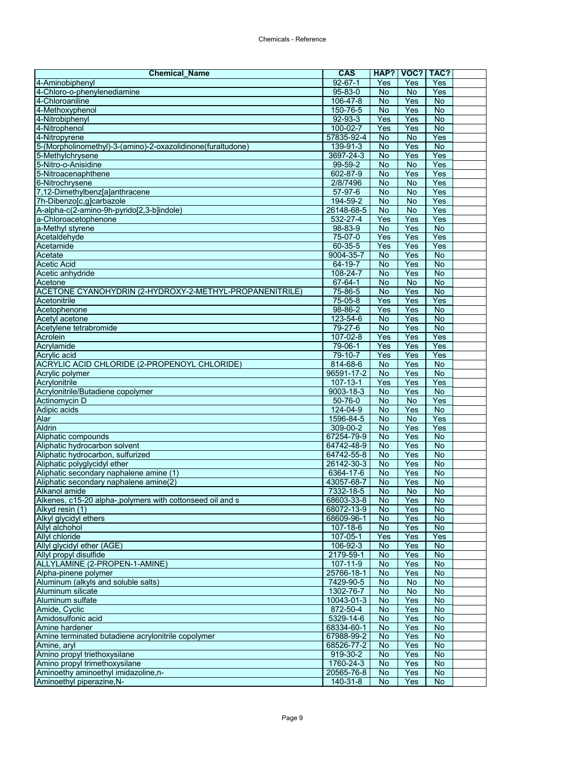| <b>Chemical Name</b>                                                         | <b>CAS</b>                | HAP?             | VOC?             | TAC?                        |  |
|------------------------------------------------------------------------------|---------------------------|------------------|------------------|-----------------------------|--|
| 4-Aminobiphenyl                                                              | $92 - 67 - 1$             | Yes              | Yes              | Yes                         |  |
| 4-Chloro-o-phenylenediamine                                                  | $95 - 83 - 0$             | No               | No               | Yes                         |  |
| 4-Chloroaniline                                                              | 106-47-8                  | <b>No</b>        | Yes              | No                          |  |
| 4-Methoxyphenol                                                              | 150-76-5                  | <b>No</b>        | Yes              | $\overline{N}$              |  |
| 4-Nitrobiphenyl                                                              | $92 - 93 - 3$             | Yes              | Yes              | <b>No</b>                   |  |
| 4-Nitrophenol                                                                | 100-02-7                  | Yes              | Yes              | No                          |  |
| 4-Nitropyrene                                                                | 57835-92-4                | No               | <b>No</b>        | Yes                         |  |
| 5-(Morpholinomethyl)-3-(amino)-2-oxazolidinone(furaltudone)                  | 139-91-3                  | No               | Yes              | $\overline{N}$              |  |
| 5-Methylchrysene<br>5-Nitro-o-Anisidine                                      | 3697-24-3<br>99-59-2      | No<br><b>No</b>  | Yes<br>No        | Yes<br>Yes                  |  |
| 5-Nitroacenaphthene                                                          | 602-87-9                  | <b>No</b>        | Yes              | Yes                         |  |
| 6-Nitrochrysene                                                              | 2/8/7496                  | $\overline{N}$   | <b>No</b>        | Yes                         |  |
| 7,12-Dimethylbenz[a]anthracene                                               | 57-97-6                   | <b>No</b>        | No               | Yes                         |  |
| 7h-Dibenzo[c,g]carbazole                                                     | 194-59-2                  | No               | <b>No</b>        | Yes                         |  |
| A-alpha-c(2-amino-9h-pyrido[2,3-b]indole)                                    | 26148-68-5                | $\overline{N}$   | <b>No</b>        | Yes                         |  |
| a-Chloroacetophenone                                                         | 532-27-4                  | Yes              | Yes              | Yes                         |  |
| a-Methyl styrene                                                             | 98-83-9                   | <b>No</b>        | Yes              | <b>No</b>                   |  |
| Acetaldehyde                                                                 | 75-07-0                   | Yes              | Yes              | Yes                         |  |
| Acetamide                                                                    | $60 - 35 - 5$             | Yes              | Yes              | Yes                         |  |
| Acetate                                                                      | 9004-35-7                 | No               | Yes              | <b>No</b>                   |  |
| <b>Acetic Acid</b>                                                           | 64-19-7                   | No               | Yes              | <b>No</b>                   |  |
| Acetic anhydride                                                             | 108-24-7                  | <b>No</b>        | Yes              | $\overline{N}$              |  |
| Acetone                                                                      | 67-64-1                   | <b>No</b>        | <b>No</b>        | No                          |  |
| ACETONE CYANOHYDRIN (2-HYDROXY-2-METHYL-PROPANENITRILE)                      | 75-86-5                   | <b>No</b>        | Yes              | $\overline{N}$              |  |
| Acetonitrile                                                                 | 75-05-8                   | Yes              | Yes              | Yes                         |  |
| Acetophenone                                                                 | $98 - 86 - 2$             | Yes              | Yes              | $\overline{N}$              |  |
| Acetvl acetone                                                               | 123-54-6                  | <b>No</b>        | Yes              | No                          |  |
| Acetylene tetrabromide<br>Acrolein                                           | 79-27-6<br>$107 - 02 - 8$ | <b>No</b><br>Yes | Yes<br>Yes       | No<br>Yes                   |  |
| Acrylamide                                                                   | 79-06-1                   | Yes              | Yes              | Yes                         |  |
| Acrylic acid                                                                 | 79-10-7                   | Yes              | Yes              | Yes                         |  |
| ACRYLIC ACID CHLORIDE (2-PROPENOYL CHLORIDE)                                 | 814-68-6                  | No               | Yes              | $\overline{N}$              |  |
| Acrylic polymer                                                              | 96591-17-2                | No               | Yes              | $\overline{N}$              |  |
| Acrylonitrile                                                                | $107 - 13 - 1$            | Yes              | Yes              | Yes                         |  |
| Acrylonitrile/Butadiene copolymer                                            | 9003-18-3                 | <b>No</b>        | Yes              | $\overline{N}$              |  |
| Actinomycin D                                                                | $50 - 76 - 0$             | <b>No</b>        | No               | Yes                         |  |
| Adipic acids                                                                 | 124-04-9                  | No               | Yes              | No                          |  |
| Alar                                                                         | 1596-84-5                 | No               | <b>No</b>        | Yes                         |  |
| <b>Aldrin</b>                                                                | 309-00-2                  | No               | Yes              | Yes                         |  |
| Aliphatic compounds                                                          | 67254-79-9                | No               | Yes              | $\overline{N}$              |  |
| Aliphatic hydrocarbon solvent                                                | 64742-48-9                | No               | Yes              | <b>No</b>                   |  |
| Aliphatic hydrocarbon, sulfurized                                            | 64742-55-8                | <b>No</b>        | Yes              | $\overline{N}$              |  |
| Aliphatic polyglycidyl ether                                                 | 26142-30-3                | <b>No</b>        | Yes              | <b>No</b>                   |  |
| Aliphatic secondary naphalene amine (1)                                      | 6364-17-6                 | <b>No</b>        | Yes              | No                          |  |
| Aliphatic secondary naphalene amine(2)<br>Alkanol amide                      | 43057-68-7<br>7332-18-5   | No<br><b>No</b>  | Yes<br><b>No</b> | No<br>$\overline{N}$        |  |
|                                                                              |                           |                  |                  |                             |  |
| Alkenes, c15-20 alpha-,polymers with cottonseed oil and s<br>Alkyd resin (1) | 68603-33-8<br>68072-13-9  | No.<br>No        | Yes<br>Yes       | No.<br><b>No</b>            |  |
| Alkyl glycidyl ethers                                                        | 68609-96-1                | No               | Yes              | <b>No</b>                   |  |
| Allyl alchohol                                                               | 107-18-6                  | No               | Yes              | <b>No</b>                   |  |
| <b>Allyl chloride</b>                                                        | $107 - 05 - 1$            | Yes              | Yes              | Yes                         |  |
| Allyl glycidyl ether (AGE)                                                   | 106-92-3                  | No               | Yes              | No                          |  |
| Allyl propyl disulfide                                                       | 2179-59-1                 | No               | Yes              | <b>No</b>                   |  |
| ALLYLAMINE (2-PROPEN-1-AMINE)                                                | $107 - 11 - 9$            | No               | Yes              | No                          |  |
| Alpha-pinene polymer                                                         | 25766-18-1                | No               | Yes              | $\overline{N}$              |  |
| Aluminum (alkyls and soluble salts)                                          | 7429-90-5                 | No               | No               | <b>No</b>                   |  |
| Aluminum silicate                                                            | 1302-76-7                 | No               | No               | <b>No</b>                   |  |
| Aluminum sulfate                                                             | 10043-01-3                | No               | Yes              | No                          |  |
| Amide, Cyclic                                                                | 872-50-4                  | No               | Yes              | No                          |  |
| Amidosulfonic acid                                                           | 5329-14-6                 | No               | Yes              | <b>No</b>                   |  |
| Amine hardener                                                               | 68334-60-1                | <b>No</b>        | Yes              | <b>No</b>                   |  |
| Amine terminated butadiene acrylonitrile copolymer                           | 67988-99-2                | No               | Yes              | $\overline{N}$<br><b>No</b> |  |
| Amine, aryl<br>Amino propyl triethoxysilane                                  | 68526-77-2<br>919-30-2    | No<br>No         | Yes<br>Yes       | No                          |  |
| Amino propyl trimethoxysilane                                                | 1760-24-3                 | No               | Yes              | No                          |  |
| Aminoethy aminoethyl imidazoline, n-                                         | 20565-76-8                | No               | Yes              | <b>No</b>                   |  |
| Aminoethyl piperazine, N-                                                    | 140-31-8                  | <b>No</b>        | Yes              | $\overline{N}$              |  |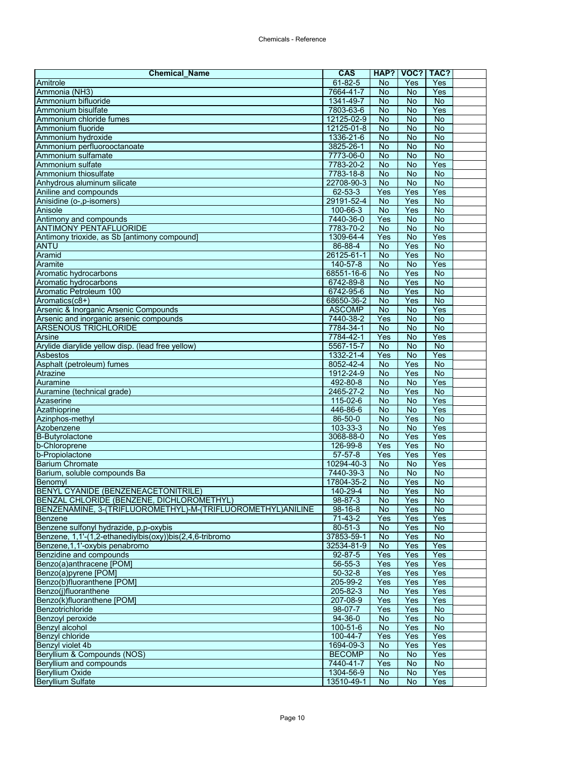| <b>Chemical Name</b>                                        | <b>CAS</b>              | HAP?                        | VOC?                 | TAC?                  |  |
|-------------------------------------------------------------|-------------------------|-----------------------------|----------------------|-----------------------|--|
| Amitrole                                                    | $61 - 82 - 5$           | <b>No</b>                   | Yes                  | Yes                   |  |
| Ammonia (NH3)                                               | 7664-41-7               | No                          | <b>No</b>            | Yes                   |  |
| Ammonium bifluoride                                         | 1341-49-7               | <b>No</b>                   | No                   | <b>No</b>             |  |
| Ammonium bisulfate                                          | 7803-63-6               | <b>No</b>                   | $\overline{N}$       | Yes                   |  |
| Ammonium chloride fumes                                     | 12125-02-9              | $\overline{N}$              | $\overline{N}$       | <b>No</b>             |  |
| Ammonium fluoride                                           | 12125-01-8              | No                          | No                   | <b>No</b>             |  |
| Ammonium hydroxide                                          | 1336-21-6               | <b>No</b>                   | <b>No</b>            | No                    |  |
| Ammonium perfluorooctanoate                                 | 3825-26-1               | <b>No</b>                   | $\overline{N}$       | $\overline{N}$        |  |
| Ammonium sulfamate                                          | 7773-06-0               | No                          | <b>No</b>            | $\overline{N}$        |  |
| Ammonium sulfate                                            | 7783-20-2               | <b>No</b>                   | No<br>$\overline{N}$ | Yes<br>$\overline{N}$ |  |
| Ammonium thiosulfate                                        | 7783-18-8<br>22708-90-3 | <b>No</b><br>$\overline{N}$ | $\overline{N}$       | <b>No</b>             |  |
| Anhydrous aluminum silicate<br>Aniline and compounds        | 62-53-3                 | Yes                         | Yes                  | Yes                   |  |
| Anisidine (o-,p-isomers)                                    | 29191-52-4              | No                          | Yes                  | <b>No</b>             |  |
| Anisole                                                     | $100 - 66 - 3$          | $\overline{N}$              | Yes                  | $\overline{N}$        |  |
| Antimony and compounds                                      | 7440-36-0               | Yes                         | No                   | <b>No</b>             |  |
| <b>ANTIMONY PENTAFLUORIDE</b>                               | 7783-70-2               | <b>No</b>                   | <b>No</b>            | <b>No</b>             |  |
| Antimony trioxide, as Sb [antimony compound]                | 1309-64-4               | Yes                         | $\overline{N}$       | Yes                   |  |
| <b>ANTU</b>                                                 | 86-88-4                 | $\overline{N}$              | Yes                  | $\overline{N}$        |  |
| Aramid                                                      | 26125-61-1              | No                          | Yes                  | <b>No</b>             |  |
| Aramite                                                     | 140-57-8                | No                          | No                   | Yes                   |  |
| Aromatic hydrocarbons                                       | 68551-16-6              | <b>No</b>                   | Yes                  | $\overline{N}$        |  |
| Aromatic hydrocarbons                                       | 6742-89-8               | No                          | Yes                  | No                    |  |
| Aromatic Petroleum 100                                      | 6742-95-6               | <b>No</b>                   | Yes                  | <b>No</b>             |  |
| Aromatics(c8+)                                              | 68650-36-2              | <b>No</b>                   | Yes                  | $\overline{N}$        |  |
| Arsenic & Inorganic Arsenic Compounds                       | <b>ASCOMP</b>           | <b>No</b>                   | $\overline{N}$       | Yes                   |  |
| Arsenic and inorganic arsenic compounds                     | 7440-38-2               | Yes                         | <b>No</b>            | <b>No</b>             |  |
| <b>ARSENOUS TRICHLORIDE</b>                                 | 7784-34-1               | No                          | <b>No</b>            | $\overline{N}$        |  |
| Arsine                                                      | 7784-42-1               | Yes                         | $\overline{N}$       | Yes                   |  |
| Arylide diarylide yellow disp. (lead free yellow)           | 5567-15-7               | <b>No</b>                   | <b>No</b>            | <b>No</b>             |  |
| Asbestos                                                    | 1332-21-4               | Yes                         | <b>No</b>            | Yes                   |  |
| Asphalt (petroleum) fumes                                   | 8052-42-4               | $\overline{N}$              | Yes                  | $\overline{N}$        |  |
| Atrazine                                                    | 1912-24-9               | No                          | Yes                  | $\overline{N}$        |  |
| Auramine                                                    | 492-80-8                | No                          | No                   | Yes                   |  |
| Auramine (technical grade)                                  | 2465-27-2               | <b>No</b>                   | Yes                  | $\overline{N}$        |  |
| Azaserine                                                   | 115-02-6                | $\overline{N}$              | $\overline{N}$       | Yes                   |  |
| Azathioprine                                                | 446-86-6                | No                          | No                   | Yes                   |  |
| Azinphos-methyl                                             | 86-50-0                 | No                          | Yes                  | No                    |  |
| Azobenzene                                                  | $103 - 33 - 3$          | <b>No</b>                   | $\overline{N}$       | Yes                   |  |
| <b>B-Butyrolactone</b>                                      | 3068-88-0               | No                          | Yes                  | Yes                   |  |
| b-Chloroprene<br>b-Propiolactone                            | 126-99-8<br>$57-57-8$   | Yes<br>Yes                  | Yes<br>Yes           | No<br>Yes             |  |
| <b>Barium Chromate</b>                                      | 10294-40-3              | $\overline{N}$              | $\overline{N}$       | Yes                   |  |
| Barium, soluble compounds Ba                                | 7440-39-3               | No                          | No                   | No                    |  |
| Benomyl                                                     | 17804-35-2              | <b>No</b>                   | Yes                  | No                    |  |
| BENYL CYANIDE (BENZENEACETONITRILE)                         | 140-29-4                | <b>No</b>                   | Yes                  | $\overline{N}$        |  |
| BENZAL CHLORIDE (BENZENE, DICHLOROMETHYL)                   | 98-87-3                 | No.                         | Yes                  | No.                   |  |
| BENZENAMINE, 3-(TRIFLUOROMETHYL)-M-(TRIFLUOROMETHYL)ANILINE | $98 - 16 - 8$           | <b>No</b>                   | Yes                  | No.                   |  |
| Benzene                                                     | 71-43-2                 | Yes                         | Yes                  | Yes                   |  |
| Benzene sulfonyl hydrazide, p,p-oxybis                      | 80-51-3                 | No                          | Yes                  | No                    |  |
| Benzene, 1,1'-(1,2-ethanediylbis(oxy))bis(2,4,6-tribromo    | 37853-59-1              | No                          | Yes                  | No                    |  |
| Benzene, 1, 1'-oxybis penabromo                             | 32534-81-9              | No                          | Yes                  | Yes                   |  |
| Benzidine and compounds                                     | $92 - 87 - 5$           | Yes                         | Yes                  | Yes                   |  |
| Benzo(a)anthracene [POM]                                    | 56-55-3                 | Yes                         | Yes                  | Yes                   |  |
| Benzo(a)pyrene [POM]                                        | $50 - 32 - 8$           | Yes                         | Yes                  | Yes                   |  |
| Benzo(b)fluoranthene [POM]                                  | 205-99-2                | Yes                         | Yes                  | Yes                   |  |
| Benzo(j)fluoranthene                                        | 205-82-3                | No                          | Yes                  | Yes                   |  |
| Benzo(k)fluoranthene [POM]                                  | 207-08-9                | Yes                         | Yes                  | Yes                   |  |
| Benzotrichloride                                            | 98-07-7                 | Yes                         | Yes                  | No                    |  |
| Benzoyl peroxide                                            | $94 - 36 - 0$           | No                          | Yes                  | No                    |  |
| Benzyl alcohol                                              | 100-51-6                | <b>No</b>                   | Yes                  | <b>No</b>             |  |
| Benzyl chloride                                             | 100-44-7                | Yes                         | Yes                  | Yes                   |  |
| Benzyl violet 4b                                            | 1694-09-3               | No                          | Yes                  | Yes                   |  |
| Beryllium & Compounds (NOS)                                 | <b>BECOMP</b>           | <b>No</b>                   | <b>No</b>            | Yes                   |  |
| Beryllium and compounds                                     | 7440-41-7               | Yes                         | <b>No</b>            | <b>No</b>             |  |
| <b>Beryllium Oxide</b>                                      | 1304-56-9               | No                          | No                   | Yes                   |  |
| <b>Beryllium Sulfate</b>                                    | 13510-49-1              | No                          | <b>No</b>            | Yes                   |  |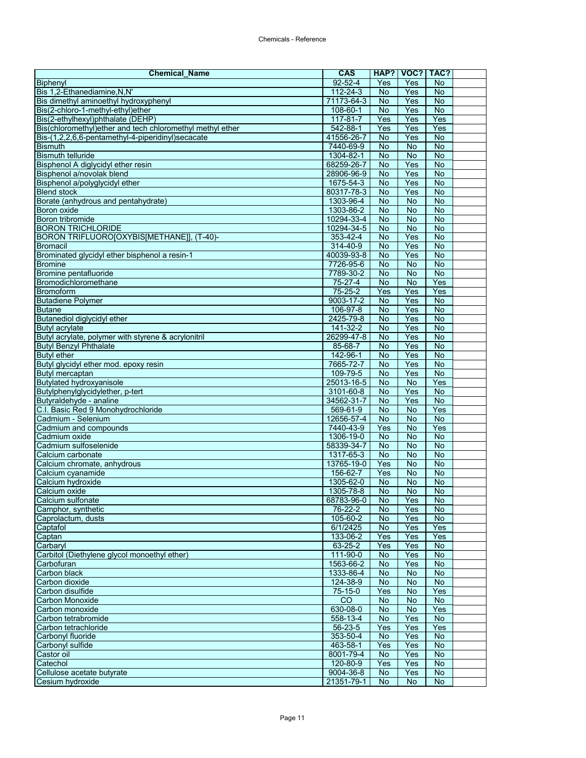| <b>Chemical_Name</b>                                      | <b>CAS</b>      |                             | HAP? VOC?       | TAC?                        |  |
|-----------------------------------------------------------|-----------------|-----------------------------|-----------------|-----------------------------|--|
| Biphenyl                                                  | $92 - 52 - 4$   | Yes                         | Yes             | <b>No</b>                   |  |
| Bis 1,2-Ethanediamine, N, N'                              | $112 - 24 - 3$  | $\overline{N}$              | Yes             | <b>No</b>                   |  |
| Bis dimethyl aminoethyl hydroxyphenyl                     | 71173-64-3      | <b>No</b>                   | Yes             | <b>No</b>                   |  |
| Bis(2-chloro-1-methyl-ethyl)ether                         | 108-60-1        | $\overline{N}$              | Yes             | $\overline{N}$              |  |
| Bis(2-ethylhexyl)phthalate (DEHP)                         | $117 - 81 - 7$  | Yes                         | Yes             | Yes                         |  |
| Bis(chloromethyl)ether and tech chloromethyl methyl ether | $542 - 88 - 1$  | Yes                         | Yes             | Yes                         |  |
| Bis-(1,2,2,6,6-pentamethyl-4-piperidinyl)secacate         | 41556-26-7      | No                          | Yes             | $\overline{N}$              |  |
| <b>Bismuth</b>                                            | 7440-69-9       | <b>No</b>                   | $\overline{N}$  | $\overline{N}$              |  |
| <b>Bismuth telluride</b>                                  | 1304-82-1       | No                          | <b>No</b>       | $\overline{N}$              |  |
| Bisphenol A diglycidyl ether resin                        | 68259-26-7      | No                          | Yes             | <b>No</b>                   |  |
| Bisphenol a/novolak blend                                 | 28906-96-9      | <b>No</b>                   | Yes             | $\overline{N}$              |  |
| Bisphenol a/polyglycidyl ether                            | 1675-54-3       | <b>No</b>                   | Yes             | <b>No</b>                   |  |
| <b>Blend stock</b>                                        | 80317-78-3      | No                          | Yes             | No                          |  |
| Borate (anhydrous and pentahydrate)                       | 1303-96-4       | No                          | No              | No                          |  |
| Boron oxide                                               | 1303-86-2       | No                          | $\overline{N}$  | <b>No</b>                   |  |
| Boron tribromide                                          | 10294-33-4      | No                          | No              | <b>No</b>                   |  |
| <b>BORON TRICHLORIDE</b>                                  | 10294-34-5      | <b>No</b>                   | <b>No</b>       | $\overline{N}$              |  |
| BORON TRIFLUORO[OXYBIS[METHANE]], (T-40)-                 | 353-42-4        | <b>No</b>                   | Yes             | $\overline{N}$              |  |
| <b>Bromacil</b>                                           | 314-40-9        | $\overline{N}$              | Yes             | No                          |  |
| Brominated glycidyl ether bisphenol a resin-1             | 40039-93-8      | No                          | Yes             | <b>No</b>                   |  |
| <b>Bromine</b>                                            | 7726-95-6       | <b>No</b>                   | <b>No</b>       | $\overline{N}$              |  |
| Bromine pentafluoride                                     | 7789-30-2       | No                          | $\overline{N}$  | $\overline{N}$              |  |
| Bromodichloromethane                                      | 75-27-4         | No                          | <b>No</b>       | Yes                         |  |
| <b>Bromoform</b>                                          | $75 - 25 - 2$   | Yes                         | Yes             | Yes                         |  |
| <b>Butadiene Polymer</b>                                  | $9003 - 17 - 2$ | No                          | Yes             | $\overline{N}$              |  |
| <b>Butane</b>                                             | 106-97-8        | No                          | Yes             | <b>No</b>                   |  |
| Butanediol diglycidyl ether                               | 2425-79-8       | <b>No</b>                   | Yes             | No                          |  |
| <b>Butyl acrylate</b>                                     | 141-32-2        | <b>No</b>                   | Yes             | No                          |  |
| Butyl acrylate, polymer with styrene & acrylonitril       | 26299-47-8      | No                          | Yes             | $\overline{N}$              |  |
| <b>Butyl Benzyl Phthalate</b>                             |                 | <b>No</b>                   | Yes             | <b>No</b>                   |  |
|                                                           | 85-68-7         | <b>No</b>                   |                 |                             |  |
| <b>Butyl ether</b>                                        | 142-96-1        |                             | Yes             | No                          |  |
| Butyl glycidyl ether mod. epoxy resin                     | 7665-72-7       | $\overline{N}$              | Yes             | $\overline{N}$              |  |
| Butyl mercaptan                                           | 109-79-5        | <b>No</b>                   | Yes             | $\overline{N}$              |  |
| <b>Butylated hydroxyanisole</b>                           | 25013-16-5      | <b>No</b>                   | $\overline{No}$ | Yes                         |  |
| Butylphenylglycidylether, p-tert                          | 3101-60-8       | <b>No</b><br>$\overline{N}$ | Yes<br>Yes      | $\overline{N}$<br><b>No</b> |  |
| Butyraldehyde - analine                                   | 34562-31-7      |                             |                 |                             |  |
| C.I. Basic Red 9 Monohydrochloride                        | 569-61-9        | No                          | No              | Yes                         |  |
| Cadmium - Selenium                                        | 12656-57-4      | No                          | No              | $\overline{N}$              |  |
| Cadmium and compounds                                     | 7440-43-9       | Yes                         | $\overline{N}$  | Yes                         |  |
| Cadmium oxide                                             | 1306-19-0       | <b>No</b>                   | <b>No</b>       | $\overline{N}$              |  |
| Cadmium sulfoselenide                                     | 58339-34-7      | <b>No</b>                   | No              | <b>No</b>                   |  |
| Calcium carbonate                                         | 1317-65-3       | <b>No</b>                   | No              | $\overline{N}$              |  |
| Calcium chromate, anhydrous                               | 13765-19-0      | Yes                         | $\overline{N}$  | <b>No</b>                   |  |
| Calcium cyanamide                                         | 156-62-7        | Yes                         | No              | No                          |  |
| Calcium hydroxide                                         | 1305-62-0       | <b>No</b>                   | No              | No                          |  |
| Calcium oxide                                             | 1305-78-8       | <b>No</b>                   | No              | $\overline{N}$              |  |
| Calcium sulfonate                                         | 68783-96-0      | No.                         | Yes             | No.                         |  |
| Camphor, synthetic                                        | 76-22-2         | <b>No</b>                   | Yes             | <b>No</b>                   |  |
| Caprolactum, dusts                                        | 105-60-2        | No                          | Yes             | <b>No</b>                   |  |
| Captafol                                                  | 6/1/2425        | <b>No</b>                   | Yes             | Yes                         |  |
| Captan                                                    | 133-06-2        | Yes                         | Yes             | Yes                         |  |
| Carbaryl                                                  | 63-25-2         | Yes                         | Yes             | No                          |  |
| Carbitol (Diethylene glycol monoethyl ether)              | 111-90-0        | <b>No</b>                   | Yes             | No                          |  |
| Carbofuran                                                | 1563-66-2       | <b>No</b>                   | Yes             | No                          |  |
| Carbon black                                              | 1333-86-4       | <b>No</b>                   | <b>No</b>       | No                          |  |
| Carbon dioxide                                            | 124-38-9        | <b>No</b>                   | No              | No                          |  |
| Carbon disulfide                                          | 75-15-0         | Yes                         | No              | Yes                         |  |
| Carbon Monoxide                                           | $\overline{c}$  | <b>No</b>                   | No              | <b>No</b>                   |  |
| Carbon monoxide                                           | 630-08-0        | No                          | No              | Yes                         |  |
| Carbon tetrabromide                                       | 558-13-4        | <b>No</b>                   | Yes             | $\overline{N}$              |  |
| Carbon tetrachloride                                      | 56-23-5         | Yes                         | Yes             | Yes                         |  |
| Carbonyl fluoride                                         | 353-50-4        | No                          | Yes             | <b>No</b>                   |  |
| Carbonyl sulfide                                          | 463-58-1        | Yes                         | Yes             | <b>No</b>                   |  |
| Castor oil                                                | 8001-79-4       | <b>No</b>                   | Yes             | No                          |  |
| Catechol                                                  | 120-80-9        | Yes                         | Yes             | <b>No</b>                   |  |
| Cellulose acetate butyrate                                | 9004-36-8       | No                          | Yes             | No                          |  |
| Cesium hydroxide                                          | 21351-79-1      | No                          | <b>No</b>       | <b>No</b>                   |  |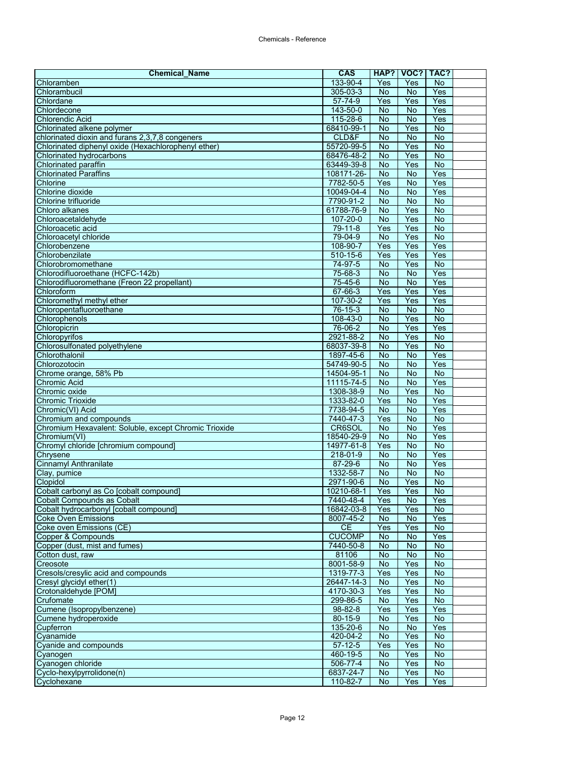| <b>Chemical Name</b>                                                 | <b>CAS</b>         | HAP?                 | VOC?                  | TAC?           |  |
|----------------------------------------------------------------------|--------------------|----------------------|-----------------------|----------------|--|
| Chloramben                                                           | 133-90-4           | Yes                  | Yes                   | <b>No</b>      |  |
| Chlorambucil                                                         | $305 - 03 - 3$     | $\overline{N}$       | <b>No</b>             | Yes            |  |
| Chlordane                                                            | 57-74-9            | Yes                  | Yes                   | Yes            |  |
| Chlordecone                                                          | 143-50-0           | <b>No</b>            | <b>No</b>             | Yes            |  |
| <b>Chlorendic Acid</b>                                               | 115-28-6           | $\overline{N}$       | $\overline{N}$        | Yes            |  |
| Chlorinated alkene polymer                                           | 68410-99-1         | <b>No</b>            | Yes                   | <b>No</b>      |  |
| chlorinated dioxin and furans 2,3,7,8 congeners                      | CLD&F              | <b>No</b>            | No                    | <b>No</b>      |  |
| Chlorinated diphenyl oxide (Hexachlorophenyl ether)                  | 55720-99-5         | <b>No</b>            | Yes                   | $\overline{N}$ |  |
| Chlorinated hydrocarbons                                             | 68476-48-2         | No                   | Yes                   | $\overline{N}$ |  |
| Chlorinated paraffin                                                 | 63449-39-8         | <b>No</b>            | Yes                   | $\overline{N}$ |  |
| <b>Chlorinated Paraffins</b>                                         | 108171-26-         | <b>No</b>            | $\overline{N}$        | Yes            |  |
| Chlorine                                                             | 7782-50-5          | Yes                  | $\overline{N}$        | Yes            |  |
| Chlorine dioxide                                                     | 10049-04-4         | No                   | <b>No</b>             | Yes            |  |
| Chlorine trifluoride                                                 | 7790-91-2          | No                   | <b>No</b>             | No             |  |
| Chloro alkanes                                                       | 61788-76-9         | No                   | Yes                   | $\overline{N}$ |  |
| Chloroacetaldehyde                                                   | $107 - 20 - 0$     | <b>No</b>            | Yes                   | No             |  |
| Chloroacetic acid                                                    | $79 - 11 - 8$      | Yes                  | Yes                   | <b>No</b>      |  |
| Chloroacetyl chloride                                                | 79-04-9            | <b>No</b>            | Yes                   | $\overline{N}$ |  |
| Chlorobenzene                                                        | 108-90-7           | Yes                  | Yes                   | Yes            |  |
| Chlorobenzilate                                                      | 510-15-6           | Yes                  | Yes                   | Yes            |  |
|                                                                      |                    |                      |                       |                |  |
| Chlorobromomethane<br>Chlorodifluoroethane (HCFC-142b)               | 74-97-5<br>75-68-3 | No<br>$\overline{N}$ | Yes<br>$\overline{N}$ | No<br>Yes      |  |
|                                                                      |                    |                      |                       |                |  |
| Chlorodifluoromethane (Freon 22 propellant)                          | 75-45-6            | <b>No</b>            | <b>No</b>             | Yes            |  |
| Chloroform                                                           | 67-66-3            | Yes                  | Yes                   | Yes            |  |
| Chloromethyl methyl ether                                            | 107-30-2           | Yes                  | Yes                   | Yes            |  |
| Chloropentafluoroethane                                              | $76 - 15 - 3$      | $\overline{N}$       | $\overline{N}$        | $\overline{N}$ |  |
| Chlorophenols                                                        | 108-43-0           | <b>No</b>            | Yes                   | $\overline{N}$ |  |
| Chloropicrin                                                         | 76-06-2            | <b>No</b>            | Yes                   | Yes            |  |
| Chloropyrifos                                                        | 2921-88-2          | <b>No</b>            | Yes                   | $\overline{N}$ |  |
| Chlorosulfonated polyethylene                                        | 68037-39-8         | <b>No</b>            | Yes                   | No             |  |
| Chlorothalonil                                                       | 1897-45-6          | <b>No</b>            | <b>No</b>             | Yes            |  |
| Chlorozotocin                                                        | 54749-90-5         | <b>No</b>            | No                    | Yes            |  |
| Chrome orange, 58% Pb                                                | 14504-95-1         | <b>No</b>            | $\overline{N}$        | $\overline{N}$ |  |
| <b>Chromic Acid</b>                                                  | 11115-74-5         | <b>No</b>            | <b>No</b>             | Yes            |  |
| Chromic oxide                                                        | 1308-38-9          | <b>No</b>            | Yes                   | $\overline{N}$ |  |
| <b>Chromic Trioxide</b>                                              | 1333-82-0          | Yes                  | $\overline{N}$        | Yes            |  |
| Chromic(VI) Acid                                                     | 7738-94-5          | <b>No</b>            | No                    | Yes            |  |
| Chromium and compounds                                               | 7440-47-3          | Yes                  | <b>No</b>             | No             |  |
| Chromium Hexavalent: Soluble, except Chromic Trioxide                | CR6SOL             | <b>No</b>            | $\overline{N}$        | Yes            |  |
| Chromium(VI)                                                         | 18540-29-9         | No                   | <b>No</b>             | Yes            |  |
| Chromyl chloride [chromium compound]                                 | 14977-61-8         | Yes                  | <b>No</b>             | No             |  |
| Chrysene                                                             | 218-01-9           | <b>No</b>            | $\overline{N}$        | Yes            |  |
| <b>Cinnamyl Anthranilate</b>                                         | 87-29-6            | <b>No</b>            | $\overline{N}$        | Yes            |  |
| Clav. pumice                                                         | 1332-58-7          | No                   | No                    | $\overline{N}$ |  |
| Clopidol                                                             | 2971-90-6          | <b>No</b>            | Yes                   | <b>No</b>      |  |
| Cobalt carbonyl as Co [cobalt compound]                              | 10210-68-1         | Yes                  | Yes                   | $\overline{N}$ |  |
|                                                                      | 7440-48-4          |                      |                       | Yes            |  |
| Cobalt Compounds as Cobalt<br>Cobalt hydrocarbonyl [cobalt compound] | 16842-03-8         | Yes<br>Yes           | No.<br>Yes            | No             |  |
| <b>Coke Oven Emissions</b>                                           | 8007-45-2          | No                   | No                    | Yes            |  |
| Coke oven Emissions (CE)                                             | CE                 | Yes                  | Yes                   | $\overline{N}$ |  |
| Copper & Compounds                                                   | <b>CUCOMP</b>      | <b>No</b>            | No                    | Yes            |  |
|                                                                      |                    |                      |                       |                |  |
| Copper (dust, mist and fumes)                                        | 7440-50-8          | No                   | No                    | No             |  |
| Cotton dust, raw                                                     | 81106              | <b>No</b>            | $\overline{N}$        | $\overline{N}$ |  |
| Creosote                                                             | 8001-58-9          | No                   | Yes                   | No             |  |
| Cresols/cresylic acid and compounds                                  | 1319-77-3          | Yes                  | Yes                   | No             |  |
| Cresyl glycidyl ether(1)                                             | 26447-14-3         | No                   | Yes                   | $\overline{N}$ |  |
| Crotonaldehyde [POM]                                                 | 4170-30-3          | Yes                  | Yes                   | No             |  |
| Crufomate                                                            | 299-86-5           | No                   | Yes                   | No             |  |
| Cumene (Isopropylbenzene)                                            | $98 - 82 - 8$      | Yes                  | Yes                   | Yes            |  |
| Cumene hydroperoxide                                                 | $80 - 15 - 9$      | No                   | Yes                   | $\overline{N}$ |  |
| Cupferron                                                            | 135-20-6           | No                   | <b>No</b>             | Yes            |  |
| Cyanamide                                                            | 420-04-2           | <b>No</b>            | Yes                   | <b>No</b>      |  |
| Cyanide and compounds                                                | $57-12-5$          | Yes                  | Yes                   | <b>No</b>      |  |
| Cyanogen                                                             | 460-19-5           | No                   | Yes                   | No             |  |
| Cyanogen chloride                                                    | 506-77-4           | <b>No</b>            | Yes                   | <b>No</b>      |  |
| Cyclo-hexylpyrrolidone(n)                                            | 6837-24-7          | No                   | Yes                   | No             |  |
| Cyclohexane                                                          | 110-82-7           | <b>No</b>            | Yes                   | Yes            |  |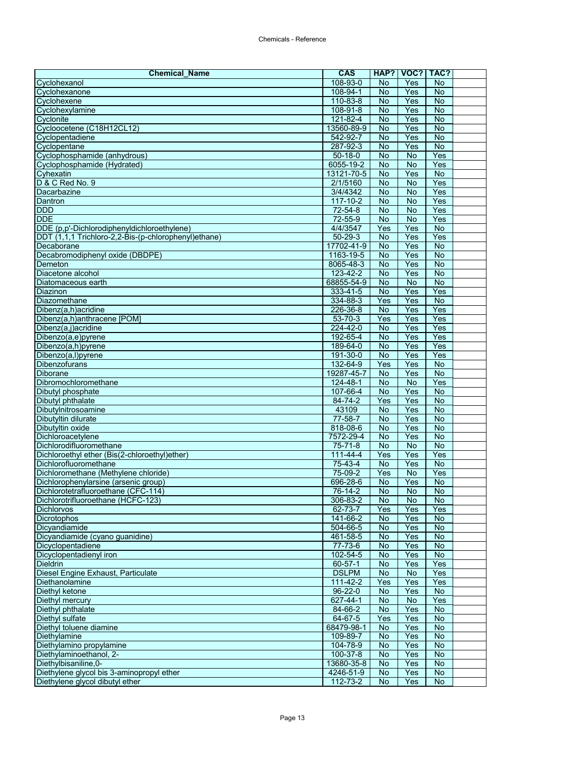| <b>Chemical Name</b>                                 | <b>CAS</b>                 |                        | HAP?   VOC?   TAC? |                       |  |
|------------------------------------------------------|----------------------------|------------------------|--------------------|-----------------------|--|
| Cyclohexanol                                         | 108-93-0                   | No                     | Yes                | <b>No</b>             |  |
| Cyclohexanone                                        | 108-94-1                   | No                     | Yes                | <b>No</b>             |  |
| Cyclohexene                                          | 110-83-8                   | <b>No</b>              | Yes                | <b>No</b>             |  |
| Cyclohexylamine                                      | $108 - 91 - 8$             | <b>No</b>              | Yes                | $\overline{N}$        |  |
| Cyclonite                                            | 121-82-4                   | $\overline{N}$         | Yes                | $\overline{N}$        |  |
| Cycloocetene (C18H12CL12)                            | 13560-89-9                 | No                     | Yes                | <b>No</b>             |  |
| Cyclopentadiene                                      | 542-92-7                   | No                     | Yes                | No                    |  |
| Cyclopentane                                         | 287-92-3                   | <b>No</b>              | Yes                | $\overline{N}$        |  |
| Cyclophosphamide (anhydrous)                         | $50 - 18 - 0$<br>6055-19-2 | <b>No</b>              | No                 | Yes                   |  |
| Cyclophosphamide (Hydrated)                          | 13121-70-5                 | <b>No</b><br><b>No</b> | <b>No</b><br>Yes   | Yes<br>$\overline{N}$ |  |
| Cyhexatin<br>D & C Red No. 9                         | 2/1/5160                   | $\overline{N}$         | $\overline{N}$     | Yes                   |  |
| Dacarbazine                                          | 3/4/4342                   | No                     | <b>No</b>          | Yes                   |  |
| Dantron                                              | 117-10-2                   | <b>No</b>              | No                 | Yes                   |  |
| <b>DDD</b>                                           | $72 - 54 - 8$              | <b>No</b>              | $\overline{N}$     | Yes                   |  |
| <b>DDE</b>                                           | 72-55-9                    | No                     | <b>No</b>          | Yes                   |  |
| DDE (p,p'-Dichlorodiphenyldichloroethylene)          | 4/4/3547                   | Yes                    | Yes                | <b>No</b>             |  |
| DDT (1,1,1 Trichloro-2,2-Bis-(p-chlorophenyl)ethane) | $50 - 29 - 3$              | <b>No</b>              | Yes                | Yes                   |  |
| Decaborane                                           | 17702-41-9                 | No                     | Yes                | No                    |  |
| Decabromodiphenyl oxide (DBDPE)                      | 1163-19-5                  | <b>No</b>              | Yes                | <b>No</b>             |  |
| Demeton                                              | 8065-48-3                  | No                     | Yes                | <b>No</b>             |  |
| Diacetone alcohol                                    | 123-42-2                   | No                     | Yes                | No                    |  |
| Diatomaceous earth                                   | 68855-54-9                 | <b>No</b>              | <b>No</b>          | <b>No</b>             |  |
| Diazinon                                             | 333-41-5                   | No                     | Yes                | Yes                   |  |
| Diazomethane                                         | 334-88-3                   | Yes                    | Yes                | $\overline{N}$        |  |
| Dibenz(a,h)acridine                                  | 226-36-8                   | No                     | Yes                | Yes                   |  |
| Dibenz(a,h)anthracene [POM]                          | 53-70-3                    | Yes                    | Yes                | Yes                   |  |
| Dibenz(a,j)acridine                                  | $224 - 42 - 0$             | <b>No</b>              | Yes                | Yes                   |  |
| Dibenzo(a,e)pyrene                                   | 192-65-4                   | $\overline{N}$         | Yes                | Yes                   |  |
| Dibenzo(a,h)pyrene                                   | 189-64-0                   | No                     | Yes                | Yes                   |  |
| Dibenzo(a,l)pyrene                                   | 191-30-0                   | No                     | Yes                | Yes                   |  |
| Dibenzofurans                                        | 132-64-9                   | Yes                    | Yes                | $\overline{N}$        |  |
| <b>Diborane</b>                                      | 19287-45-7                 | No                     | Yes                | $\overline{N}$        |  |
| Dibromochloromethane                                 | 124-48-1                   | <b>No</b>              | No                 | Yes                   |  |
| Dibutyl phosphate                                    | 107-66-4                   | <b>No</b>              | Yes                | $\overline{N}$        |  |
| Dibutyl phthalate                                    | 84-74-2                    | Yes                    | Yes                | $\overline{N}$        |  |
| Dibutylnitrosoamine                                  | 43109                      | No                     | Yes                | No                    |  |
| Dibutyltin dilurate                                  | 77-58-7<br>818-08-6        | <b>No</b><br><b>No</b> | Yes<br>Yes         | No<br>$\overline{N}$  |  |
| Dibutyltin oxide<br>Dichloroacetylene                | 7572-29-4                  | <b>No</b>              | Yes                | <b>No</b>             |  |
| Dichlorodifluoromethane                              | $75 - 71 - 8$              | <b>No</b>              | <b>No</b>          | $\overline{N}$        |  |
| Dichloroethyl ether (Bis(2-chloroethyl)ether)        | $111 - 44 - 4$             | Yes                    | Yes                | Yes                   |  |
| Dichlorofluoromethane                                | 75-43-4                    | $\overline{N}$         | Yes                | No                    |  |
| Dichloromethane (Methylene chloride)                 | 75-09-2                    | Yes                    | No                 | Yes                   |  |
| Dichlorophenylarsine (arsenic group)                 | 696-28-6                   | <b>No</b>              | Yes                | No                    |  |
| Dichlorotetrafluoroethane (CFC-114)                  | 76-14-2                    | <b>No</b>              | No                 | <b>No</b>             |  |
| Dichlorotrifluoroethane (HCFC-123)                   | 306-83-2                   | No                     | No.                | No                    |  |
| <b>Dichlorvos</b>                                    | 62-73-7                    | Yes                    | Yes                | Yes                   |  |
| Dicrotophos                                          | 141-66-2                   | No                     | Yes                | No                    |  |
| Dicyandiamide                                        | 504-66-5                   | No                     | Yes                | $\overline{N}$        |  |
| Dicyandiamide (cyano guanidine)                      | 461-58-5                   | <b>No</b>              | Yes                | <b>No</b>             |  |
| Dicyclopentadiene                                    | 77-73-6                    | No                     | Yes                | No                    |  |
| Dicyclopentadienyl iron                              | 102-54-5                   | <b>No</b>              | Yes                | No                    |  |
| <b>Dieldrin</b>                                      | $60 - 57 - 1$              | <b>No</b>              | Yes                | Yes                   |  |
| Diesel Engine Exhaust, Particulate                   | <b>DSLPM</b>               | No                     | <b>No</b>          | Yes                   |  |
| Diethanolamine                                       | 111-42-2                   | Yes                    | Yes                | Yes                   |  |
| Diethyl ketone                                       | $96 - 22 - 0$              | No                     | Yes                | No                    |  |
| Diethyl mercury                                      | 627-44-1                   | No                     | <b>No</b>          | Yes                   |  |
| Diethyl phthalate                                    | 84-66-2                    | <b>No</b>              | Yes                | No                    |  |
| Diethyl sulfate                                      | 64-67-5                    | Yes                    | Yes                | $\overline{N}$        |  |
| Diethyl toluene diamine                              | 68479-98-1                 | <b>No</b>              | Yes                | No                    |  |
| Diethylamine                                         | 109-89-7                   | No                     | Yes                | $\overline{N}$        |  |
| Diethylamino propylamine                             | 104-78-9                   | No                     | Yes                | No                    |  |
| Diethylaminoethanol, 2-<br>Diethylbisaniline, 0-     | 100-37-8                   | No<br><b>No</b>        | Yes<br>Yes         | No<br>$\overline{N}$  |  |
| Diethylene glycol bis 3-aminopropyl ether            | 13680-35-8<br>4246-51-9    | No                     | Yes                | No                    |  |
| Diethylene glycol dibutyl ether                      | 112-73-2                   | No                     | Yes                | $\overline{N}$        |  |
|                                                      |                            |                        |                    |                       |  |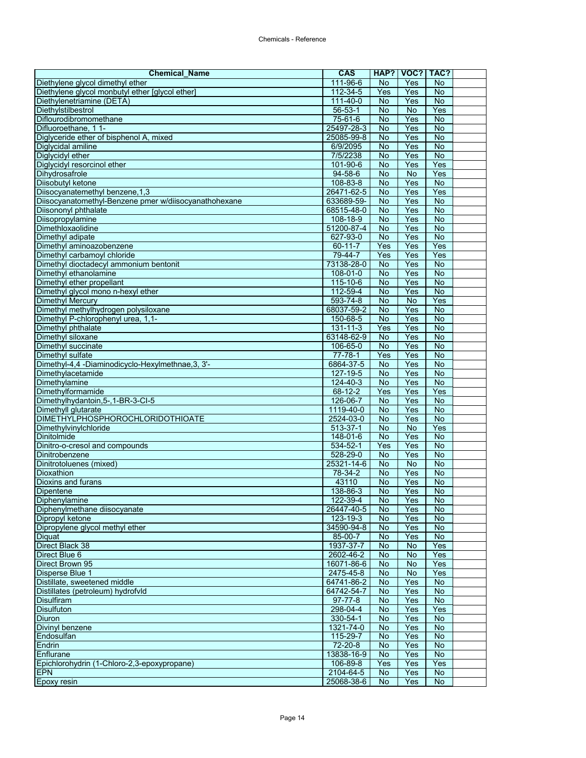| <b>Chemical Name</b>                                  | <b>CAS</b>     | HAP?           | VOC?           | TAC?           |  |
|-------------------------------------------------------|----------------|----------------|----------------|----------------|--|
| Diethylene glycol dimethyl ether                      | 111-96-6       | No             | Yes            | No             |  |
| Diethylene glycol monbutyl ether [glycol ether]       | $112 - 34 - 5$ | Yes            | Yes            | <b>No</b>      |  |
| Diethylenetriamine (DETA)                             | 111-40-0       | <b>No</b>      | Yes            | <b>No</b>      |  |
| Diethylstilbestrol                                    | $56 - 53 - 1$  | <b>No</b>      | No             | Yes            |  |
| Diflourodibromomethane                                | 75-61-6        | $\overline{N}$ | Yes            | $\overline{N}$ |  |
| Difluoroethane, 1 1-                                  | 25497-28-3     | No             | Yes            | No             |  |
| Diglyceride ether of bisphenol A, mixed               | 25085-99-8     | No             | Yes            | No             |  |
| Diglycidal amiline                                    | 6/9/2095       | <b>No</b>      | Yes            | $\overline{N}$ |  |
| Diglycidyl ether                                      | 7/5/2238       | No             | Yes            | $\overline{N}$ |  |
| Diglycidyl resorcinol ether                           | 101-90-6       | <b>No</b>      | Yes            | Yes            |  |
| Dihydrosafrole                                        | $94 - 58 - 6$  | <b>No</b>      | No             | Yes            |  |
| Diisobutyl ketone                                     | 108-83-8       | $\overline{N}$ | Yes            | $\overline{N}$ |  |
| Diisocyanatemethyl benzene, 1,3                       | 26471-62-5     | <b>No</b>      | Yes            | Yes            |  |
| Diisocyanatomethyl-Benzene pmer w/diisocyanathohexane | 633689-59-     | No             | Yes            | No             |  |
| Diisononyl phthalate                                  | 68515-48-0     | <b>No</b>      | Yes            | <b>No</b>      |  |
| Diisopropylamine                                      | 108-18-9       | No             | Yes            | No             |  |
| Dimethloxaolidine                                     | 51200-87-4     | <b>No</b>      | Yes            | $\overline{N}$ |  |
| Dimethyl adipate                                      | 627-93-0       | <b>No</b>      | Yes            | $\overline{N}$ |  |
| Dimethyl aminoazobenzene                              | 60-11-7        | Yes            | Yes            | Yes            |  |
| Dimethyl carbamoyl chloride                           | 79-44-7        | Yes            | Yes            | Yes            |  |
| Dimethyl dioctadecyl ammonium bentonit                | 73138-28-0     | No             | Yes            | No             |  |
| Dimethyl ethanolamine                                 | 108-01-0       | No             | Yes            | $\overline{N}$ |  |
| Dimethyl ether propellant                             | 115-10-6       | <b>No</b>      | Yes            | No             |  |
| Dimethyl glycol mono n-hexyl ether                    | 112-59-4       | <b>No</b>      | Yes            | <b>No</b>      |  |
| <b>Dimethyl Mercury</b>                               | 593-74-8       | <b>No</b>      | No             | Yes            |  |
| Dimethyl methylhydrogen polysiloxane                  | 68037-59-2     | No             | Yes            | $\overline{N}$ |  |
| Dimethyl P-chlorophenyl urea, 1,1-                    | 150-68-5       | <b>No</b>      | Yes            | No             |  |
| Dimethyl phthalate                                    | $131 - 11 - 3$ | Yes            | Yes            | No             |  |
| Dimethyl siloxane                                     | 63148-62-9     | <b>No</b>      | Yes            | <b>No</b>      |  |
| Dimethyl succinate                                    | 106-65-0       | <b>No</b>      | Yes            | <b>No</b>      |  |
| Dimethyl sulfate                                      | $77 - 78 - 1$  | Yes            | Yes            | No             |  |
| Dimethyl-4,4 -Diaminodicyclo-Hexylmethnae, 3, 3'-     | 6864-37-5      | No             | Yes            | $\overline{N}$ |  |
| Dimethylacetamide                                     | 127-19-5       | No             | Yes            | $\overline{N}$ |  |
| Dimethylamine                                         | 124-40-3       | <b>No</b>      | Yes            | <b>No</b>      |  |
| Dimethylformamide                                     | $68 - 12 - 2$  | Yes            | Yes            | Yes            |  |
| Dimethylhydantoin, 5-, 1-BR-3-Cl-5                    | 126-06-7       | $\overline{N}$ | Yes            | $\overline{N}$ |  |
| Dimethyll glutarate                                   | 1119-40-0      | No             | Yes            | No             |  |
| <b>DIMETHYLPHOSPHOROCHLORIDOTHIOATE</b>               | 2524-03-0      | No             | Yes            | No             |  |
| Dimethylvinylchloride                                 | $513 - 37 - 1$ | No             | $\overline{N}$ | Yes            |  |
| Dinitolmide                                           | 148-01-6       | No             | Yes            | $\overline{N}$ |  |
| Dinitro-o-cresol and compounds                        | 534-52-1       | Yes            | Yes            | <b>No</b>      |  |
| Dinitrobenzene                                        | 528-29-0       | <b>No</b>      | Yes            | $\overline{N}$ |  |
| Dinitrotoluenes (mixed)                               | 25321-14-6     | $\overline{N}$ | <b>No</b>      | <b>No</b>      |  |
| Dioxathion                                            | 78-34-2        | <b>No</b>      | Yes            | No             |  |
| Dioxins and furans                                    | 43110          | No             | Yes            | No             |  |
| Dipentene                                             | 138-86-3       | <b>No</b>      | Yes            | $\overline{N}$ |  |
| Diphenylamine                                         | 122-39-4       | No.            | Yes            | No.            |  |
| Diphenylmethane diisocyanate                          | 26447-40-5     | <b>No</b>      | Yes            | <b>No</b>      |  |
| Dipropyl ketone                                       | 123-19-3       | <b>No</b>      | Yes            | <b>No</b>      |  |
| Dipropylene glycol methyl ether                       | 34590-94-8     | No             | Yes            | No             |  |
| <b>Diquat</b>                                         | 85-00-7        | No             | Yes            | No             |  |
| Direct Black 38                                       | 1937-37-7      | No             | No             | Yes            |  |
| Direct Blue 6                                         | 2602-46-2      | <b>No</b>      | No             | Yes            |  |
| Direct Brown 95                                       | 16071-86-6     | <b>No</b>      | <b>No</b>      | Yes            |  |
| Disperse Blue 1                                       | 2475-45-8      | <b>No</b>      | <b>No</b>      | Yes            |  |
| Distillate, sweetened middle                          | 64741-86-2     | No             | Yes            | $\overline{N}$ |  |
| Distillates (petroleum) hydrofvld                     | 64742-54-7     | No             | Yes            | No             |  |
| <b>Disulfiram</b>                                     | 97-77-8        | No             | Yes            | No             |  |
| <b>Disulfuton</b>                                     | 298-04-4       | No             | Yes            | Yes            |  |
| Diuron                                                | 330-54-1       | No             | Yes            | $\overline{N}$ |  |
| Divinyl benzene                                       | 1321-74-0      | <b>No</b>      | Yes            | <b>No</b>      |  |
| Endosulfan                                            | 115-29-7       | No             | Yes            | No             |  |
| Endrin                                                | $72 - 20 - 8$  | No             | Yes            | $\overline{N}$ |  |
| Enflurane                                             | 13838-16-9     | <b>No</b>      | Yes            | No             |  |
| Epichlorohydrin (1-Chloro-2,3-epoxypropane)           | 106-89-8       | Yes            | Yes            | Yes            |  |
| <b>EPN</b>                                            | 2104-64-5      | No             | Yes            | No             |  |
| Epoxy resin                                           | 25068-38-6     | <b>No</b>      | Yes            | $\overline{N}$ |  |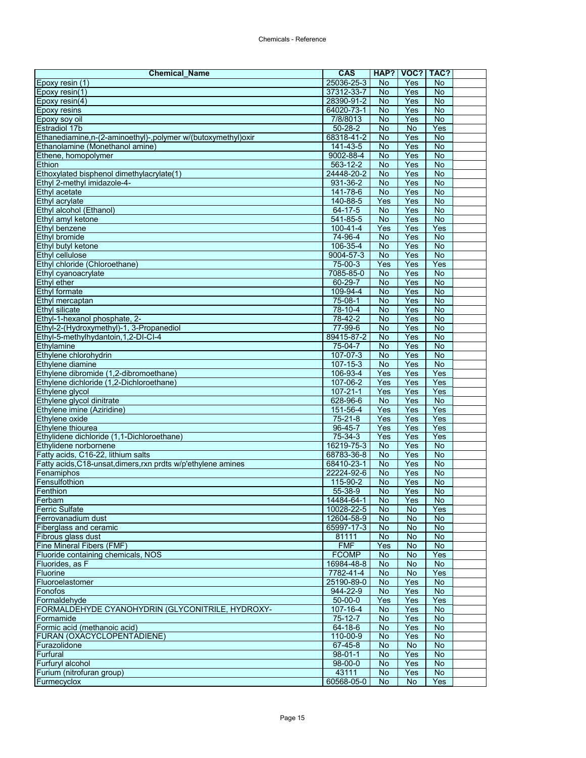| <b>Chemical Name</b>                                                              | <b>CAS</b>               |                        | HAP?   VOC?   TAC? |                                  |  |
|-----------------------------------------------------------------------------------|--------------------------|------------------------|--------------------|----------------------------------|--|
| Epoxy resin (1)                                                                   | 25036-25-3               | No                     | Yes                | No                               |  |
| Epoxy resin(1)                                                                    | 37312-33-7               | No                     | Yes                | <b>No</b>                        |  |
| Epoxy resin $(4)$                                                                 | 28390-91-2               | No                     | Yes                | <b>No</b>                        |  |
| <b>Epoxy resins</b>                                                               | 64020-73-1               | No                     | Yes                | <b>No</b>                        |  |
| Epoxy soy oil                                                                     | 7/8/8013                 | <b>No</b>              | Yes                | $\overline{N}$                   |  |
| <b>Estradiol 17b</b>                                                              | $50 - 28 - 2$            | No                     | No                 | Yes                              |  |
| Ethanediamine,n-(2-aminoethyl)-,polymer w/(butoxymethyl)oxir                      | 68318-41-2               | No                     | Yes                | <b>No</b>                        |  |
| Ethanolamine (Monethanol amine)                                                   | $141 - 43 - 5$           | <b>No</b>              | Yes                | $\overline{N}$                   |  |
| Ethene, homopolymer<br>Ethion                                                     | 9002-88-4<br>563-12-2    | <b>No</b><br><b>No</b> | Yes<br>Yes         | No<br>$\overline{N}$             |  |
| Ethoxylated bisphenol dimethylacrylate(1)                                         | 24448-20-2               | <b>No</b>              | Yes                | $\overline{N}$                   |  |
| Ethyl 2-methyl imidazole-4-                                                       | 931-36-2                 | No                     | Yes                | $\overline{N}$                   |  |
| Ethyl acetate                                                                     | 141-78-6                 | No                     | Yes                | <b>No</b>                        |  |
| Ethyl acrylate                                                                    | 140-88-5                 | Yes                    | Yes                | <b>No</b>                        |  |
| Ethyl alcohol (Ethanol)                                                           | $64 - 17 - 5$            | No                     | Yes                | $\overline{N}$                   |  |
| Ethyl amyl ketone                                                                 | 541-85-5                 | No                     | Yes                | No                               |  |
| Ethyl benzene                                                                     | 100-41-4                 | Yes                    | Yes                | Yes                              |  |
| Ethyl bromide                                                                     | 74-96-4                  | <b>No</b>              | Yes                | <b>No</b>                        |  |
| Ethyl butyl ketone                                                                | 106-35-4                 | No                     | Yes                | No                               |  |
| Ethyl cellulose                                                                   | 9004-57-3                | <b>No</b>              | Yes                | <b>No</b>                        |  |
| Ethyl chloride (Chloroethane)                                                     | 75-00-3                  | Yes                    | Yes                | Yes                              |  |
| Ethyl cyanoacrylate                                                               | 7085-85-0                | No                     | Yes                | $\overline{N}$                   |  |
| Ethyl ether                                                                       | $60 - 29 - 7$            | <b>No</b>              | Yes                | <b>No</b>                        |  |
| Ethyl formate                                                                     | 109-94-4                 | <b>No</b>              | Yes                | No                               |  |
| Ethyl mercaptan                                                                   | $75-08-1$                | No                     | Yes                | $\overline{N}$                   |  |
| Ethyl silicate                                                                    | $78 - 10 - 4$            | No                     | Yes                | <b>No</b>                        |  |
| Ethyl-1-hexanol phosphate, 2-                                                     | 78-42-2                  | <b>No</b>              | Yes                | No                               |  |
| Ethyl-2-(Hydroxymethyl)-1, 3-Propanediol<br>Ethyl-5-methylhydantoin, 1, 2-DI-CI-4 | 77-99-6<br>89415-87-2    | <b>No</b><br><b>No</b> | Yes<br>Yes         | $\overline{N}$<br>$\overline{N}$ |  |
| Ethylamine                                                                        | 75-04-7                  | <b>No</b>              | Yes                | <b>No</b>                        |  |
| Ethylene chlorohydrin                                                             | 107-07-3                 | No                     | Yes                | No                               |  |
| Ethylene diamine                                                                  | 107-15-3                 | <b>No</b>              | Yes                | $\overline{N}$                   |  |
| Ethylene dibromide (1,2-dibromoethane)                                            | 106-93-4                 | Yes                    | Yes                | Yes                              |  |
| Ethylene dichloride (1,2-Dichloroethane)                                          | 107-06-2                 | Yes                    | Yes                | Yes                              |  |
| Ethylene glycol                                                                   | $107 - 21 - 1$           | Yes                    | Yes                | Yes                              |  |
| Ethylene glycol dinitrate                                                         | 628-96-6                 | <b>No</b>              | Yes                | $\overline{N}$                   |  |
| Ethylene imine (Aziridine)                                                        | 151-56-4                 | Yes                    | Yes                | Yes                              |  |
| Ethylene oxide                                                                    | 75-21-8                  | Yes                    | Yes                | Yes                              |  |
| Ethylene thiourea                                                                 | $96 - 45 - 7$            | Yes                    | Yes                | Yes                              |  |
| Ethylidene dichloride (1,1-Dichloroethane)                                        | 75-34-3                  | Yes                    | Yes                | Yes                              |  |
| Ethylidene norbornene                                                             | 16219-75-3               | <b>No</b>              | Yes                | <b>No</b>                        |  |
| Fatty acids, C16-22, lithium salts                                                | 68783-36-8               | <b>No</b>              | Yes                | $\overline{N}$                   |  |
| Fatty acids, C18-unsat, dimers, rxn prdts w/p'ethylene amines                     | 68410-23-1               | No                     | Yes                | <b>No</b>                        |  |
| Fenamiphos                                                                        | 22224-92-6               | No                     | Yes                | <b>No</b>                        |  |
| Fensulfothion<br>Fenthion                                                         | 115-90-2<br>55-38-9      | No<br><b>No</b>        | Yes<br>Yes         | <b>No</b><br><b>No</b>           |  |
|                                                                                   |                          |                        |                    |                                  |  |
| Ferbam<br><b>Ferric Sulfate</b>                                                   | 14484-64-1<br>10028-22-5 | No<br><b>No</b>        | Yes<br><b>No</b>   | No.<br>Yes                       |  |
| Ferrovanadium dust                                                                | 12604-58-9               | No                     | No                 | <b>No</b>                        |  |
| Fiberglass and ceramic                                                            | 65997-17-3               | No                     | No                 | <b>No</b>                        |  |
| Fibrous glass dust                                                                | 81111                    | <b>No</b>              | No                 | <b>No</b>                        |  |
| Fine Mineral Fibers (FMF)                                                         | <b>FMF</b>               | Yes                    | No                 | <b>No</b>                        |  |
| Fluoride containing chemicals, NOS                                                | <b>FCOMP</b>             | No                     | No                 | Yes                              |  |
| Fluorides, as F                                                                   | 16984-48-8               | <b>No</b>              | <b>No</b>          | <b>No</b>                        |  |
| Fluorine                                                                          | 7782-41-4                | No                     | No                 | Yes                              |  |
| Fluoroelastomer                                                                   | 25190-89-0               | No                     | Yes                | No                               |  |
| Fonofos                                                                           | 944-22-9                 | No                     | Yes                | <b>No</b>                        |  |
| Formaldehyde                                                                      | $50 - 00 - 0$            | Yes                    | Yes                | Yes                              |  |
| FORMALDEHYDE CYANOHYDRIN (GLYCONITRILE, HYDROXY-                                  | $107 - 16 - 4$           | No                     | Yes                | $\overline{N}$                   |  |
| Formamide                                                                         | 75-12-7                  | <b>No</b>              | Yes                | $\overline{N}$                   |  |
| Formic acid (methanoic acid)                                                      | 64-18-6                  | <b>No</b>              | Yes                | No                               |  |
| FURAN (OXACYCLOPENTADIENE)<br>Furazolidone                                        | 110-00-9<br>67-45-8      | <b>No</b><br>No        | Yes<br><b>No</b>   | $\overline{N}$<br><b>No</b>      |  |
| Furfural                                                                          | $98 - 01 - 1$            | No                     | Yes                | <b>No</b>                        |  |
| Furfuryl alcohol                                                                  | 98-00-0                  | <b>No</b>              | Yes                | No                               |  |
| Furium (nitrofuran group)                                                         | 43111                    | <b>No</b>              | Yes                | <b>No</b>                        |  |
| Furmecyclox                                                                       | 60568-05-0               | <b>No</b>              | <b>No</b>          | Yes                              |  |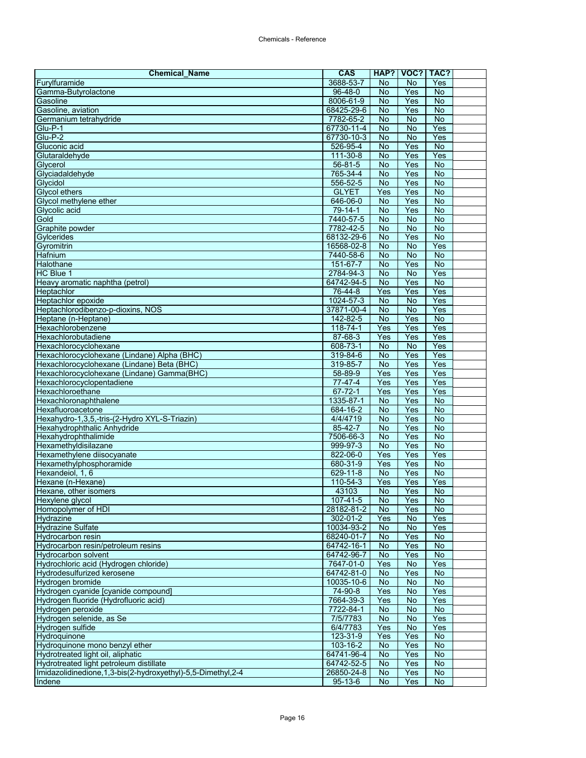| <b>Chemical Name</b>                                            | <b>CAS</b>                | HAP?             | VOC?           | TAC?                  |  |
|-----------------------------------------------------------------|---------------------------|------------------|----------------|-----------------------|--|
| Furylfuramide                                                   | 3688-53-7                 | No               | No             | Yes                   |  |
| Gamma-Butyrolactone                                             | $96 - 48 - 0$             | <b>No</b>        | Yes            | $\overline{N}$        |  |
| Gasoline                                                        | 8006-61-9                 | <b>No</b>        | Yes            | No                    |  |
| Gasoline, aviation                                              | 68425-29-6                | No               | Yes            | $\overline{N}$        |  |
| Germanium tetrahydride                                          | 7782-65-2                 | $\overline{N}$   | <b>No</b>      | $\overline{N}$        |  |
| Glu-P-1                                                         | 67730-11-4                | No               | No             | Yes                   |  |
| $Glu-P-2$                                                       | 67730-10-3                | No               | No             | Yes                   |  |
| Gluconic acid                                                   | 526-95-4                  | <b>No</b>        | Yes            | $\overline{N}$        |  |
| Glutaraldehyde<br>Glycerol                                      | 111-30-8<br>$56 - 81 - 5$ | No<br>No         | Yes<br>Yes     | Yes<br><b>No</b>      |  |
| Glyciadaldehyde                                                 | 765-34-4                  | <b>No</b>        | Yes            | $\overline{N}$        |  |
| Glycidol                                                        | 556-52-5                  | $\overline{N}$   | Yes            | $\overline{N}$        |  |
| <b>Glycol ethers</b>                                            | <b>GLYET</b>              | Yes              | Yes            | <b>No</b>             |  |
| Glycol methylene ether                                          | 646-06-0                  | No               | Yes            | <b>No</b>             |  |
| Glycolic acid                                                   | $79 - 14 - 1$             | $\overline{N}$   | Yes            | <b>No</b>             |  |
| Gold                                                            | 7440-57-5                 | No               | No             | <b>No</b>             |  |
| Graphite powder                                                 | 7782-42-5                 | <b>No</b>        | <b>No</b>      | $\overline{N}$        |  |
| Gylcerides                                                      | 68132-29-6                | $\overline{N}$   | Yes            | $\overline{N}$        |  |
| Gyromitrin                                                      | 16568-02-8                | $\overline{N}$   | $\overline{N}$ | Yes                   |  |
| Hafnium                                                         | 7440-58-6                 | No               | No             | <b>No</b>             |  |
| Halothane                                                       | 151-67-7                  | No               | Yes            | No                    |  |
| HC Blue 1                                                       | 2784-94-3                 | <b>No</b>        | No             | Yes                   |  |
| Heavy aromatic naphtha (petrol)                                 | 64742-94-5                | No               | Yes            | <b>No</b>             |  |
| Heptachlor                                                      | 76-44-8                   | Yes              | Yes            | Yes                   |  |
| Heptachlor epoxide                                              | 1024-57-3                 | No               | No             | Yes                   |  |
| Heptachlorodibenzo-p-dioxins, NOS                               | 37871-00-4                | No               | $\overline{N}$ | Yes                   |  |
| Heptane (n-Heptane)<br>Hexachlorobenzene                        | 142-82-5                  | <b>No</b>        | Yes            | No                    |  |
| Hexachlorobutadiene                                             | 118-74-1<br>87-68-3       | Yes<br>Yes       | Yes<br>Yes     | Yes<br>Yes            |  |
| Hexachlorocyclohexane                                           | 608-73-1                  | <b>No</b>        | <b>No</b>      | Yes                   |  |
| Hexachlorocyclohexane (Lindane) Alpha (BHC)                     | 319-84-6                  | <b>No</b>        | Yes            | Yes                   |  |
| Hexachlorocyclohexane (Lindane) Beta (BHC)                      | 319-85-7                  | No               | Yes            | Yes                   |  |
| Hexachlorocyclohexane (Lindane) Gamma(BHC)                      | 58-89-9                   | Yes              | Yes            | Yes                   |  |
| Hexachlorocyclopentadiene                                       | $77-47-4$                 | Yes              | Yes            | Yes                   |  |
| Hexachloroethane                                                | $67 - 72 - 1$             | Yes              | Yes            | Yes                   |  |
| Hexachloronaphthalene                                           | 1335-87-1                 | <b>No</b>        | Yes            | $\overline{N}$        |  |
| Hexafluoroacetone                                               | $684 - 16 - 2$            | No               | Yes            | No                    |  |
| Hexahydro-1,3,5,-tris-(2-Hydro XYL-S-Triazin)                   | 4/4/4719                  | No               | Yes            | $\overline{N}$        |  |
| Hexahydrophthalic Anhydride                                     | $85 - 42 - 7$             | <b>No</b>        | Yes            | $\overline{N}$        |  |
| Hexahydrophthalimide                                            | 7506-66-3                 | <b>No</b>        | Yes            | $\overline{N}$        |  |
| Hexamethyldisilazane                                            | 999-97-3                  | <b>No</b>        | Yes            | <b>No</b>             |  |
| Hexamethylene diisocyanate                                      | 822-06-0                  | Yes              | Yes            | Yes                   |  |
| Hexamethylphosphoramide                                         | 680-31-9                  | Yes              | Yes            | <b>No</b>             |  |
| Hexandeiol, 1, 6                                                | $629 - 11 - 8$            | No               | Yes            | No                    |  |
| Hexane (n-Hexane)<br>Hexane, other isomers                      | 110-54-3<br>43103         | Yes<br><b>No</b> | Yes<br>Yes     | Yes<br>$\overline{N}$ |  |
|                                                                 |                           |                  |                |                       |  |
| Hexylene glycol<br>Homopolymer of HDI                           | 107-41-5<br>28182-81-2    | No.<br>No        | Yes<br>Yes     | No.<br><b>No</b>      |  |
| Hydrazine                                                       | 302-01-2                  | Yes              | No             | Yes                   |  |
| <b>Hydrazine Sulfate</b>                                        | 10034-93-2                | <b>No</b>        | No             | Yes                   |  |
| Hydrocarbon resin                                               | 68240-01-7                | No               | Yes            | No                    |  |
| Hydrocarbon resin/petroleum resins                              | 64742-16-1                | No               | Yes            | <b>No</b>             |  |
| <b>Hydrocarbon solvent</b>                                      | 64742-96-7                | No               | Yes            | No                    |  |
| Hydrochloric acid (Hydrogen chloride)                           | 7647-01-0                 | Yes              | No             | Yes                   |  |
| Hydrodesulfurized kerosene                                      | 64742-81-0                | No               | Yes            | No                    |  |
| Hydrogen bromide                                                | 10035-10-6                | No               | No             | No                    |  |
| Hydrogen cyanide [cyanide compound]                             | 74-90-8                   | Yes              | No             | Yes                   |  |
| Hydrogen fluoride (Hydrofluoric acid)                           | 7664-39-3                 | Yes              | No             | Yes                   |  |
| Hydrogen peroxide                                               | 7722-84-1                 | No               | No             | No                    |  |
| Hydrogen selenide, as Se                                        | 7/5/7783                  | <b>No</b>        | No             | Yes                   |  |
| Hydrogen sulfide                                                | 6/4/7783                  | Yes              | No             | Yes                   |  |
| Hydroquinone<br>Hydroquinone mono benzyl ether                  | 123-31-9<br>103-16-2      | Yes<br>No        | Yes<br>Yes     | $\overline{N}$<br>No  |  |
| Hydrotreated light oil, aliphatic                               | 64741-96-4                | No               | Yes            | <b>No</b>             |  |
| Hydrotreated light petroleum distillate                         | 64742-52-5                | <b>No</b>        | Yes            | $\overline{N}$        |  |
| Imidazolidinedione, 1, 3-bis(2-hydroxyethyl)-5, 5-Dimethyl, 2-4 | 26850-24-8                | No               | Yes            | No                    |  |
| Indene                                                          | $95 - 13 - 6$             | No               | Yes            | <b>No</b>             |  |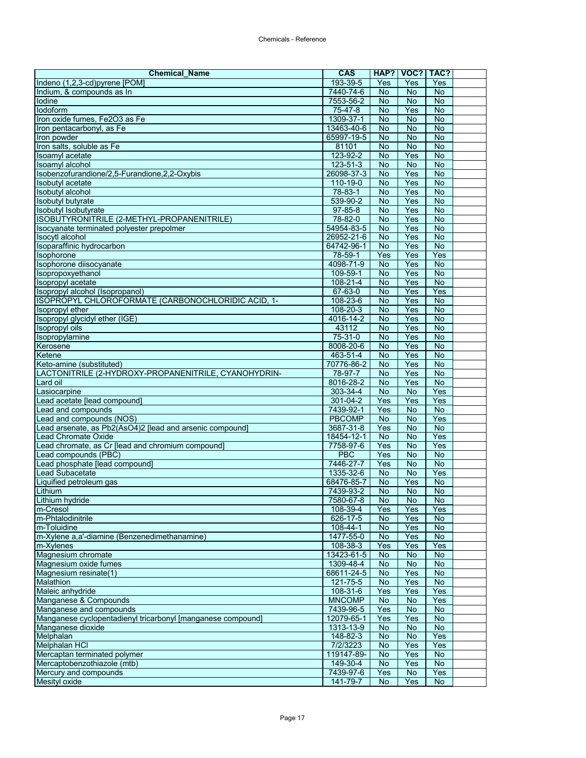| <b>Chemical Name</b>                                                             | <b>CAS</b>             | HAP?                   | VOC?             | TAC?                        |  |
|----------------------------------------------------------------------------------|------------------------|------------------------|------------------|-----------------------------|--|
| Indeno (1,2,3-cd)pyrene [POM]                                                    | 193-39-5               | Yes                    | Yes              | Yes                         |  |
| Indium, & compounds as In                                                        | 7440-74-6              | No                     | No               | $\overline{N}$              |  |
| lodine                                                                           | 7553-56-2              | <b>No</b>              | No               | No                          |  |
| lodoform                                                                         | 75-47-8                | <b>No</b>              | Yes              | $\overline{N}$              |  |
| Iron oxide fumes, Fe2O3 as Fe                                                    | 1309-37-1              | $\overline{N}$         | No               | <b>No</b>                   |  |
| Iron pentacarbonyl, as Fe                                                        | 13463-40-6             | <b>No</b>              | <b>No</b>        | <b>No</b>                   |  |
| Iron powder                                                                      | 65997-19-5             | No                     | <b>No</b>        | No                          |  |
| Iron salts, soluble as Fe                                                        | 81101                  | <b>No</b>              | <b>No</b>        | $\overline{N}$              |  |
| Isoamyl acetate                                                                  | 123-92-2               | <b>No</b>              | Yes              | $\overline{N}$              |  |
| <b>Isoamyl alcohol</b><br>Isobenzofurandione/2,5-Furandione,2,2-Oxybis           | 123-51-3<br>26098-37-3 | <b>No</b><br><b>No</b> | <b>No</b><br>Yes | <b>No</b><br>$\overline{N}$ |  |
| Isobutyl acetate                                                                 | 110-19-0               | $\overline{N}$         | Yes              | <b>No</b>                   |  |
| <b>Isobutyl alcohol</b>                                                          | 78-83-1                | <b>No</b>              | Yes              | No                          |  |
| <b>Isobutyl butyrate</b>                                                         | 539-90-2               | No                     | Yes              | No                          |  |
| Isobutyl Isobutyrate                                                             | $97 - 85 - 8$          | $\overline{N}$         | Yes              | $\overline{N}$              |  |
| ISOBUTYRONITRILE (2-METHYL-PROPANENITRILE)                                       | 78-82-0                | No                     | Yes              | No                          |  |
| Isocyanate terminated polyester prepolmer                                        | 54954-83-5             | <b>No</b>              | Yes              | $\overline{N}$              |  |
| Isocytl alcohol                                                                  | 26952-21-6             | <b>No</b>              | Yes              | $\overline{N}$              |  |
| Isoparaffinic hydrocarbon                                                        | 64742-96-1             | No                     | Yes              | $\overline{N}$              |  |
| Isophorone                                                                       | 78-59-1                | Yes                    | Yes              | Yes                         |  |
| Isophorone diisocyanate                                                          | 4098-71-9              | No                     | Yes              | No                          |  |
| Isopropoxyethanol                                                                | 109-59-1               | <b>No</b>              | Yes              | $\overline{N}$              |  |
| Isopropyl acetate                                                                | 108-21-4               | <b>No</b>              | Yes              | No                          |  |
| Isopropyl alcohol (Isopropanol)                                                  | 67-63-0                | <b>No</b>              | Yes              | Yes                         |  |
| ISOPROPYL CHLOROFORMATE (CARBONOCHLORIDIC ACID, 1-                               | 108-23-6               | <b>No</b>              | Yes              | $\overline{N}$              |  |
| Isopropyl ether                                                                  | $108 - 20 - 3$         | No                     | Yes              | $\overline{N}$              |  |
| Isopropyl glycidyl ether (IGE)                                                   | 4016-14-2              | <b>No</b>              | Yes              | No                          |  |
| <b>Isopropyl oils</b>                                                            | 43112                  | <b>No</b>              | Yes              | No                          |  |
| Isopropylamine                                                                   | $75 - 31 - 0$          | <b>No</b>              | Yes              | <b>No</b>                   |  |
| Kerosene                                                                         | 8008-20-6              | <b>No</b>              | Yes              | <b>No</b>                   |  |
| Ketene                                                                           | 463-51-4<br>70776-86-2 | No<br>No               | Yes<br>Yes       | No<br>$\overline{N}$        |  |
| Keto-amine (substituted)<br>LACTONITRILE (2-HYDROXY-PROPANENITRILE, CYANOHYDRIN- | 78-97-7                | No                     | Yes              | $\overline{N}$              |  |
| Lard oil                                                                         | 8016-28-2              | <b>No</b>              | Yes              | <b>No</b>                   |  |
| Lasiocarpine                                                                     | 303-34-4               | <b>No</b>              | <b>No</b>        | Yes                         |  |
| Lead acetate [lead compound]                                                     | $301 - 04 - 2$         | Yes                    | Yes              | Yes                         |  |
| Lead and compounds                                                               | 7439-92-1              | Yes                    | <b>No</b>        | No                          |  |
| Lead and compounds (NOS)                                                         | <b>PBCOMP</b>          | No                     | <b>No</b>        | Yes                         |  |
| Lead arsenate, as Pb2(AsO4)2 [lead and arsenic compound]                         | 3687-31-8              | Yes                    | <b>No</b>        | $\overline{N}$              |  |
| <b>Lead Chromate Oxide</b>                                                       | $18454 - 12 - 1$       | No                     | <b>No</b>        | Yes                         |  |
| Lead chromate, as Cr [lead and chromium compound]                                | 7758-97-6              | Yes                    | No               | Yes                         |  |
| Lead compounds (PBC)                                                             | <b>PBC</b>             | Yes                    | No               | $\overline{N}$              |  |
| Lead phosphate [lead compound]                                                   | 7446-27-7              | Yes                    | <b>No</b>        | <b>No</b>                   |  |
| <b>Lead Subacetate</b>                                                           | 1335-32-6              | <b>No</b>              | No               | Yes                         |  |
| Liquified petroleum gas                                                          | 68476-85-7             | No                     | Yes              | No                          |  |
| Lithium                                                                          | 7439-93-2              | <b>No</b>              | No               | $\overline{N}$              |  |
| Lithium hydride                                                                  | 7580-67-8              | No.                    | No               | No.                         |  |
| m-Cresol<br>m-Phtalodinitrile                                                    | 108-39-4<br>626-17-5   | Yes                    | Yes<br>Yes       | Yes<br><b>No</b>            |  |
| m-Toluidine                                                                      | 108-44-1               | No<br>No               | Yes              | No                          |  |
| m-Xylene a,a'-diamine (Benzenedimethanamine)                                     | 1477-55-0              | No                     | Yes              | <b>No</b>                   |  |
| m-Xylenes                                                                        | 108-38-3               | Yes                    | Yes              | Yes                         |  |
| Magnesium chromate                                                               | 13423-61-5             | No                     | No               | <b>No</b>                   |  |
| Magnesium oxide fumes                                                            | 1309-48-4              | <b>No</b>              | <b>No</b>        | No                          |  |
| Magnesium resinate(1)                                                            | 68611-24-5             | <b>No</b>              | Yes              | No                          |  |
| Malathion                                                                        | 121-75-5               | No                     | Yes              | No                          |  |
| Maleic anhydride                                                                 | 108-31-6               | Yes                    | Yes              | Yes                         |  |
| Manganese & Compounds                                                            | <b>MNCOMP</b>          | No                     | No               | Yes                         |  |
| Manganese and compounds                                                          | 7439-96-5              | Yes                    | No               | No                          |  |
| Manganese cyclopentadienyl tricarbonyl [manganese compound]                      | 12079-65-1             | Yes                    | Yes              | <b>No</b>                   |  |
| Manganese dioxide                                                                | 1313-13-9              | No                     | No               | No                          |  |
| Melphalan                                                                        | 148-82-3               | No                     | No               | Yes                         |  |
| Melphalan HCI                                                                    | 7/2/3223               | No                     | Yes              | Yes                         |  |
| Mercaptan terminated polymer                                                     | 119147-89-             | No                     | Yes              | $\overline{N}$              |  |
| Mercaptobenzothiazole (mtb)                                                      | 149-30-4               | No                     | Yes              | No                          |  |
| Mercury and compounds<br>Mesityl oxide                                           | 7439-97-6<br>141-79-7  | Yes<br><b>No</b>       | No<br>Yes        | Yes<br><b>No</b>            |  |
|                                                                                  |                        |                        |                  |                             |  |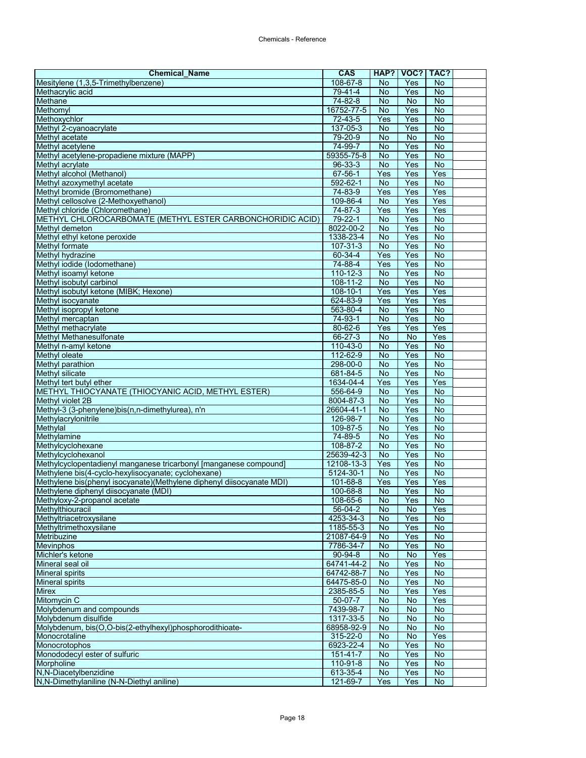| <b>Chemical Name</b>                                                    | <b>CAS</b>            | HAP?            | VOC?           | TAC?                 |  |
|-------------------------------------------------------------------------|-----------------------|-----------------|----------------|----------------------|--|
| Mesitylene (1,3,5-Trimethylbenzene)                                     | 108-67-8              | No              | Yes            | <b>No</b>            |  |
| Methacrylic acid                                                        | $79 - 41 - 4$         | <b>No</b>       | Yes            | $\overline{N}$       |  |
| Methane                                                                 | 74-82-8               | <b>No</b>       | <b>No</b>      | <b>No</b>            |  |
| Methomyl                                                                | 16752-77-5            | No              | Yes            | <b>No</b>            |  |
| Methoxychlor                                                            | $72 - 43 - 5$         | Yes             | Yes            | $\overline{N}$       |  |
| Methyl 2-cyanoacrylate                                                  | 137-05-3              | No              | Yes            | No                   |  |
| Methyl acetate                                                          | 79-20-9               | <b>No</b>       | <b>No</b>      | <b>No</b>            |  |
| Methyl acetylene                                                        | 74-99-7               | No              | Yes            | $\overline{N}$       |  |
| Methyl acetylene-propadiene mixture (MAPP)                              | 59355-75-8            | No              | Yes            | $\overline{N}$       |  |
| Methyl acrylate                                                         | 96-33-3               | <b>No</b>       | Yes            | <b>No</b>            |  |
| Methyl alcohol (Methanol)                                               | 67-56-1               | Yes             | Yes            | Yes                  |  |
| Methyl azoxymethyl acetate                                              | 592-62-1              | No              | Yes            | $\overline{N}$       |  |
| Methyl bromide (Bromomethane)                                           | 74-83-9               | Yes             | Yes            | Yes                  |  |
| Methyl cellosolve (2-Methoxyethanol)<br>Methyl chloride (Chloromethane) | 109-86-4              | No              | Yes            | Yes                  |  |
|                                                                         | 74-87-3               | Yes             | Yes            | Yes                  |  |
| METHYL CHLOROCARBOMATE (METHYL ESTER CARBONCHORIDIC ACID)               | 79-22-1               | No              | Yes            | <b>No</b>            |  |
| Methyl demeton<br>Methyl ethyl ketone peroxide                          | 8022-00-2             | <b>No</b><br>No | Yes<br>Yes     | No<br>$\overline{N}$ |  |
| Methyl formate                                                          | 1338-23-4<br>107-31-3 | <b>No</b>       | Yes            | $\overline{N}$       |  |
| <b>Methyl hydrazine</b>                                                 | 60-34-4               | Yes             | Yes            | No                   |  |
| Methyl iodide (Iodomethane)                                             | 74-88-4               | Yes             | Yes            | No                   |  |
| Methyl isoamyl ketone                                                   | $110 - 12 - 3$        | <b>No</b>       | Yes            | <b>No</b>            |  |
| Methyl isobutyl carbinol                                                | $108 - 11 - 2$        | <b>No</b>       | Yes            | <b>No</b>            |  |
| Methyl isobutyl ketone (MIBK; Hexone)                                   | 108-10-1              | Yes             | Yes            | Yes                  |  |
| Methyl isocyanate                                                       | 624-83-9              | Yes             | Yes            | Yes                  |  |
| Methyl isopropyl ketone                                                 | 563-80-4              | <b>No</b>       | Yes            | $\overline{N}$       |  |
| Methyl mercaptan                                                        | 74-93-1               | No              | Yes            | No                   |  |
| Methyl methacrylate                                                     | $80 - 62 - 6$         | Yes             | Yes            | Yes                  |  |
| Methyl Methanesulfonate                                                 | $66 - 27 - 3$         | <b>No</b>       | <b>No</b>      | Yes                  |  |
| Methyl n-amyl ketone                                                    | 110-43-0              | No              | Yes            | <b>No</b>            |  |
| Methyl oleate                                                           | 112-62-9              | <b>No</b>       | Yes            | $\overline{N}$       |  |
| Methyl parathion                                                        | 298-00-0              | <b>No</b>       | Yes            | $\overline{N}$       |  |
| <b>Methyl silicate</b>                                                  | 681-84-5              | <b>No</b>       | Yes            | $\overline{N}$       |  |
| Methyl tert butyl ether                                                 | 1634-04-4             | Yes             | Yes            | Yes                  |  |
| METHYL THIOCYANATE (THIOCYANIC ACID, METHYL ESTER)                      | 556-64-9              | <b>No</b>       | Yes            | $\overline{N}$       |  |
| Methyl violet 2B                                                        | 8004-87-3             | <b>No</b>       | Yes            | $\overline{N}$       |  |
| Methyl-3 (3-phenylene)bis(n,n-dimethylurea), n'n                        | 26604-41-1            | No              | Yes            | No                   |  |
| Methylacrylonitrile                                                     | 126-98-7              | <b>No</b>       | Yes            | <b>No</b>            |  |
| Methylal                                                                | 109-87-5              | No              | Yes            | $\overline{N}$       |  |
| Methylamine                                                             | 74-89-5               | No              | Yes            | No                   |  |
| Methylcyclohexane                                                       | 108-87-2              | <b>No</b>       | Yes            | No                   |  |
| Methylcyclohexanol                                                      | 25639-42-3            | No              | Yes            | No                   |  |
| Methylcyclopentadienyl manganese tricarbonyl [manganese compound]       | 12108-13-3            | Yes             | Yes            | $\overline{N}$       |  |
| Methylene bis(4-cyclo-hexylisocyanate; cyclohexane)                     | $5124 - 30 - 1$       | No              | Yes            | No                   |  |
| Methylene bis(phenyl isocyanate)(Methylene diphenyl diisocyanate MDI)   | 101-68-8              | Yes             | Yes            | Yes                  |  |
| Methylene diphenyl diisocyanate (MDI)                                   | 100-68-8              | No              | Yes            | $\overline{N}$       |  |
| Methyloxy-2-propanol acetate                                            | $108 - 65 - 6$        | No              | Yes            | NO.                  |  |
| Methylthiouracil                                                        | 56-04-2               | <b>No</b>       | No             | Yes                  |  |
| Methyltriacetroxysilane                                                 | 4253-34-3             | No              | Yes            | <b>No</b>            |  |
| Methyltrimethoxysilane                                                  | 1185-55-3             | No              | Yes            | $\overline{N}$       |  |
| Metribuzine                                                             | 21087-64-9            | No              | Yes            | No                   |  |
| <b>Mevinphos</b>                                                        | 7786-34-7             | No              | Yes            | No                   |  |
| Michler's ketone                                                        | $90 - 94 - 8$         | No              | <b>No</b>      | Yes                  |  |
| Mineral seal oil                                                        | 64741-44-2            | No              | Yes            | $\overline{N}$       |  |
| <b>Mineral spirits</b>                                                  | 64742-88-7            | No              | Yes            | <b>No</b>            |  |
| <b>Mineral spirits</b>                                                  | 64475-85-0            | No              | Yes            | $\overline{N}$       |  |
| <b>Mirex</b>                                                            | 2385-85-5             | No              | Yes            | Yes                  |  |
| Mitomycin C                                                             | $50-07-7$             | <b>No</b>       | No             | Yes                  |  |
| Molybdenum and compounds                                                | 7439-98-7             | $\overline{No}$ | No             | No                   |  |
| Molybdenum disulfide                                                    | 1317-33-5             | No              | $\overline{N}$ | $\overline{N}$       |  |
| Molybdenum, bis(O,O-bis(2-ethylhexyl)phosphorodithioate-                | 68958-92-9            | No              | No             | No                   |  |
| Monocrotaline                                                           | 315-22-0              | No              | <b>No</b>      | Yes                  |  |
| Monocrotophos                                                           | 6923-22-4             | <b>No</b>       | Yes            | $\overline{N}$       |  |
| Monododecyl ester of sulfuric                                           | $151 - 41 - 7$        | No              | Yes            | No                   |  |
| Morpholine                                                              | 110-91-8              | No              | Yes            | <b>No</b>            |  |
| N,N-Diacetylbenzidine                                                   | 613-35-4              | No              | Yes            | No                   |  |
| N,N-Dimethylaniline (N-N-Diethyl aniline)                               | 121-69-7              | Yes             | Yes            | <b>No</b>            |  |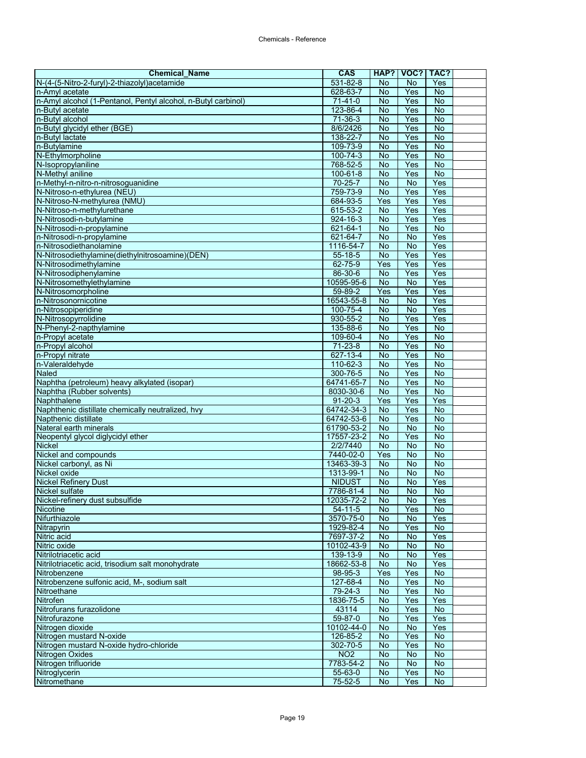| <b>Chemical Name</b>                                          | <b>CAS</b>           | HAP?            | VOC?             | TAC?           |  |
|---------------------------------------------------------------|----------------------|-----------------|------------------|----------------|--|
| N-(4-(5-Nitro-2-furyl)-2-thiazolyl)acetamide                  | 531-82-8             | No              | No               | Yes            |  |
| n-Amyl acetate                                                | 628-63-7             | No              | Yes              | $\overline{N}$ |  |
| n-Amyl alcohol (1-Pentanol, Pentyl alcohol, n-Butyl carbinol) | $71 - 41 - 0$        | <b>No</b>       | Yes              | <b>No</b>      |  |
| n-Butyl acetate                                               | 123-86-4             | No              | Yes              | <b>No</b>      |  |
| n-Butvl alcohol                                               | $71 - 36 - 3$        | $\overline{N}$  | Yes              | $\overline{N}$ |  |
| n-Butyl glycidyl ether (BGE)                                  | 8/6/2426             | No              | Yes              | <b>No</b>      |  |
| n-Butyl lactate                                               | 138-22-7             | No              | Yes              | No             |  |
| n-Butylamine                                                  | 109-73-9             | $\overline{N}$  | Yes              | $\overline{N}$ |  |
| N-Ethylmorpholine                                             | 100-74-3             | No              | Yes              | $\overline{N}$ |  |
| N-Isopropylaniline                                            | 768-52-5             | <b>No</b>       | Yes              | $\overline{N}$ |  |
| N-Methyl aniline                                              | $100 - 61 - 8$       | No              | Yes              | $\overline{N}$ |  |
| n-Methyl-n-nitro-n-nitrosoguanidine                           | $70 - 25 - 7$        | $\overline{N}$  | $\overline{N}$   | Yes            |  |
| N-Nitroso-n-ethylurea (NEU)                                   | 759-73-9             | No              | Yes              | Yes            |  |
| N-Nitroso-N-methylurea (NMU)                                  | 684-93-5             | Yes             | Yes              | Yes            |  |
| N-Nitroso-n-methylurethane                                    | 615-53-2             | <b>No</b>       | Yes              | Yes            |  |
| N-Nitrosodi-n-butylamine                                      | $924 - 16 - 3$       | No              | Yes              | Yes            |  |
| N-Nitrosodi-n-propylamine                                     | 621-64-1<br>621-64-7 | No<br><b>No</b> | Yes<br><b>No</b> | No<br>Yes      |  |
| n-Nitrosodi-n-propylamine<br>n-Nitrosodiethanolamine          | 1116-54-7            | $\overline{N}$  | $\overline{N}$   | Yes            |  |
| N-Nitrosodiethylamine(diethylnitrosoamine)(DEN)               |                      | No              | Yes              | Yes            |  |
|                                                               | 55-18-5              | Yes             | Yes              | Yes            |  |
| N-Nitrosodimethylamine<br>N-Nitrosodiphenylamine              | 62-75-9<br>86-30-6   | <b>No</b>       | Yes              | Yes            |  |
| N-Nitrosomethylethylamine                                     | 10595-95-6           | No              | No               | Yes            |  |
| N-Nitrosomorpholine                                           | 59-89-2              | Yes             | Yes              | Yes            |  |
| n-Nitrosonornicotine                                          | 16543-55-8           | <b>No</b>       | $\overline{N}$   | Yes            |  |
| n-Nitrosopiperidine                                           | 100-75-4             | $\overline{N}$  | $\overline{N}$   | Yes            |  |
| N-Nitrosopyrrolidine                                          | 930-55-2             | <b>No</b>       | Yes              | Yes            |  |
| N-Phenyl-2-napthylamine                                       | 135-88-6             | No              | Yes              | $\overline{N}$ |  |
| n-Propyl acetate                                              | 109-60-4             | No              | Yes              | $\overline{N}$ |  |
| n-Propyl alcohol                                              | $71 - 23 - 8$        | No              | Yes              | No             |  |
| n-Propyl nitrate                                              | 627-13-4             | <b>No</b>       | Yes              | <b>No</b>      |  |
| n-Valeraldehyde                                               | 110-62-3             | <b>No</b>       | Yes              | <b>No</b>      |  |
| Naled                                                         | 300-76-5             | No              | Yes              | $\overline{N}$ |  |
| Naphtha (petroleum) heavy alkylated (isopar)                  | 64741-65-7           | <b>No</b>       | Yes              | $\overline{N}$ |  |
| Naphtha (Rubber solvents)                                     | 8030-30-6            | No              | Yes              | <b>No</b>      |  |
| Naphthalene                                                   | $91 - 20 - 3$        | Yes             | Yes              | Yes            |  |
| Naphthenic distillate chemically neutralized, hvy             | 64742-34-3           | No              | Yes              | <b>No</b>      |  |
| Napthenic distillate                                          | 64742-53-6           | No              | Yes              | <b>No</b>      |  |
| Nateral earth minerals                                        | 61790-53-2           | No              | $\overline{N}$   | $\overline{N}$ |  |
| Neopentyl glycol diglycidyl ether                             | 17557-23-2           | No              | Yes              | No             |  |
| <b>Nickel</b>                                                 | 2/2/7440             | <b>No</b>       | <b>No</b>        | No             |  |
| Nickel and compounds                                          | 7440-02-0            | Yes             | No               | $\overline{N}$ |  |
| Nickel carbonyl, as Ni                                        | 13463-39-3           | $\overline{N}$  | $\overline{N}$   | $\overline{N}$ |  |
| Nickel oxide                                                  | 1313-99-1            | <b>No</b>       | No               | <b>No</b>      |  |
| <b>Nickel Refinery Dust</b>                                   | <b>NIDUST</b>        | No              | No               | Yes            |  |
| Nickel sulfate                                                | 7786-81-4            | <b>No</b>       | <b>No</b>        | $\overline{N}$ |  |
| Nickel-refinery dust subsulfide                               | 12035-72-2           | No.             | No.              | Yes            |  |
| <b>Nicotine</b>                                               | $54 - 11 - 5$        | No              | Yes              | No             |  |
| Nifurthiazole                                                 | 3570-75-0            | No              | No               | Yes            |  |
| Nitrapyrin                                                    | 1929-82-4            | No              | Yes              | $\overline{N}$ |  |
| Nitric acid                                                   | 7697-37-2            | No              | No               | Yes            |  |
| Nitric oxide                                                  | 10102-43-9           | No              | No               | $\overline{N}$ |  |
| Nitrilotriacetic acid                                         | 139-13-9             | No              | <b>No</b>        | Yes            |  |
| Nitrilotriacetic acid, trisodium salt monohydrate             | 18662-53-8           | No              | No               | Yes            |  |
| Nitrobenzene                                                  | 98-95-3              | Yes             | Yes              | <b>No</b>      |  |
| Nitrobenzene sulfonic acid, M-, sodium salt                   | 127-68-4             | No              | Yes              | <b>No</b>      |  |
| Nitroethane                                                   | $79 - 24 - 3$        | No              | Yes              | No             |  |
| Nitrofen                                                      | 1836-75-5            | No              | Yes              | Yes            |  |
| Nitrofurans furazolidone                                      | 43114                | No              | Yes              | <b>No</b>      |  |
| Nitrofurazone                                                 | 59-87-0              | No              | Yes              | Yes            |  |
| Nitrogen dioxide                                              | 10102-44-0           | No              | <b>No</b>        | Yes            |  |
| Nitrogen mustard N-oxide                                      | 126-85-2             | <b>No</b>       | Yes              | <b>No</b>      |  |
| Nitrogen mustard N-oxide hydro-chloride                       | 302-70-5             | No              | Yes              | No             |  |
| Nitrogen Oxides                                               | NO2                  | No              | <b>No</b>        | $\overline{N}$ |  |
| Nitrogen trifluoride                                          | 7783-54-2            | No              | <b>No</b>        | No             |  |
| Nitroglycerin                                                 | 55-63-0              | No              | Yes              | No             |  |
| Nitromethane                                                  | $75 - 52 - 5$        | No              | Yes              | <b>No</b>      |  |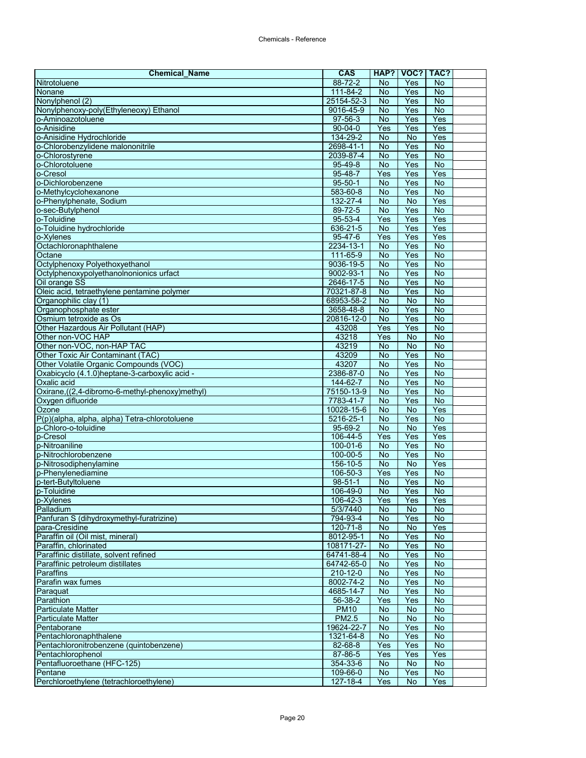| $88 - 72 - 2$<br>Yes<br><b>No</b><br>No<br>111-84-2<br>No<br>Yes<br>No<br>Nonane<br>$\overline{N}$<br>25154-52-3<br><b>No</b><br>Yes<br>$\overline{N}$<br>Yes<br>$\overline{N}$<br>Nonylphenoxy-poly(Ethyleneoxy) Ethanol<br>9016-45-9<br>$97-56-3$<br>$\overline{N}$<br>Yes<br>Yes<br>o-Aminoazotoluene<br>o-Anisidine<br>Yes<br>Yes<br>$90 - 04 - 0$<br>Yes<br>134-29-2<br>No<br>Yes<br>o-Anisidine Hydrochloride<br><b>No</b><br>2698-41-1<br>$\overline{N}$<br>o-Chlorobenzylidene malononitrile<br><b>No</b><br>Yes<br>o-Chlorostyrene<br>Yes<br>$\overline{N}$<br>2039-87-4<br>No<br>$\overline{N}$<br>95-49-8<br><b>No</b><br>Yes<br>o-Chlorotoluene<br>$95 - 48 - 7$<br>Yes<br>Yes<br>Yes<br>o-Cresol<br>$\overline{N}$<br>Yes<br>No<br>o-Dichlorobenzene<br>$95 - 50 - 1$<br>o-Methylcyclohexanone<br>Yes<br>583-60-8<br>No<br><b>No</b><br>132-27-4<br><b>No</b><br><b>No</b><br>Yes<br>o-Phenylphenate, Sodium<br>89-72-5<br><b>No</b><br>$\overline{N}$<br>Yes<br>o-sec-Butylphenol<br>Yes<br>$95 - 53 - 4$<br>Yes<br>Yes<br>o-Toluidine<br>Yes<br>o-Toluidine hydrochloride<br>636-21-5<br>No<br>Yes<br>o-Xylenes<br>$95 - 47 - 6$<br>Yes<br>Yes<br>Yes<br>Octachloronaphthalene<br>2234-13-1<br>Yes<br>No<br><b>No</b><br>111-65-9<br>Yes<br><b>No</b><br>Octane<br><b>No</b><br>Octylphenoxy Polyethoxyethanol<br><b>No</b><br>9036-19-5<br>No<br>Yes<br><b>No</b><br>Octylphenoxypolyethanolnonionics urfact<br>9002-93-1<br>$\overline{N}$<br>Yes<br><b>No</b><br>Oil orange SS<br>2646-17-5<br>No<br>Yes<br>70321-87-8<br>No<br>Yes<br><b>No</b><br>Oleic acid, tetraethylene pentamine polymer<br>Organophilic clay (1)<br>68953-58-2<br>$\overline{N}$<br>$\overline{N}$<br><b>No</b><br>Yes<br>$\overline{N}$<br>Organophosphate ester<br>3658-48-8<br><b>No</b><br>Yes<br><b>No</b><br>Osmium tetroxide as Os<br>20816-12-0<br>No<br>Other Hazardous Air Pollutant (HAP)<br>Yes<br>Yes<br>No<br>43208<br><b>No</b><br>43218<br>Yes<br>$\overline{N}$<br>Other non-VOC HAP<br>Other non-VOC, non-HAP TAC<br>43219<br>No<br><b>No</b><br><b>No</b><br>43209<br>Yes<br><b>No</b><br>Other Toxic Air Contaminant (TAC)<br>No<br>43207<br><b>No</b><br>$\overline{N}$<br>Yes<br>Other Volatile Organic Compounds (VOC)<br>2386-87-0<br>Yes<br>Oxabicyclo (4.1.0) heptane-3-carboxylic acid -<br>No<br>No<br>Yes<br>$\overline{N}$<br>144-62-7<br><b>No</b><br>Oxalic acid<br><b>No</b><br>Oxirane,((2,4-dibromo-6-methyl-phenoxy)methyl)<br>$\overline{N}$<br>Yes<br>75150-13-9<br>7783-41-7<br>$\overline{N}$<br>Yes<br>$\overline{N}$<br>Oxygen difluoride<br>Ozone<br>Yes<br>No<br><b>No</b><br>10028-15-6<br>5216-25-1<br>Yes<br>$\overline{N}$<br>P(p)(alpha, alpha, alpha) Tetra-chlorotoluene<br>No<br>$95 - 69 - 2$<br>Yes<br>No<br>No<br>p-Chloro-o-toluidine<br>Yes<br>p-Cresol<br>106-44-5<br>Yes<br>Yes<br>$100 - 01 - 6$<br><b>No</b><br>Yes<br>No<br>p-Nitroaniline<br>Yes<br>$\overline{N}$<br>100-00-5<br>No<br>$156 - 10 - 5$<br>$\overline{N}$<br>$\overline{N}$<br>Yes<br>p-Nitrosodiphenylamine<br>Yes<br>Yes<br><b>No</b><br>106-50-3<br>$\overline{N}$<br>$98 - 51 - 1$<br>No<br>Yes<br>106-49-0<br>$\overline{N}$<br>$\overline{N}$<br>p-Toluidine<br>Yes<br>106-42-3<br>Yes<br>Yes<br>Yes<br>Palladium<br>5/3/7440<br><b>No</b><br><b>No</b><br><b>No</b><br>Panfuran S (dihydroxymethyl-furatrizine)<br>794-93-4<br><b>No</b><br>No<br>Yes<br>120-71-8<br>No<br><b>No</b><br>Yes<br>para-Cresidine<br>No<br>Paraffin oil (Oil mist, mineral)<br>8012-95-1<br>Yes<br><b>No</b><br>Paraffin, chlorinated<br>No<br>108171-27-<br>No<br>Yes<br>$\overline{N}$<br>Paraffinic distillate, solvent refined<br>64741-88-4<br>No<br>Yes<br>64742-65-0<br>No<br>Paraffinic petroleum distillates<br>No<br>Yes<br>Yes<br>$\overline{N}$<br>Paraffins<br>210-12-0<br>No<br>8002-74-2<br>Parafin wax fumes<br>Yes<br>$\overline{N}$<br>No<br>4685-14-7<br>No<br>Yes<br>No<br>Paraquat<br>$\overline{N}$<br>Parathion<br>56-38-2<br>Yes<br>Yes<br><b>Particulate Matter</b><br><b>PM10</b><br><b>No</b><br>No<br>No<br><b>PM2.5</b><br>$\overline{N}$<br>$\overline{N}$<br><b>Particulate Matter</b><br>No<br>Pentaborane<br>19624-22-7<br>No<br><b>No</b><br>Yes<br>Yes<br>Pentachloronaphthalene<br>1321-64-8<br>No<br>No<br>Yes<br>Yes<br>$\overline{N}$<br>Pentachloronitrobenzene (quintobenzene)<br>82-68-8<br>Pentachlorophenol<br>87-86-5<br>Yes<br>Yes<br>Yes<br>Pentafluoroethane (HFC-125)<br>354-33-6<br>No<br>No<br>No<br>$\overline{N}$<br>Pentane<br>109-66-0<br>No<br>Yes | <b>Chemical Name</b>                    | CAS      | HAP? | VOC? | TAC? |  |
|-----------------------------------------------------------------------------------------------------------------------------------------------------------------------------------------------------------------------------------------------------------------------------------------------------------------------------------------------------------------------------------------------------------------------------------------------------------------------------------------------------------------------------------------------------------------------------------------------------------------------------------------------------------------------------------------------------------------------------------------------------------------------------------------------------------------------------------------------------------------------------------------------------------------------------------------------------------------------------------------------------------------------------------------------------------------------------------------------------------------------------------------------------------------------------------------------------------------------------------------------------------------------------------------------------------------------------------------------------------------------------------------------------------------------------------------------------------------------------------------------------------------------------------------------------------------------------------------------------------------------------------------------------------------------------------------------------------------------------------------------------------------------------------------------------------------------------------------------------------------------------------------------------------------------------------------------------------------------------------------------------------------------------------------------------------------------------------------------------------------------------------------------------------------------------------------------------------------------------------------------------------------------------------------------------------------------------------------------------------------------------------------------------------------------------------------------------------------------------------------------------------------------------------------------------------------------------------------------------------------------------------------------------------------------------------------------------------------------------------------------------------------------------------------------------------------------------------------------------------------------------------------------------------------------------------------------------------------------------------------------------------------------------------------------------------------------------------------------------------------------------------------------------------------------------------------------------------------------------------------------------------------------------------------------------------------------------------------------------------------------------------------------------------------------------------------------------------------------------------------------------------------------------------------------------------------------------------------------------------------------------------------------------------------------------------------------------------------------------------------------------------------------------------------------------------------------------------------------------------------------------------------------------------------------------------------------------------------------------------------------------------------------------------------------------------------------------------------------------------------------------------------------------------------------------------------------------------------------------------------------------------------------------------------------------------------------------------------------------------------------------------------------------------------------------------------------------------------------------------------------------------------------|-----------------------------------------|----------|------|------|------|--|
|                                                                                                                                                                                                                                                                                                                                                                                                                                                                                                                                                                                                                                                                                                                                                                                                                                                                                                                                                                                                                                                                                                                                                                                                                                                                                                                                                                                                                                                                                                                                                                                                                                                                                                                                                                                                                                                                                                                                                                                                                                                                                                                                                                                                                                                                                                                                                                                                                                                                                                                                                                                                                                                                                                                                                                                                                                                                                                                                                                                                                                                                                                                                                                                                                                                                                                                                                                                                                                                                                                                                                                                                                                                                                                                                                                                                                                                                                                                                                                                                                                                                                                                                                                                                                                                                                                                                                                                                                                                                                                                       | Nitrotoluene                            |          |      |      |      |  |
|                                                                                                                                                                                                                                                                                                                                                                                                                                                                                                                                                                                                                                                                                                                                                                                                                                                                                                                                                                                                                                                                                                                                                                                                                                                                                                                                                                                                                                                                                                                                                                                                                                                                                                                                                                                                                                                                                                                                                                                                                                                                                                                                                                                                                                                                                                                                                                                                                                                                                                                                                                                                                                                                                                                                                                                                                                                                                                                                                                                                                                                                                                                                                                                                                                                                                                                                                                                                                                                                                                                                                                                                                                                                                                                                                                                                                                                                                                                                                                                                                                                                                                                                                                                                                                                                                                                                                                                                                                                                                                                       |                                         |          |      |      |      |  |
|                                                                                                                                                                                                                                                                                                                                                                                                                                                                                                                                                                                                                                                                                                                                                                                                                                                                                                                                                                                                                                                                                                                                                                                                                                                                                                                                                                                                                                                                                                                                                                                                                                                                                                                                                                                                                                                                                                                                                                                                                                                                                                                                                                                                                                                                                                                                                                                                                                                                                                                                                                                                                                                                                                                                                                                                                                                                                                                                                                                                                                                                                                                                                                                                                                                                                                                                                                                                                                                                                                                                                                                                                                                                                                                                                                                                                                                                                                                                                                                                                                                                                                                                                                                                                                                                                                                                                                                                                                                                                                                       | Nonylphenol (2)                         |          |      |      |      |  |
|                                                                                                                                                                                                                                                                                                                                                                                                                                                                                                                                                                                                                                                                                                                                                                                                                                                                                                                                                                                                                                                                                                                                                                                                                                                                                                                                                                                                                                                                                                                                                                                                                                                                                                                                                                                                                                                                                                                                                                                                                                                                                                                                                                                                                                                                                                                                                                                                                                                                                                                                                                                                                                                                                                                                                                                                                                                                                                                                                                                                                                                                                                                                                                                                                                                                                                                                                                                                                                                                                                                                                                                                                                                                                                                                                                                                                                                                                                                                                                                                                                                                                                                                                                                                                                                                                                                                                                                                                                                                                                                       |                                         |          |      |      |      |  |
|                                                                                                                                                                                                                                                                                                                                                                                                                                                                                                                                                                                                                                                                                                                                                                                                                                                                                                                                                                                                                                                                                                                                                                                                                                                                                                                                                                                                                                                                                                                                                                                                                                                                                                                                                                                                                                                                                                                                                                                                                                                                                                                                                                                                                                                                                                                                                                                                                                                                                                                                                                                                                                                                                                                                                                                                                                                                                                                                                                                                                                                                                                                                                                                                                                                                                                                                                                                                                                                                                                                                                                                                                                                                                                                                                                                                                                                                                                                                                                                                                                                                                                                                                                                                                                                                                                                                                                                                                                                                                                                       |                                         |          |      |      |      |  |
|                                                                                                                                                                                                                                                                                                                                                                                                                                                                                                                                                                                                                                                                                                                                                                                                                                                                                                                                                                                                                                                                                                                                                                                                                                                                                                                                                                                                                                                                                                                                                                                                                                                                                                                                                                                                                                                                                                                                                                                                                                                                                                                                                                                                                                                                                                                                                                                                                                                                                                                                                                                                                                                                                                                                                                                                                                                                                                                                                                                                                                                                                                                                                                                                                                                                                                                                                                                                                                                                                                                                                                                                                                                                                                                                                                                                                                                                                                                                                                                                                                                                                                                                                                                                                                                                                                                                                                                                                                                                                                                       |                                         |          |      |      |      |  |
|                                                                                                                                                                                                                                                                                                                                                                                                                                                                                                                                                                                                                                                                                                                                                                                                                                                                                                                                                                                                                                                                                                                                                                                                                                                                                                                                                                                                                                                                                                                                                                                                                                                                                                                                                                                                                                                                                                                                                                                                                                                                                                                                                                                                                                                                                                                                                                                                                                                                                                                                                                                                                                                                                                                                                                                                                                                                                                                                                                                                                                                                                                                                                                                                                                                                                                                                                                                                                                                                                                                                                                                                                                                                                                                                                                                                                                                                                                                                                                                                                                                                                                                                                                                                                                                                                                                                                                                                                                                                                                                       |                                         |          |      |      |      |  |
|                                                                                                                                                                                                                                                                                                                                                                                                                                                                                                                                                                                                                                                                                                                                                                                                                                                                                                                                                                                                                                                                                                                                                                                                                                                                                                                                                                                                                                                                                                                                                                                                                                                                                                                                                                                                                                                                                                                                                                                                                                                                                                                                                                                                                                                                                                                                                                                                                                                                                                                                                                                                                                                                                                                                                                                                                                                                                                                                                                                                                                                                                                                                                                                                                                                                                                                                                                                                                                                                                                                                                                                                                                                                                                                                                                                                                                                                                                                                                                                                                                                                                                                                                                                                                                                                                                                                                                                                                                                                                                                       |                                         |          |      |      |      |  |
|                                                                                                                                                                                                                                                                                                                                                                                                                                                                                                                                                                                                                                                                                                                                                                                                                                                                                                                                                                                                                                                                                                                                                                                                                                                                                                                                                                                                                                                                                                                                                                                                                                                                                                                                                                                                                                                                                                                                                                                                                                                                                                                                                                                                                                                                                                                                                                                                                                                                                                                                                                                                                                                                                                                                                                                                                                                                                                                                                                                                                                                                                                                                                                                                                                                                                                                                                                                                                                                                                                                                                                                                                                                                                                                                                                                                                                                                                                                                                                                                                                                                                                                                                                                                                                                                                                                                                                                                                                                                                                                       |                                         |          |      |      |      |  |
|                                                                                                                                                                                                                                                                                                                                                                                                                                                                                                                                                                                                                                                                                                                                                                                                                                                                                                                                                                                                                                                                                                                                                                                                                                                                                                                                                                                                                                                                                                                                                                                                                                                                                                                                                                                                                                                                                                                                                                                                                                                                                                                                                                                                                                                                                                                                                                                                                                                                                                                                                                                                                                                                                                                                                                                                                                                                                                                                                                                                                                                                                                                                                                                                                                                                                                                                                                                                                                                                                                                                                                                                                                                                                                                                                                                                                                                                                                                                                                                                                                                                                                                                                                                                                                                                                                                                                                                                                                                                                                                       |                                         |          |      |      |      |  |
|                                                                                                                                                                                                                                                                                                                                                                                                                                                                                                                                                                                                                                                                                                                                                                                                                                                                                                                                                                                                                                                                                                                                                                                                                                                                                                                                                                                                                                                                                                                                                                                                                                                                                                                                                                                                                                                                                                                                                                                                                                                                                                                                                                                                                                                                                                                                                                                                                                                                                                                                                                                                                                                                                                                                                                                                                                                                                                                                                                                                                                                                                                                                                                                                                                                                                                                                                                                                                                                                                                                                                                                                                                                                                                                                                                                                                                                                                                                                                                                                                                                                                                                                                                                                                                                                                                                                                                                                                                                                                                                       |                                         |          |      |      |      |  |
|                                                                                                                                                                                                                                                                                                                                                                                                                                                                                                                                                                                                                                                                                                                                                                                                                                                                                                                                                                                                                                                                                                                                                                                                                                                                                                                                                                                                                                                                                                                                                                                                                                                                                                                                                                                                                                                                                                                                                                                                                                                                                                                                                                                                                                                                                                                                                                                                                                                                                                                                                                                                                                                                                                                                                                                                                                                                                                                                                                                                                                                                                                                                                                                                                                                                                                                                                                                                                                                                                                                                                                                                                                                                                                                                                                                                                                                                                                                                                                                                                                                                                                                                                                                                                                                                                                                                                                                                                                                                                                                       |                                         |          |      |      |      |  |
|                                                                                                                                                                                                                                                                                                                                                                                                                                                                                                                                                                                                                                                                                                                                                                                                                                                                                                                                                                                                                                                                                                                                                                                                                                                                                                                                                                                                                                                                                                                                                                                                                                                                                                                                                                                                                                                                                                                                                                                                                                                                                                                                                                                                                                                                                                                                                                                                                                                                                                                                                                                                                                                                                                                                                                                                                                                                                                                                                                                                                                                                                                                                                                                                                                                                                                                                                                                                                                                                                                                                                                                                                                                                                                                                                                                                                                                                                                                                                                                                                                                                                                                                                                                                                                                                                                                                                                                                                                                                                                                       |                                         |          |      |      |      |  |
|                                                                                                                                                                                                                                                                                                                                                                                                                                                                                                                                                                                                                                                                                                                                                                                                                                                                                                                                                                                                                                                                                                                                                                                                                                                                                                                                                                                                                                                                                                                                                                                                                                                                                                                                                                                                                                                                                                                                                                                                                                                                                                                                                                                                                                                                                                                                                                                                                                                                                                                                                                                                                                                                                                                                                                                                                                                                                                                                                                                                                                                                                                                                                                                                                                                                                                                                                                                                                                                                                                                                                                                                                                                                                                                                                                                                                                                                                                                                                                                                                                                                                                                                                                                                                                                                                                                                                                                                                                                                                                                       |                                         |          |      |      |      |  |
|                                                                                                                                                                                                                                                                                                                                                                                                                                                                                                                                                                                                                                                                                                                                                                                                                                                                                                                                                                                                                                                                                                                                                                                                                                                                                                                                                                                                                                                                                                                                                                                                                                                                                                                                                                                                                                                                                                                                                                                                                                                                                                                                                                                                                                                                                                                                                                                                                                                                                                                                                                                                                                                                                                                                                                                                                                                                                                                                                                                                                                                                                                                                                                                                                                                                                                                                                                                                                                                                                                                                                                                                                                                                                                                                                                                                                                                                                                                                                                                                                                                                                                                                                                                                                                                                                                                                                                                                                                                                                                                       |                                         |          |      |      |      |  |
|                                                                                                                                                                                                                                                                                                                                                                                                                                                                                                                                                                                                                                                                                                                                                                                                                                                                                                                                                                                                                                                                                                                                                                                                                                                                                                                                                                                                                                                                                                                                                                                                                                                                                                                                                                                                                                                                                                                                                                                                                                                                                                                                                                                                                                                                                                                                                                                                                                                                                                                                                                                                                                                                                                                                                                                                                                                                                                                                                                                                                                                                                                                                                                                                                                                                                                                                                                                                                                                                                                                                                                                                                                                                                                                                                                                                                                                                                                                                                                                                                                                                                                                                                                                                                                                                                                                                                                                                                                                                                                                       |                                         |          |      |      |      |  |
|                                                                                                                                                                                                                                                                                                                                                                                                                                                                                                                                                                                                                                                                                                                                                                                                                                                                                                                                                                                                                                                                                                                                                                                                                                                                                                                                                                                                                                                                                                                                                                                                                                                                                                                                                                                                                                                                                                                                                                                                                                                                                                                                                                                                                                                                                                                                                                                                                                                                                                                                                                                                                                                                                                                                                                                                                                                                                                                                                                                                                                                                                                                                                                                                                                                                                                                                                                                                                                                                                                                                                                                                                                                                                                                                                                                                                                                                                                                                                                                                                                                                                                                                                                                                                                                                                                                                                                                                                                                                                                                       |                                         |          |      |      |      |  |
|                                                                                                                                                                                                                                                                                                                                                                                                                                                                                                                                                                                                                                                                                                                                                                                                                                                                                                                                                                                                                                                                                                                                                                                                                                                                                                                                                                                                                                                                                                                                                                                                                                                                                                                                                                                                                                                                                                                                                                                                                                                                                                                                                                                                                                                                                                                                                                                                                                                                                                                                                                                                                                                                                                                                                                                                                                                                                                                                                                                                                                                                                                                                                                                                                                                                                                                                                                                                                                                                                                                                                                                                                                                                                                                                                                                                                                                                                                                                                                                                                                                                                                                                                                                                                                                                                                                                                                                                                                                                                                                       |                                         |          |      |      |      |  |
|                                                                                                                                                                                                                                                                                                                                                                                                                                                                                                                                                                                                                                                                                                                                                                                                                                                                                                                                                                                                                                                                                                                                                                                                                                                                                                                                                                                                                                                                                                                                                                                                                                                                                                                                                                                                                                                                                                                                                                                                                                                                                                                                                                                                                                                                                                                                                                                                                                                                                                                                                                                                                                                                                                                                                                                                                                                                                                                                                                                                                                                                                                                                                                                                                                                                                                                                                                                                                                                                                                                                                                                                                                                                                                                                                                                                                                                                                                                                                                                                                                                                                                                                                                                                                                                                                                                                                                                                                                                                                                                       |                                         |          |      |      |      |  |
|                                                                                                                                                                                                                                                                                                                                                                                                                                                                                                                                                                                                                                                                                                                                                                                                                                                                                                                                                                                                                                                                                                                                                                                                                                                                                                                                                                                                                                                                                                                                                                                                                                                                                                                                                                                                                                                                                                                                                                                                                                                                                                                                                                                                                                                                                                                                                                                                                                                                                                                                                                                                                                                                                                                                                                                                                                                                                                                                                                                                                                                                                                                                                                                                                                                                                                                                                                                                                                                                                                                                                                                                                                                                                                                                                                                                                                                                                                                                                                                                                                                                                                                                                                                                                                                                                                                                                                                                                                                                                                                       |                                         |          |      |      |      |  |
|                                                                                                                                                                                                                                                                                                                                                                                                                                                                                                                                                                                                                                                                                                                                                                                                                                                                                                                                                                                                                                                                                                                                                                                                                                                                                                                                                                                                                                                                                                                                                                                                                                                                                                                                                                                                                                                                                                                                                                                                                                                                                                                                                                                                                                                                                                                                                                                                                                                                                                                                                                                                                                                                                                                                                                                                                                                                                                                                                                                                                                                                                                                                                                                                                                                                                                                                                                                                                                                                                                                                                                                                                                                                                                                                                                                                                                                                                                                                                                                                                                                                                                                                                                                                                                                                                                                                                                                                                                                                                                                       |                                         |          |      |      |      |  |
|                                                                                                                                                                                                                                                                                                                                                                                                                                                                                                                                                                                                                                                                                                                                                                                                                                                                                                                                                                                                                                                                                                                                                                                                                                                                                                                                                                                                                                                                                                                                                                                                                                                                                                                                                                                                                                                                                                                                                                                                                                                                                                                                                                                                                                                                                                                                                                                                                                                                                                                                                                                                                                                                                                                                                                                                                                                                                                                                                                                                                                                                                                                                                                                                                                                                                                                                                                                                                                                                                                                                                                                                                                                                                                                                                                                                                                                                                                                                                                                                                                                                                                                                                                                                                                                                                                                                                                                                                                                                                                                       |                                         |          |      |      |      |  |
|                                                                                                                                                                                                                                                                                                                                                                                                                                                                                                                                                                                                                                                                                                                                                                                                                                                                                                                                                                                                                                                                                                                                                                                                                                                                                                                                                                                                                                                                                                                                                                                                                                                                                                                                                                                                                                                                                                                                                                                                                                                                                                                                                                                                                                                                                                                                                                                                                                                                                                                                                                                                                                                                                                                                                                                                                                                                                                                                                                                                                                                                                                                                                                                                                                                                                                                                                                                                                                                                                                                                                                                                                                                                                                                                                                                                                                                                                                                                                                                                                                                                                                                                                                                                                                                                                                                                                                                                                                                                                                                       |                                         |          |      |      |      |  |
|                                                                                                                                                                                                                                                                                                                                                                                                                                                                                                                                                                                                                                                                                                                                                                                                                                                                                                                                                                                                                                                                                                                                                                                                                                                                                                                                                                                                                                                                                                                                                                                                                                                                                                                                                                                                                                                                                                                                                                                                                                                                                                                                                                                                                                                                                                                                                                                                                                                                                                                                                                                                                                                                                                                                                                                                                                                                                                                                                                                                                                                                                                                                                                                                                                                                                                                                                                                                                                                                                                                                                                                                                                                                                                                                                                                                                                                                                                                                                                                                                                                                                                                                                                                                                                                                                                                                                                                                                                                                                                                       |                                         |          |      |      |      |  |
|                                                                                                                                                                                                                                                                                                                                                                                                                                                                                                                                                                                                                                                                                                                                                                                                                                                                                                                                                                                                                                                                                                                                                                                                                                                                                                                                                                                                                                                                                                                                                                                                                                                                                                                                                                                                                                                                                                                                                                                                                                                                                                                                                                                                                                                                                                                                                                                                                                                                                                                                                                                                                                                                                                                                                                                                                                                                                                                                                                                                                                                                                                                                                                                                                                                                                                                                                                                                                                                                                                                                                                                                                                                                                                                                                                                                                                                                                                                                                                                                                                                                                                                                                                                                                                                                                                                                                                                                                                                                                                                       |                                         |          |      |      |      |  |
|                                                                                                                                                                                                                                                                                                                                                                                                                                                                                                                                                                                                                                                                                                                                                                                                                                                                                                                                                                                                                                                                                                                                                                                                                                                                                                                                                                                                                                                                                                                                                                                                                                                                                                                                                                                                                                                                                                                                                                                                                                                                                                                                                                                                                                                                                                                                                                                                                                                                                                                                                                                                                                                                                                                                                                                                                                                                                                                                                                                                                                                                                                                                                                                                                                                                                                                                                                                                                                                                                                                                                                                                                                                                                                                                                                                                                                                                                                                                                                                                                                                                                                                                                                                                                                                                                                                                                                                                                                                                                                                       |                                         |          |      |      |      |  |
|                                                                                                                                                                                                                                                                                                                                                                                                                                                                                                                                                                                                                                                                                                                                                                                                                                                                                                                                                                                                                                                                                                                                                                                                                                                                                                                                                                                                                                                                                                                                                                                                                                                                                                                                                                                                                                                                                                                                                                                                                                                                                                                                                                                                                                                                                                                                                                                                                                                                                                                                                                                                                                                                                                                                                                                                                                                                                                                                                                                                                                                                                                                                                                                                                                                                                                                                                                                                                                                                                                                                                                                                                                                                                                                                                                                                                                                                                                                                                                                                                                                                                                                                                                                                                                                                                                                                                                                                                                                                                                                       |                                         |          |      |      |      |  |
|                                                                                                                                                                                                                                                                                                                                                                                                                                                                                                                                                                                                                                                                                                                                                                                                                                                                                                                                                                                                                                                                                                                                                                                                                                                                                                                                                                                                                                                                                                                                                                                                                                                                                                                                                                                                                                                                                                                                                                                                                                                                                                                                                                                                                                                                                                                                                                                                                                                                                                                                                                                                                                                                                                                                                                                                                                                                                                                                                                                                                                                                                                                                                                                                                                                                                                                                                                                                                                                                                                                                                                                                                                                                                                                                                                                                                                                                                                                                                                                                                                                                                                                                                                                                                                                                                                                                                                                                                                                                                                                       |                                         |          |      |      |      |  |
|                                                                                                                                                                                                                                                                                                                                                                                                                                                                                                                                                                                                                                                                                                                                                                                                                                                                                                                                                                                                                                                                                                                                                                                                                                                                                                                                                                                                                                                                                                                                                                                                                                                                                                                                                                                                                                                                                                                                                                                                                                                                                                                                                                                                                                                                                                                                                                                                                                                                                                                                                                                                                                                                                                                                                                                                                                                                                                                                                                                                                                                                                                                                                                                                                                                                                                                                                                                                                                                                                                                                                                                                                                                                                                                                                                                                                                                                                                                                                                                                                                                                                                                                                                                                                                                                                                                                                                                                                                                                                                                       |                                         |          |      |      |      |  |
|                                                                                                                                                                                                                                                                                                                                                                                                                                                                                                                                                                                                                                                                                                                                                                                                                                                                                                                                                                                                                                                                                                                                                                                                                                                                                                                                                                                                                                                                                                                                                                                                                                                                                                                                                                                                                                                                                                                                                                                                                                                                                                                                                                                                                                                                                                                                                                                                                                                                                                                                                                                                                                                                                                                                                                                                                                                                                                                                                                                                                                                                                                                                                                                                                                                                                                                                                                                                                                                                                                                                                                                                                                                                                                                                                                                                                                                                                                                                                                                                                                                                                                                                                                                                                                                                                                                                                                                                                                                                                                                       |                                         |          |      |      |      |  |
|                                                                                                                                                                                                                                                                                                                                                                                                                                                                                                                                                                                                                                                                                                                                                                                                                                                                                                                                                                                                                                                                                                                                                                                                                                                                                                                                                                                                                                                                                                                                                                                                                                                                                                                                                                                                                                                                                                                                                                                                                                                                                                                                                                                                                                                                                                                                                                                                                                                                                                                                                                                                                                                                                                                                                                                                                                                                                                                                                                                                                                                                                                                                                                                                                                                                                                                                                                                                                                                                                                                                                                                                                                                                                                                                                                                                                                                                                                                                                                                                                                                                                                                                                                                                                                                                                                                                                                                                                                                                                                                       |                                         |          |      |      |      |  |
|                                                                                                                                                                                                                                                                                                                                                                                                                                                                                                                                                                                                                                                                                                                                                                                                                                                                                                                                                                                                                                                                                                                                                                                                                                                                                                                                                                                                                                                                                                                                                                                                                                                                                                                                                                                                                                                                                                                                                                                                                                                                                                                                                                                                                                                                                                                                                                                                                                                                                                                                                                                                                                                                                                                                                                                                                                                                                                                                                                                                                                                                                                                                                                                                                                                                                                                                                                                                                                                                                                                                                                                                                                                                                                                                                                                                                                                                                                                                                                                                                                                                                                                                                                                                                                                                                                                                                                                                                                                                                                                       |                                         |          |      |      |      |  |
|                                                                                                                                                                                                                                                                                                                                                                                                                                                                                                                                                                                                                                                                                                                                                                                                                                                                                                                                                                                                                                                                                                                                                                                                                                                                                                                                                                                                                                                                                                                                                                                                                                                                                                                                                                                                                                                                                                                                                                                                                                                                                                                                                                                                                                                                                                                                                                                                                                                                                                                                                                                                                                                                                                                                                                                                                                                                                                                                                                                                                                                                                                                                                                                                                                                                                                                                                                                                                                                                                                                                                                                                                                                                                                                                                                                                                                                                                                                                                                                                                                                                                                                                                                                                                                                                                                                                                                                                                                                                                                                       |                                         |          |      |      |      |  |
|                                                                                                                                                                                                                                                                                                                                                                                                                                                                                                                                                                                                                                                                                                                                                                                                                                                                                                                                                                                                                                                                                                                                                                                                                                                                                                                                                                                                                                                                                                                                                                                                                                                                                                                                                                                                                                                                                                                                                                                                                                                                                                                                                                                                                                                                                                                                                                                                                                                                                                                                                                                                                                                                                                                                                                                                                                                                                                                                                                                                                                                                                                                                                                                                                                                                                                                                                                                                                                                                                                                                                                                                                                                                                                                                                                                                                                                                                                                                                                                                                                                                                                                                                                                                                                                                                                                                                                                                                                                                                                                       |                                         |          |      |      |      |  |
|                                                                                                                                                                                                                                                                                                                                                                                                                                                                                                                                                                                                                                                                                                                                                                                                                                                                                                                                                                                                                                                                                                                                                                                                                                                                                                                                                                                                                                                                                                                                                                                                                                                                                                                                                                                                                                                                                                                                                                                                                                                                                                                                                                                                                                                                                                                                                                                                                                                                                                                                                                                                                                                                                                                                                                                                                                                                                                                                                                                                                                                                                                                                                                                                                                                                                                                                                                                                                                                                                                                                                                                                                                                                                                                                                                                                                                                                                                                                                                                                                                                                                                                                                                                                                                                                                                                                                                                                                                                                                                                       |                                         |          |      |      |      |  |
|                                                                                                                                                                                                                                                                                                                                                                                                                                                                                                                                                                                                                                                                                                                                                                                                                                                                                                                                                                                                                                                                                                                                                                                                                                                                                                                                                                                                                                                                                                                                                                                                                                                                                                                                                                                                                                                                                                                                                                                                                                                                                                                                                                                                                                                                                                                                                                                                                                                                                                                                                                                                                                                                                                                                                                                                                                                                                                                                                                                                                                                                                                                                                                                                                                                                                                                                                                                                                                                                                                                                                                                                                                                                                                                                                                                                                                                                                                                                                                                                                                                                                                                                                                                                                                                                                                                                                                                                                                                                                                                       |                                         |          |      |      |      |  |
|                                                                                                                                                                                                                                                                                                                                                                                                                                                                                                                                                                                                                                                                                                                                                                                                                                                                                                                                                                                                                                                                                                                                                                                                                                                                                                                                                                                                                                                                                                                                                                                                                                                                                                                                                                                                                                                                                                                                                                                                                                                                                                                                                                                                                                                                                                                                                                                                                                                                                                                                                                                                                                                                                                                                                                                                                                                                                                                                                                                                                                                                                                                                                                                                                                                                                                                                                                                                                                                                                                                                                                                                                                                                                                                                                                                                                                                                                                                                                                                                                                                                                                                                                                                                                                                                                                                                                                                                                                                                                                                       |                                         |          |      |      |      |  |
|                                                                                                                                                                                                                                                                                                                                                                                                                                                                                                                                                                                                                                                                                                                                                                                                                                                                                                                                                                                                                                                                                                                                                                                                                                                                                                                                                                                                                                                                                                                                                                                                                                                                                                                                                                                                                                                                                                                                                                                                                                                                                                                                                                                                                                                                                                                                                                                                                                                                                                                                                                                                                                                                                                                                                                                                                                                                                                                                                                                                                                                                                                                                                                                                                                                                                                                                                                                                                                                                                                                                                                                                                                                                                                                                                                                                                                                                                                                                                                                                                                                                                                                                                                                                                                                                                                                                                                                                                                                                                                                       |                                         |          |      |      |      |  |
|                                                                                                                                                                                                                                                                                                                                                                                                                                                                                                                                                                                                                                                                                                                                                                                                                                                                                                                                                                                                                                                                                                                                                                                                                                                                                                                                                                                                                                                                                                                                                                                                                                                                                                                                                                                                                                                                                                                                                                                                                                                                                                                                                                                                                                                                                                                                                                                                                                                                                                                                                                                                                                                                                                                                                                                                                                                                                                                                                                                                                                                                                                                                                                                                                                                                                                                                                                                                                                                                                                                                                                                                                                                                                                                                                                                                                                                                                                                                                                                                                                                                                                                                                                                                                                                                                                                                                                                                                                                                                                                       |                                         |          |      |      |      |  |
|                                                                                                                                                                                                                                                                                                                                                                                                                                                                                                                                                                                                                                                                                                                                                                                                                                                                                                                                                                                                                                                                                                                                                                                                                                                                                                                                                                                                                                                                                                                                                                                                                                                                                                                                                                                                                                                                                                                                                                                                                                                                                                                                                                                                                                                                                                                                                                                                                                                                                                                                                                                                                                                                                                                                                                                                                                                                                                                                                                                                                                                                                                                                                                                                                                                                                                                                                                                                                                                                                                                                                                                                                                                                                                                                                                                                                                                                                                                                                                                                                                                                                                                                                                                                                                                                                                                                                                                                                                                                                                                       |                                         |          |      |      |      |  |
|                                                                                                                                                                                                                                                                                                                                                                                                                                                                                                                                                                                                                                                                                                                                                                                                                                                                                                                                                                                                                                                                                                                                                                                                                                                                                                                                                                                                                                                                                                                                                                                                                                                                                                                                                                                                                                                                                                                                                                                                                                                                                                                                                                                                                                                                                                                                                                                                                                                                                                                                                                                                                                                                                                                                                                                                                                                                                                                                                                                                                                                                                                                                                                                                                                                                                                                                                                                                                                                                                                                                                                                                                                                                                                                                                                                                                                                                                                                                                                                                                                                                                                                                                                                                                                                                                                                                                                                                                                                                                                                       | p-Nitrochlorobenzene                    |          |      |      |      |  |
|                                                                                                                                                                                                                                                                                                                                                                                                                                                                                                                                                                                                                                                                                                                                                                                                                                                                                                                                                                                                                                                                                                                                                                                                                                                                                                                                                                                                                                                                                                                                                                                                                                                                                                                                                                                                                                                                                                                                                                                                                                                                                                                                                                                                                                                                                                                                                                                                                                                                                                                                                                                                                                                                                                                                                                                                                                                                                                                                                                                                                                                                                                                                                                                                                                                                                                                                                                                                                                                                                                                                                                                                                                                                                                                                                                                                                                                                                                                                                                                                                                                                                                                                                                                                                                                                                                                                                                                                                                                                                                                       |                                         |          |      |      |      |  |
|                                                                                                                                                                                                                                                                                                                                                                                                                                                                                                                                                                                                                                                                                                                                                                                                                                                                                                                                                                                                                                                                                                                                                                                                                                                                                                                                                                                                                                                                                                                                                                                                                                                                                                                                                                                                                                                                                                                                                                                                                                                                                                                                                                                                                                                                                                                                                                                                                                                                                                                                                                                                                                                                                                                                                                                                                                                                                                                                                                                                                                                                                                                                                                                                                                                                                                                                                                                                                                                                                                                                                                                                                                                                                                                                                                                                                                                                                                                                                                                                                                                                                                                                                                                                                                                                                                                                                                                                                                                                                                                       | p-Phenylenediamine                      |          |      |      |      |  |
|                                                                                                                                                                                                                                                                                                                                                                                                                                                                                                                                                                                                                                                                                                                                                                                                                                                                                                                                                                                                                                                                                                                                                                                                                                                                                                                                                                                                                                                                                                                                                                                                                                                                                                                                                                                                                                                                                                                                                                                                                                                                                                                                                                                                                                                                                                                                                                                                                                                                                                                                                                                                                                                                                                                                                                                                                                                                                                                                                                                                                                                                                                                                                                                                                                                                                                                                                                                                                                                                                                                                                                                                                                                                                                                                                                                                                                                                                                                                                                                                                                                                                                                                                                                                                                                                                                                                                                                                                                                                                                                       | p-tert-Butyltoluene                     |          |      |      |      |  |
|                                                                                                                                                                                                                                                                                                                                                                                                                                                                                                                                                                                                                                                                                                                                                                                                                                                                                                                                                                                                                                                                                                                                                                                                                                                                                                                                                                                                                                                                                                                                                                                                                                                                                                                                                                                                                                                                                                                                                                                                                                                                                                                                                                                                                                                                                                                                                                                                                                                                                                                                                                                                                                                                                                                                                                                                                                                                                                                                                                                                                                                                                                                                                                                                                                                                                                                                                                                                                                                                                                                                                                                                                                                                                                                                                                                                                                                                                                                                                                                                                                                                                                                                                                                                                                                                                                                                                                                                                                                                                                                       |                                         |          |      |      |      |  |
|                                                                                                                                                                                                                                                                                                                                                                                                                                                                                                                                                                                                                                                                                                                                                                                                                                                                                                                                                                                                                                                                                                                                                                                                                                                                                                                                                                                                                                                                                                                                                                                                                                                                                                                                                                                                                                                                                                                                                                                                                                                                                                                                                                                                                                                                                                                                                                                                                                                                                                                                                                                                                                                                                                                                                                                                                                                                                                                                                                                                                                                                                                                                                                                                                                                                                                                                                                                                                                                                                                                                                                                                                                                                                                                                                                                                                                                                                                                                                                                                                                                                                                                                                                                                                                                                                                                                                                                                                                                                                                                       | p-Xylenes                               |          |      |      |      |  |
|                                                                                                                                                                                                                                                                                                                                                                                                                                                                                                                                                                                                                                                                                                                                                                                                                                                                                                                                                                                                                                                                                                                                                                                                                                                                                                                                                                                                                                                                                                                                                                                                                                                                                                                                                                                                                                                                                                                                                                                                                                                                                                                                                                                                                                                                                                                                                                                                                                                                                                                                                                                                                                                                                                                                                                                                                                                                                                                                                                                                                                                                                                                                                                                                                                                                                                                                                                                                                                                                                                                                                                                                                                                                                                                                                                                                                                                                                                                                                                                                                                                                                                                                                                                                                                                                                                                                                                                                                                                                                                                       |                                         |          |      |      |      |  |
|                                                                                                                                                                                                                                                                                                                                                                                                                                                                                                                                                                                                                                                                                                                                                                                                                                                                                                                                                                                                                                                                                                                                                                                                                                                                                                                                                                                                                                                                                                                                                                                                                                                                                                                                                                                                                                                                                                                                                                                                                                                                                                                                                                                                                                                                                                                                                                                                                                                                                                                                                                                                                                                                                                                                                                                                                                                                                                                                                                                                                                                                                                                                                                                                                                                                                                                                                                                                                                                                                                                                                                                                                                                                                                                                                                                                                                                                                                                                                                                                                                                                                                                                                                                                                                                                                                                                                                                                                                                                                                                       |                                         |          |      |      |      |  |
|                                                                                                                                                                                                                                                                                                                                                                                                                                                                                                                                                                                                                                                                                                                                                                                                                                                                                                                                                                                                                                                                                                                                                                                                                                                                                                                                                                                                                                                                                                                                                                                                                                                                                                                                                                                                                                                                                                                                                                                                                                                                                                                                                                                                                                                                                                                                                                                                                                                                                                                                                                                                                                                                                                                                                                                                                                                                                                                                                                                                                                                                                                                                                                                                                                                                                                                                                                                                                                                                                                                                                                                                                                                                                                                                                                                                                                                                                                                                                                                                                                                                                                                                                                                                                                                                                                                                                                                                                                                                                                                       |                                         |          |      |      |      |  |
|                                                                                                                                                                                                                                                                                                                                                                                                                                                                                                                                                                                                                                                                                                                                                                                                                                                                                                                                                                                                                                                                                                                                                                                                                                                                                                                                                                                                                                                                                                                                                                                                                                                                                                                                                                                                                                                                                                                                                                                                                                                                                                                                                                                                                                                                                                                                                                                                                                                                                                                                                                                                                                                                                                                                                                                                                                                                                                                                                                                                                                                                                                                                                                                                                                                                                                                                                                                                                                                                                                                                                                                                                                                                                                                                                                                                                                                                                                                                                                                                                                                                                                                                                                                                                                                                                                                                                                                                                                                                                                                       |                                         |          |      |      |      |  |
|                                                                                                                                                                                                                                                                                                                                                                                                                                                                                                                                                                                                                                                                                                                                                                                                                                                                                                                                                                                                                                                                                                                                                                                                                                                                                                                                                                                                                                                                                                                                                                                                                                                                                                                                                                                                                                                                                                                                                                                                                                                                                                                                                                                                                                                                                                                                                                                                                                                                                                                                                                                                                                                                                                                                                                                                                                                                                                                                                                                                                                                                                                                                                                                                                                                                                                                                                                                                                                                                                                                                                                                                                                                                                                                                                                                                                                                                                                                                                                                                                                                                                                                                                                                                                                                                                                                                                                                                                                                                                                                       |                                         |          |      |      |      |  |
|                                                                                                                                                                                                                                                                                                                                                                                                                                                                                                                                                                                                                                                                                                                                                                                                                                                                                                                                                                                                                                                                                                                                                                                                                                                                                                                                                                                                                                                                                                                                                                                                                                                                                                                                                                                                                                                                                                                                                                                                                                                                                                                                                                                                                                                                                                                                                                                                                                                                                                                                                                                                                                                                                                                                                                                                                                                                                                                                                                                                                                                                                                                                                                                                                                                                                                                                                                                                                                                                                                                                                                                                                                                                                                                                                                                                                                                                                                                                                                                                                                                                                                                                                                                                                                                                                                                                                                                                                                                                                                                       |                                         |          |      |      |      |  |
|                                                                                                                                                                                                                                                                                                                                                                                                                                                                                                                                                                                                                                                                                                                                                                                                                                                                                                                                                                                                                                                                                                                                                                                                                                                                                                                                                                                                                                                                                                                                                                                                                                                                                                                                                                                                                                                                                                                                                                                                                                                                                                                                                                                                                                                                                                                                                                                                                                                                                                                                                                                                                                                                                                                                                                                                                                                                                                                                                                                                                                                                                                                                                                                                                                                                                                                                                                                                                                                                                                                                                                                                                                                                                                                                                                                                                                                                                                                                                                                                                                                                                                                                                                                                                                                                                                                                                                                                                                                                                                                       |                                         |          |      |      |      |  |
|                                                                                                                                                                                                                                                                                                                                                                                                                                                                                                                                                                                                                                                                                                                                                                                                                                                                                                                                                                                                                                                                                                                                                                                                                                                                                                                                                                                                                                                                                                                                                                                                                                                                                                                                                                                                                                                                                                                                                                                                                                                                                                                                                                                                                                                                                                                                                                                                                                                                                                                                                                                                                                                                                                                                                                                                                                                                                                                                                                                                                                                                                                                                                                                                                                                                                                                                                                                                                                                                                                                                                                                                                                                                                                                                                                                                                                                                                                                                                                                                                                                                                                                                                                                                                                                                                                                                                                                                                                                                                                                       |                                         |          |      |      |      |  |
|                                                                                                                                                                                                                                                                                                                                                                                                                                                                                                                                                                                                                                                                                                                                                                                                                                                                                                                                                                                                                                                                                                                                                                                                                                                                                                                                                                                                                                                                                                                                                                                                                                                                                                                                                                                                                                                                                                                                                                                                                                                                                                                                                                                                                                                                                                                                                                                                                                                                                                                                                                                                                                                                                                                                                                                                                                                                                                                                                                                                                                                                                                                                                                                                                                                                                                                                                                                                                                                                                                                                                                                                                                                                                                                                                                                                                                                                                                                                                                                                                                                                                                                                                                                                                                                                                                                                                                                                                                                                                                                       |                                         |          |      |      |      |  |
|                                                                                                                                                                                                                                                                                                                                                                                                                                                                                                                                                                                                                                                                                                                                                                                                                                                                                                                                                                                                                                                                                                                                                                                                                                                                                                                                                                                                                                                                                                                                                                                                                                                                                                                                                                                                                                                                                                                                                                                                                                                                                                                                                                                                                                                                                                                                                                                                                                                                                                                                                                                                                                                                                                                                                                                                                                                                                                                                                                                                                                                                                                                                                                                                                                                                                                                                                                                                                                                                                                                                                                                                                                                                                                                                                                                                                                                                                                                                                                                                                                                                                                                                                                                                                                                                                                                                                                                                                                                                                                                       |                                         |          |      |      |      |  |
|                                                                                                                                                                                                                                                                                                                                                                                                                                                                                                                                                                                                                                                                                                                                                                                                                                                                                                                                                                                                                                                                                                                                                                                                                                                                                                                                                                                                                                                                                                                                                                                                                                                                                                                                                                                                                                                                                                                                                                                                                                                                                                                                                                                                                                                                                                                                                                                                                                                                                                                                                                                                                                                                                                                                                                                                                                                                                                                                                                                                                                                                                                                                                                                                                                                                                                                                                                                                                                                                                                                                                                                                                                                                                                                                                                                                                                                                                                                                                                                                                                                                                                                                                                                                                                                                                                                                                                                                                                                                                                                       |                                         |          |      |      |      |  |
|                                                                                                                                                                                                                                                                                                                                                                                                                                                                                                                                                                                                                                                                                                                                                                                                                                                                                                                                                                                                                                                                                                                                                                                                                                                                                                                                                                                                                                                                                                                                                                                                                                                                                                                                                                                                                                                                                                                                                                                                                                                                                                                                                                                                                                                                                                                                                                                                                                                                                                                                                                                                                                                                                                                                                                                                                                                                                                                                                                                                                                                                                                                                                                                                                                                                                                                                                                                                                                                                                                                                                                                                                                                                                                                                                                                                                                                                                                                                                                                                                                                                                                                                                                                                                                                                                                                                                                                                                                                                                                                       |                                         |          |      |      |      |  |
|                                                                                                                                                                                                                                                                                                                                                                                                                                                                                                                                                                                                                                                                                                                                                                                                                                                                                                                                                                                                                                                                                                                                                                                                                                                                                                                                                                                                                                                                                                                                                                                                                                                                                                                                                                                                                                                                                                                                                                                                                                                                                                                                                                                                                                                                                                                                                                                                                                                                                                                                                                                                                                                                                                                                                                                                                                                                                                                                                                                                                                                                                                                                                                                                                                                                                                                                                                                                                                                                                                                                                                                                                                                                                                                                                                                                                                                                                                                                                                                                                                                                                                                                                                                                                                                                                                                                                                                                                                                                                                                       |                                         |          |      |      |      |  |
|                                                                                                                                                                                                                                                                                                                                                                                                                                                                                                                                                                                                                                                                                                                                                                                                                                                                                                                                                                                                                                                                                                                                                                                                                                                                                                                                                                                                                                                                                                                                                                                                                                                                                                                                                                                                                                                                                                                                                                                                                                                                                                                                                                                                                                                                                                                                                                                                                                                                                                                                                                                                                                                                                                                                                                                                                                                                                                                                                                                                                                                                                                                                                                                                                                                                                                                                                                                                                                                                                                                                                                                                                                                                                                                                                                                                                                                                                                                                                                                                                                                                                                                                                                                                                                                                                                                                                                                                                                                                                                                       |                                         |          |      |      |      |  |
|                                                                                                                                                                                                                                                                                                                                                                                                                                                                                                                                                                                                                                                                                                                                                                                                                                                                                                                                                                                                                                                                                                                                                                                                                                                                                                                                                                                                                                                                                                                                                                                                                                                                                                                                                                                                                                                                                                                                                                                                                                                                                                                                                                                                                                                                                                                                                                                                                                                                                                                                                                                                                                                                                                                                                                                                                                                                                                                                                                                                                                                                                                                                                                                                                                                                                                                                                                                                                                                                                                                                                                                                                                                                                                                                                                                                                                                                                                                                                                                                                                                                                                                                                                                                                                                                                                                                                                                                                                                                                                                       |                                         |          |      |      |      |  |
|                                                                                                                                                                                                                                                                                                                                                                                                                                                                                                                                                                                                                                                                                                                                                                                                                                                                                                                                                                                                                                                                                                                                                                                                                                                                                                                                                                                                                                                                                                                                                                                                                                                                                                                                                                                                                                                                                                                                                                                                                                                                                                                                                                                                                                                                                                                                                                                                                                                                                                                                                                                                                                                                                                                                                                                                                                                                                                                                                                                                                                                                                                                                                                                                                                                                                                                                                                                                                                                                                                                                                                                                                                                                                                                                                                                                                                                                                                                                                                                                                                                                                                                                                                                                                                                                                                                                                                                                                                                                                                                       |                                         |          |      |      |      |  |
|                                                                                                                                                                                                                                                                                                                                                                                                                                                                                                                                                                                                                                                                                                                                                                                                                                                                                                                                                                                                                                                                                                                                                                                                                                                                                                                                                                                                                                                                                                                                                                                                                                                                                                                                                                                                                                                                                                                                                                                                                                                                                                                                                                                                                                                                                                                                                                                                                                                                                                                                                                                                                                                                                                                                                                                                                                                                                                                                                                                                                                                                                                                                                                                                                                                                                                                                                                                                                                                                                                                                                                                                                                                                                                                                                                                                                                                                                                                                                                                                                                                                                                                                                                                                                                                                                                                                                                                                                                                                                                                       |                                         |          |      |      |      |  |
|                                                                                                                                                                                                                                                                                                                                                                                                                                                                                                                                                                                                                                                                                                                                                                                                                                                                                                                                                                                                                                                                                                                                                                                                                                                                                                                                                                                                                                                                                                                                                                                                                                                                                                                                                                                                                                                                                                                                                                                                                                                                                                                                                                                                                                                                                                                                                                                                                                                                                                                                                                                                                                                                                                                                                                                                                                                                                                                                                                                                                                                                                                                                                                                                                                                                                                                                                                                                                                                                                                                                                                                                                                                                                                                                                                                                                                                                                                                                                                                                                                                                                                                                                                                                                                                                                                                                                                                                                                                                                                                       |                                         |          |      |      |      |  |
|                                                                                                                                                                                                                                                                                                                                                                                                                                                                                                                                                                                                                                                                                                                                                                                                                                                                                                                                                                                                                                                                                                                                                                                                                                                                                                                                                                                                                                                                                                                                                                                                                                                                                                                                                                                                                                                                                                                                                                                                                                                                                                                                                                                                                                                                                                                                                                                                                                                                                                                                                                                                                                                                                                                                                                                                                                                                                                                                                                                                                                                                                                                                                                                                                                                                                                                                                                                                                                                                                                                                                                                                                                                                                                                                                                                                                                                                                                                                                                                                                                                                                                                                                                                                                                                                                                                                                                                                                                                                                                                       | Perchloroethylene (tetrachloroethylene) | 127-18-4 | Yes  | No   | Yes  |  |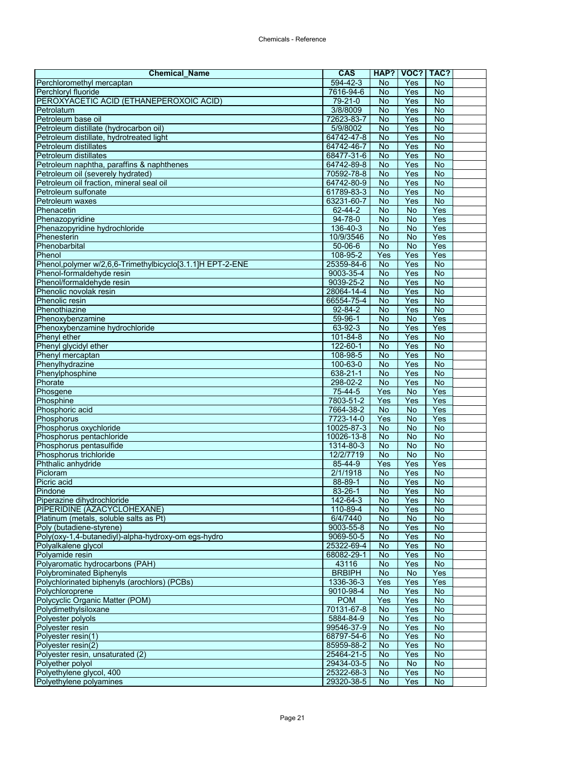| <b>Chemical Name</b>                                       | <b>CAS</b>           | HAP?            | VOC?           | TAC?                  |  |
|------------------------------------------------------------|----------------------|-----------------|----------------|-----------------------|--|
| Perchloromethyl mercaptan                                  | 594-42-3             | No              | <b>Yes</b>     | <b>No</b>             |  |
| Perchloryl fluoride                                        | 7616-94-6            | <b>No</b>       | Yes            | <b>No</b>             |  |
| PEROXYACETIC ACID (ETHANEPEROXOIC ACID)                    | 79-21-0              | <b>No</b>       | Yes            | <b>No</b>             |  |
| Petrolatum                                                 | 3/8/8009             | No              | Yes            | <b>No</b>             |  |
| Petroleum base oil                                         | 72623-83-7           | $\overline{N}$  | Yes            | $\overline{N}$        |  |
| Petroleum distillate (hydrocarbon oil)                     | 5/9/8002             | No              | Yes            | <b>No</b>             |  |
| Petroleum distillate, hydrotreated light                   | 64742-47-8           | No              | Yes            | <b>No</b>             |  |
| Petroleum distillates                                      | 64742-46-7           | <b>No</b>       | Yes            | $\overline{N}$        |  |
| Petroleum distillates                                      | 68477-31-6           | No              | Yes            | $\overline{N}$        |  |
| Petroleum naphtha, paraffins & naphthenes                  | 64742-89-8           | <b>No</b>       | Yes            | $\overline{N}$        |  |
| Petroleum oil (severely hydrated)                          | 70592-78-8           | No              | Yes            | $\overline{N}$        |  |
| Petroleum oil fraction, mineral seal oil                   | 64742-80-9           | <b>No</b>       | Yes            | $\overline{N}$        |  |
| Petroleum sulfonate                                        | 61789-83-3           | No              | Yes            | <b>No</b>             |  |
| Petroleum waxes                                            | 63231-60-7           | No              | Yes            | <b>No</b>             |  |
| Phenacetin                                                 | 62-44-2              | <b>No</b>       | $\overline{N}$ | Yes                   |  |
| Phenazopyridine                                            | 94-78-0              | No              | <b>No</b>      | Yes                   |  |
| Phenazopyridine hydrochloride                              | 136-40-3             | No              | No             | Yes                   |  |
| Phenesterin                                                | 10/9/3546            | <b>No</b>       | <b>No</b>      | Yes                   |  |
| Phenobarbital                                              | $50 - 06 - 6$        | $\overline{N}$  | $\overline{N}$ | Yes                   |  |
| Phenol                                                     | 108-95-2             | Yes             | Yes            | Yes                   |  |
| Phenol, polymer w/2,6,6-Trimethylbicyclo[3.1.1]H EPT-2-ENE | 25359-84-6           | No              | Yes<br>Yes     | No<br>$\overline{N}$  |  |
| Phenol-formaldehyde resin                                  | 9003-35-4            | <b>No</b>       |                |                       |  |
| Phenol/formaldehyde resin                                  | 9039-25-2            | No              | Yes            | <b>No</b>             |  |
| Phenolic novolak resin                                     | 28064-14-4           | <b>No</b>       | Yes            | $\overline{N}$        |  |
| Phenolic resin<br>Phenothiazine                            | 66554-75-4           | No              | Yes            | $\overline{N}$        |  |
|                                                            | $92 - 84 - 2$        | No              | Yes            | $\overline{N}$        |  |
| Phenoxybenzamine                                           | 59-96-1<br>63-92-3   | <b>No</b>       | <b>No</b>      | Yes                   |  |
| Phenoxybenzamine hydrochloride                             | 101-84-8             | No<br>No        | Yes<br>Yes     | Yes<br>$\overline{N}$ |  |
| Phenyl ether<br>Phenyl glycidyl ether                      |                      |                 |                |                       |  |
|                                                            | 122-60-1             | No              | Yes<br>Yes     | No<br><b>No</b>       |  |
| Phenyl mercaptan                                           | 108-98-5<br>100-63-0 | <b>No</b><br>No | Yes            | $\overline{N}$        |  |
| Phenylhydrazine<br>Phenylphosphine                         | 638-21-1             | $\overline{N}$  | Yes            | $\overline{N}$        |  |
| Phorate                                                    | 298-02-2             | <b>No</b>       | Yes            | $\overline{N}$        |  |
| Phosgene                                                   | 75-44-5              | Yes             | <b>No</b>      | Yes                   |  |
| Phosphine                                                  | 7803-51-2            | Yes             | Yes            | Yes                   |  |
| Phosphoric acid                                            | 7664-38-2            | No              | <b>No</b>      | Yes                   |  |
| Phosphorus                                                 | 7723-14-0            | Yes             | <b>No</b>      | Yes                   |  |
| Phosphorus oxychloride                                     | 10025-87-3           | <b>No</b>       | $\overline{N}$ | $\overline{N}$        |  |
| Phosphorus pentachloride                                   | $10026 - 13 - 8$     | No              | No             | No                    |  |
| Phosphorus pentasulfide                                    | 1314-80-3            | <b>No</b>       | No             | <b>No</b>             |  |
| Phosphorus trichloride                                     | 12/2/7719            | No              | $\overline{N}$ | $\overline{N}$        |  |
| Phthalic anhydride                                         | 85-44-9              | Yes             | Yes            | Yes                   |  |
| Picloram                                                   | 2/1/1918             | No              | Yes            | <b>No</b>             |  |
| Picric acid                                                | 88-89-1              | No              | Yes            | <b>No</b>             |  |
| Pindone                                                    | 83-26-1              | <b>No</b>       | Yes            | $\overline{N}$        |  |
| Piperazine dihydrochloride                                 | 142-64-3             | <b>No</b>       | Yes            | No.                   |  |
| PIPERIDINE (AZACYCLOHEXANE)                                | 110-89-4             | No              | Yes            | No                    |  |
| Platinum (metals, soluble salts as Pt)                     | 6/4/7440             | No              | No             | No                    |  |
| Poly (butadiene-styrene)                                   | 9003-55-8            | <b>No</b>       | Yes            | $\overline{N}$        |  |
| Poly(oxy-1,4-butanediyl)-alpha-hydroxy-om egs-hydro        | 9069-50-5            | No              | Yes            | <b>No</b>             |  |
| Polyalkalene glycol                                        | 25322-69-4           | No              | Yes            | No                    |  |
| Polyamide resin                                            | 68082-29-1           | No              | Yes            | <b>No</b>             |  |
| Polyaromatic hydrocarbons (PAH)                            | 43116                | No              | Yes            | <b>No</b>             |  |
| Polybrominated Biphenyls                                   | <b>BRBIPH</b>        | No              | <b>No</b>      | Yes                   |  |
| Polychlorinated biphenyls (arochlors) (PCBs)               | 1336-36-3            | Yes             | Yes            | Yes                   |  |
| Polychloroprene                                            | 9010-98-4            | No              | Yes            | No                    |  |
| Polycyclic Organic Matter (POM)                            | <b>POM</b>           | Yes             | Yes            | <b>No</b>             |  |
| Polydimethylsiloxane                                       | 70131-67-8           | No              | Yes            | No                    |  |
| Polyester polyols                                          | 5884-84-9            | No              | Yes            | <b>No</b>             |  |
| Polyester resin                                            | 99546-37-9           | No              | Yes            | <b>No</b>             |  |
| Polyester resin(1)                                         | 68797-54-6           | No              | Yes            | <b>No</b>             |  |
| Polyester resin(2)                                         | 85959-88-2           | No              | Yes            | <b>No</b>             |  |
| Polyester resin, unsaturated (2)                           | 25464-21-5           | No              | Yes            | No                    |  |
| Polyether polyol                                           | 29434-03-5           | No              | No             | <b>No</b>             |  |
| Polyethylene glycol, 400                                   | 25322-68-3           | No              | Yes            | No                    |  |
| Polyethylene polyamines                                    | 29320-38-5           | No              | Yes            | <b>No</b>             |  |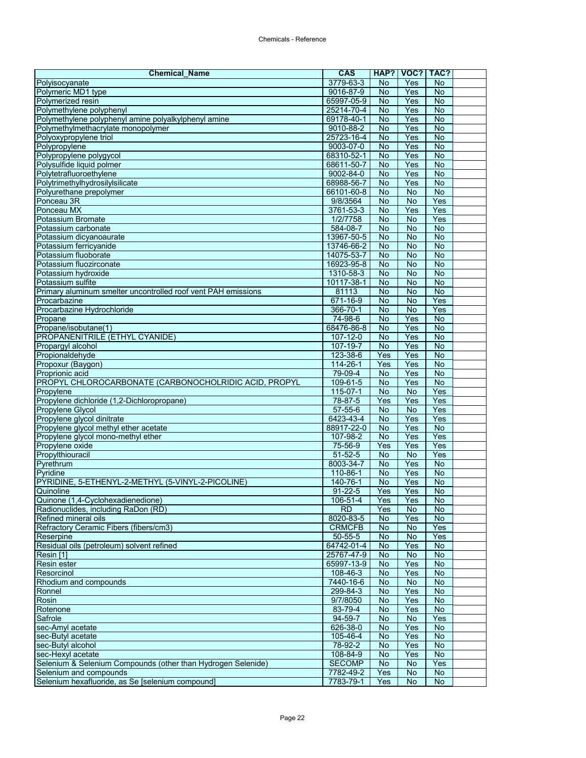| <b>Chemical Name</b>                                                                   | <b>CAS</b>                 | HAP?            | VOC?            | TAC?                             |  |
|----------------------------------------------------------------------------------------|----------------------------|-----------------|-----------------|----------------------------------|--|
| Polyisocyanate                                                                         | 3779-63-3                  | No              | <b>Yes</b>      | No                               |  |
| Polymeric MD1 type                                                                     | 9016-87-9                  | <b>No</b>       | Yes             | <b>No</b>                        |  |
| Polymerized resin                                                                      | 65997-05-9                 | <b>No</b>       | Yes             | <b>No</b>                        |  |
| Polymethylene polyphenyl                                                               | 25214-70-4                 | No              | Yes             | <b>No</b>                        |  |
| Polymethylene polyphenyl amine polyalkylphenyl amine                                   | 69178-40-1                 | $\overline{N}$  | Yes             | $\overline{N}$                   |  |
| Polymethylmethacrylate monopolymer                                                     | 9010-88-2                  | No              | Yes             | <b>No</b>                        |  |
| Polyoxypropylene triol                                                                 | 25723-16-4                 | No              | Yes             | <b>No</b>                        |  |
| Polypropylene                                                                          | 9003-07-0                  | $\overline{N}$  | Yes             | $\overline{N}$                   |  |
| Polypropylene polygycol                                                                | 68310-52-1                 | No              | Yes             | $\overline{N}$                   |  |
| Polysulfide liquid polmer                                                              | 68611-50-7                 | <b>No</b>       | Yes             | <b>No</b>                        |  |
| Polytetrafluoroethylene<br>Polytrimethylhydrosilylsilicate                             | 9002-84-0<br>68988-56-7    | No<br><b>No</b> | Yes<br>Yes      | $\overline{N}$<br>$\overline{N}$ |  |
| Polyurethane prepolymer                                                                | 66101-60-8                 | No              | No              | No                               |  |
| Ponceau 3R                                                                             | 9/8/3564                   | No              | No              | Yes                              |  |
| Ponceau MX                                                                             | 3761-53-3                  | <b>No</b>       | Yes             | Yes                              |  |
| Potassium Bromate                                                                      | 1/2/7758                   | No              | $\overline{N}$  | Yes                              |  |
| Potassium carbonate                                                                    | 584-08-7                   | No              | No              | No                               |  |
| Potassium dicyanoaurate                                                                | 13967-50-5                 | <b>No</b>       | <b>No</b>       | $\overline{N}$                   |  |
| Potassium ferricyanide                                                                 | 13746-66-2                 | $\overline{N}$  | $\overline{N}$  | <b>No</b>                        |  |
| Potassium fluoborate                                                                   | 14075-53-7                 | No              | No              | No                               |  |
| Potassium fluozirconate                                                                | 16923-95-8                 | No              | No              | No                               |  |
| Potassium hydroxide                                                                    | 1310-58-3                  | <b>No</b>       | $\overline{N}$  | <b>No</b>                        |  |
| Potassium sulfite                                                                      | 10117-38-1                 | No              | No              | No                               |  |
| Primary aluminum smelter uncontrolled roof vent PAH emissions                          | 81113                      | <b>No</b>       | <b>No</b>       | $\overline{N}$                   |  |
| Procarbazine                                                                           | 671-16-9                   | $\overline{N}$  | $\overline{N}$  | Yes                              |  |
| Procarbazine Hydrochloride                                                             | 366-70-1                   | $\overline{N}$  | $\overline{N}$  | Yes                              |  |
| Propane                                                                                | 74-98-6                    | <b>No</b>       | Yes             | <b>No</b>                        |  |
| Propane/isobutane(1)                                                                   | 68476-86-8                 | No              | Yes             | $\overline{N}$                   |  |
| <b>PROPANENITRILE (ETHYL CYANIDE)</b>                                                  | $107 - 12 - 0$             | No              | Yes             | $\overline{N}$                   |  |
| Propargyl alcohol                                                                      | 107-19-7                   | No              | Yes             | No                               |  |
| Propionaldehyde                                                                        | 123-38-6                   | Yes             | Yes             | <b>No</b>                        |  |
| Propoxur (Baygon)                                                                      | $114 - 26 - 1$             | Yes             | Yes             | $\overline{N}$                   |  |
| Proprionic acid                                                                        | 79-09-4                    | No              | Yes             | $\overline{N}$                   |  |
| PROPYL CHLOROCARBONATE (CARBONOCHOLRIDIC ACID, PROPYL                                  | 109-61-5                   | No              | Yes             | $\overline{N}$                   |  |
| Propylene                                                                              | $115 - 07 - 1$             | No              | No              | Yes                              |  |
| Propylene dichloride (1,2-Dichloropropane)                                             | 78-87-5                    | Yes             | Yes             | Yes                              |  |
| Propylene Glycol                                                                       | $57 - 55 - 6$              | No              | <b>No</b>       | Yes                              |  |
| Propylene glycol dinitrate                                                             | 6423-43-4                  | No              | Yes             | Yes                              |  |
| Propylene glycol methyl ether acetate                                                  | 88917-22-0<br>107-98-2     | No<br>No        | Yes<br>Yes      | $\overline{N}$<br>Yes            |  |
| Propylene glycol mono-methyl ether<br>Propylene oxide                                  | 75-56-9                    | Yes             | Yes             | Yes                              |  |
| Propylthiouracil                                                                       | $51 - 52 - 5$              | No              | $\overline{N}$  | Yes                              |  |
| Pyrethrum                                                                              | 8003-34-7                  | $\overline{N}$  | Yes             | $\overline{N}$                   |  |
| Pyridine                                                                               | 110-86-1                   | No              | Yes             | $\overline{N}$                   |  |
| PYRIDINE, 5-ETHENYL-2-METHYL (5-VINYL-2-PICOLINE)                                      | 140-76-1                   | No              | Yes             | No                               |  |
| Quinoline                                                                              | $91 - 22 - 5$              | Yes             | Yes             | $\overline{N}$                   |  |
| Quinone (1,4-Cyclohexadienedione)                                                      | 106-51-4                   | Yes             | Yes             | No.                              |  |
| Radionuclides, including RaDon (RD)                                                    | RD                         | Yes             | No              | No                               |  |
| Refined mineral oils                                                                   | 8020-83-5                  | No              | Yes             | No                               |  |
| Refractory Ceramic Fibers (fibers/cm3)                                                 | <b>CRMCFB</b>              | No              | <b>No</b>       | Yes                              |  |
| Reserpine                                                                              | $50 - 55 - 5$              | No              | No              | Yes                              |  |
| Residual oils (petroleum) solvent refined                                              | 64742-01-4                 | No              | Yes             | No                               |  |
| Resin [1]                                                                              | 25767-47-9                 | No              | $\overline{N}$  | $\overline{N}$                   |  |
| Resin ester                                                                            | 65997-13-9                 | No              | Yes             | <b>No</b>                        |  |
| Resorcinol                                                                             | 108-46-3                   | No              | Yes             | No                               |  |
| Rhodium and compounds                                                                  | 7440-16-6                  | No              | $\overline{No}$ | $\overline{N}$                   |  |
| Ronnel                                                                                 | 299-84-3                   | No              | Yes             | No                               |  |
| Rosin                                                                                  | 9/7/8050                   | No              | Yes             | No                               |  |
| Rotenone                                                                               | 83-79-4                    | No              | Yes             | No                               |  |
| Safrole                                                                                | $94 - 59 - 7$              | No              | No              | Yes                              |  |
| sec-Amyl acetate                                                                       | 626-38-0                   | No              | Yes             | <b>No</b>                        |  |
| sec-Butyl acetate                                                                      | 105-46-4                   | No              | Yes             | <b>No</b>                        |  |
| sec-Butyl alcohol                                                                      | 78-92-2                    | No              | Yes             | <b>No</b>                        |  |
| sec-Hexyl acetate                                                                      | 108-84-9                   | No              | Yes             | No                               |  |
| Selenium & Selenium Compounds (other than Hydrogen Selenide)<br>Selenium and compounds | <b>SECOMP</b><br>7782-49-2 | No<br>Yes       | No              | Yes<br>No                        |  |
| Selenium hexafluoride, as Se [selenium compound]                                       | 7783-79-1                  | Yes             | No<br>No        | <b>No</b>                        |  |
|                                                                                        |                            |                 |                 |                                  |  |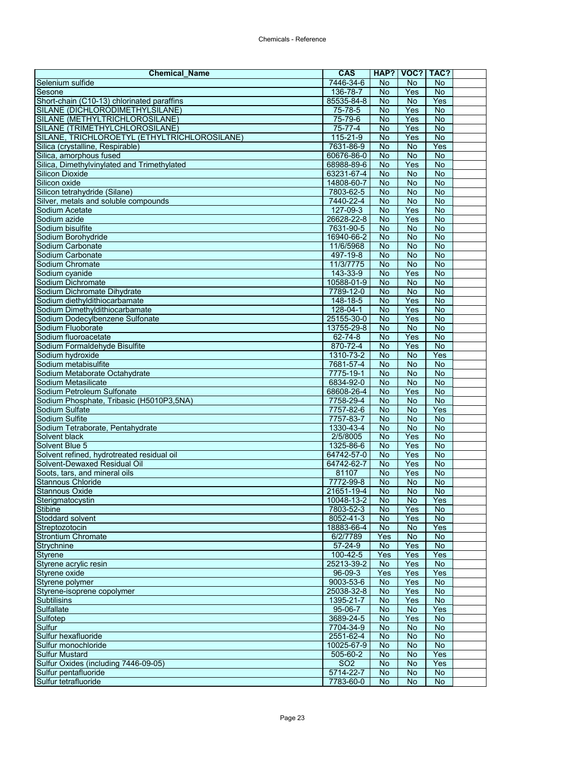| <b>Chemical Name</b>                                                   | CAS                     | HAP?                        | VOC?                        | TAC?                        |  |
|------------------------------------------------------------------------|-------------------------|-----------------------------|-----------------------------|-----------------------------|--|
| Selenium sulfide                                                       | 7446-34-6               | No                          | No                          | <b>No</b>                   |  |
| Sesone                                                                 | 136-78-7                | <b>No</b>                   | Yes                         | $\overline{N}$              |  |
| Short-chain (C10-13) chlorinated paraffins                             | 85535-84-8              | <b>No</b>                   | <b>No</b>                   | Yes                         |  |
| SILANE (DICHLORODIMETHYLSILANE)                                        | 75-78-5                 | No                          | Yes                         | $\overline{N}$              |  |
| SILANE (METHYLTRICHLOROSILANE)                                         | 75-79-6                 | $\overline{N}$              | Yes                         | <b>No</b>                   |  |
| SILANE (TRIMETHYLCHLOROSILANE)                                         | $75 - 77 - 4$           | No                          | Yes                         | $\overline{N}$              |  |
| SILANE, TRICHLOROETYL (ETHYLTRICHLOROSILANE)                           | 115-21-9                | No                          | Yes                         | No                          |  |
| Silica (crystalline, Respirable)                                       | 7631-86-9               | <b>No</b>                   | $\overline{N}$              | Yes                         |  |
| Silica, amorphous fused                                                | 60676-86-0              | No                          | $\overline{N}$              | <b>No</b>                   |  |
| Silica, Dimethylvinylated and Trimethylated                            | 68988-89-6              | No                          | Yes                         | <b>No</b><br>$\overline{N}$ |  |
| <b>Silicon Dioxide</b><br>Silicon oxide                                | 63231-67-4              | <b>No</b><br>$\overline{N}$ | <b>No</b><br>$\overline{N}$ | <b>No</b>                   |  |
| Silicon tetrahydride (Silane)                                          | 14808-60-7<br>7803-62-5 | No                          | No                          | No                          |  |
| Silver, metals and soluble compounds                                   | 7440-22-4               | No                          | No                          | No                          |  |
| Sodium Acetate                                                         | 127-09-3                | <b>No</b>                   | Yes                         | <b>No</b>                   |  |
| Sodium azide                                                           | 26628-22-8              | <b>No</b>                   | Yes                         | <b>No</b>                   |  |
| Sodium bisulfite                                                       | 7631-90-5               | <b>No</b>                   | <b>No</b>                   | <b>No</b>                   |  |
| Sodium Borohydride                                                     | 16940-66-2              | $\overline{N}$              | $\overline{N}$              | <b>No</b>                   |  |
| Sodium Carbonate                                                       | 11/6/5968               | No                          | $\overline{N}$              | $\overline{N}$              |  |
| Sodium Carbonate                                                       | 497-19-8                | No                          | No                          | <b>No</b>                   |  |
| Sodium Chromate                                                        | 11/3/7775               | No                          | No                          | No                          |  |
| Sodium cyanide                                                         | 143-33-9                | <b>No</b>                   | Yes                         | $\overline{N}$              |  |
| Sodium Dichromate                                                      | 10588-01-9              | No                          | <b>No</b>                   | No                          |  |
| Sodium Dichromate Dihydrate                                            | 7789-12-0               | <b>No</b>                   | <b>No</b>                   | <b>No</b>                   |  |
| Sodium diethyldithiocarbamate                                          | 148-18-5                | No                          | Yes                         | $\overline{N}$              |  |
| Sodium Dimethyldithiocarbamate                                         | $128 - 04 - 1$          | No                          | Yes                         | $\overline{N}$              |  |
| Sodium Dodecylbenzene Sulfonate                                        | 25155-30-0              | <b>No</b>                   | Yes                         | No                          |  |
| Sodium Fluoborate                                                      | 13755-29-8              | No                          | <b>No</b>                   | No                          |  |
| Sodium fluoroacetate                                                   | $62 - 74 - 8$           | No                          | Yes                         | $\overline{N}$              |  |
| Sodium Formaldehyde Bisulfite                                          | 870-72-4                | <b>No</b>                   | Yes                         | $\overline{N}$              |  |
| Sodium hydroxide                                                       | 1310-73-2               | No                          | No                          | Yes                         |  |
| Sodium metabisulfite                                                   | 7681-57-4               | No                          | $\overline{N}$              | $\overline{N}$              |  |
| Sodium Metaborate Octahydrate                                          | 7775-19-1               | No                          | No                          | $\overline{N}$              |  |
| Sodium Metasilicate                                                    | 6834-92-0               | <b>No</b>                   | <b>No</b>                   | <b>No</b>                   |  |
| Sodium Petroleum Sulfonate<br>Sodium Phosphate, Tribasic (H5010P3,5NA) | 68608-26-4              | No<br>$\overline{N}$        | Yes<br>$\overline{N}$       | $\overline{N}$<br><b>No</b> |  |
| Sodium Sulfate                                                         | 7758-29-4<br>7757-82-6  | No                          | No                          | Yes                         |  |
| Sodium Sulfite                                                         | 7757-83-7               | <b>No</b>                   | No                          | $\overline{N}$              |  |
| Sodium Tetraborate, Pentahydrate                                       | 1330-43-4               | <b>No</b>                   | $\overline{N}$              | <b>No</b>                   |  |
| Solvent black                                                          | 2/5/8005                | <b>No</b>                   | Yes                         | No                          |  |
| Solvent Blue 5                                                         | 1325-86-6               | No                          | Yes                         | <b>No</b>                   |  |
| Solvent refined, hydrotreated residual oil                             | 64742-57-0              | No                          | Yes                         | $\overline{N}$              |  |
| Solvent-Dewaxed Residual Oil                                           | 64742-62-7              | $\overline{N}$              | Yes                         | <b>No</b>                   |  |
| Soots, tars, and mineral oils                                          | 81107                   | <b>No</b>                   | Yes                         | No                          |  |
| <b>Stannous Chloride</b>                                               | 7772-99-8               | <b>No</b>                   | <b>No</b>                   | No                          |  |
| <b>Stannous Oxide</b>                                                  | 21651-19-4              | <b>No</b>                   | <b>No</b>                   | <b>No</b>                   |  |
| Sterigmatocystin                                                       | 10048-13-2              | <b>No</b>                   | No.                         | Yes                         |  |
| Stibine                                                                | 7803-52-3               | <b>No</b>                   | Yes                         | <b>No</b>                   |  |
| Stoddard solvent                                                       | 8052-41-3               | No                          | Yes                         | <b>No</b>                   |  |
| Streptozotocin                                                         | 18883-66-4              | No                          | No                          | Yes                         |  |
| <b>Strontium Chromate</b>                                              | 6/2/7789                | Yes                         | <b>No</b>                   | <b>No</b>                   |  |
| Strychnine                                                             | $57 - 24 - 9$           | No                          | Yes                         | $\overline{N}$              |  |
| Styrene                                                                | 100-42-5                | Yes                         | Yes                         | Yes                         |  |
| Styrene acrylic resin                                                  | 25213-39-2              | No                          | Yes                         | <b>No</b>                   |  |
| Styrene oxide                                                          | 96-09-3                 | Yes                         | Yes                         | Yes                         |  |
| Styrene polymer<br>Styrene-isoprene copolymer                          | 9003-53-6<br>25038-32-8 | No<br>No                    | Yes<br>Yes                  | <b>No</b><br><b>No</b>      |  |
| <b>Subtilisins</b>                                                     | 1395-21-7               |                             | Yes                         | <b>No</b>                   |  |
| Sulfallate                                                             | 95-06-7                 | No<br>No                    | No                          | Yes                         |  |
| Sulfotep                                                               | 3689-24-5               | No                          | Yes                         | $\overline{N}$              |  |
| Sulfur                                                                 | 7704-34-9               | <b>No</b>                   | No                          | <b>No</b>                   |  |
| Sulfur hexafluoride                                                    | 2551-62-4               | <b>No</b>                   | No                          | <b>No</b>                   |  |
| Sulfur monochloride                                                    | 10025-67-9              | No                          | No                          | <b>No</b>                   |  |
| <b>Sulfur Mustard</b>                                                  | 505-60-2                | No                          | No                          | Yes                         |  |
| Sulfur Oxides (including 7446-09-05)                                   | SO <sub>2</sub>         | <b>No</b>                   | No                          | Yes                         |  |
| Sulfur pentafluoride                                                   | 5714-22-7               | No                          | No                          | <b>No</b>                   |  |
| Sulfur tetrafluoride                                                   | 7783-60-0               | No                          | No                          | <b>No</b>                   |  |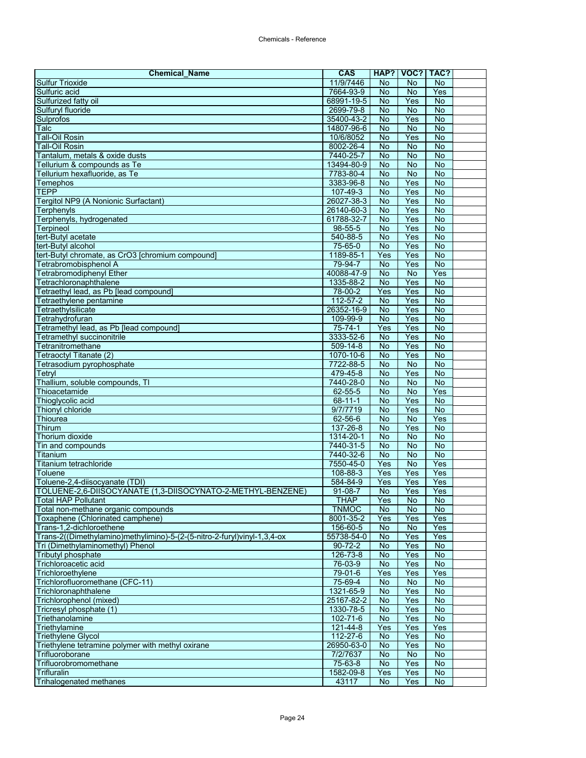| <b>Chemical_Name</b>                                                                          | <b>CAS</b>                |                        | HAP?   VOC?   TAC?     |                       |  |
|-----------------------------------------------------------------------------------------------|---------------------------|------------------------|------------------------|-----------------------|--|
| <b>Sulfur Trioxide</b>                                                                        | 11/9/7446                 | <b>No</b>              | No                     | <b>No</b>             |  |
| Sulfuric acid                                                                                 | 7664-93-9                 | <b>No</b>              | <b>No</b>              | Yes                   |  |
| Sulfurized fatty oil                                                                          | 68991-19-5                | <b>No</b>              | Yes                    | <b>No</b>             |  |
| Sulfuryl fluoride                                                                             | 2699-79-8                 | <b>No</b>              | $\overline{N}$         | $\overline{N}$        |  |
| Sulprofos                                                                                     | 35400-43-2                | $\overline{N}$         | Yes                    | $\overline{N}$        |  |
| Talc                                                                                          | 14807-96-6                | No                     | No                     | <b>No</b>             |  |
| <b>Tall-Oil Rosin</b>                                                                         | 10/6/8052                 | No                     | Yes                    | <b>No</b>             |  |
| Tall-Oil Rosin                                                                                | 8002-26-4                 | $\overline{N}$         | $\overline{N}$         | $\overline{N}$        |  |
| Tantalum, metals & oxide dusts<br>Tellurium & compounds as Te                                 | 7440-25-7<br>13494-80-9   | No<br><b>No</b>        | <b>No</b><br><b>No</b> | No<br>$\overline{N}$  |  |
| Tellurium hexafluoride, as Te                                                                 | 7783-80-4                 | <b>No</b>              | $\overline{N}$         | $\overline{N}$        |  |
| Temephos                                                                                      | 3383-96-8                 | No                     | Yes                    | $\overline{N}$        |  |
| <b>TEPP</b>                                                                                   | 107-49-3                  | No                     | Yes                    | <b>No</b>             |  |
| Tergitol NP9 (A Nonionic Surfactant)                                                          | 26027-38-3                | <b>No</b>              | Yes                    | <b>No</b>             |  |
| Terphenyls                                                                                    | 26140-60-3                | No                     | Yes                    | $\overline{N}$        |  |
| Terphenyls, hydrogenated                                                                      | 61788-32-7                | No                     | Yes                    | <b>No</b>             |  |
| Terpineol                                                                                     | 98-55-5                   | <b>No</b>              | Yes                    | <b>No</b>             |  |
| tert-Butyl acetate                                                                            | 540-88-5                  | No                     | Yes                    | $\overline{N}$        |  |
| tert-Butyl alcohol                                                                            | 75-65-0                   | $\overline{N}$         | Yes                    | $\overline{N}$        |  |
| tert-Butyl chromate, as CrO3 [chromium compound]                                              | 1189-85-1                 | Yes                    | Yes                    | <b>No</b>             |  |
| Tetrabromobisphenol A                                                                         | 79-94-7                   | No                     | Yes                    | <b>No</b>             |  |
| Tetrabromodiphenyl Ether                                                                      | 40088-47-9                | $\overline{N}$         | $\overline{N}$         | Yes                   |  |
| Tetrachloronaphthalene                                                                        | 1335-88-2                 | <b>No</b>              | Yes                    | <b>No</b>             |  |
| Tetraethyl lead, as Pb [lead compound]                                                        | 78-00-2                   | Yes                    | Yes                    | <b>No</b>             |  |
| Tetraethylene pentamine                                                                       | $112 - 57 - 2$            | $\overline{N}$         | Yes                    | $\overline{N}$        |  |
| Tetraethylsilicate                                                                            | 26352-16-9                | No                     | Yes                    | $\overline{N}$        |  |
| Tetrahydrofuran<br>Tetramethyl lead, as Pb [lead compound]                                    | 109-99-9<br>$75 - 74 - 1$ | No<br>Yes              | Yes<br>Yes             | No<br>$\overline{N}$  |  |
| Tetramethyl succinonitrile                                                                    | 3333-52-6                 | <b>No</b>              | Yes                    | $\overline{N}$        |  |
| Tetranitromethane                                                                             | 509-14-8                  | No                     | Yes                    | No                    |  |
| Tetraoctyl Titanate (2)                                                                       | 1070-10-6                 | No                     | Yes                    | No                    |  |
| Tetrasodium pyrophosphate                                                                     | 7722-88-5                 | <b>No</b>              | $\overline{N}$         | $\overline{N}$        |  |
| Tetryl                                                                                        | 479-45-8                  | <b>No</b>              | Yes                    | <b>No</b>             |  |
| Thallium, soluble compounds, TI                                                               | 7440-28-0                 | <b>No</b>              | <b>No</b>              | <b>No</b>             |  |
| Thioacetamide                                                                                 | $62 - 55 - 5$             | <b>No</b>              | <b>No</b>              | Yes                   |  |
| Thioglycolic acid                                                                             | $68 - 11 - 1$             | $\overline{N}$         | Yes                    | $\overline{N}$        |  |
| Thionyl chloride                                                                              | 9/7/7719                  | $\overline{No}$        | Yes                    | No                    |  |
| Thiourea                                                                                      | 62-56-6                   | No                     | No                     | Yes                   |  |
| <b>Thirum</b>                                                                                 | 137-26-8                  | $\overline{N}$         | Yes                    | $\overline{N}$        |  |
| Thorium dioxide                                                                               | 1314-20-1                 | No                     | No                     | No                    |  |
| Tin and compounds                                                                             | 7440-31-5                 | <b>No</b>              | <b>No</b>              | <b>No</b>             |  |
| Titanium                                                                                      | 7440-32-6                 | <b>No</b>              | $\overline{N}$         | $\overline{N}$        |  |
| Titanium tetrachloride                                                                        | 7550-45-0                 | Yes                    | $\overline{N}$         | Yes                   |  |
| <b>Toluene</b>                                                                                | 108-88-3                  | Yes                    | Yes                    | Yes                   |  |
| Toluene-2,4-diisocyanate (TDI)<br>TOLUENE-2,6-DIISOCYANATE (1,3-DIISOCYNATO-2-METHYL-BENZENE) | 584-84-9<br>$91 - 08 - 7$ | Yes<br>$\overline{N}$  | Yes<br>Yes             | Yes<br>Yes            |  |
| Total HAP Pollutant                                                                           | THAP                      | Yes                    | No                     | No                    |  |
| Total non-methane organic compounds                                                           | <b>TNMOC</b>              | <b>No</b>              | <b>No</b>              | <b>No</b>             |  |
| Toxaphene (Chlorinated camphene)                                                              | 8001-35-2                 | Yes                    | Yes                    | Yes                   |  |
| Trans-1,2-dichloroethene                                                                      | 156-60-5                  | No                     | No                     | Yes                   |  |
| Trans-2((Dimethylamino)methylimino)-5-(2-(5-nitro-2-furyl)vinyl-1,3,4-ox                      | 55738-54-0                | No                     | Yes                    | Yes                   |  |
| Tri (Dimethylaminomethyl) Phenol                                                              | $90 - 72 - 2$             | No                     | Yes                    | No                    |  |
| <b>Tributyl phosphate</b>                                                                     | 126-73-8                  | No                     | Yes                    | <b>No</b>             |  |
| Trichloroacetic acid                                                                          | 76-03-9                   | No                     | Yes                    | No                    |  |
| Trichloroethylene                                                                             | 79-01-6                   | Yes                    | Yes                    | Yes                   |  |
| Trichlorofluoromethane (CFC-11)                                                               | 75-69-4                   | No                     | No                     | No                    |  |
| Trichloronaphthalene                                                                          | 1321-65-9                 | No                     | Yes                    | No                    |  |
| Trichlorophenol (mixed)                                                                       | 25167-82-2                | No                     | Yes                    | $\overline{N}$        |  |
| Tricresyl phosphate (1)                                                                       | 1330-78-5                 | No                     | Yes                    | No                    |  |
| Triethanolamine                                                                               | $102 - 71 - 6$            | No                     | Yes                    | $\overline{N}$<br>Yes |  |
| Triethylamine<br><b>Triethylene Glycol</b>                                                    | 121-44-8<br>112-27-6      | $\overline{Yes}$<br>No | Yes<br>Yes             | $\overline{N}$        |  |
| Triethylene tetramine polymer with methyl oxirane                                             | 26950-63-0                | No                     | Yes                    | No                    |  |
| Trifluoroborane                                                                               | 7/2/7637                  | No                     | No                     | No                    |  |
| Trifluorobromomethane                                                                         | 75-63-8                   | No                     | Yes                    | No                    |  |
| Trifluralin                                                                                   | 1582-09-8                 | Yes                    | Yes                    | No                    |  |
| <b>Trihalogenated methanes</b>                                                                | 43117                     | No                     | Yes                    | <b>No</b>             |  |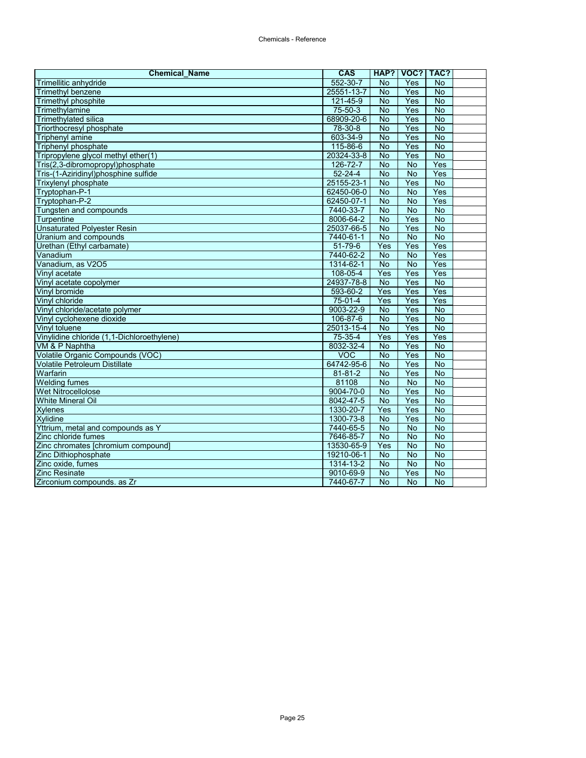| <b>Chemical Name</b>                       | <b>CAS</b>      |                | HAP?   VOC?   TAC? |                |  |
|--------------------------------------------|-----------------|----------------|--------------------|----------------|--|
| Trimellitic anhydride                      | 552-30-7        | <b>No</b>      | <b>Yes</b>         | <b>No</b>      |  |
| <b>Trimethyl benzene</b>                   | 25551-13-7      | $\overline{N}$ | Yes                | $\overline{N}$ |  |
| <b>Trimethyl phosphite</b>                 | $121 - 45 - 9$  | <b>No</b>      | Yes                | $\overline{N}$ |  |
| Trimethylamine                             | 75-50-3         | $\overline{N}$ | Yes                | $\overline{N}$ |  |
| Trimethylated silica                       | 68909-20-6      | $\overline{N}$ | Yes                | <b>No</b>      |  |
| Triorthocresyl phosphate                   | 78-30-8         | <b>No</b>      | Yes                | <b>No</b>      |  |
| <b>Triphenyl amine</b>                     | 603-34-9        | <b>No</b>      | Yes                | $\overline{N}$ |  |
| <b>Triphenyl phosphate</b>                 | 115-86-6        | $\overline{N}$ | Yes                | $\overline{N}$ |  |
| Tripropylene glycol methyl ether(1)        | 20324-33-8      | $\overline{N}$ | Yes                | $\overline{N}$ |  |
| Tris(2,3-dibromopropyl)phosphate           | 126-72-7        | <b>No</b>      | <b>No</b>          | Yes            |  |
| Tris-(1-Aziridinyl)phosphine sulfide       | $52 - 24 - 4$   | <b>No</b>      | $\overline{N}$     | Yes            |  |
| <b>Trixylenyl phosphate</b>                | 25155-23-1      | <b>No</b>      | Yes                | $\overline{N}$ |  |
| Tryptophan-P-1                             | 62450-06-0      | $\overline{N}$ | $\overline{N}$     | Yes            |  |
| Tryptophan-P-2                             | 62450-07-1      | <b>No</b>      | <b>No</b>          | Yes            |  |
| Tungsten and compounds                     | 7440-33-7       | No             | <b>No</b>          | $\overline{N}$ |  |
| Turpentine                                 | 8006-64-2       | <b>No</b>      | Yes                | <b>No</b>      |  |
| <b>Unsaturated Polyester Resin</b>         | 25037-66-5      | No             | Yes                | <b>No</b>      |  |
| Uranium and compounds                      | 7440-61-1       | $\overline{N}$ | $\overline{N}$     | <b>No</b>      |  |
| Urethan (Ethyl carbamate)                  | $51 - 79 - 6$   | Yes            | Yes                | Yes            |  |
| Vanadium                                   | 7440-62-2       | <b>No</b>      | <b>No</b>          | Yes            |  |
| Vanadium, as V2O5                          | 1314-62-1       | <b>No</b>      | <b>No</b>          | Yes            |  |
| Vinyl acetate                              | 108-05-4        | Yes            | Yes                | Yes            |  |
| Vinyl acetate copolymer                    | 24937-78-8      | <b>No</b>      | Yes                | <b>No</b>      |  |
| Vinyl bromide                              | 593-60-2        | Yes            | Yes                | Yes            |  |
| Vinyl chloride                             | $75-01-4$       | Yes            | Yes                | Yes            |  |
| Vinyl chloride/acetate polymer             | 9003-22-9       | $\overline{N}$ | Yes                | <b>No</b>      |  |
| Vinyl cyclohexene dioxide                  | 106-87-6        | <b>No</b>      | Yes                | $\overline{N}$ |  |
| Vinyl toluene                              | 25013-15-4      | <b>No</b>      | Yes                | $\overline{N}$ |  |
| Vinylidine chloride (1,1-Dichloroethylene) | 75-35-4         | Yes            | Yes                | Yes            |  |
| VM & P Naphtha                             | 8032-32-4       | <b>No</b>      | Yes                | $\overline{N}$ |  |
| Volatile Organic Compounds (VOC)           | <b>VOC</b>      | No             | Yes                | <b>No</b>      |  |
| Volatile Petroleum Distillate              | 64742-95-6      | $\overline{N}$ | Yes                | <b>No</b>      |  |
| Warfarin                                   | 81-81-2         | <b>No</b>      | Yes                | $\overline{N}$ |  |
| <b>Welding fumes</b>                       | 81108           | <b>No</b>      | <b>No</b>          | $\overline{N}$ |  |
| <b>Wet Nitrocellolose</b>                  | 9004-70-0       | $\overline{N}$ | Yes                | $\overline{N}$ |  |
| <b>White Mineral Oil</b>                   | 8042-47-5       | $\overline{N}$ | Yes                | $\overline{N}$ |  |
| <b>Xylenes</b>                             | $1330 - 20 - 7$ | Yes            | Yes                | No             |  |
| <b>Xylidine</b>                            | 1300-73-8       | <b>No</b>      | Yes                | $\overline{N}$ |  |
| Yttrium, metal and compounds as Y          | 7440-65-5       | <b>No</b>      | <b>No</b>          | $\overline{N}$ |  |
| Zinc chloride fumes                        | 7646-85-7       | <b>No</b>      | <b>No</b>          | $\overline{N}$ |  |
| Zinc chromates [chromium compound]         | 13530-65-9      | Yes            | <b>No</b>          | No             |  |
| Zinc Dithiophosphate                       | 19210-06-1      | <b>No</b>      | <b>No</b>          | $\overline{N}$ |  |
| Zinc oxide, fumes                          | 1314-13-2       | <b>No</b>      | <b>No</b>          | $\overline{N}$ |  |
| <b>Zinc Resinate</b>                       | 9010-69-9       | <b>No</b>      | Yes                | <b>No</b>      |  |
| Zirconium compounds. as Zr                 | 7440-67-7       | <b>No</b>      | <b>No</b>          | <b>No</b>      |  |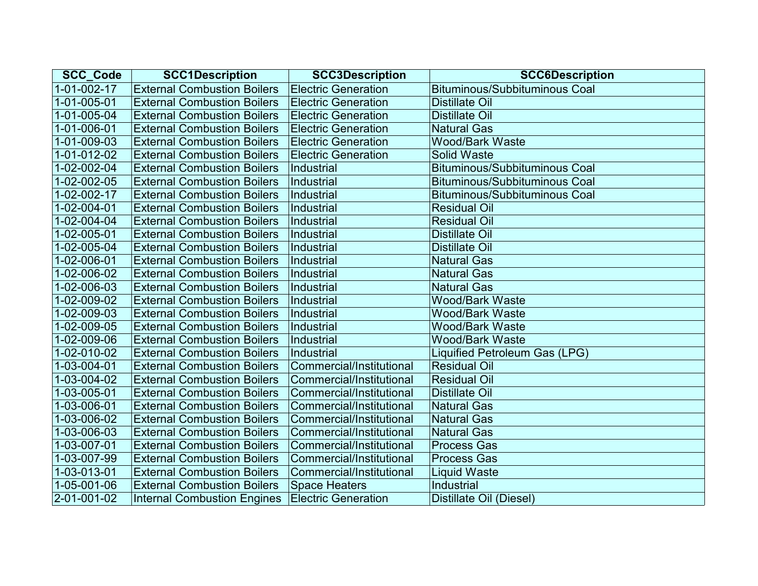| SCC_Code    | <b>SCC1Description</b>             | <b>SCC3Description</b>     | <b>SCC6Description</b>               |
|-------------|------------------------------------|----------------------------|--------------------------------------|
| 1-01-002-17 | <b>External Combustion Boilers</b> | <b>Electric Generation</b> | <b>Bituminous/Subbituminous Coal</b> |
| 1-01-005-01 | <b>External Combustion Boilers</b> | <b>Electric Generation</b> | <b>Distillate Oil</b>                |
| 1-01-005-04 | <b>External Combustion Boilers</b> | <b>Electric Generation</b> | <b>Distillate Oil</b>                |
| 1-01-006-01 | <b>External Combustion Boilers</b> | <b>Electric Generation</b> | <b>Natural Gas</b>                   |
| 1-01-009-03 | <b>External Combustion Boilers</b> | <b>Electric Generation</b> | <b>Wood/Bark Waste</b>               |
| 1-01-012-02 | <b>External Combustion Boilers</b> | <b>Electric Generation</b> | <b>Solid Waste</b>                   |
| 1-02-002-04 | <b>External Combustion Boilers</b> | <b>Industrial</b>          | <b>Bituminous/Subbituminous Coal</b> |
| 1-02-002-05 | <b>External Combustion Boilers</b> | Industrial                 | <b>Bituminous/Subbituminous Coal</b> |
| 1-02-002-17 | <b>External Combustion Boilers</b> | Industrial                 | <b>Bituminous/Subbituminous Coal</b> |
| 1-02-004-01 | <b>External Combustion Boilers</b> | Industrial                 | <b>Residual Oil</b>                  |
| 1-02-004-04 | <b>External Combustion Boilers</b> | Industrial                 | <b>Residual Oil</b>                  |
| 1-02-005-01 | <b>External Combustion Boilers</b> | Industrial                 | Distillate Oil                       |
| 1-02-005-04 | <b>External Combustion Boilers</b> | <b>Industrial</b>          | <b>Distillate Oil</b>                |
| 1-02-006-01 | <b>External Combustion Boilers</b> | Industrial                 | <b>Natural Gas</b>                   |
| 1-02-006-02 | <b>External Combustion Boilers</b> | Industrial                 | <b>Natural Gas</b>                   |
| 1-02-006-03 | <b>External Combustion Boilers</b> | Industrial                 | <b>Natural Gas</b>                   |
| 1-02-009-02 | <b>External Combustion Boilers</b> | Industrial                 | <b>Wood/Bark Waste</b>               |
| 1-02-009-03 | <b>External Combustion Boilers</b> | Industrial                 | <b>Wood/Bark Waste</b>               |
| 1-02-009-05 | <b>External Combustion Boilers</b> | Industrial                 | <b>Wood/Bark Waste</b>               |
| 1-02-009-06 | <b>External Combustion Boilers</b> | Industrial                 | <b>Wood/Bark Waste</b>               |
| 1-02-010-02 | <b>External Combustion Boilers</b> | <b>Industrial</b>          | Liquified Petroleum Gas (LPG)        |
| 1-03-004-01 | <b>External Combustion Boilers</b> | Commercial/Institutional   | <b>Residual Oil</b>                  |
| 1-03-004-02 | <b>External Combustion Boilers</b> | Commercial/Institutional   | <b>Residual Oil</b>                  |
| 1-03-005-01 | <b>External Combustion Boilers</b> | Commercial/Institutional   | <b>Distillate Oil</b>                |
| 1-03-006-01 | <b>External Combustion Boilers</b> | Commercial/Institutional   | <b>Natural Gas</b>                   |
| 1-03-006-02 | <b>External Combustion Boilers</b> | Commercial/Institutional   | <b>Natural Gas</b>                   |
| 1-03-006-03 | <b>External Combustion Boilers</b> | Commercial/Institutional   | <b>Natural Gas</b>                   |
| 1-03-007-01 | <b>External Combustion Boilers</b> | Commercial/Institutional   | <b>Process Gas</b>                   |
| 1-03-007-99 | <b>External Combustion Boilers</b> | Commercial/Institutional   | <b>Process Gas</b>                   |
| 1-03-013-01 | <b>External Combustion Boilers</b> | Commercial/Institutional   | <b>Liquid Waste</b>                  |
| 1-05-001-06 | <b>External Combustion Boilers</b> | <b>Space Heaters</b>       | Industrial                           |
| 2-01-001-02 | <b>Internal Combustion Engines</b> | <b>Electric Generation</b> | Distillate Oil (Diesel)              |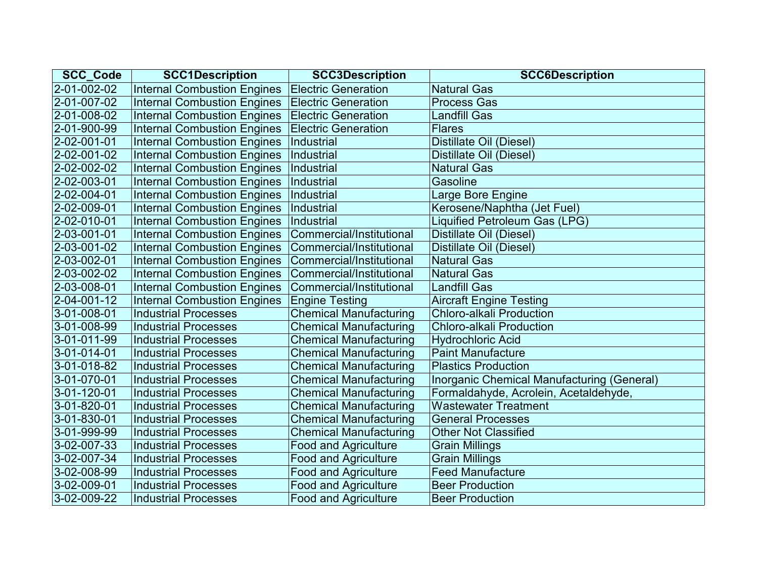| <b>SCC_Code</b> | <b>SCC1Description</b>             | <b>SCC3Description</b>        | <b>SCC6Description</b>                     |
|-----------------|------------------------------------|-------------------------------|--------------------------------------------|
| 2-01-002-02     | <b>Internal Combustion Engines</b> | <b>Electric Generation</b>    | <b>Natural Gas</b>                         |
| 2-01-007-02     | <b>Internal Combustion Engines</b> | <b>Electric Generation</b>    | <b>Process Gas</b>                         |
| 2-01-008-02     | <b>Internal Combustion Engines</b> | <b>Electric Generation</b>    | <b>Landfill Gas</b>                        |
| 2-01-900-99     | <b>Internal Combustion Engines</b> | <b>Electric Generation</b>    | <b>Flares</b>                              |
| 2-02-001-01     | <b>Internal Combustion Engines</b> | Industrial                    | Distillate Oil (Diesel)                    |
| 2-02-001-02     | <b>Internal Combustion Engines</b> | Industrial                    | Distillate Oil (Diesel)                    |
| 2-02-002-02     | <b>Internal Combustion Engines</b> | Industrial                    | <b>Natural Gas</b>                         |
| 2-02-003-01     | <b>Internal Combustion Engines</b> | Industrial                    | Gasoline                                   |
| 2-02-004-01     | <b>Internal Combustion Engines</b> | Industrial                    | Large Bore Engine                          |
| 2-02-009-01     | <b>Internal Combustion Engines</b> | Industrial                    | Kerosene/Naphtha (Jet Fuel)                |
| 2-02-010-01     | <b>Internal Combustion Engines</b> | <b>Industrial</b>             | Liquified Petroleum Gas (LPG)              |
| 2-03-001-01     | <b>Internal Combustion Engines</b> | Commercial/Institutional      | Distillate Oil (Diesel)                    |
| 2-03-001-02     | <b>Internal Combustion Engines</b> | Commercial/Institutional      | Distillate Oil (Diesel)                    |
| 2-03-002-01     | <b>Internal Combustion Engines</b> | Commercial/Institutional      | <b>Natural Gas</b>                         |
| 2-03-002-02     | <b>Internal Combustion Engines</b> | Commercial/Institutional      | <b>Natural Gas</b>                         |
| 2-03-008-01     | <b>Internal Combustion Engines</b> | Commercial/Institutional      | <b>Landfill Gas</b>                        |
| 2-04-001-12     | <b>Internal Combustion Engines</b> | <b>Engine Testing</b>         | <b>Aircraft Engine Testing</b>             |
| 3-01-008-01     | <b>Industrial Processes</b>        | <b>Chemical Manufacturing</b> | <b>Chloro-alkali Production</b>            |
| 3-01-008-99     | <b>Industrial Processes</b>        | <b>Chemical Manufacturing</b> | <b>Chloro-alkali Production</b>            |
| 3-01-011-99     | <b>Industrial Processes</b>        | <b>Chemical Manufacturing</b> | <b>Hydrochloric Acid</b>                   |
| 3-01-014-01     | <b>Industrial Processes</b>        | <b>Chemical Manufacturing</b> | <b>Paint Manufacture</b>                   |
| 3-01-018-82     | <b>Industrial Processes</b>        | <b>Chemical Manufacturing</b> | <b>Plastics Production</b>                 |
| 3-01-070-01     | <b>Industrial Processes</b>        | <b>Chemical Manufacturing</b> | Inorganic Chemical Manufacturing (General) |
| 3-01-120-01     | <b>Industrial Processes</b>        | <b>Chemical Manufacturing</b> | Formaldahyde, Acrolein, Acetaldehyde,      |
| 3-01-820-01     | <b>Industrial Processes</b>        | <b>Chemical Manufacturing</b> | <b>Wastewater Treatment</b>                |
| 3-01-830-01     | <b>Industrial Processes</b>        | <b>Chemical Manufacturing</b> | <b>General Processes</b>                   |
| 3-01-999-99     | <b>Industrial Processes</b>        | <b>Chemical Manufacturing</b> | <b>Other Not Classified</b>                |
| 3-02-007-33     | <b>Industrial Processes</b>        | <b>Food and Agriculture</b>   | <b>Grain Millings</b>                      |
| 3-02-007-34     | <b>Industrial Processes</b>        | <b>Food and Agriculture</b>   | <b>Grain Millings</b>                      |
| 3-02-008-99     | <b>Industrial Processes</b>        | <b>Food and Agriculture</b>   | <b>Feed Manufacture</b>                    |
| 3-02-009-01     | <b>Industrial Processes</b>        | <b>Food and Agriculture</b>   | <b>Beer Production</b>                     |
| 3-02-009-22     | <b>Industrial Processes</b>        | <b>Food and Agriculture</b>   | <b>Beer Production</b>                     |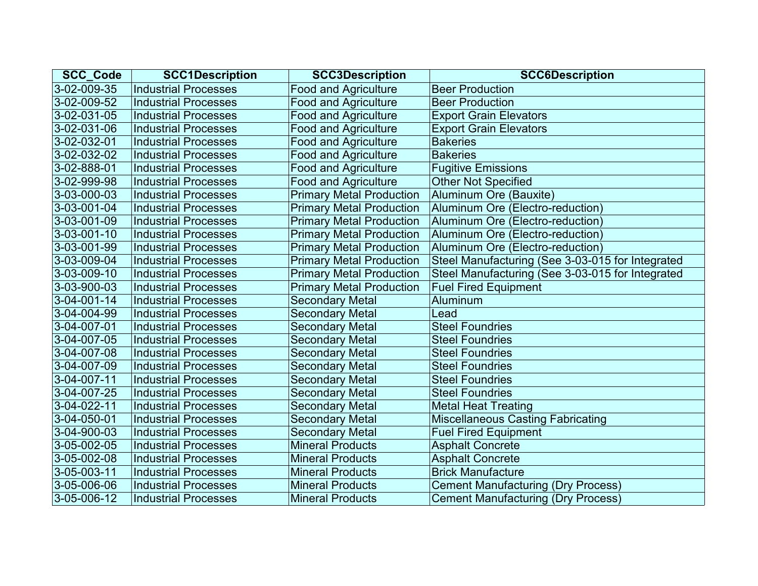| <b>SCC Code</b>     | <b>SCC1Description</b>      | <b>SCC3Description</b>          | <b>SCC6Description</b>                           |
|---------------------|-----------------------------|---------------------------------|--------------------------------------------------|
| 3-02-009-35         | <b>Industrial Processes</b> | <b>Food and Agriculture</b>     | <b>Beer Production</b>                           |
| 3-02-009-52         | <b>Industrial Processes</b> | <b>Food and Agriculture</b>     | <b>Beer Production</b>                           |
| 3-02-031-05         | <b>Industrial Processes</b> | <b>Food and Agriculture</b>     | <b>Export Grain Elevators</b>                    |
| 3-02-031-06         | <b>Industrial Processes</b> | <b>Food and Agriculture</b>     | <b>Export Grain Elevators</b>                    |
| 3-02-032-01         | <b>Industrial Processes</b> | <b>Food and Agriculture</b>     | <b>Bakeries</b>                                  |
| 3-02-032-02         | <b>Industrial Processes</b> | <b>Food and Agriculture</b>     | <b>Bakeries</b>                                  |
| 3-02-888-01         | <b>Industrial Processes</b> | <b>Food and Agriculture</b>     | <b>Fugitive Emissions</b>                        |
| 3-02-999-98         | <b>Industrial Processes</b> | <b>Food and Agriculture</b>     | <b>Other Not Specified</b>                       |
| 3-03-000-03         | <b>Industrial Processes</b> | <b>Primary Metal Production</b> | Aluminum Ore (Bauxite)                           |
| 3-03-001-04         | <b>Industrial Processes</b> | <b>Primary Metal Production</b> | Aluminum Ore (Electro-reduction)                 |
| 3-03-001-09         | <b>Industrial Processes</b> | <b>Primary Metal Production</b> | Aluminum Ore (Electro-reduction)                 |
| $3 - 03 - 001 - 10$ | <b>Industrial Processes</b> | <b>Primary Metal Production</b> | Aluminum Ore (Electro-reduction)                 |
| 3-03-001-99         | <b>Industrial Processes</b> | <b>Primary Metal Production</b> | Aluminum Ore (Electro-reduction)                 |
| 3-03-009-04         | <b>Industrial Processes</b> | <b>Primary Metal Production</b> | Steel Manufacturing (See 3-03-015 for Integrated |
| $3 - 03 - 009 - 10$ | <b>Industrial Processes</b> | <b>Primary Metal Production</b> | Steel Manufacturing (See 3-03-015 for Integrated |
| 3-03-900-03         | <b>Industrial Processes</b> | <b>Primary Metal Production</b> | <b>Fuel Fired Equipment</b>                      |
| $3 - 04 - 001 - 14$ | <b>Industrial Processes</b> | <b>Secondary Metal</b>          | Aluminum                                         |
| 3-04-004-99         | <b>Industrial Processes</b> | <b>Secondary Metal</b>          | Lead                                             |
| 3-04-007-01         | <b>Industrial Processes</b> | <b>Secondary Metal</b>          | <b>Steel Foundries</b>                           |
| 3-04-007-05         | <b>Industrial Processes</b> | <b>Secondary Metal</b>          | <b>Steel Foundries</b>                           |
| 3-04-007-08         | <b>Industrial Processes</b> | <b>Secondary Metal</b>          | <b>Steel Foundries</b>                           |
| 3-04-007-09         | <b>Industrial Processes</b> | <b>Secondary Metal</b>          | <b>Steel Foundries</b>                           |
| 3-04-007-11         | <b>Industrial Processes</b> | <b>Secondary Metal</b>          | <b>Steel Foundries</b>                           |
| 3-04-007-25         | <b>Industrial Processes</b> | <b>Secondary Metal</b>          | <b>Steel Foundries</b>                           |
| 3-04-022-11         | <b>Industrial Processes</b> | <b>Secondary Metal</b>          | <b>Metal Heat Treating</b>                       |
| 3-04-050-01         | <b>Industrial Processes</b> | <b>Secondary Metal</b>          | <b>Miscellaneous Casting Fabricating</b>         |
| 3-04-900-03         | <b>Industrial Processes</b> | <b>Secondary Metal</b>          | <b>Fuel Fired Equipment</b>                      |
| 3-05-002-05         | <b>Industrial Processes</b> | <b>Mineral Products</b>         | <b>Asphalt Concrete</b>                          |
| 3-05-002-08         | <b>Industrial Processes</b> | <b>Mineral Products</b>         | <b>Asphalt Concrete</b>                          |
| $3 - 05 - 003 - 11$ | <b>Industrial Processes</b> | <b>Mineral Products</b>         | <b>Brick Manufacture</b>                         |
| 3-05-006-06         | <b>Industrial Processes</b> | <b>Mineral Products</b>         | <b>Cement Manufacturing (Dry Process)</b>        |
| 3-05-006-12         | <b>Industrial Processes</b> | <b>Mineral Products</b>         | <b>Cement Manufacturing (Dry Process)</b>        |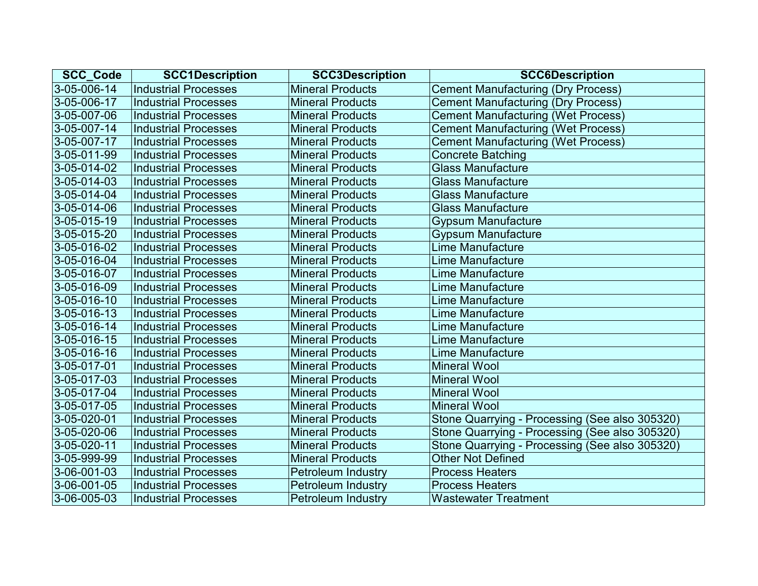| <b>SCC Code</b>     | <b>SCC1Description</b>      | <b>SCC3Description</b>    | <b>SCC6Description</b>                         |
|---------------------|-----------------------------|---------------------------|------------------------------------------------|
| 3-05-006-14         | <b>Industrial Processes</b> | <b>Mineral Products</b>   | <b>Cement Manufacturing (Dry Process)</b>      |
| 3-05-006-17         | <b>Industrial Processes</b> | <b>Mineral Products</b>   | <b>Cement Manufacturing (Dry Process)</b>      |
| 3-05-007-06         | <b>Industrial Processes</b> | <b>Mineral Products</b>   | <b>Cement Manufacturing (Wet Process)</b>      |
| 3-05-007-14         | <b>Industrial Processes</b> | <b>Mineral Products</b>   | <b>Cement Manufacturing (Wet Process)</b>      |
| 3-05-007-17         | <b>Industrial Processes</b> | <b>Mineral Products</b>   | <b>Cement Manufacturing (Wet Process)</b>      |
| 3-05-011-99         | <b>Industrial Processes</b> | <b>Mineral Products</b>   | <b>Concrete Batching</b>                       |
| 3-05-014-02         | <b>Industrial Processes</b> | <b>Mineral Products</b>   | <b>Glass Manufacture</b>                       |
| $3 - 05 - 014 - 03$ | <b>Industrial Processes</b> | <b>Mineral Products</b>   | <b>Glass Manufacture</b>                       |
| 3-05-014-04         | <b>Industrial Processes</b> | <b>Mineral Products</b>   | <b>Glass Manufacture</b>                       |
| 3-05-014-06         | <b>Industrial Processes</b> | <b>Mineral Products</b>   | <b>Glass Manufacture</b>                       |
| $3 - 05 - 015 - 19$ | <b>Industrial Processes</b> | <b>Mineral Products</b>   | <b>Gypsum Manufacture</b>                      |
| 3-05-015-20         | <b>Industrial Processes</b> | <b>Mineral Products</b>   | <b>Gypsum Manufacture</b>                      |
| 3-05-016-02         | <b>Industrial Processes</b> | <b>Mineral Products</b>   | Lime Manufacture                               |
| 3-05-016-04         | <b>Industrial Processes</b> | <b>Mineral Products</b>   | Lime Manufacture                               |
| 3-05-016-07         | <b>Industrial Processes</b> | <b>Mineral Products</b>   | Lime Manufacture                               |
| 3-05-016-09         | <b>Industrial Processes</b> | <b>Mineral Products</b>   | <b>Lime Manufacture</b>                        |
| $3 - 05 - 016 - 10$ | <b>Industrial Processes</b> | <b>Mineral Products</b>   | Lime Manufacture                               |
| 3-05-016-13         | <b>Industrial Processes</b> | <b>Mineral Products</b>   | Lime Manufacture                               |
| 3-05-016-14         | <b>Industrial Processes</b> | <b>Mineral Products</b>   | <b>Lime Manufacture</b>                        |
| 3-05-016-15         | <b>Industrial Processes</b> | <b>Mineral Products</b>   | Lime Manufacture                               |
| 3-05-016-16         | <b>Industrial Processes</b> | <b>Mineral Products</b>   | <b>Lime Manufacture</b>                        |
| 3-05-017-01         | <b>Industrial Processes</b> | <b>Mineral Products</b>   | <b>Mineral Wool</b>                            |
| 3-05-017-03         | <b>Industrial Processes</b> | <b>Mineral Products</b>   | <b>Mineral Wool</b>                            |
| 3-05-017-04         | <b>Industrial Processes</b> | <b>Mineral Products</b>   | <b>Mineral Wool</b>                            |
| 3-05-017-05         | <b>Industrial Processes</b> | <b>Mineral Products</b>   | <b>Mineral Wool</b>                            |
| 3-05-020-01         | <b>Industrial Processes</b> | <b>Mineral Products</b>   | Stone Quarrying - Processing (See also 305320) |
| 3-05-020-06         | <b>Industrial Processes</b> | <b>Mineral Products</b>   | Stone Quarrying - Processing (See also 305320) |
| 3-05-020-11         | <b>Industrial Processes</b> | <b>Mineral Products</b>   | Stone Quarrying - Processing (See also 305320) |
| 3-05-999-99         | <b>Industrial Processes</b> | <b>Mineral Products</b>   | <b>Other Not Defined</b>                       |
| 3-06-001-03         | <b>Industrial Processes</b> | Petroleum Industry        | <b>Process Heaters</b>                         |
| 3-06-001-05         | <b>Industrial Processes</b> | <b>Petroleum Industry</b> | <b>Process Heaters</b>                         |
| 3-06-005-03         | <b>Industrial Processes</b> | <b>Petroleum Industry</b> | <b>Wastewater Treatment</b>                    |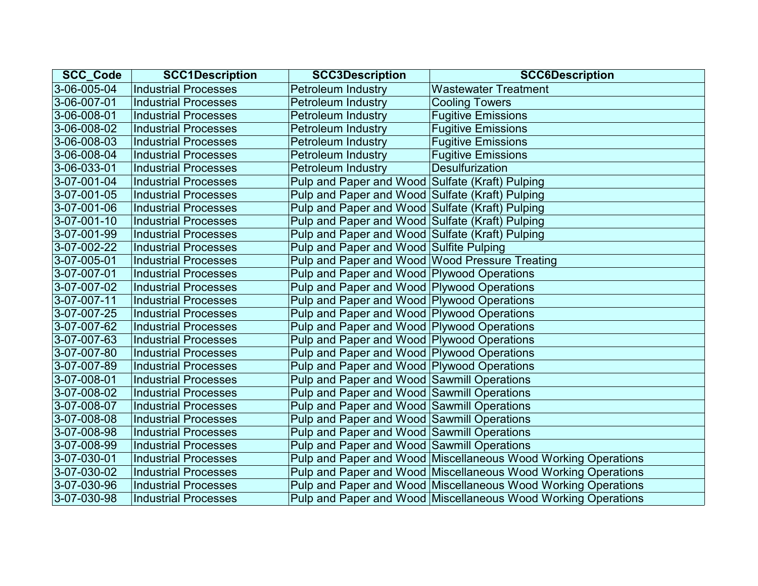| <b>SCC_Code</b>     | <b>SCC1Description</b>      | <b>SCC3Description</b>                          | <b>SCC6Description</b>                                        |
|---------------------|-----------------------------|-------------------------------------------------|---------------------------------------------------------------|
| 3-06-005-04         | <b>Industrial Processes</b> | <b>Petroleum Industry</b>                       | <b>Wastewater Treatment</b>                                   |
| 3-06-007-01         | <b>Industrial Processes</b> | <b>Petroleum Industry</b>                       | <b>Cooling Towers</b>                                         |
| 3-06-008-01         | <b>Industrial Processes</b> | <b>Petroleum Industry</b>                       | <b>Fugitive Emissions</b>                                     |
| 3-06-008-02         | <b>Industrial Processes</b> | <b>Petroleum Industry</b>                       | <b>Fugitive Emissions</b>                                     |
| 3-06-008-03         | <b>Industrial Processes</b> | <b>Petroleum Industry</b>                       | <b>Fugitive Emissions</b>                                     |
| 3-06-008-04         | <b>Industrial Processes</b> | <b>Petroleum Industry</b>                       | <b>Fugitive Emissions</b>                                     |
| $3 - 06 - 033 - 01$ | <b>Industrial Processes</b> | <b>Petroleum Industry</b>                       | <b>Desulfurization</b>                                        |
| 3-07-001-04         | <b>Industrial Processes</b> | Pulp and Paper and Wood Sulfate (Kraft) Pulping |                                                               |
| 3-07-001-05         | <b>Industrial Processes</b> | Pulp and Paper and Wood Sulfate (Kraft) Pulping |                                                               |
| 3-07-001-06         | <b>Industrial Processes</b> | Pulp and Paper and Wood Sulfate (Kraft) Pulping |                                                               |
| 3-07-001-10         | <b>Industrial Processes</b> | Pulp and Paper and Wood Sulfate (Kraft) Pulping |                                                               |
| 3-07-001-99         | <b>Industrial Processes</b> | Pulp and Paper and Wood Sulfate (Kraft) Pulping |                                                               |
| 3-07-002-22         | <b>Industrial Processes</b> | Pulp and Paper and Wood Sulfite Pulping         |                                                               |
| 3-07-005-01         | <b>Industrial Processes</b> | Pulp and Paper and Wood Wood Pressure Treating  |                                                               |
| 3-07-007-01         | <b>Industrial Processes</b> | Pulp and Paper and Wood Plywood Operations      |                                                               |
| 3-07-007-02         | <b>Industrial Processes</b> | Pulp and Paper and Wood Plywood Operations      |                                                               |
| $3 - 07 - 007 - 11$ | <b>Industrial Processes</b> | Pulp and Paper and Wood Plywood Operations      |                                                               |
| 3-07-007-25         | <b>Industrial Processes</b> | Pulp and Paper and Wood Plywood Operations      |                                                               |
| 3-07-007-62         | <b>Industrial Processes</b> | Pulp and Paper and Wood Plywood Operations      |                                                               |
| 3-07-007-63         | <b>Industrial Processes</b> | Pulp and Paper and Wood Plywood Operations      |                                                               |
| 3-07-007-80         | <b>Industrial Processes</b> | Pulp and Paper and Wood Plywood Operations      |                                                               |
| 3-07-007-89         | <b>Industrial Processes</b> | Pulp and Paper and Wood Plywood Operations      |                                                               |
| 3-07-008-01         | <b>Industrial Processes</b> | Pulp and Paper and Wood Sawmill Operations      |                                                               |
| 3-07-008-02         | <b>Industrial Processes</b> | Pulp and Paper and Wood Sawmill Operations      |                                                               |
| 3-07-008-07         | <b>Industrial Processes</b> | Pulp and Paper and Wood Sawmill Operations      |                                                               |
| 3-07-008-08         | <b>Industrial Processes</b> | Pulp and Paper and Wood Sawmill Operations      |                                                               |
| 3-07-008-98         | <b>Industrial Processes</b> | Pulp and Paper and Wood Sawmill Operations      |                                                               |
| 3-07-008-99         | <b>Industrial Processes</b> | Pulp and Paper and Wood Sawmill Operations      |                                                               |
| 3-07-030-01         | <b>Industrial Processes</b> |                                                 | Pulp and Paper and Wood Miscellaneous Wood Working Operations |
| 3-07-030-02         | <b>Industrial Processes</b> |                                                 | Pulp and Paper and Wood Miscellaneous Wood Working Operations |
| 3-07-030-96         | <b>Industrial Processes</b> |                                                 | Pulp and Paper and Wood Miscellaneous Wood Working Operations |
| 3-07-030-98         | <b>Industrial Processes</b> |                                                 | Pulp and Paper and Wood Miscellaneous Wood Working Operations |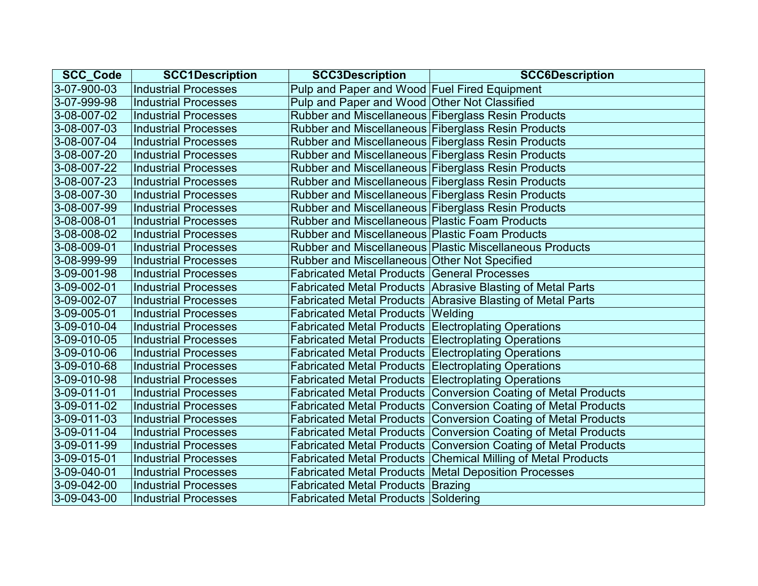| <b>SCC_Code</b> | <b>SCC1Description</b>      | <b>SCC3Description</b>                                | <b>SCC6Description</b>                                         |
|-----------------|-----------------------------|-------------------------------------------------------|----------------------------------------------------------------|
| 3-07-900-03     | <b>Industrial Processes</b> | Pulp and Paper and Wood Fuel Fired Equipment          |                                                                |
| 3-07-999-98     | <b>Industrial Processes</b> | Pulp and Paper and Wood Other Not Classified          |                                                                |
| 3-08-007-02     | <b>Industrial Processes</b> | Rubber and Miscellaneous Fiberglass Resin Products    |                                                                |
| 3-08-007-03     | <b>Industrial Processes</b> | Rubber and Miscellaneous Fiberglass Resin Products    |                                                                |
| 3-08-007-04     | <b>Industrial Processes</b> | Rubber and Miscellaneous Fiberglass Resin Products    |                                                                |
| 3-08-007-20     | <b>Industrial Processes</b> | Rubber and Miscellaneous Fiberglass Resin Products    |                                                                |
| 3-08-007-22     | <b>Industrial Processes</b> | Rubber and Miscellaneous Fiberglass Resin Products    |                                                                |
| 3-08-007-23     | <b>Industrial Processes</b> | Rubber and Miscellaneous Fiberglass Resin Products    |                                                                |
| 3-08-007-30     | <b>Industrial Processes</b> | Rubber and Miscellaneous Fiberglass Resin Products    |                                                                |
| 3-08-007-99     | <b>Industrial Processes</b> | Rubber and Miscellaneous Fiberglass Resin Products    |                                                                |
| 3-08-008-01     | <b>Industrial Processes</b> | <b>Rubber and Miscellaneous Plastic Foam Products</b> |                                                                |
| 3-08-008-02     | <b>Industrial Processes</b> | <b>Rubber and Miscellaneous Plastic Foam Products</b> |                                                                |
| 3-08-009-01     | <b>Industrial Processes</b> |                                                       | Rubber and Miscellaneous Plastic Miscellaneous Products        |
| 3-08-999-99     | <b>Industrial Processes</b> | Rubber and Miscellaneous Other Not Specified          |                                                                |
| 3-09-001-98     | <b>Industrial Processes</b> | <b>Fabricated Metal Products General Processes</b>    |                                                                |
| 3-09-002-01     | <b>Industrial Processes</b> |                                                       | Fabricated Metal Products Abrasive Blasting of Metal Parts     |
| 3-09-002-07     | <b>Industrial Processes</b> |                                                       | Fabricated Metal Products Abrasive Blasting of Metal Parts     |
| 3-09-005-01     | <b>Industrial Processes</b> | <b>Fabricated Metal Products Welding</b>              |                                                                |
| 3-09-010-04     | <b>Industrial Processes</b> | Fabricated Metal Products Electroplating Operations   |                                                                |
| 3-09-010-05     | <b>Industrial Processes</b> | Fabricated Metal Products Electroplating Operations   |                                                                |
| 3-09-010-06     | <b>Industrial Processes</b> | Fabricated Metal Products Electroplating Operations   |                                                                |
| 3-09-010-68     | <b>Industrial Processes</b> | Fabricated Metal Products Electroplating Operations   |                                                                |
| 3-09-010-98     | <b>Industrial Processes</b> | Fabricated Metal Products Electroplating Operations   |                                                                |
| 3-09-011-01     | <b>Industrial Processes</b> |                                                       | Fabricated Metal Products Conversion Coating of Metal Products |
| 3-09-011-02     | <b>Industrial Processes</b> |                                                       | Fabricated Metal Products Conversion Coating of Metal Products |
| 3-09-011-03     | <b>Industrial Processes</b> |                                                       | Fabricated Metal Products Conversion Coating of Metal Products |
| 3-09-011-04     | <b>Industrial Processes</b> |                                                       | Fabricated Metal Products Conversion Coating of Metal Products |
| 3-09-011-99     | <b>Industrial Processes</b> |                                                       | Fabricated Metal Products Conversion Coating of Metal Products |
| 3-09-015-01     | <b>Industrial Processes</b> |                                                       | Fabricated Metal Products Chemical Milling of Metal Products   |
| $3-09-040-01$   | <b>Industrial Processes</b> |                                                       | Fabricated Metal Products   Metal Deposition Processes         |
| 3-09-042-00     | <b>Industrial Processes</b> | Fabricated Metal Products Brazing                     |                                                                |
| 3-09-043-00     | <b>Industrial Processes</b> | <b>Fabricated Metal Products Soldering</b>            |                                                                |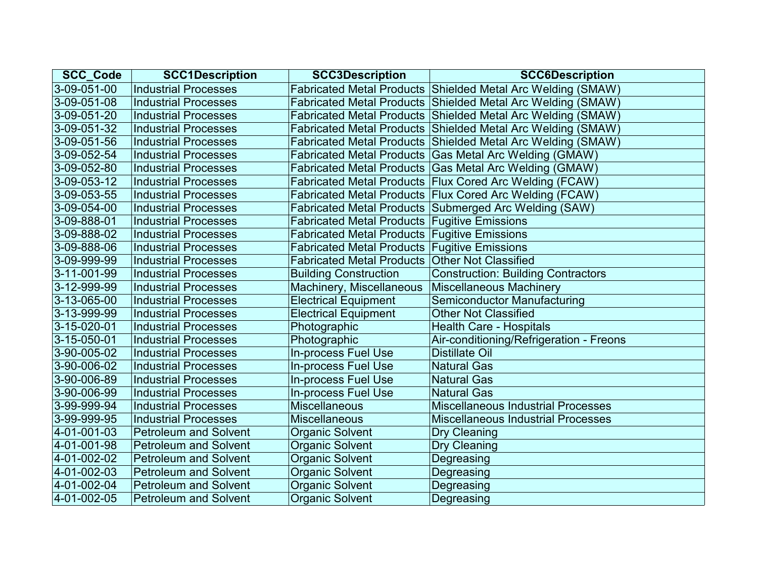| <b>SCC_Code</b>     | <b>SCC1Description</b>       | <b>SCC3Description</b>                              | <b>SCC6Description</b>                                      |
|---------------------|------------------------------|-----------------------------------------------------|-------------------------------------------------------------|
| 3-09-051-00         | <b>Industrial Processes</b>  |                                                     | Fabricated Metal Products Shielded Metal Arc Welding (SMAW) |
| 3-09-051-08         | <b>Industrial Processes</b>  |                                                     | Fabricated Metal Products Shielded Metal Arc Welding (SMAW) |
| 3-09-051-20         | <b>Industrial Processes</b>  |                                                     | Fabricated Metal Products Shielded Metal Arc Welding (SMAW) |
| 3-09-051-32         | <b>Industrial Processes</b>  |                                                     | Fabricated Metal Products Shielded Metal Arc Welding (SMAW) |
| 3-09-051-56         | <b>Industrial Processes</b>  |                                                     | Fabricated Metal Products Shielded Metal Arc Welding (SMAW) |
| 3-09-052-54         | <b>Industrial Processes</b>  |                                                     | Fabricated Metal Products Gas Metal Arc Welding (GMAW)      |
| 3-09-052-80         | <b>Industrial Processes</b>  |                                                     | Fabricated Metal Products Gas Metal Arc Welding (GMAW)      |
| $3 - 09 - 053 - 12$ | <b>Industrial Processes</b>  |                                                     | Fabricated Metal Products Flux Cored Arc Welding (FCAW)     |
| 3-09-053-55         | <b>Industrial Processes</b>  |                                                     | Fabricated Metal Products Flux Cored Arc Welding (FCAW)     |
| 3-09-054-00         | <b>Industrial Processes</b>  |                                                     | Fabricated Metal Products Submerged Arc Welding (SAW)       |
| 3-09-888-01         | <b>Industrial Processes</b>  | Fabricated Metal Products   Fugitive Emissions      |                                                             |
| 3-09-888-02         | <b>Industrial Processes</b>  | <b>Fabricated Metal Products Fugitive Emissions</b> |                                                             |
| 3-09-888-06         | <b>Industrial Processes</b>  | Fabricated Metal Products Fugitive Emissions        |                                                             |
| 3-09-999-99         | <b>Industrial Processes</b>  | Fabricated Metal Products Other Not Classified      |                                                             |
| 3-11-001-99         | <b>Industrial Processes</b>  | <b>Building Construction</b>                        | <b>Construction: Building Contractors</b>                   |
| 3-12-999-99         | <b>Industrial Processes</b>  | Machinery, Miscellaneous                            | <b>Miscellaneous Machinery</b>                              |
| 3-13-065-00         | <b>Industrial Processes</b>  | <b>Electrical Equipment</b>                         | <b>Semiconductor Manufacturing</b>                          |
| 3-13-999-99         | <b>Industrial Processes</b>  | <b>Electrical Equipment</b>                         | <b>Other Not Classified</b>                                 |
| 3-15-020-01         | <b>Industrial Processes</b>  | Photographic                                        | <b>Health Care - Hospitals</b>                              |
| $3 - 15 - 050 - 01$ | <b>Industrial Processes</b>  | Photographic                                        | Air-conditioning/Refrigeration - Freons                     |
| 3-90-005-02         | <b>Industrial Processes</b>  | In-process Fuel Use                                 | <b>Distillate Oil</b>                                       |
| 3-90-006-02         | <b>Industrial Processes</b>  | In-process Fuel Use                                 | <b>Natural Gas</b>                                          |
| 3-90-006-89         | <b>Industrial Processes</b>  | In-process Fuel Use                                 | <b>Natural Gas</b>                                          |
| 3-90-006-99         | <b>Industrial Processes</b>  | <b>In-process Fuel Use</b>                          | <b>Natural Gas</b>                                          |
| 3-99-999-94         | <b>Industrial Processes</b>  | <b>Miscellaneous</b>                                | <b>Miscellaneous Industrial Processes</b>                   |
| 3-99-999-95         | <b>Industrial Processes</b>  | <b>Miscellaneous</b>                                | <b>Miscellaneous Industrial Processes</b>                   |
| 4-01-001-03         | <b>Petroleum and Solvent</b> | <b>Organic Solvent</b>                              | <b>Dry Cleaning</b>                                         |
| 4-01-001-98         | <b>Petroleum and Solvent</b> | <b>Organic Solvent</b>                              | Dry Cleaning                                                |
| 4-01-002-02         | <b>Petroleum and Solvent</b> | <b>Organic Solvent</b>                              | Degreasing                                                  |
| 4-01-002-03         | <b>Petroleum and Solvent</b> | <b>Organic Solvent</b>                              | Degreasing                                                  |
| 4-01-002-04         | <b>Petroleum and Solvent</b> | <b>Organic Solvent</b>                              | Degreasing                                                  |
| 4-01-002-05         | <b>Petroleum and Solvent</b> | <b>Organic Solvent</b>                              | Degreasing                                                  |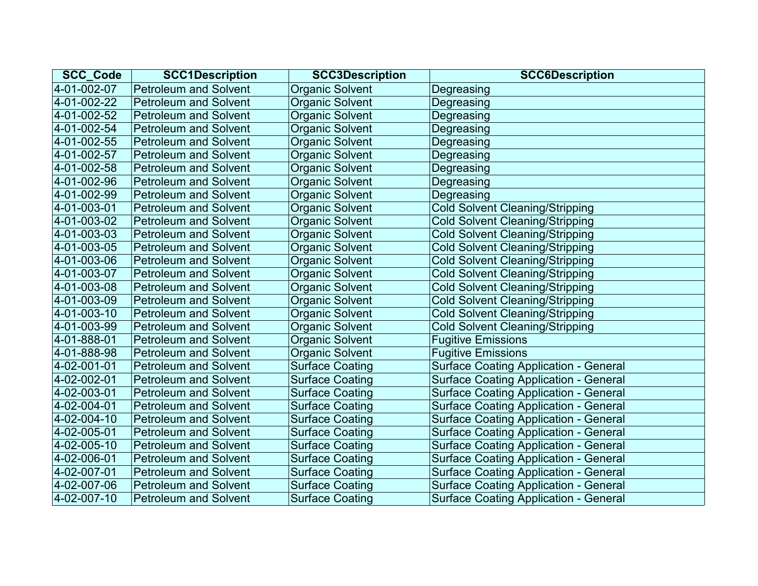| <b>SCC_Code</b> | <b>SCC1Description</b>       | <b>SCC3Description</b> | <b>SCC6Description</b>                       |
|-----------------|------------------------------|------------------------|----------------------------------------------|
| 4-01-002-07     | <b>Petroleum and Solvent</b> | <b>Organic Solvent</b> | Degreasing                                   |
| 4-01-002-22     | <b>Petroleum and Solvent</b> | <b>Organic Solvent</b> | Degreasing                                   |
| 4-01-002-52     | <b>Petroleum and Solvent</b> | <b>Organic Solvent</b> | Degreasing                                   |
| 4-01-002-54     | <b>Petroleum and Solvent</b> | <b>Organic Solvent</b> | Degreasing                                   |
| 4-01-002-55     | <b>Petroleum and Solvent</b> | <b>Organic Solvent</b> | Degreasing                                   |
| 4-01-002-57     | <b>Petroleum and Solvent</b> | Organic Solvent        | Degreasing                                   |
| 4-01-002-58     | <b>Petroleum and Solvent</b> | <b>Organic Solvent</b> | Degreasing                                   |
| 4-01-002-96     | <b>Petroleum and Solvent</b> | <b>Organic Solvent</b> | Degreasing                                   |
| 4-01-002-99     | <b>Petroleum and Solvent</b> | <b>Organic Solvent</b> | Degreasing                                   |
| 4-01-003-01     | <b>Petroleum and Solvent</b> | Organic Solvent        | <b>Cold Solvent Cleaning/Stripping</b>       |
| 4-01-003-02     | <b>Petroleum and Solvent</b> | <b>Organic Solvent</b> | <b>Cold Solvent Cleaning/Stripping</b>       |
| 4-01-003-03     | <b>Petroleum and Solvent</b> | <b>Organic Solvent</b> | <b>Cold Solvent Cleaning/Stripping</b>       |
| 4-01-003-05     | <b>Petroleum and Solvent</b> | <b>Organic Solvent</b> | <b>Cold Solvent Cleaning/Stripping</b>       |
| 4-01-003-06     | <b>Petroleum and Solvent</b> | <b>Organic Solvent</b> | <b>Cold Solvent Cleaning/Stripping</b>       |
| 4-01-003-07     | <b>Petroleum and Solvent</b> | <b>Organic Solvent</b> | <b>Cold Solvent Cleaning/Stripping</b>       |
| 4-01-003-08     | <b>Petroleum and Solvent</b> | <b>Organic Solvent</b> | <b>Cold Solvent Cleaning/Stripping</b>       |
| 4-01-003-09     | <b>Petroleum and Solvent</b> | <b>Organic Solvent</b> | <b>Cold Solvent Cleaning/Stripping</b>       |
| 4-01-003-10     | <b>Petroleum and Solvent</b> | <b>Organic Solvent</b> | <b>Cold Solvent Cleaning/Stripping</b>       |
| 4-01-003-99     | <b>Petroleum and Solvent</b> | <b>Organic Solvent</b> | <b>Cold Solvent Cleaning/Stripping</b>       |
| 4-01-888-01     | <b>Petroleum and Solvent</b> | <b>Organic Solvent</b> | <b>Fugitive Emissions</b>                    |
| 4-01-888-98     | <b>Petroleum and Solvent</b> | <b>Organic Solvent</b> | <b>Fugitive Emissions</b>                    |
| 4-02-001-01     | <b>Petroleum and Solvent</b> | <b>Surface Coating</b> | <b>Surface Coating Application - General</b> |
| 4-02-002-01     | <b>Petroleum and Solvent</b> | <b>Surface Coating</b> | <b>Surface Coating Application - General</b> |
| 4-02-003-01     | <b>Petroleum and Solvent</b> | <b>Surface Coating</b> | <b>Surface Coating Application - General</b> |
| 4-02-004-01     | <b>Petroleum and Solvent</b> | <b>Surface Coating</b> | <b>Surface Coating Application - General</b> |
| 4-02-004-10     | <b>Petroleum and Solvent</b> | <b>Surface Coating</b> | <b>Surface Coating Application - General</b> |
| 4-02-005-01     | <b>Petroleum and Solvent</b> | <b>Surface Coating</b> | <b>Surface Coating Application - General</b> |
| 4-02-005-10     | <b>Petroleum and Solvent</b> | <b>Surface Coating</b> | <b>Surface Coating Application - General</b> |
| 4-02-006-01     | <b>Petroleum and Solvent</b> | <b>Surface Coating</b> | <b>Surface Coating Application - General</b> |
| 4-02-007-01     | <b>Petroleum and Solvent</b> | <b>Surface Coating</b> | <b>Surface Coating Application - General</b> |
| 4-02-007-06     | <b>Petroleum and Solvent</b> | <b>Surface Coating</b> | <b>Surface Coating Application - General</b> |
| 4-02-007-10     | <b>Petroleum and Solvent</b> | <b>Surface Coating</b> | <b>Surface Coating Application - General</b> |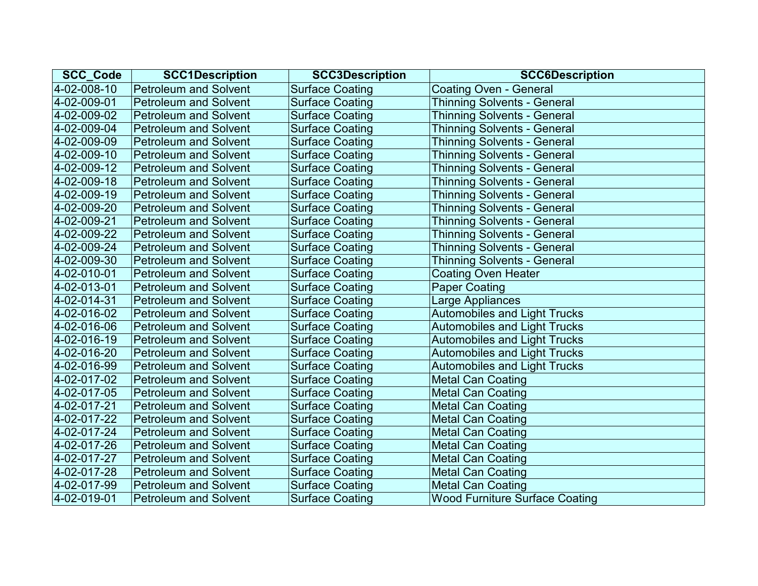| <b>SCC Code</b>       | <b>SCC1Description</b>       | <b>SCC3Description</b> | <b>SCC6Description</b>                |
|-----------------------|------------------------------|------------------------|---------------------------------------|
| 4-02-008-10           | <b>Petroleum and Solvent</b> | <b>Surface Coating</b> | <b>Coating Oven - General</b>         |
| 4-02-009-01           | <b>Petroleum and Solvent</b> | <b>Surface Coating</b> | <b>Thinning Solvents - General</b>    |
| 4-02-009-02           | <b>Petroleum and Solvent</b> | <b>Surface Coating</b> | <b>Thinning Solvents - General</b>    |
| 4-02-009-04           | <b>Petroleum and Solvent</b> | <b>Surface Coating</b> | <b>Thinning Solvents - General</b>    |
| 4-02-009-09           | <b>Petroleum and Solvent</b> | <b>Surface Coating</b> | <b>Thinning Solvents - General</b>    |
| 4-02-009-10           | <b>Petroleum and Solvent</b> | <b>Surface Coating</b> | <b>Thinning Solvents - General</b>    |
| 4-02-009-12           | <b>Petroleum and Solvent</b> | <b>Surface Coating</b> | <b>Thinning Solvents - General</b>    |
| $ 4 - 02 - 009 - 18 $ | <b>Petroleum and Solvent</b> | <b>Surface Coating</b> | <b>Thinning Solvents - General</b>    |
| 4-02-009-19           | <b>Petroleum and Solvent</b> | <b>Surface Coating</b> | <b>Thinning Solvents - General</b>    |
| 4-02-009-20           | <b>Petroleum and Solvent</b> | <b>Surface Coating</b> | <b>Thinning Solvents - General</b>    |
| 4-02-009-21           | <b>Petroleum and Solvent</b> | <b>Surface Coating</b> | <b>Thinning Solvents - General</b>    |
| 4-02-009-22           | <b>Petroleum and Solvent</b> | <b>Surface Coating</b> | <b>Thinning Solvents - General</b>    |
| 4-02-009-24           | <b>Petroleum and Solvent</b> | <b>Surface Coating</b> | <b>Thinning Solvents - General</b>    |
| 4-02-009-30           | <b>Petroleum and Solvent</b> | <b>Surface Coating</b> | <b>Thinning Solvents - General</b>    |
| 4-02-010-01           | <b>Petroleum and Solvent</b> | <b>Surface Coating</b> | <b>Coating Oven Heater</b>            |
| 4-02-013-01           | <b>Petroleum and Solvent</b> | <b>Surface Coating</b> | <b>Paper Coating</b>                  |
| 4-02-014-31           | <b>Petroleum and Solvent</b> | <b>Surface Coating</b> | Large Appliances                      |
| 4-02-016-02           | <b>Petroleum and Solvent</b> | <b>Surface Coating</b> | <b>Automobiles and Light Trucks</b>   |
| 4-02-016-06           | <b>Petroleum and Solvent</b> | <b>Surface Coating</b> | <b>Automobiles and Light Trucks</b>   |
| 4-02-016-19           | <b>Petroleum and Solvent</b> | <b>Surface Coating</b> | <b>Automobiles and Light Trucks</b>   |
| 4-02-016-20           | <b>Petroleum and Solvent</b> | <b>Surface Coating</b> | <b>Automobiles and Light Trucks</b>   |
| 4-02-016-99           | <b>Petroleum and Solvent</b> | <b>Surface Coating</b> | <b>Automobiles and Light Trucks</b>   |
| 4-02-017-02           | <b>Petroleum and Solvent</b> | <b>Surface Coating</b> | <b>Metal Can Coating</b>              |
| 4-02-017-05           | <b>Petroleum and Solvent</b> | <b>Surface Coating</b> | <b>Metal Can Coating</b>              |
| 4-02-017-21           | <b>Petroleum and Solvent</b> | <b>Surface Coating</b> | <b>Metal Can Coating</b>              |
| 4-02-017-22           | <b>Petroleum and Solvent</b> | <b>Surface Coating</b> | <b>Metal Can Coating</b>              |
| 4-02-017-24           | <b>Petroleum and Solvent</b> | <b>Surface Coating</b> | <b>Metal Can Coating</b>              |
| 4-02-017-26           | <b>Petroleum and Solvent</b> | <b>Surface Coating</b> | <b>Metal Can Coating</b>              |
| 4-02-017-27           | <b>Petroleum and Solvent</b> | <b>Surface Coating</b> | <b>Metal Can Coating</b>              |
| 4-02-017-28           | <b>Petroleum and Solvent</b> | <b>Surface Coating</b> | <b>Metal Can Coating</b>              |
| 4-02-017-99           | <b>Petroleum and Solvent</b> | <b>Surface Coating</b> | <b>Metal Can Coating</b>              |
| 4-02-019-01           | <b>Petroleum and Solvent</b> | <b>Surface Coating</b> | <b>Wood Furniture Surface Coating</b> |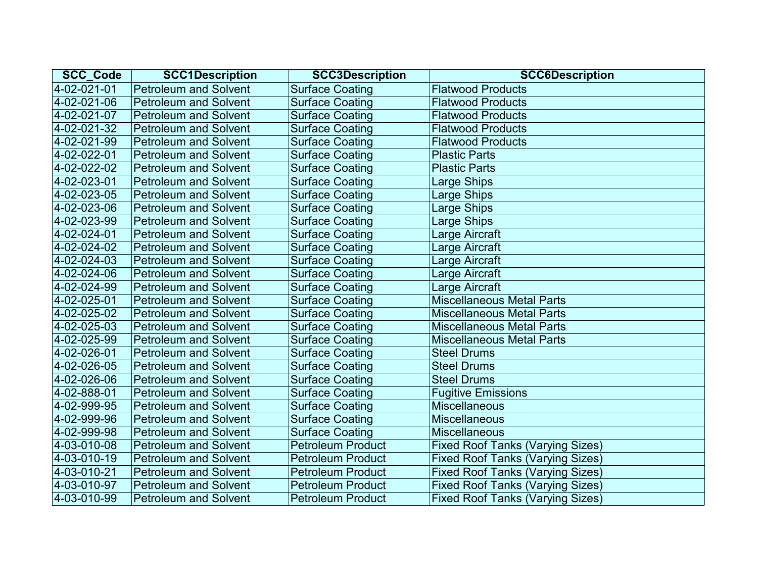| <b>SCC Code</b> | <b>SCC1Description</b>       | <b>SCC3Description</b>   | <b>SCC6Description</b>                  |
|-----------------|------------------------------|--------------------------|-----------------------------------------|
| 4-02-021-01     | <b>Petroleum and Solvent</b> | <b>Surface Coating</b>   | <b>Flatwood Products</b>                |
| 4-02-021-06     | <b>Petroleum and Solvent</b> | <b>Surface Coating</b>   | <b>Flatwood Products</b>                |
| 4-02-021-07     | <b>Petroleum and Solvent</b> | <b>Surface Coating</b>   | <b>Flatwood Products</b>                |
| 4-02-021-32     | <b>Petroleum and Solvent</b> | <b>Surface Coating</b>   | <b>Flatwood Products</b>                |
| 4-02-021-99     | <b>Petroleum and Solvent</b> | <b>Surface Coating</b>   | <b>Flatwood Products</b>                |
| 4-02-022-01     | <b>Petroleum and Solvent</b> | <b>Surface Coating</b>   | <b>Plastic Parts</b>                    |
| 4-02-022-02     | <b>Petroleum and Solvent</b> | <b>Surface Coating</b>   | <b>Plastic Parts</b>                    |
| 4-02-023-01     | <b>Petroleum and Solvent</b> | <b>Surface Coating</b>   | Large Ships                             |
| 4-02-023-05     | <b>Petroleum and Solvent</b> | <b>Surface Coating</b>   | <b>Large Ships</b>                      |
| 4-02-023-06     | <b>Petroleum and Solvent</b> | <b>Surface Coating</b>   | Large Ships                             |
| 4-02-023-99     | <b>Petroleum and Solvent</b> | <b>Surface Coating</b>   | Large Ships                             |
| 4-02-024-01     | <b>Petroleum and Solvent</b> | <b>Surface Coating</b>   | Large Aircraft                          |
| 4-02-024-02     | <b>Petroleum and Solvent</b> | <b>Surface Coating</b>   | Large Aircraft                          |
| 4-02-024-03     | <b>Petroleum and Solvent</b> | <b>Surface Coating</b>   | Large Aircraft                          |
| 4-02-024-06     | <b>Petroleum and Solvent</b> | <b>Surface Coating</b>   | Large Aircraft                          |
| 4-02-024-99     | <b>Petroleum and Solvent</b> | <b>Surface Coating</b>   | Large Aircraft                          |
| 4-02-025-01     | <b>Petroleum and Solvent</b> | <b>Surface Coating</b>   | <b>Miscellaneous Metal Parts</b>        |
| 4-02-025-02     | <b>Petroleum and Solvent</b> | <b>Surface Coating</b>   | <b>Miscellaneous Metal Parts</b>        |
| 4-02-025-03     | <b>Petroleum and Solvent</b> | <b>Surface Coating</b>   | <b>Miscellaneous Metal Parts</b>        |
| 4-02-025-99     | <b>Petroleum and Solvent</b> | <b>Surface Coating</b>   | <b>Miscellaneous Metal Parts</b>        |
| 4-02-026-01     | <b>Petroleum and Solvent</b> | <b>Surface Coating</b>   | <b>Steel Drums</b>                      |
| 4-02-026-05     | <b>Petroleum and Solvent</b> | <b>Surface Coating</b>   | <b>Steel Drums</b>                      |
| 4-02-026-06     | <b>Petroleum and Solvent</b> | <b>Surface Coating</b>   | <b>Steel Drums</b>                      |
| 4-02-888-01     | <b>Petroleum and Solvent</b> | <b>Surface Coating</b>   | <b>Fugitive Emissions</b>               |
| 4-02-999-95     | <b>Petroleum and Solvent</b> | <b>Surface Coating</b>   | <b>Miscellaneous</b>                    |
| 4-02-999-96     | <b>Petroleum and Solvent</b> | <b>Surface Coating</b>   | <b>Miscellaneous</b>                    |
| 4-02-999-98     | <b>Petroleum and Solvent</b> | <b>Surface Coating</b>   | <b>Miscellaneous</b>                    |
| 4-03-010-08     | <b>Petroleum and Solvent</b> | <b>Petroleum Product</b> | <b>Fixed Roof Tanks (Varying Sizes)</b> |
| 4-03-010-19     | <b>Petroleum and Solvent</b> | <b>Petroleum Product</b> | <b>Fixed Roof Tanks (Varying Sizes)</b> |
| 4-03-010-21     | <b>Petroleum and Solvent</b> | <b>Petroleum Product</b> | <b>Fixed Roof Tanks (Varying Sizes)</b> |
| 4-03-010-97     | <b>Petroleum and Solvent</b> | <b>Petroleum Product</b> | <b>Fixed Roof Tanks (Varying Sizes)</b> |
| 4-03-010-99     | <b>Petroleum and Solvent</b> | <b>Petroleum Product</b> | <b>Fixed Roof Tanks (Varying Sizes)</b> |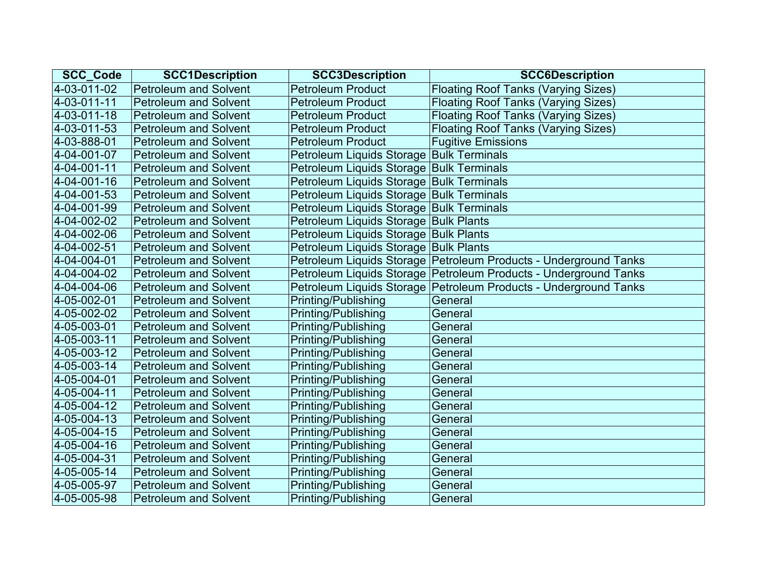| <b>SCC Code</b> | <b>SCC1Description</b>       | <b>SCC3Description</b>                   | <b>SCC6Description</b>                                           |
|-----------------|------------------------------|------------------------------------------|------------------------------------------------------------------|
| 4-03-011-02     | <b>Petroleum and Solvent</b> | <b>Petroleum Product</b>                 | <b>Floating Roof Tanks (Varying Sizes)</b>                       |
| 4-03-011-11     | <b>Petroleum and Solvent</b> | <b>Petroleum Product</b>                 | <b>Floating Roof Tanks (Varying Sizes)</b>                       |
| 4-03-011-18     | <b>Petroleum and Solvent</b> | <b>Petroleum Product</b>                 | <b>Floating Roof Tanks (Varying Sizes)</b>                       |
| 4-03-011-53     | <b>Petroleum and Solvent</b> | <b>Petroleum Product</b>                 | <b>Floating Roof Tanks (Varying Sizes)</b>                       |
| 4-03-888-01     | <b>Petroleum and Solvent</b> | <b>Petroleum Product</b>                 | <b>Fugitive Emissions</b>                                        |
| 4-04-001-07     | <b>Petroleum and Solvent</b> | Petroleum Liquids Storage Bulk Terminals |                                                                  |
| 4-04-001-11     | <b>Petroleum and Solvent</b> | Petroleum Liquids Storage Bulk Terminals |                                                                  |
| 4-04-001-16     | <b>Petroleum and Solvent</b> | Petroleum Liquids Storage Bulk Terminals |                                                                  |
| 4-04-001-53     | <b>Petroleum and Solvent</b> | Petroleum Liquids Storage Bulk Terminals |                                                                  |
| 4-04-001-99     | <b>Petroleum and Solvent</b> | Petroleum Liquids Storage Bulk Terminals |                                                                  |
| 4-04-002-02     | <b>Petroleum and Solvent</b> | Petroleum Liquids Storage Bulk Plants    |                                                                  |
| 4-04-002-06     | <b>Petroleum and Solvent</b> | Petroleum Liquids Storage Bulk Plants    |                                                                  |
| 4-04-002-51     | <b>Petroleum and Solvent</b> | Petroleum Liquids Storage Bulk Plants    |                                                                  |
| 4-04-004-01     | <b>Petroleum and Solvent</b> |                                          | Petroleum Liquids Storage Petroleum Products - Underground Tanks |
| 4-04-004-02     | <b>Petroleum and Solvent</b> |                                          | Petroleum Liquids Storage Petroleum Products - Underground Tanks |
| 4-04-004-06     | <b>Petroleum and Solvent</b> |                                          | Petroleum Liquids Storage Petroleum Products - Underground Tanks |
| 4-05-002-01     | <b>Petroleum and Solvent</b> | Printing/Publishing                      | General                                                          |
| 4-05-002-02     | <b>Petroleum and Solvent</b> | Printing/Publishing                      | General                                                          |
| 4-05-003-01     | <b>Petroleum and Solvent</b> | Printing/Publishing                      | General                                                          |
| 4-05-003-11     | <b>Petroleum and Solvent</b> | Printing/Publishing                      | General                                                          |
| 4-05-003-12     | <b>Petroleum and Solvent</b> | <b>Printing/Publishing</b>               | General                                                          |
| 4-05-003-14     | <b>Petroleum and Solvent</b> | Printing/Publishing                      | General                                                          |
| 4-05-004-01     | <b>Petroleum and Solvent</b> | <b>Printing/Publishing</b>               | General                                                          |
| 4-05-004-11     | <b>Petroleum and Solvent</b> | Printing/Publishing                      | General                                                          |
| 4-05-004-12     | <b>Petroleum and Solvent</b> | Printing/Publishing                      | General                                                          |
| 4-05-004-13     | <b>Petroleum and Solvent</b> | Printing/Publishing                      | General                                                          |
| 4-05-004-15     | <b>Petroleum and Solvent</b> | Printing/Publishing                      | General                                                          |
| 4-05-004-16     | <b>Petroleum and Solvent</b> | Printing/Publishing                      | General                                                          |
| 4-05-004-31     | <b>Petroleum and Solvent</b> | Printing/Publishing                      | General                                                          |
| 4-05-005-14     | <b>Petroleum and Solvent</b> | <b>Printing/Publishing</b>               | General                                                          |
| 4-05-005-97     | <b>Petroleum and Solvent</b> | Printing/Publishing                      | General                                                          |
| 4-05-005-98     | <b>Petroleum and Solvent</b> | <b>Printing/Publishing</b>               | General                                                          |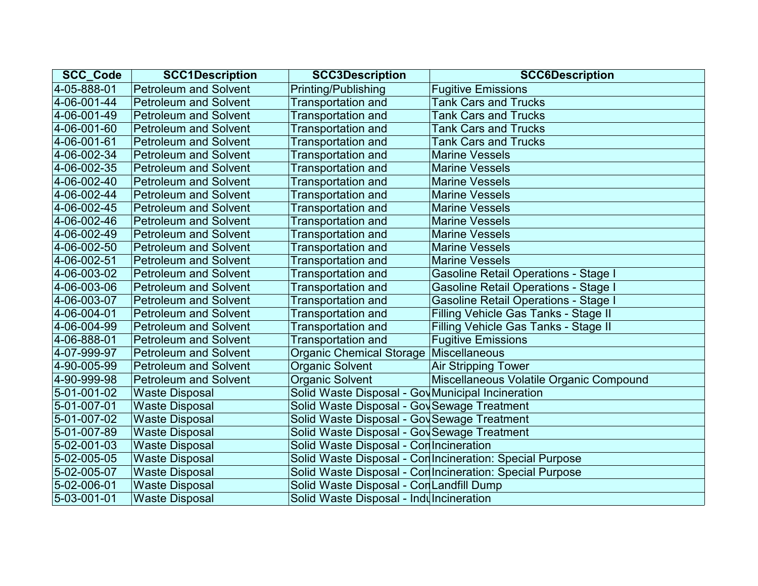| <b>SCC Code</b> | <b>SCC1Description</b>       | <b>SCC3Description</b>                            | <b>SCC6Description</b>                                   |
|-----------------|------------------------------|---------------------------------------------------|----------------------------------------------------------|
| 4-05-888-01     | <b>Petroleum and Solvent</b> | Printing/Publishing                               | <b>Fugitive Emissions</b>                                |
| 4-06-001-44     | <b>Petroleum and Solvent</b> | <b>Transportation and</b>                         | <b>Tank Cars and Trucks</b>                              |
| 4-06-001-49     | <b>Petroleum and Solvent</b> | <b>Transportation and</b>                         | <b>Tank Cars and Trucks</b>                              |
| 4-06-001-60     | <b>Petroleum and Solvent</b> | <b>Transportation and</b>                         | <b>Tank Cars and Trucks</b>                              |
| 4-06-001-61     | <b>Petroleum and Solvent</b> | <b>Transportation and</b>                         | <b>Tank Cars and Trucks</b>                              |
| 4-06-002-34     | <b>Petroleum and Solvent</b> | <b>Transportation and</b>                         | <b>Marine Vessels</b>                                    |
| 4-06-002-35     | <b>Petroleum and Solvent</b> | <b>Transportation and</b>                         | <b>Marine Vessels</b>                                    |
| 4-06-002-40     | <b>Petroleum and Solvent</b> | <b>Transportation and</b>                         | <b>Marine Vessels</b>                                    |
| 4-06-002-44     | <b>Petroleum and Solvent</b> | <b>Transportation and</b>                         | <b>Marine Vessels</b>                                    |
| 4-06-002-45     | <b>Petroleum and Solvent</b> | Transportation and                                | <b>Marine Vessels</b>                                    |
| 4-06-002-46     | <b>Petroleum and Solvent</b> | <b>Transportation and</b>                         | <b>Marine Vessels</b>                                    |
| 4-06-002-49     | <b>Petroleum and Solvent</b> | <b>Transportation and</b>                         | <b>Marine Vessels</b>                                    |
| 4-06-002-50     | <b>Petroleum and Solvent</b> | <b>Transportation and</b>                         | <b>Marine Vessels</b>                                    |
| 4-06-002-51     | <b>Petroleum and Solvent</b> | <b>Transportation and</b>                         | <b>Marine Vessels</b>                                    |
| 4-06-003-02     | <b>Petroleum and Solvent</b> | <b>Transportation and</b>                         | <b>Gasoline Retail Operations - Stage I</b>              |
| 4-06-003-06     | <b>Petroleum and Solvent</b> | <b>Transportation and</b>                         | <b>Gasoline Retail Operations - Stage I</b>              |
| 4-06-003-07     | <b>Petroleum and Solvent</b> | <b>Transportation and</b>                         | <b>Gasoline Retail Operations - Stage I</b>              |
| 4-06-004-01     | <b>Petroleum and Solvent</b> | Transportation and                                | Filling Vehicle Gas Tanks - Stage II                     |
| 4-06-004-99     | <b>Petroleum and Solvent</b> | <b>Transportation and</b>                         | Filling Vehicle Gas Tanks - Stage II                     |
| 4-06-888-01     | <b>Petroleum and Solvent</b> | <b>Transportation and</b>                         | <b>Fugitive Emissions</b>                                |
| 4-07-999-97     | <b>Petroleum and Solvent</b> | Organic Chemical Storage   Miscellaneous          |                                                          |
| 4-90-005-99     | <b>Petroleum and Solvent</b> | <b>Organic Solvent</b>                            | <b>Air Stripping Tower</b>                               |
| 4-90-999-98     | <b>Petroleum and Solvent</b> | <b>Organic Solvent</b>                            | Miscellaneous Volatile Organic Compound                  |
| 5-01-001-02     | <b>Waste Disposal</b>        | Solid Waste Disposal - Gov Municipal Incineration |                                                          |
| 5-01-007-01     | <b>Waste Disposal</b>        | Solid Waste Disposal - Gov Sewage Treatment       |                                                          |
| 5-01-007-02     | <b>Waste Disposal</b>        | Solid Waste Disposal - Gov Sewage Treatment       |                                                          |
| 5-01-007-89     | <b>Waste Disposal</b>        | Solid Waste Disposal - Gov Sewage Treatment       |                                                          |
| 5-02-001-03     | <b>Waste Disposal</b>        | Solid Waste Disposal - Con Incineration           |                                                          |
| 5-02-005-05     | <b>Waste Disposal</b>        |                                                   | Solid Waste Disposal - Con Incineration: Special Purpose |
| 5-02-005-07     | <b>Waste Disposal</b>        |                                                   | Solid Waste Disposal - Con Incineration: Special Purpose |
| 5-02-006-01     | <b>Waste Disposal</b>        | Solid Waste Disposal - Con Landfill Dump          |                                                          |
| 5-03-001-01     | <b>Waste Disposal</b>        | Solid Waste Disposal - Indulncineration           |                                                          |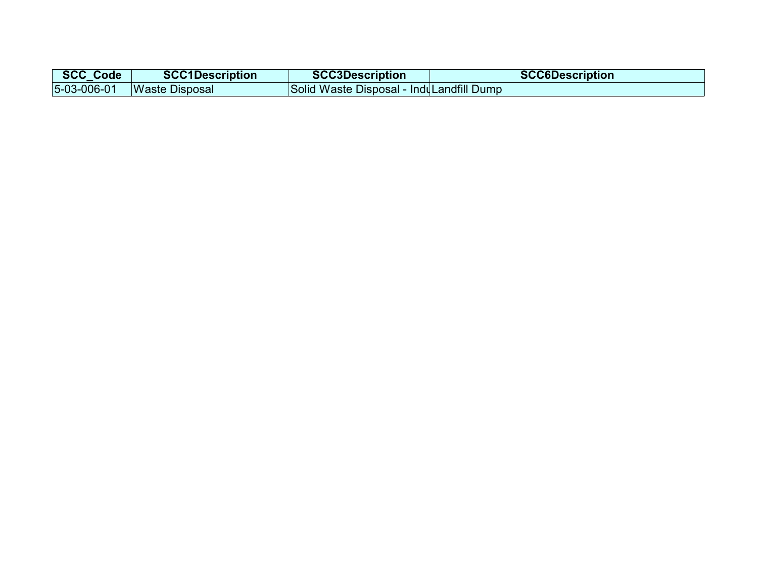| <b>SCC_Code</b> | <b>SCC1Description</b>         | <b>SCC3Description</b>                   | <b>SCC6Description</b> |
|-----------------|--------------------------------|------------------------------------------|------------------------|
|                 | $ 5-03-006-01 $ Waste Disposal | Solid Waste Disposal - InduLandfill Dump |                        |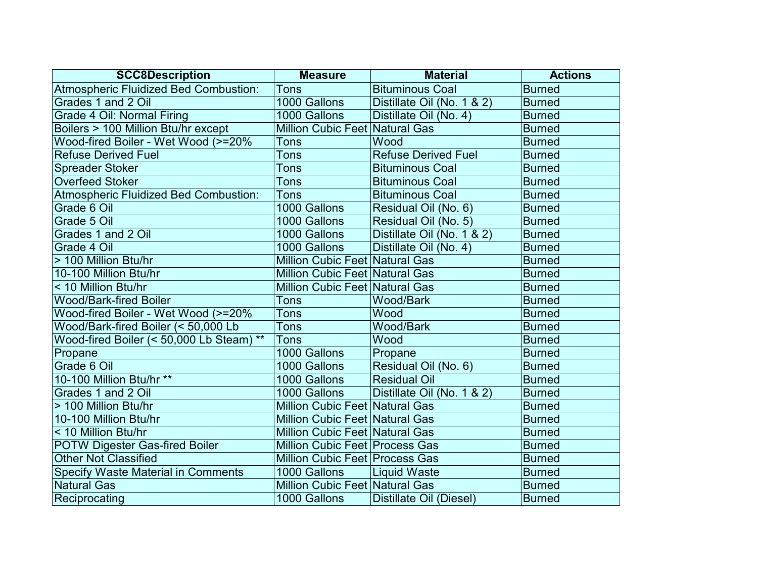| <b>SCC8Description</b>                       | <b>Measure</b>                        | <b>Material</b>            | <b>Actions</b> |
|----------------------------------------------|---------------------------------------|----------------------------|----------------|
| Atmospheric Fluidized Bed Combustion:        | <b>Tons</b>                           | <b>Bituminous Coal</b>     | <b>Burned</b>  |
| Grades 1 and 2 Oil                           | 1000 Gallons                          | Distillate Oil (No. 1 & 2) | <b>Burned</b>  |
| Grade 4 Oil: Normal Firing                   | 1000 Gallons                          | Distillate Oil (No. 4)     | <b>Burned</b>  |
| Boilers > 100 Million Btu/hr except          | <b>Million Cubic Feet Natural Gas</b> |                            | <b>Burned</b>  |
| Wood-fired Boiler - Wet Wood (>=20%          | Tons                                  | Wood                       | <b>Burned</b>  |
| <b>Refuse Derived Fuel</b>                   | Tons                                  | <b>Refuse Derived Fuel</b> | <b>Burned</b>  |
| <b>Spreader Stoker</b>                       | Tons                                  | <b>Bituminous Coal</b>     | <b>Burned</b>  |
| <b>Overfeed Stoker</b>                       | Tons                                  | <b>Bituminous Coal</b>     | <b>Burned</b>  |
| <b>Atmospheric Fluidized Bed Combustion:</b> | Tons                                  | <b>Bituminous Coal</b>     | <b>Burned</b>  |
| Grade 6 Oil                                  | 1000 Gallons                          | Residual Oil (No. 6)       | <b>Burned</b>  |
| Grade 5 Oil                                  | 1000 Gallons                          | Residual Oil (No. 5)       | <b>Burned</b>  |
| Grades 1 and 2 Oil                           | 1000 Gallons                          | Distillate Oil (No. 1 & 2) | <b>Burned</b>  |
| Grade 4 Oil                                  | 1000 Gallons                          | Distillate Oil (No. 4)     | <b>Burned</b>  |
| > 100 Million Btu/hr                         | Million Cubic Feet Natural Gas        |                            | <b>Burned</b>  |
| 10-100 Million Btu/hr                        | <b>Million Cubic Feet Natural Gas</b> |                            | <b>Burned</b>  |
| < 10 Million Btu/hr                          | Million Cubic Feet Natural Gas        |                            | <b>Burned</b>  |
| <b>Wood/Bark-fired Boiler</b>                | <b>Tons</b>                           | Wood/Bark                  | <b>Burned</b>  |
| Wood-fired Boiler - Wet Wood (>=20%          | Tons                                  | Wood                       | <b>Burned</b>  |
| Wood/Bark-fired Boiler (< 50,000 Lb          | Tons                                  | Wood/Bark                  | <b>Burned</b>  |
| Wood-fired Boiler (< 50,000 Lb Steam) **     | <b>Tons</b>                           | Wood                       | <b>Burned</b>  |
| Propane                                      | 1000 Gallons                          | Propane                    | <b>Burned</b>  |
| Grade 6 Oil                                  | 1000 Gallons                          | Residual Oil (No. 6)       | <b>Burned</b>  |
| 10-100 Million Btu/hr **                     | 1000 Gallons                          | <b>Residual Oil</b>        | <b>Burned</b>  |
| Grades 1 and 2 Oil                           | 1000 Gallons                          | Distillate Oil (No. 1 & 2) | <b>Burned</b>  |
| > 100 Million Btu/hr                         | <b>Million Cubic Feet Natural Gas</b> |                            | <b>Burned</b>  |
| 10-100 Million Btu/hr                        | <b>Million Cubic Feet Natural Gas</b> |                            | <b>Burned</b>  |
| < 10 Million Btu/hr                          | Million Cubic Feet Natural Gas        |                            | <b>Burned</b>  |
| <b>POTW Digester Gas-fired Boiler</b>        | Million Cubic Feet Process Gas        |                            | <b>Burned</b>  |
| <b>Other Not Classified</b>                  | Million Cubic Feet Process Gas        |                            | <b>Burned</b>  |
| <b>Specify Waste Material in Comments</b>    | 1000 Gallons                          | Liquid Waste               | <b>Burned</b>  |
| <b>Natural Gas</b>                           | Million Cubic Feet Natural Gas        |                            | <b>Burned</b>  |
| Reciprocating                                | 1000 Gallons                          | Distillate Oil (Diesel)    | <b>Burned</b>  |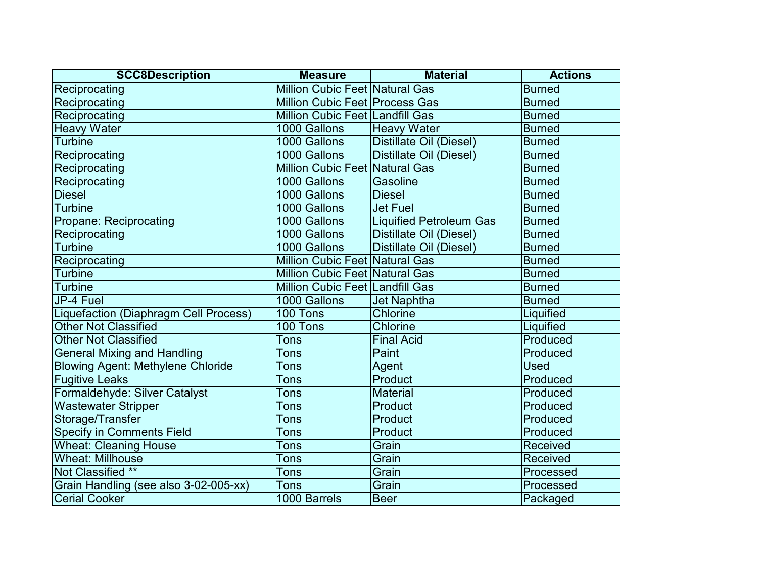| <b>SCC8Description</b>                   | <b>Measure</b>                        | <b>Material</b>                | <b>Actions</b>  |
|------------------------------------------|---------------------------------------|--------------------------------|-----------------|
| Reciprocating                            | Million Cubic Feet Natural Gas        |                                | <b>Burned</b>   |
| Reciprocating                            | Million Cubic Feet Process Gas        |                                | <b>Burned</b>   |
| Reciprocating                            | Million Cubic Feet Landfill Gas       |                                | <b>Burned</b>   |
| <b>Heavy Water</b>                       | 1000 Gallons                          | <b>Heavy Water</b>             | <b>Burned</b>   |
| <b>Turbine</b>                           | 1000 Gallons                          | Distillate Oil (Diesel)        | <b>Burned</b>   |
| Reciprocating                            | 1000 Gallons                          | Distillate Oil (Diesel)        | <b>Burned</b>   |
| Reciprocating                            | Million Cubic Feet Natural Gas        |                                | <b>Burned</b>   |
| Reciprocating                            | 1000 Gallons                          | Gasoline                       | <b>Burned</b>   |
| <b>Diesel</b>                            | 1000 Gallons                          | <b>Diesel</b>                  | <b>Burned</b>   |
| <b>Turbine</b>                           | 1000 Gallons                          | <b>Jet Fuel</b>                | <b>Burned</b>   |
| Propane: Reciprocating                   | 1000 Gallons                          | <b>Liquified Petroleum Gas</b> | <b>Burned</b>   |
| Reciprocating                            | 1000 Gallons                          | Distillate Oil (Diesel)        | <b>Burned</b>   |
| <b>Turbine</b>                           | 1000 Gallons                          | Distillate Oil (Diesel)        | <b>Burned</b>   |
| Reciprocating                            | Million Cubic Feet Natural Gas        |                                | <b>Burned</b>   |
| <b>Turbine</b>                           | <b>Million Cubic Feet Natural Gas</b> |                                | <b>Burned</b>   |
| <b>Turbine</b>                           | Million Cubic Feet Landfill Gas       |                                | <b>Burned</b>   |
| JP-4 Fuel                                | 1000 Gallons                          | <b>Jet Naphtha</b>             | <b>Burned</b>   |
| Liquefaction (Diaphragm Cell Process)    | 100 Tons                              | Chlorine                       | Liquified       |
| <b>Other Not Classified</b>              | 100 Tons                              | Chlorine                       | Liquified       |
| <b>Other Not Classified</b>              | <b>Tons</b>                           | <b>Final Acid</b>              | Produced        |
| <b>General Mixing and Handling</b>       | Tons                                  | Paint                          | Produced        |
| <b>Blowing Agent: Methylene Chloride</b> | Tons                                  | Agent                          | <b>Used</b>     |
| <b>Fugitive Leaks</b>                    | Tons                                  | Product                        | Produced        |
| Formaldehyde: Silver Catalyst            | Tons                                  | <b>Material</b>                | Produced        |
| <b>Wastewater Stripper</b>               | <b>Tons</b>                           | Product                        | Produced        |
| Storage/Transfer                         | Tons                                  | Product                        | Produced        |
| <b>Specify in Comments Field</b>         | Tons                                  | Product                        | Produced        |
| <b>Wheat: Cleaning House</b>             | Tons                                  | Grain                          | Received        |
| <b>Wheat: Millhouse</b>                  | <b>Tons</b>                           | Grain                          | <b>Received</b> |
| Not Classified **                        | Tons                                  | Grain                          | Processed       |
| Grain Handling (see also 3-02-005-xx)    | Tons                                  | Grain                          | Processed       |
| <b>Cerial Cooker</b>                     | 1000 Barrels                          | <b>Beer</b>                    | Packaged        |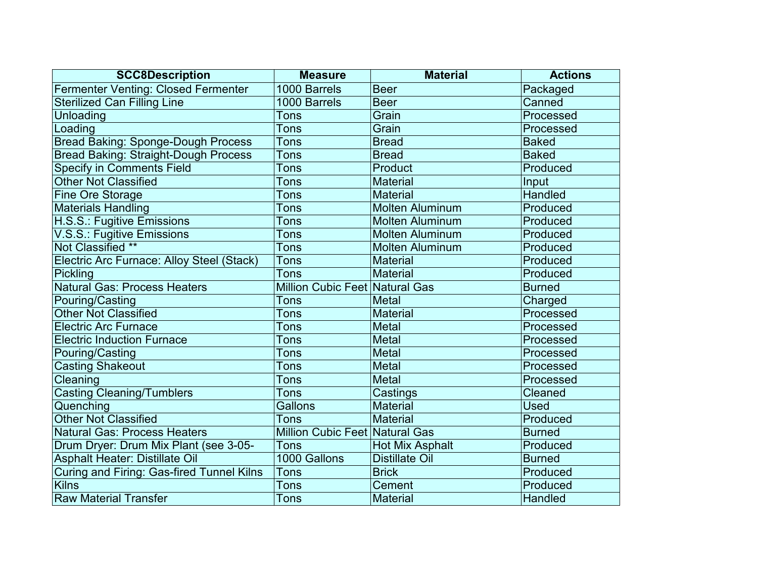| <b>SCC8Description</b>                           | <b>Measure</b>                 | <b>Material</b>        | <b>Actions</b> |
|--------------------------------------------------|--------------------------------|------------------------|----------------|
| <b>Fermenter Venting: Closed Fermenter</b>       | 1000 Barrels                   | <b>Beer</b>            | Packaged       |
| <b>Sterilized Can Filling Line</b>               | 1000 Barrels                   | <b>Beer</b>            | Canned         |
| Unloading                                        | Tons                           | Grain                  | Processed      |
| Loading                                          | Tons                           | Grain                  | Processed      |
| <b>Bread Baking: Sponge-Dough Process</b>        | <b>Tons</b>                    | <b>Bread</b>           | <b>Baked</b>   |
| <b>Bread Baking: Straight-Dough Process</b>      | <b>Tons</b>                    | <b>Bread</b>           | <b>Baked</b>   |
| <b>Specify in Comments Field</b>                 | Tons                           | Product                | Produced       |
| <b>Other Not Classified</b>                      | Tons                           | <b>Material</b>        | Input          |
| Fine Ore Storage                                 | Tons                           | <b>Material</b>        | <b>Handled</b> |
| <b>Materials Handling</b>                        | <b>Tons</b>                    | <b>Molten Aluminum</b> | Produced       |
| H.S.S.: Fugitive Emissions                       | Tons                           | <b>Molten Aluminum</b> | Produced       |
| V.S.S.: Fugitive Emissions                       | Tons                           | <b>Molten Aluminum</b> | Produced       |
| Not Classified **                                | <b>Tons</b>                    | <b>Molten Aluminum</b> | Produced       |
| Electric Arc Furnace: Alloy Steel (Stack)        | Tons                           | <b>Material</b>        | Produced       |
| Pickling                                         | Tons                           | <b>Material</b>        | Produced       |
| <b>Natural Gas: Process Heaters</b>              | Million Cubic Feet Natural Gas |                        | <b>Burned</b>  |
| Pouring/Casting                                  | Tons                           | <b>Metal</b>           | Charged        |
| <b>Other Not Classified</b>                      | Tons                           | <b>Material</b>        | Processed      |
| <b>Electric Arc Furnace</b>                      | Tons                           | <b>Metal</b>           | Processed      |
| <b>Electric Induction Furnace</b>                | Tons                           | <b>Metal</b>           | Processed      |
| Pouring/Casting                                  | Tons                           | <b>Metal</b>           | Processed      |
| <b>Casting Shakeout</b>                          | Tons                           | <b>Metal</b>           | Processed      |
| Cleaning                                         | Tons                           | <b>Metal</b>           | Processed      |
| <b>Casting Cleaning/Tumblers</b>                 | Tons                           | Castings               | Cleaned        |
| Quenching                                        | Gallons                        | <b>Material</b>        | <b>Used</b>    |
| <b>Other Not Classified</b>                      | Tons                           | <b>Material</b>        | Produced       |
| <b>Natural Gas: Process Heaters</b>              | Million Cubic Feet Natural Gas |                        | <b>Burned</b>  |
| Drum Dryer: Drum Mix Plant (see 3-05-            | <b>Tons</b>                    | <b>Hot Mix Asphalt</b> | Produced       |
| Asphalt Heater: Distillate Oil                   | 1000 Gallons                   | <b>Distillate Oil</b>  | <b>Burned</b>  |
| <b>Curing and Firing: Gas-fired Tunnel Kilns</b> | Tons                           | <b>Brick</b>           | Produced       |
| <b>Kilns</b>                                     | <b>Tons</b>                    | Cement                 | Produced       |
| <b>Raw Material Transfer</b>                     | <b>Tons</b>                    | <b>Material</b>        | <b>Handled</b> |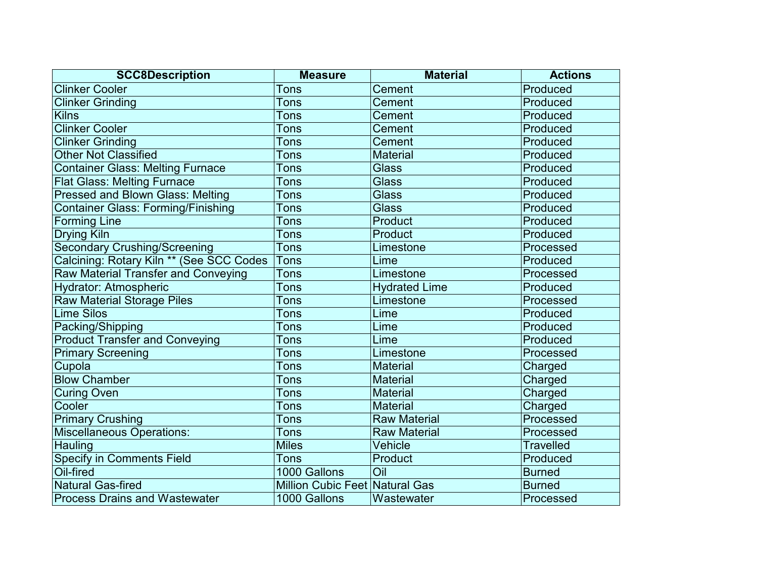| <b>SCC8Description</b>                     | <b>Measure</b>                        | <b>Material</b>      | <b>Actions</b>   |
|--------------------------------------------|---------------------------------------|----------------------|------------------|
| <b>Clinker Cooler</b>                      | <b>Tons</b>                           | Cement               | Produced         |
| <b>Clinker Grinding</b>                    | <b>Tons</b>                           | Cement               | Produced         |
| <b>Kilns</b>                               | <b>Tons</b>                           | Cement               | Produced         |
| <b>Clinker Cooler</b>                      | <b>Tons</b>                           | Cement               | Produced         |
| <b>Clinker Grinding</b>                    | <b>Tons</b>                           | <b>Cement</b>        | Produced         |
| <b>Other Not Classified</b>                | Tons                                  | <b>Material</b>      | Produced         |
| <b>Container Glass: Melting Furnace</b>    | Tons                                  | <b>Glass</b>         | Produced         |
| <b>Flat Glass: Melting Furnace</b>         | <b>Tons</b>                           | <b>Glass</b>         | Produced         |
| <b>Pressed and Blown Glass: Melting</b>    | <b>Tons</b>                           | <b>Glass</b>         | Produced         |
| <b>Container Glass: Forming/Finishing</b>  | Tons                                  | <b>Glass</b>         | Produced         |
| <b>Forming Line</b>                        | <b>Tons</b>                           | Product              | Produced         |
| <b>Drying Kiln</b>                         | <b>Tons</b>                           | Product              | Produced         |
| <b>Secondary Crushing/Screening</b>        | <b>Tons</b>                           | Limestone            | Processed        |
| Calcining: Rotary Kiln ** (See SCC Codes   | Tons                                  | Lime                 | Produced         |
| <b>Raw Material Transfer and Conveying</b> | <b>Tons</b>                           | Limestone            | Processed        |
| Hydrator: Atmospheric                      | <b>Tons</b>                           | <b>Hydrated Lime</b> | Produced         |
| Raw Material Storage Piles                 | <b>Tons</b>                           | Limestone            | Processed        |
| <b>Lime Silos</b>                          | Tons                                  | Lime                 | Produced         |
| Packing/Shipping                           | <b>Tons</b>                           | Lime                 | Produced         |
| <b>Product Transfer and Conveying</b>      | <b>Tons</b>                           | Lime                 | Produced         |
| <b>Primary Screening</b>                   | Tons                                  | Limestone            | Processed        |
| Cupola                                     | <b>Tons</b>                           | <b>Material</b>      | Charged          |
| <b>Blow Chamber</b>                        | Tons                                  | <b>Material</b>      | Charged          |
| <b>Curing Oven</b>                         | <b>Tons</b>                           | <b>Material</b>      | Charged          |
| Cooler                                     | <b>Tons</b>                           | <b>Material</b>      | Charged          |
| <b>Primary Crushing</b>                    | <b>Tons</b>                           | <b>Raw Material</b>  | Processed        |
| <b>Miscellaneous Operations:</b>           | <b>Tons</b>                           | <b>Raw Material</b>  | Processed        |
| Hauling                                    | <b>Miles</b>                          | Vehicle              | <b>Travelled</b> |
| <b>Specify in Comments Field</b>           | <b>Tons</b>                           | Product              | Produced         |
| Oil-fired                                  | 1000 Gallons                          | Oil                  | <b>Burned</b>    |
| <b>Natural Gas-fired</b>                   | <b>Million Cubic Feet Natural Gas</b> |                      | <b>Burned</b>    |
| <b>Process Drains and Wastewater</b>       | 1000 Gallons                          | Wastewater           | Processed        |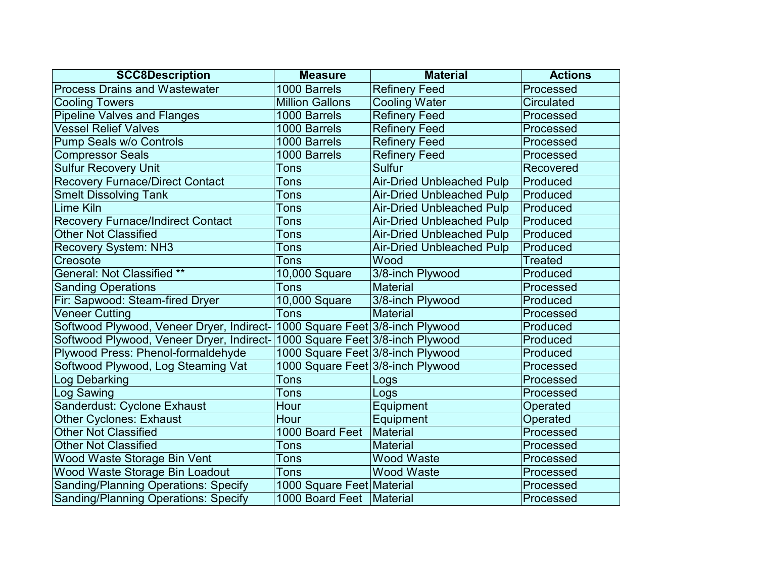| <b>SCC8Description</b>                                                      | <b>Measure</b>                    | <b>Material</b>                  | <b>Actions</b>    |
|-----------------------------------------------------------------------------|-----------------------------------|----------------------------------|-------------------|
| <b>Process Drains and Wastewater</b>                                        | 1000 Barrels                      | <b>Refinery Feed</b>             | Processed         |
| <b>Cooling Towers</b>                                                       | <b>Million Gallons</b>            | <b>Cooling Water</b>             | <b>Circulated</b> |
| <b>Pipeline Valves and Flanges</b>                                          | 1000 Barrels                      | <b>Refinery Feed</b>             | Processed         |
| <b>Vessel Relief Valves</b>                                                 | 1000 Barrels                      | <b>Refinery Feed</b>             | Processed         |
| Pump Seals w/o Controls                                                     | 1000 Barrels                      | <b>Refinery Feed</b>             | Processed         |
| <b>Compressor Seals</b>                                                     | 1000 Barrels                      | <b>Refinery Feed</b>             | Processed         |
| <b>Sulfur Recovery Unit</b>                                                 | Tons                              | <b>Sulfur</b>                    | Recovered         |
| <b>Recovery Furnace/Direct Contact</b>                                      | Tons                              | <b>Air-Dried Unbleached Pulp</b> | Produced          |
| <b>Smelt Dissolving Tank</b>                                                | <b>Tons</b>                       | <b>Air-Dried Unbleached Pulp</b> | Produced          |
| Lime Kiln                                                                   | Tons                              | <b>Air-Dried Unbleached Pulp</b> | Produced          |
| <b>Recovery Furnace/Indirect Contact</b>                                    | Tons                              | <b>Air-Dried Unbleached Pulp</b> | Produced          |
| <b>Other Not Classified</b>                                                 | Tons                              | <b>Air-Dried Unbleached Pulp</b> | Produced          |
| <b>Recovery System: NH3</b>                                                 | Tons                              | <b>Air-Dried Unbleached Pulp</b> | Produced          |
| Creosote                                                                    | Tons                              | Wood                             | <b>Treated</b>    |
| <b>General: Not Classified **</b>                                           | 10,000 Square                     | 3/8-inch Plywood                 | Produced          |
| <b>Sanding Operations</b>                                                   | <b>Tons</b>                       | Material                         | Processed         |
| Fir: Sapwood: Steam-fired Dryer                                             | 10,000 Square                     | 3/8-inch Plywood                 | Produced          |
| <b>Veneer Cutting</b>                                                       | Tons                              | Material                         | Processed         |
| Softwood Plywood, Veneer Dryer, Indirect- 1000 Square Feet 3/8-inch Plywood |                                   |                                  | Produced          |
| Softwood Plywood, Veneer Dryer, Indirect-                                   | 1000 Square Feet 3/8-inch Plywood |                                  | Produced          |
| Plywood Press: Phenol-formaldehyde                                          | 1000 Square Feet 3/8-inch Plywood |                                  | Produced          |
| Softwood Plywood, Log Steaming Vat                                          | 1000 Square Feet 3/8-inch Plywood |                                  | Processed         |
| Log Debarking                                                               | Tons                              | Logs                             | Processed         |
| Log Sawing                                                                  | <b>Tons</b>                       | Logs                             | Processed         |
| Sanderdust: Cyclone Exhaust                                                 | Hour                              | Equipment                        | Operated          |
| <b>Other Cyclones: Exhaust</b>                                              | Hour                              | Equipment                        | Operated          |
| <b>Other Not Classified</b>                                                 | 1000 Board Feet                   | Material                         | Processed         |
| <b>Other Not Classified</b>                                                 | Tons                              | <b>Material</b>                  | Processed         |
| Wood Waste Storage Bin Vent                                                 | Tons                              | <b>Wood Waste</b>                | Processed         |
| Wood Waste Storage Bin Loadout                                              | Tons                              | <b>Wood Waste</b>                | Processed         |
| <b>Sanding/Planning Operations: Specify</b>                                 | 1000 Square Feet Material         |                                  | Processed         |
| <b>Sanding/Planning Operations: Specify</b>                                 | 1000 Board Feet   Material        |                                  | Processed         |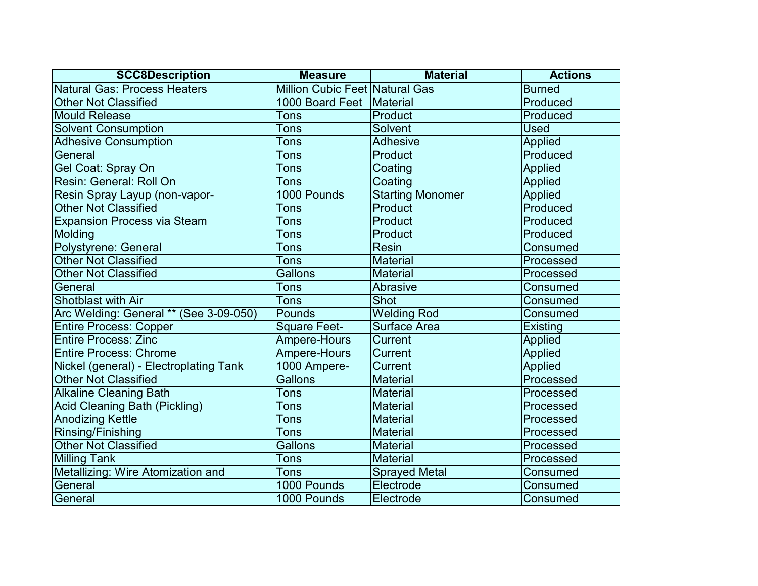| <b>SCC8Description</b>                 | <b>Measure</b>                 | <b>Material</b>         | <b>Actions</b>  |
|----------------------------------------|--------------------------------|-------------------------|-----------------|
| <b>Natural Gas: Process Heaters</b>    | Million Cubic Feet Natural Gas |                         | <b>Burned</b>   |
| <b>Other Not Classified</b>            | 1000 Board Feet                | Material                | Produced        |
| <b>Mould Release</b>                   | Tons                           | Product                 | Produced        |
| <b>Solvent Consumption</b>             | Tons                           | Solvent                 | <b>Used</b>     |
| <b>Adhesive Consumption</b>            | Tons                           | <b>Adhesive</b>         | Applied         |
| General                                | Tons                           | Product                 | Produced        |
| Gel Coat: Spray On                     | Tons                           | Coating                 | <b>Applied</b>  |
| Resin: General: Roll On                | <b>Tons</b>                    | Coating                 | <b>Applied</b>  |
| Resin Spray Layup (non-vapor-          | 1000 Pounds                    | <b>Starting Monomer</b> | Applied         |
| <b>Other Not Classified</b>            | Tons                           | Product                 | Produced        |
| <b>Expansion Process via Steam</b>     | Tons                           | Product                 | Produced        |
| Molding                                | Tons                           | Product                 | Produced        |
| Polystyrene: General                   | Tons                           | <b>Resin</b>            | Consumed        |
| <b>Other Not Classified</b>            | Tons                           | <b>Material</b>         | Processed       |
| <b>Other Not Classified</b>            | Gallons                        | <b>Material</b>         | Processed       |
| General                                | <b>Tons</b>                    | Abrasive                | Consumed        |
| <b>Shotblast with Air</b>              | <b>Tons</b>                    | <b>Shot</b>             | Consumed        |
| Arc Welding: General ** (See 3-09-050) | Pounds                         | <b>Welding Rod</b>      | Consumed        |
| <b>Entire Process: Copper</b>          | <b>Square Feet-</b>            | <b>Surface Area</b>     | <b>Existing</b> |
| <b>Entire Process: Zinc</b>            | Ampere-Hours                   | Current                 | Applied         |
| <b>Entire Process: Chrome</b>          | Ampere-Hours                   | Current                 | Applied         |
| Nickel (general) - Electroplating Tank | 1000 Ampere-                   | <b>Current</b>          | <b>Applied</b>  |
| <b>Other Not Classified</b>            | <b>Gallons</b>                 | <b>Material</b>         | Processed       |
| <b>Alkaline Cleaning Bath</b>          | <b>Tons</b>                    | Material                | Processed       |
| <b>Acid Cleaning Bath (Pickling)</b>   | Tons                           | <b>Material</b>         | Processed       |
| <b>Anodizing Kettle</b>                | Tons                           | <b>Material</b>         | Processed       |
| Rinsing/Finishing                      | Tons                           | <b>Material</b>         | Processed       |
| <b>Other Not Classified</b>            | <b>Gallons</b>                 | <b>Material</b>         | Processed       |
| <b>Milling Tank</b>                    | <b>Tons</b>                    | <b>Material</b>         | Processed       |
| Metallizing: Wire Atomization and      | Tons                           | <b>Sprayed Metal</b>    | Consumed        |
| General                                | 1000 Pounds                    | Electrode               | Consumed        |
| General                                | 1000 Pounds                    | Electrode               | Consumed        |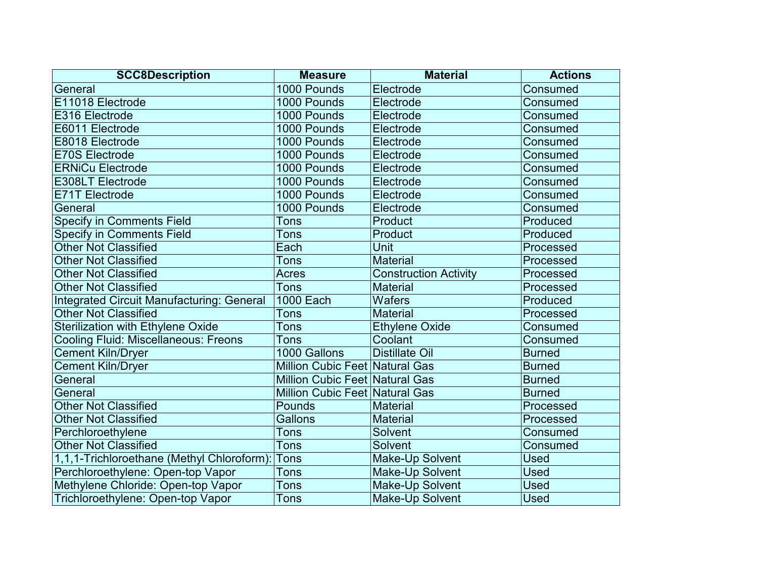| <b>SCC8Description</b>                      | <b>Measure</b>                        | <b>Material</b>              | <b>Actions</b> |
|---------------------------------------------|---------------------------------------|------------------------------|----------------|
| General                                     | 1000 Pounds                           | Electrode                    | Consumed       |
| E11018 Electrode                            | 1000 Pounds                           | Electrode                    | Consumed       |
| E316 Electrode                              | 1000 Pounds                           | Electrode                    | Consumed       |
| E6011 Electrode                             | 1000 Pounds                           | Electrode                    | Consumed       |
| E8018 Electrode                             | 1000 Pounds                           | Electrode                    | Consumed       |
| <b>E70S Electrode</b>                       | 1000 Pounds                           | Electrode                    | Consumed       |
| <b>ERNiCu Electrode</b>                     | 1000 Pounds                           | Electrode                    | Consumed       |
| <b>E308LT Electrode</b>                     | 1000 Pounds                           | Electrode                    | Consumed       |
| E71T Electrode                              | 1000 Pounds                           | Electrode                    | Consumed       |
| General                                     | 1000 Pounds                           | Electrode                    | Consumed       |
| <b>Specify in Comments Field</b>            | Tons                                  | Product                      | Produced       |
| <b>Specify in Comments Field</b>            | Tons                                  | Product                      | Produced       |
| <b>Other Not Classified</b>                 | Each                                  | Unit                         | Processed      |
| <b>Other Not Classified</b>                 | Tons                                  | <b>Material</b>              | Processed      |
| <b>Other Not Classified</b>                 | Acres                                 | <b>Construction Activity</b> | Processed      |
| <b>Other Not Classified</b>                 | <b>Tons</b>                           | <b>Material</b>              | Processed      |
| Integrated Circuit Manufacturing: General   | <b>1000 Each</b>                      | <b>Wafers</b>                | Produced       |
| <b>Other Not Classified</b>                 | Tons                                  | <b>Material</b>              | Processed      |
| <b>Sterilization with Ethylene Oxide</b>    | Tons                                  | <b>Ethylene Oxide</b>        | Consumed       |
| <b>Cooling Fluid: Miscellaneous: Freons</b> | Tons                                  | Coolant                      | Consumed       |
| <b>Cement Kiln/Dryer</b>                    | 1000 Gallons                          | <b>Distillate Oil</b>        | <b>Burned</b>  |
| <b>Cement Kiln/Dryer</b>                    | <b>Million Cubic Feet Natural Gas</b> |                              | <b>Burned</b>  |
| General                                     | Million Cubic Feet Natural Gas        |                              | <b>Burned</b>  |
| General                                     | Million Cubic Feet Natural Gas        |                              | <b>Burned</b>  |
| <b>Other Not Classified</b>                 | Pounds                                | <b>Material</b>              | Processed      |
| <b>Other Not Classified</b>                 | Gallons                               | <b>Material</b>              | Processed      |
| Perchloroethylene                           | Tons                                  | Solvent                      | Consumed       |
| <b>Other Not Classified</b>                 | <b>Tons</b>                           | Solvent                      | Consumed       |
| 1,1,1-Trichloroethane (Methyl Chloroform):  | Tons                                  | Make-Up Solvent              | <b>Used</b>    |
| Perchloroethylene: Open-top Vapor           | Tons                                  | Make-Up Solvent              | <b>Used</b>    |
| Methylene Chloride: Open-top Vapor          | <b>Tons</b>                           | Make-Up Solvent              | Used           |
| Trichloroethylene: Open-top Vapor           | <b>Tons</b>                           | Make-Up Solvent              | <b>Used</b>    |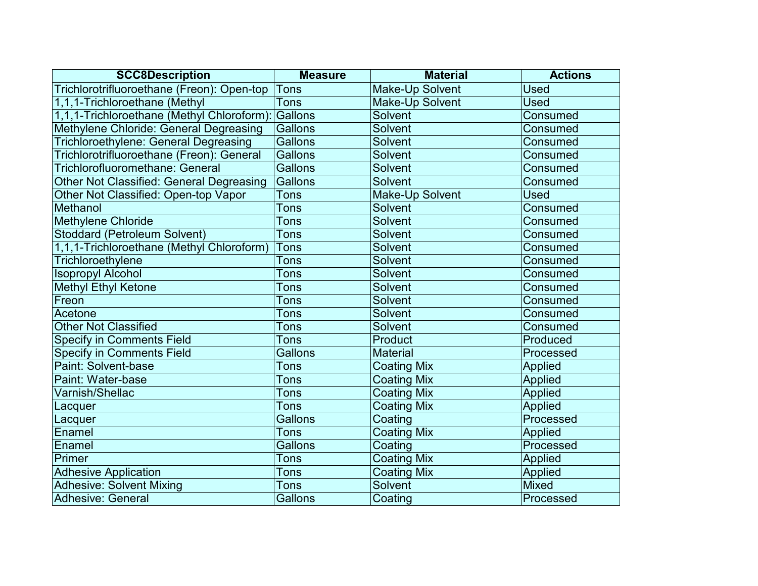| <b>SCC8Description</b>                          | <b>Measure</b> | <b>Material</b>    | <b>Actions</b> |
|-------------------------------------------------|----------------|--------------------|----------------|
| Trichlorotrifluoroethane (Freon): Open-top      | <b>Tons</b>    | Make-Up Solvent    | <b>Used</b>    |
| 1,1,1-Trichloroethane (Methyl                   | <b>Tons</b>    | Make-Up Solvent    | <b>Used</b>    |
| 1,1,1-Trichloroethane (Methyl Chloroform):      | Gallons        | Solvent            | Consumed       |
| Methylene Chloride: General Degreasing          | Gallons        | Solvent            | Consumed       |
| Trichloroethylene: General Degreasing           | Gallons        | Solvent            | Consumed       |
| Trichlorotrifluoroethane (Freon): General       | Gallons        | <b>Solvent</b>     | Consumed       |
| Trichlorofluoromethane: General                 | Gallons        | <b>Solvent</b>     | Consumed       |
| <b>Other Not Classified: General Degreasing</b> | Gallons        | Solvent            | Consumed       |
| Other Not Classified: Open-top Vapor            | <b>Tons</b>    | Make-Up Solvent    | <b>Used</b>    |
| Methanol                                        | Tons           | <b>Solvent</b>     | Consumed       |
| <b>Methylene Chloride</b>                       | Tons           | <b>Solvent</b>     | Consumed       |
| <b>Stoddard (Petroleum Solvent)</b>             | <b>Tons</b>    | Solvent            | Consumed       |
| 1,1,1-Trichloroethane (Methyl Chloroform)       | Tons           | Solvent            | Consumed       |
| Trichloroethylene                               | <b>Tons</b>    | <b>Solvent</b>     | Consumed       |
| <b>Isopropyl Alcohol</b>                        | <b>Tons</b>    | Solvent            | Consumed       |
| <b>Methyl Ethyl Ketone</b>                      | <b>Tons</b>    | Solvent            | Consumed       |
| Freon                                           | Tons           | <b>Solvent</b>     | Consumed       |
| Acetone                                         | Tons           | <b>Solvent</b>     | Consumed       |
| <b>Other Not Classified</b>                     | Tons           | Solvent            | Consumed       |
| <b>Specify in Comments Field</b>                | <b>Tons</b>    | Product            | Produced       |
| <b>Specify in Comments Field</b>                | Gallons        | <b>Material</b>    | Processed      |
| Paint: Solvent-base                             | Tons           | <b>Coating Mix</b> | <b>Applied</b> |
| Paint: Water-base                               | Tons           | <b>Coating Mix</b> | Applied        |
| Varnish/Shellac                                 | <b>Tons</b>    | <b>Coating Mix</b> | Applied        |
| Lacquer                                         | Tons           | <b>Coating Mix</b> | <b>Applied</b> |
| Lacquer                                         | Gallons        | Coating            | Processed      |
| Enamel                                          | <b>Tons</b>    | <b>Coating Mix</b> | <b>Applied</b> |
| Enamel                                          | Gallons        | Coating            | Processed      |
| Primer                                          | Tons           | <b>Coating Mix</b> | <b>Applied</b> |
| <b>Adhesive Application</b>                     | Tons           | <b>Coating Mix</b> | <b>Applied</b> |
| <b>Adhesive: Solvent Mixing</b>                 | <b>Tons</b>    | <b>Solvent</b>     | <b>Mixed</b>   |
| Adhesive: General                               | <b>Gallons</b> | Coating            | Processed      |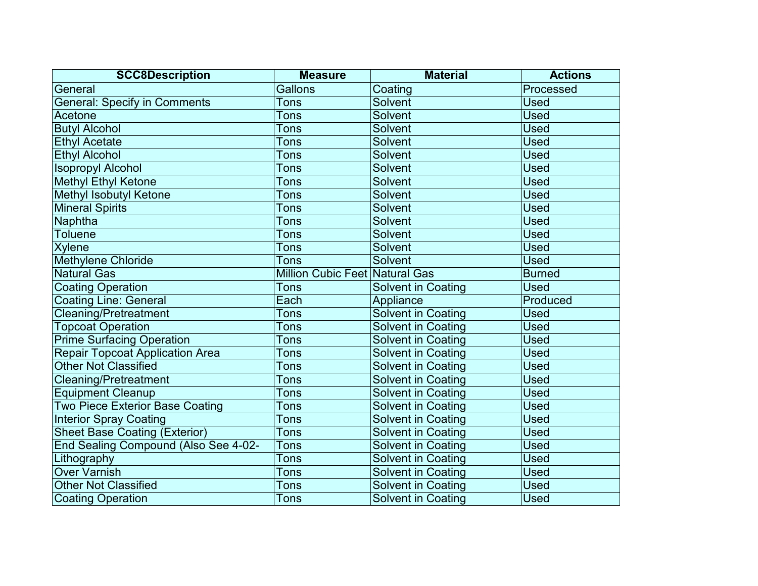| <b>SCC8Description</b>                 | <b>Measure</b>                        | <b>Material</b>           | <b>Actions</b> |
|----------------------------------------|---------------------------------------|---------------------------|----------------|
| General                                | <b>Gallons</b>                        | Coating                   | Processed      |
| <b>General: Specify in Comments</b>    | Tons                                  | Solvent                   | <b>Used</b>    |
| Acetone                                | Tons                                  | Solvent                   | <b>Used</b>    |
| <b>Butyl Alcohol</b>                   | Tons                                  | Solvent                   | <b>Used</b>    |
| <b>Ethyl Acetate</b>                   | Tons                                  | Solvent                   | <b>Used</b>    |
| <b>Ethyl Alcohol</b>                   | Tons                                  | Solvent                   | <b>Used</b>    |
| <b>Isopropyl Alcohol</b>               | Tons                                  | Solvent                   | <b>Used</b>    |
| <b>Methyl Ethyl Ketone</b>             | Tons                                  | Solvent                   | <b>Used</b>    |
| <b>Methyl Isobutyl Ketone</b>          | Tons                                  | Solvent                   | <b>Used</b>    |
| <b>Mineral Spirits</b>                 | Tons                                  | Solvent                   | <b>Used</b>    |
| Naphtha                                | Tons                                  | Solvent                   | <b>Used</b>    |
| <b>Toluene</b>                         | Tons                                  | Solvent                   | <b>Used</b>    |
| <b>Xylene</b>                          | Tons                                  | Solvent                   | <b>Used</b>    |
| Methylene Chloride                     | <b>Tons</b>                           | Solvent                   | <b>Used</b>    |
| <b>Natural Gas</b>                     | <b>Million Cubic Feet Natural Gas</b> |                           | <b>Burned</b>  |
| <b>Coating Operation</b>               | Tons                                  | <b>Solvent in Coating</b> | <b>Used</b>    |
| <b>Coating Line: General</b>           | Each                                  | Appliance                 | Produced       |
| <b>Cleaning/Pretreatment</b>           | Tons                                  | <b>Solvent in Coating</b> | <b>Used</b>    |
| <b>Topcoat Operation</b>               | Tons                                  | <b>Solvent in Coating</b> | <b>Used</b>    |
| <b>Prime Surfacing Operation</b>       | Tons                                  | <b>Solvent in Coating</b> | <b>Used</b>    |
| <b>Repair Topcoat Application Area</b> | Tons                                  | <b>Solvent in Coating</b> | <b>Used</b>    |
| <b>Other Not Classified</b>            | Tons                                  | <b>Solvent in Coating</b> | <b>Used</b>    |
| <b>Cleaning/Pretreatment</b>           | Tons                                  | <b>Solvent in Coating</b> | <b>Used</b>    |
| <b>Equipment Cleanup</b>               | <b>Tons</b>                           | <b>Solvent in Coating</b> | <b>Used</b>    |
| <b>Two Piece Exterior Base Coating</b> | <b>Tons</b>                           | Solvent in Coating        | <b>Used</b>    |
| <b>Interior Spray Coating</b>          | Tons                                  | <b>Solvent in Coating</b> | <b>Used</b>    |
| <b>Sheet Base Coating (Exterior)</b>   | Tons                                  | <b>Solvent in Coating</b> | <b>Used</b>    |
| End Sealing Compound (Also See 4-02-   | <b>Tons</b>                           | <b>Solvent in Coating</b> | <b>Used</b>    |
| Lithography                            | Tons                                  | <b>Solvent in Coating</b> | <b>Used</b>    |
| <b>Over Varnish</b>                    | Tons                                  | <b>Solvent in Coating</b> | <b>Used</b>    |
| <b>Other Not Classified</b>            | Tons                                  | <b>Solvent in Coating</b> | <b>Used</b>    |
| <b>Coating Operation</b>               | <b>Tons</b>                           | <b>Solvent in Coating</b> | <b>Used</b>    |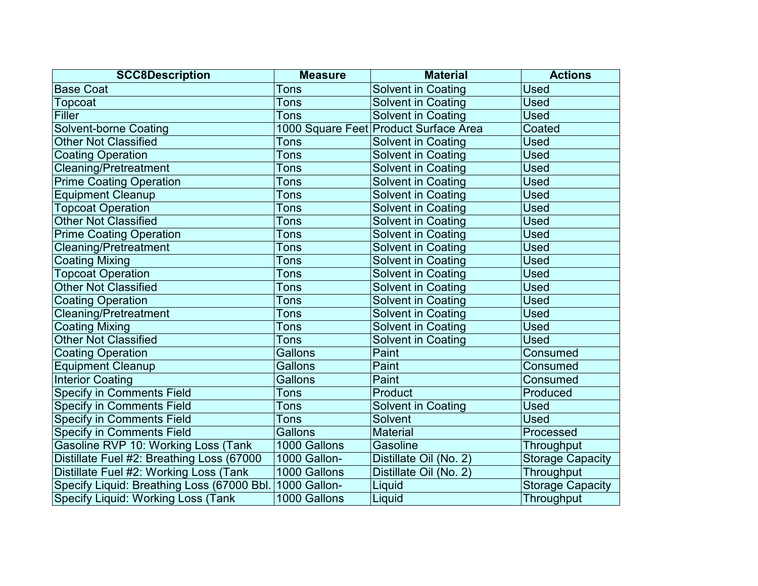| <b>SCC8Description</b>                     | <b>Measure</b> | <b>Material</b>                       | <b>Actions</b>          |
|--------------------------------------------|----------------|---------------------------------------|-------------------------|
| <b>Base Coat</b>                           | Tons           | Solvent in Coating                    | Used                    |
| Topcoat                                    | Tons           | <b>Solvent in Coating</b>             | <b>Used</b>             |
| <b>Filler</b>                              | Tons           | <b>Solvent in Coating</b>             | Used                    |
| <b>Solvent-borne Coating</b>               |                | 1000 Square Feet Product Surface Area | Coated                  |
| <b>Other Not Classified</b>                | Tons           | <b>Solvent in Coating</b>             | <b>Used</b>             |
| <b>Coating Operation</b>                   | Tons           | <b>Solvent in Coating</b>             | <b>Used</b>             |
| <b>Cleaning/Pretreatment</b>               | Tons           | Solvent in Coating                    | <b>Used</b>             |
| <b>Prime Coating Operation</b>             | Tons           | <b>Solvent in Coating</b>             | <b>Used</b>             |
| <b>Equipment Cleanup</b>                   | <b>Tons</b>    | <b>Solvent in Coating</b>             | <b>Used</b>             |
| <b>Topcoat Operation</b>                   | Tons           | <b>Solvent in Coating</b>             | <b>Used</b>             |
| <b>Other Not Classified</b>                | Tons           | <b>Solvent in Coating</b>             | <b>Used</b>             |
| <b>Prime Coating Operation</b>             | Tons           | <b>Solvent in Coating</b>             | Used                    |
| <b>Cleaning/Pretreatment</b>               | Tons           | <b>Solvent in Coating</b>             | <b>Used</b>             |
| <b>Coating Mixing</b>                      | Tons           | <b>Solvent in Coating</b>             | Used                    |
| <b>Topcoat Operation</b>                   | Tons           | <b>Solvent in Coating</b>             | <b>Used</b>             |
| <b>Other Not Classified</b>                | Tons           | <b>Solvent in Coating</b>             | Used                    |
| <b>Coating Operation</b>                   | Tons           | <b>Solvent in Coating</b>             | <b>Used</b>             |
| <b>Cleaning/Pretreatment</b>               | Tons           | <b>Solvent in Coating</b>             | <b>Used</b>             |
| <b>Coating Mixing</b>                      | Tons           | <b>Solvent in Coating</b>             | Used                    |
| <b>Other Not Classified</b>                | Tons           | Solvent in Coating                    | <b>Used</b>             |
| <b>Coating Operation</b>                   | Gallons        | Paint                                 | Consumed                |
| <b>Equipment Cleanup</b>                   | Gallons        | Paint                                 | Consumed                |
| <b>Interior Coating</b>                    | <b>Gallons</b> | Paint                                 | Consumed                |
| <b>Specify in Comments Field</b>           | Tons           | Product                               | Produced                |
| <b>Specify in Comments Field</b>           | Tons           | <b>Solvent in Coating</b>             | Used                    |
| <b>Specify in Comments Field</b>           | Tons           | Solvent                               | <b>Used</b>             |
| <b>Specify in Comments Field</b>           | Gallons        | <b>Material</b>                       | Processed               |
| Gasoline RVP 10: Working Loss (Tank        | 1000 Gallons   | Gasoline                              | Throughput              |
| Distillate Fuel #2: Breathing Loss (67000  | 1000 Gallon-   | Distillate Oil (No. 2)                | <b>Storage Capacity</b> |
| Distillate Fuel #2: Working Loss (Tank     | 1000 Gallons   | Distillate Oil (No. 2)                | Throughput              |
| Specify Liquid: Breathing Loss (67000 Bbl. | 1000 Gallon-   | Liquid                                | <b>Storage Capacity</b> |
| <b>Specify Liquid: Working Loss (Tank)</b> | 1000 Gallons   | Liquid                                | Throughput              |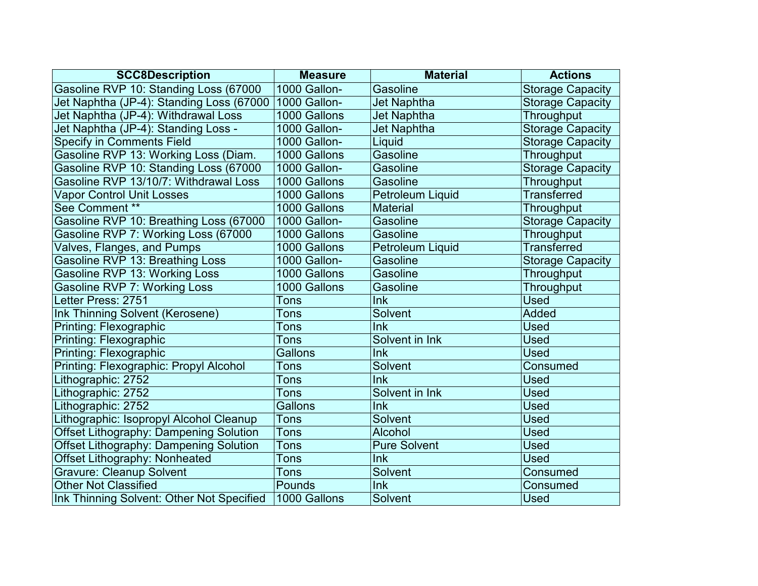| <b>SCC8Description</b>                        | <b>Measure</b> | <b>Material</b>         | <b>Actions</b>          |
|-----------------------------------------------|----------------|-------------------------|-------------------------|
| Gasoline RVP 10: Standing Loss (67000         | 1000 Gallon-   | Gasoline                | <b>Storage Capacity</b> |
| Jet Naphtha (JP-4): Standing Loss (67000      | 1000 Gallon-   | <b>Jet Naphtha</b>      | <b>Storage Capacity</b> |
| Jet Naphtha (JP-4): Withdrawal Loss           | 1000 Gallons   | <b>Jet Naphtha</b>      | Throughput              |
| Jet Naphtha (JP-4): Standing Loss -           | 1000 Gallon-   | <b>Jet Naphtha</b>      | <b>Storage Capacity</b> |
| <b>Specify in Comments Field</b>              | 1000 Gallon-   | Liquid                  | <b>Storage Capacity</b> |
| Gasoline RVP 13: Working Loss (Diam.          | 1000 Gallons   | Gasoline                | Throughput              |
| Gasoline RVP 10: Standing Loss (67000         | 1000 Gallon-   | Gasoline                | <b>Storage Capacity</b> |
| Gasoline RVP 13/10/7: Withdrawal Loss         | 1000 Gallons   | Gasoline                | Throughput              |
| <b>Vapor Control Unit Losses</b>              | 1000 Gallons   | <b>Petroleum Liquid</b> | <b>Transferred</b>      |
| See Comment **                                | 1000 Gallons   | <b>Material</b>         | Throughput              |
| Gasoline RVP 10: Breathing Loss (67000        | 1000 Gallon-   | Gasoline                | <b>Storage Capacity</b> |
| Gasoline RVP 7: Working Loss (67000           | 1000 Gallons   | Gasoline                | Throughput              |
| Valves, Flanges, and Pumps                    | 1000 Gallons   | Petroleum Liquid        | <b>Transferred</b>      |
| Gasoline RVP 13: Breathing Loss               | 1000 Gallon-   | Gasoline                | <b>Storage Capacity</b> |
| Gasoline RVP 13: Working Loss                 | 1000 Gallons   | Gasoline                | Throughput              |
| <b>Gasoline RVP 7: Working Loss</b>           | 1000 Gallons   | Gasoline                | Throughput              |
| Letter Press: 2751                            | Tons           | Ink                     | <b>Used</b>             |
| Ink Thinning Solvent (Kerosene)               | Tons           | <b>Solvent</b>          | <b>Added</b>            |
| <b>Printing: Flexographic</b>                 | Tons           | lnk                     | <b>Used</b>             |
| Printing: Flexographic                        | <b>Tons</b>    | Solvent in Ink          | <b>Used</b>             |
| Printing: Flexographic                        | Gallons        | Ink                     | <b>Used</b>             |
| Printing: Flexographic: Propyl Alcohol        | Tons           | Solvent                 | Consumed                |
| Lithographic: 2752                            | Tons           | lnk                     | <b>Used</b>             |
| Lithographic: 2752                            | <b>Tons</b>    | Solvent in Ink          | <b>Used</b>             |
| Lithographic: 2752                            | Gallons        | Ink                     | <b>Used</b>             |
| Lithographic: Isopropyl Alcohol Cleanup       | Tons           | <b>Solvent</b>          | <b>Used</b>             |
| <b>Offset Lithography: Dampening Solution</b> | <b>Tons</b>    | Alcohol                 | <b>Used</b>             |
| <b>Offset Lithography: Dampening Solution</b> | <b>Tons</b>    | <b>Pure Solvent</b>     | <b>Used</b>             |
| <b>Offset Lithography: Nonheated</b>          | Tons           | Ink                     | <b>Used</b>             |
| <b>Gravure: Cleanup Solvent</b>               | Tons           | <b>Solvent</b>          | Consumed                |
| <b>Other Not Classified</b>                   | Pounds         | Ink                     | Consumed                |
| Ink Thinning Solvent: Other Not Specified     | 1000 Gallons   | Solvent                 | <b>Used</b>             |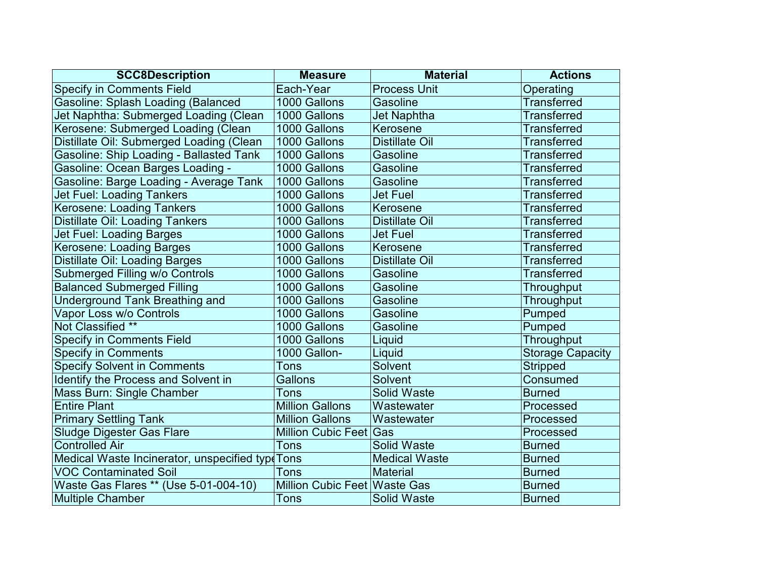| <b>SCC8Description</b>                          | <b>Measure</b>                      | <b>Material</b>       | <b>Actions</b>          |
|-------------------------------------------------|-------------------------------------|-----------------------|-------------------------|
| <b>Specify in Comments Field</b>                | Each-Year                           | <b>Process Unit</b>   | <b>Operating</b>        |
| <b>Gasoline: Splash Loading (Balanced</b>       | 1000 Gallons                        | Gasoline              | <b>Transferred</b>      |
| Jet Naphtha: Submerged Loading (Clean           | 1000 Gallons                        | <b>Jet Naphtha</b>    | <b>Transferred</b>      |
| Kerosene: Submerged Loading (Clean              | 1000 Gallons                        | Kerosene              | <b>Transferred</b>      |
| Distillate Oil: Submerged Loading (Clean        | 1000 Gallons                        | <b>Distillate Oil</b> | <b>Transferred</b>      |
| Gasoline: Ship Loading - Ballasted Tank         | 1000 Gallons                        | Gasoline              | <b>Transferred</b>      |
| Gasoline: Ocean Barges Loading -                | 1000 Gallons                        | Gasoline              | <b>Transferred</b>      |
| Gasoline: Barge Loading - Average Tank          | 1000 Gallons                        | Gasoline              | <b>Transferred</b>      |
| <b>Jet Fuel: Loading Tankers</b>                | 1000 Gallons                        | <b>Jet Fuel</b>       | <b>Transferred</b>      |
| <b>Kerosene: Loading Tankers</b>                | 1000 Gallons                        | Kerosene              | <b>Transferred</b>      |
| <b>Distillate Oil: Loading Tankers</b>          | 1000 Gallons                        | <b>Distillate Oil</b> | <b>Transferred</b>      |
| Jet Fuel: Loading Barges                        | 1000 Gallons                        | <b>Jet Fuel</b>       | <b>Transferred</b>      |
| Kerosene: Loading Barges                        | 1000 Gallons                        | Kerosene              | <b>Transferred</b>      |
| <b>Distillate Oil: Loading Barges</b>           | 1000 Gallons                        | <b>Distillate Oil</b> | <b>Transferred</b>      |
| Submerged Filling w/o Controls                  | 1000 Gallons                        | Gasoline              | <b>Transferred</b>      |
| <b>Balanced Submerged Filling</b>               | 1000 Gallons                        | Gasoline              | Throughput              |
| <b>Underground Tank Breathing and</b>           | 1000 Gallons                        | Gasoline              | Throughput              |
| Vapor Loss w/o Controls                         | 1000 Gallons                        | Gasoline              | Pumped                  |
| Not Classified **                               | 1000 Gallons                        | Gasoline              | Pumped                  |
| <b>Specify in Comments Field</b>                | 1000 Gallons                        | Liquid                | Throughput              |
| <b>Specify in Comments</b>                      | 1000 Gallon-                        | Liquid                | <b>Storage Capacity</b> |
| <b>Specify Solvent in Comments</b>              | Tons                                | Solvent               | <b>Stripped</b>         |
| Identify the Process and Solvent in             | Gallons                             | Solvent               | Consumed                |
| Mass Burn: Single Chamber                       | <b>Tons</b>                         | Solid Waste           | <b>Burned</b>           |
| <b>Entire Plant</b>                             | <b>Million Gallons</b>              | Wastewater            | Processed               |
| <b>Primary Settling Tank</b>                    | <b>Million Gallons</b>              | Wastewater            | Processed               |
| <b>Sludge Digester Gas Flare</b>                | Million Cubic Feet Gas              |                       | Processed               |
| <b>Controlled Air</b>                           | <b>Tons</b>                         | Solid Waste           | <b>Burned</b>           |
| Medical Waste Incinerator, unspecified typ(Tons |                                     | <b>Medical Waste</b>  | <b>Burned</b>           |
| <b>VOC Contaminated Soil</b>                    | Tons                                | Material              | <b>Burned</b>           |
| Waste Gas Flares ** (Use 5-01-004-10)           | <b>Million Cubic Feet Waste Gas</b> |                       | <b>Burned</b>           |
| <b>Multiple Chamber</b>                         | <b>Tons</b>                         | <b>Solid Waste</b>    | <b>Burned</b>           |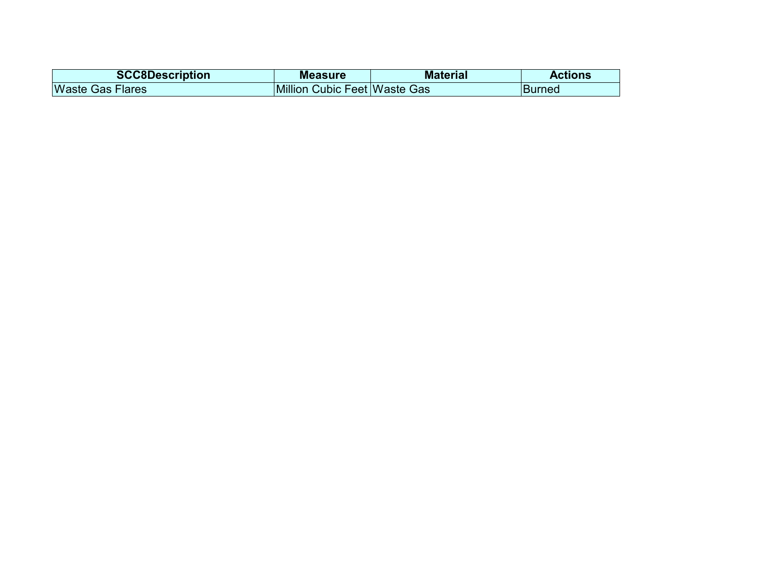| <b>SCC8Description</b>  | <b>Measure</b>               | <b>Material</b> | <b>Actions</b> |
|-------------------------|------------------------------|-----------------|----------------|
| <b>Waste Gas Flares</b> | Million Cubic Feet Waste Gas |                 | <b>Burned</b>  |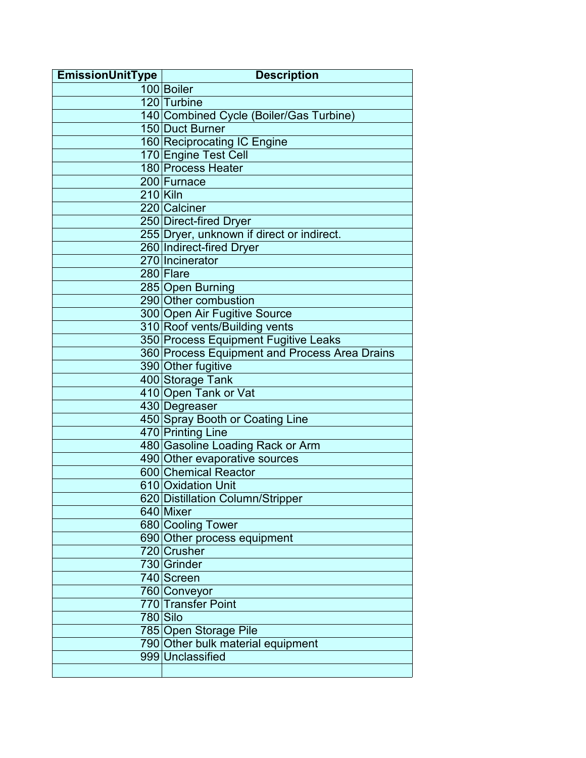| <b>EmissionUnitType</b> | <b>Description</b>                                    |
|-------------------------|-------------------------------------------------------|
|                         | 100 Boiler                                            |
|                         | 120 Turbine                                           |
|                         | 140 Combined Cycle (Boiler/Gas Turbine)               |
|                         | 150 Duct Burner                                       |
|                         | 160 Reciprocating IC Engine                           |
|                         | 170 Engine Test Cell                                  |
|                         | 180 Process Heater                                    |
|                         | 200 Furnace                                           |
| $210$ Kiln              |                                                       |
|                         | 220 Calciner                                          |
|                         | 250 Direct-fired Dryer                                |
|                         | 255 Dryer, unknown if direct or indirect.             |
|                         | 260 Indirect-fired Dryer                              |
|                         | 270 Incinerator                                       |
|                         | 280 Flare                                             |
|                         | 285 Open Burning                                      |
|                         | 290 Other combustion                                  |
|                         | 300 Open Air Fugitive Source                          |
|                         | 310 Roof vents/Building vents                         |
|                         | 350 Process Equipment Fugitive Leaks                  |
|                         | 360 Process Equipment and Process Area Drains         |
|                         | 390 Other fugitive                                    |
|                         | 400 Storage Tank                                      |
|                         | 410 Open Tank or Vat                                  |
|                         | 430 Degreaser                                         |
|                         | 450 Spray Booth or Coating Line                       |
|                         | 470 Printing Line                                     |
|                         | 480 Gasoline Loading Rack or Arm                      |
|                         | 490 Other evaporative sources<br>600 Chemical Reactor |
|                         | 610 Oxidation Unit                                    |
|                         | 620 Distillation Column/Stripper                      |
|                         | 640 Mixer                                             |
|                         | 680 Cooling Tower                                     |
|                         | 690 Other process equipment                           |
|                         | 720 Crusher                                           |
|                         | 730 Grinder                                           |
|                         | 740 Screen                                            |
|                         | 760 Conveyor                                          |
|                         | 770 Transfer Point                                    |
|                         | $780$ Silo                                            |
|                         | 785 Open Storage Pile                                 |
|                         | 790 Other bulk material equipment                     |
|                         | 999 Unclassified                                      |
|                         |                                                       |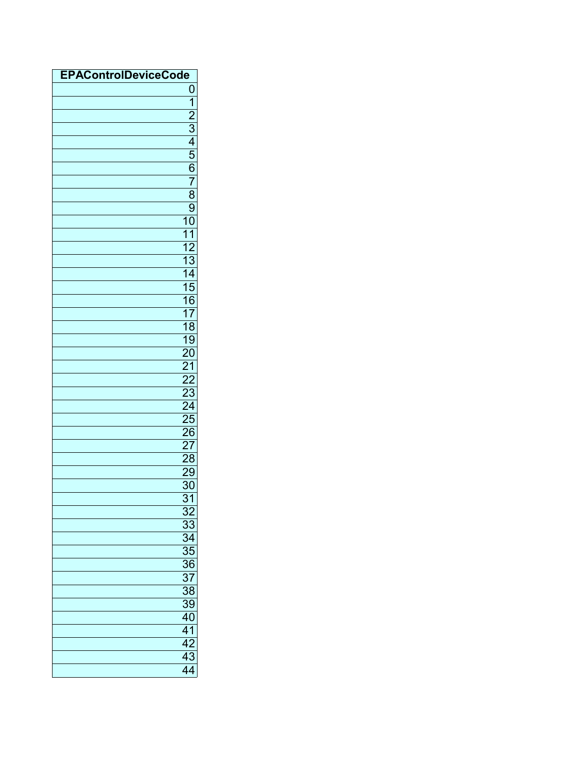| <b>EPAControlDeviceCode</b> |                                                                          |
|-----------------------------|--------------------------------------------------------------------------|
|                             | 0                                                                        |
|                             |                                                                          |
|                             |                                                                          |
|                             |                                                                          |
|                             |                                                                          |
|                             |                                                                          |
|                             |                                                                          |
|                             |                                                                          |
|                             |                                                                          |
|                             |                                                                          |
|                             |                                                                          |
|                             |                                                                          |
|                             |                                                                          |
|                             |                                                                          |
|                             |                                                                          |
|                             |                                                                          |
|                             |                                                                          |
|                             |                                                                          |
|                             |                                                                          |
|                             |                                                                          |
|                             |                                                                          |
|                             |                                                                          |
|                             |                                                                          |
|                             |                                                                          |
|                             |                                                                          |
|                             |                                                                          |
|                             |                                                                          |
|                             |                                                                          |
|                             |                                                                          |
|                             | 29                                                                       |
|                             | $\overline{30}$                                                          |
|                             | $\overline{31}$                                                          |
|                             |                                                                          |
|                             |                                                                          |
|                             |                                                                          |
|                             |                                                                          |
|                             |                                                                          |
|                             |                                                                          |
|                             | $\frac{32}{33}$<br>$\frac{33}{34}$<br>$\frac{35}{36}$<br>$\frac{37}{38}$ |
|                             | 39                                                                       |
|                             | $\frac{40}{41}$<br>$\frac{42}{43}$<br>$\frac{43}{44}$                    |
|                             |                                                                          |
|                             |                                                                          |
|                             |                                                                          |
|                             |                                                                          |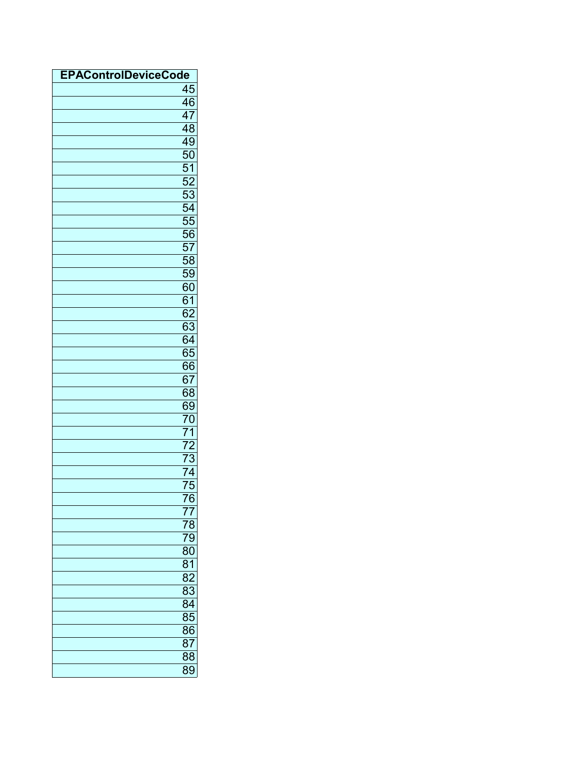| <b>EPAControlDeviceCode</b> |                                                                                 |
|-----------------------------|---------------------------------------------------------------------------------|
|                             | 45                                                                              |
|                             | 46                                                                              |
|                             | $\overline{47}$                                                                 |
|                             | $\overline{48}$                                                                 |
|                             | 49                                                                              |
|                             |                                                                                 |
|                             | $\frac{50}{52}$ $\frac{52}{53}$ $\frac{53}{54}$ $\frac{54}{55}$ $\frac{56}{57}$ |
|                             |                                                                                 |
|                             |                                                                                 |
|                             |                                                                                 |
|                             |                                                                                 |
|                             |                                                                                 |
|                             |                                                                                 |
|                             | 58                                                                              |
|                             | 59                                                                              |
|                             |                                                                                 |
|                             | $\frac{60}{60}$                                                                 |
|                             |                                                                                 |
|                             |                                                                                 |
|                             |                                                                                 |
|                             | $\frac{62}{63}$<br>$\frac{64}{65}$<br>66                                        |
|                             |                                                                                 |
|                             | 67                                                                              |
|                             | $\overline{68}$                                                                 |
|                             |                                                                                 |
|                             | $\frac{69}{70}$                                                                 |
|                             | $\overline{71}$                                                                 |
|                             |                                                                                 |
|                             | 72<br>$\overline{73}$                                                           |
|                             | $\overline{74}$                                                                 |
|                             |                                                                                 |
|                             | $\overline{75}$                                                                 |
|                             | 76                                                                              |
|                             | 77                                                                              |
|                             | 78                                                                              |
|                             | 79                                                                              |
|                             | 80                                                                              |
|                             | 81                                                                              |
|                             | $\overline{82}$                                                                 |
|                             | 83                                                                              |
|                             | $\overline{84}$                                                                 |
|                             | $\overline{85}$                                                                 |
|                             | 86                                                                              |
|                             | 87                                                                              |
|                             | $\overline{88}$                                                                 |
|                             | 89                                                                              |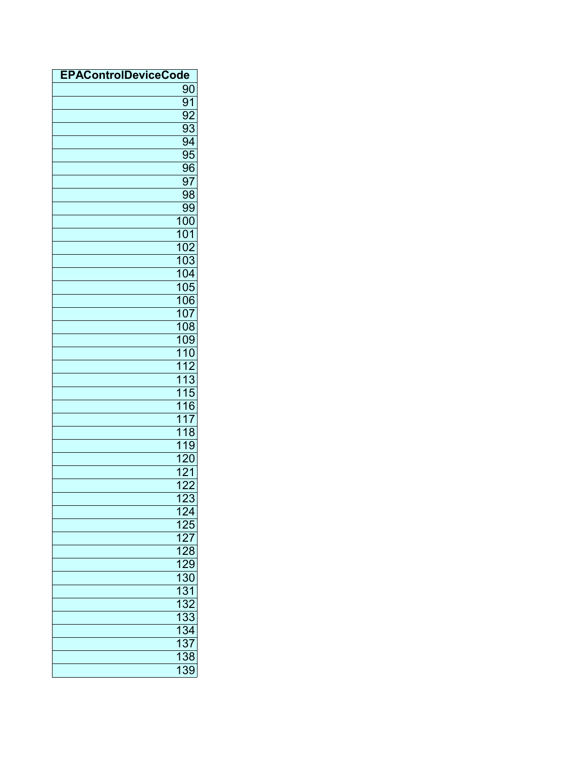| <b>EPAControlDeviceCode</b> |                                                                    |
|-----------------------------|--------------------------------------------------------------------|
|                             | 90                                                                 |
|                             | $\overline{91}$                                                    |
|                             | $\overline{92}$                                                    |
|                             | 93                                                                 |
|                             | 94                                                                 |
|                             | $\overline{95}$                                                    |
|                             | 96                                                                 |
|                             | 97                                                                 |
|                             | 98                                                                 |
|                             | 99                                                                 |
|                             | 100                                                                |
|                             | 101                                                                |
|                             | 102                                                                |
|                             | 103                                                                |
|                             | 104                                                                |
|                             | 105                                                                |
|                             | 106                                                                |
|                             | 107                                                                |
|                             | 108                                                                |
|                             | 109                                                                |
|                             | 110                                                                |
|                             | $\overline{112}$                                                   |
|                             | 113                                                                |
|                             | $\overline{115}$                                                   |
|                             | 116                                                                |
|                             | $\overline{117}$                                                   |
|                             | $\overline{118}$                                                   |
|                             | $\overline{119}$                                                   |
|                             | 120                                                                |
|                             | $\overline{121}$                                                   |
|                             | $\overline{122}$                                                   |
|                             | $\overline{123}$                                                   |
|                             |                                                                    |
|                             |                                                                    |
|                             |                                                                    |
|                             |                                                                    |
|                             |                                                                    |
|                             | 124<br>125<br>127<br>128<br>129<br>130<br>131<br>132<br>133<br>134 |
|                             |                                                                    |
|                             |                                                                    |
|                             |                                                                    |
|                             |                                                                    |
|                             | $\frac{137}{138}$<br>138                                           |
|                             |                                                                    |
|                             |                                                                    |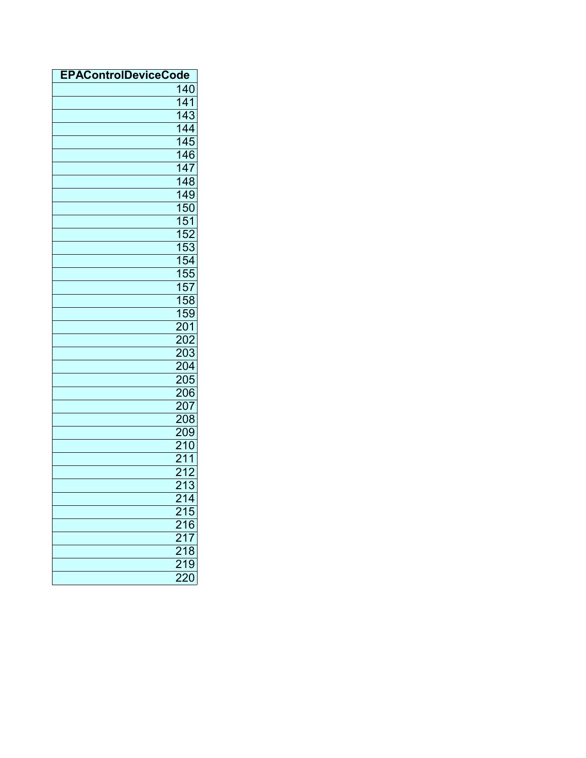| <b>EPAControlDeviceCode</b> |                                                       |
|-----------------------------|-------------------------------------------------------|
|                             | 140                                                   |
|                             | 141                                                   |
|                             | 143                                                   |
|                             | 144                                                   |
|                             | 145                                                   |
|                             | 146                                                   |
|                             | 147                                                   |
|                             | 148                                                   |
|                             | 149                                                   |
|                             | 150                                                   |
|                             | 151                                                   |
|                             | $\frac{152}{152}$                                     |
|                             | 153                                                   |
|                             |                                                       |
|                             |                                                       |
|                             |                                                       |
|                             | $\frac{153}{154}$ $\frac{155}{157}$ $\frac{158}{158}$ |
|                             | 159                                                   |
|                             | $\frac{201}{202}$                                     |
|                             |                                                       |
|                             | 203                                                   |
|                             | $\frac{204}{204}$                                     |
|                             |                                                       |
|                             | 206                                                   |
|                             | 207                                                   |
|                             | 208                                                   |
|                             | 209                                                   |
|                             | $\overline{210}$                                      |
|                             | $\overline{211}$                                      |
|                             | 212                                                   |
|                             | $\overline{213}$                                      |
|                             | 214                                                   |
|                             | 215                                                   |
|                             | $\frac{216}{216}$<br>$\frac{217}{218}$                |
|                             |                                                       |
|                             |                                                       |
|                             | 219                                                   |
|                             | $\overline{220}$                                      |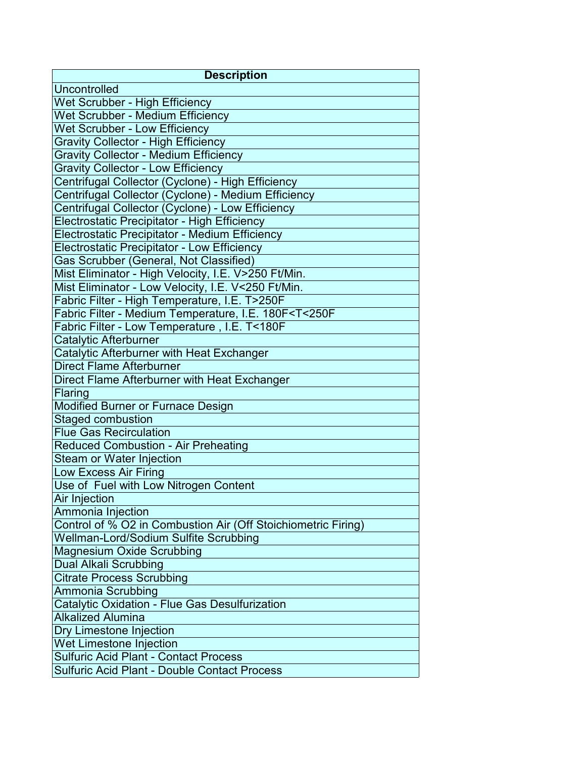| <b>Description</b>                                                      |
|-------------------------------------------------------------------------|
| Uncontrolled                                                            |
| Wet Scrubber - High Efficiency                                          |
| Wet Scrubber - Medium Efficiency                                        |
| <b>Wet Scrubber - Low Efficiency</b>                                    |
| <b>Gravity Collector - High Efficiency</b>                              |
| <b>Gravity Collector - Medium Efficiency</b>                            |
| <b>Gravity Collector - Low Efficiency</b>                               |
| Centrifugal Collector (Cyclone) - High Efficiency                       |
| Centrifugal Collector (Cyclone) - Medium Efficiency                     |
| Centrifugal Collector (Cyclone) - Low Efficiency                        |
| Electrostatic Precipitator - High Efficiency                            |
| Electrostatic Precipitator - Medium Efficiency                          |
| <b>Electrostatic Precipitator - Low Efficiency</b>                      |
| Gas Scrubber (General, Not Classified)                                  |
| Mist Eliminator - High Velocity, I.E. V>250 Ft/Min.                     |
| Mist Eliminator - Low Velocity, I.E. V<250 Ft/Min.                      |
| Fabric Filter - High Temperature, I.E. T>250F                           |
| Fabric Filter - Medium Temperature, I.E. 180F <t<250f< td=""></t<250f<> |
| Fabric Filter - Low Temperature, I.E. T<180F                            |
| Catalytic Afterburner                                                   |
| Catalytic Afterburner with Heat Exchanger                               |
| <b>Direct Flame Afterburner</b>                                         |
| Direct Flame Afterburner with Heat Exchanger                            |
| Flaring                                                                 |
| <b>Modified Burner or Furnace Design</b>                                |
| <b>Staged combustion</b>                                                |
| <b>Flue Gas Recirculation</b>                                           |
| <b>Reduced Combustion - Air Preheating</b>                              |
| Steam or Water Injection                                                |
| Low Excess Air Firing                                                   |
| Use of Fuel with Low Nitrogen Content                                   |
| Air Injection                                                           |
| Ammonia Injection                                                       |
| Control of % O2 in Combustion Air (Off Stoichiometric Firing)           |
| Wellman-Lord/Sodium Sulfite Scrubbing                                   |
| <b>Magnesium Oxide Scrubbing</b>                                        |
| <b>Dual Alkali Scrubbing</b>                                            |
| <b>Citrate Process Scrubbing</b>                                        |
| Ammonia Scrubbing                                                       |
| Catalytic Oxidation - Flue Gas Desulfurization                          |
| <b>Alkalized Alumina</b>                                                |
| Dry Limestone Injection                                                 |
| Wet Limestone Injection                                                 |
| <b>Sulfuric Acid Plant - Contact Process</b>                            |
| <b>Sulfuric Acid Plant - Double Contact Process</b>                     |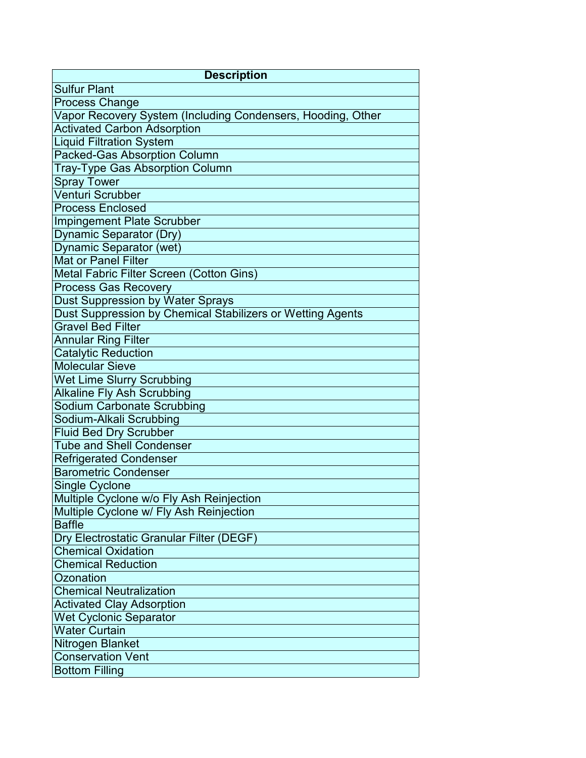| <b>Description</b>                                          |
|-------------------------------------------------------------|
| <b>Sulfur Plant</b>                                         |
| <b>Process Change</b>                                       |
| Vapor Recovery System (Including Condensers, Hooding, Other |
| <b>Activated Carbon Adsorption</b>                          |
| <b>Liquid Filtration System</b>                             |
| <b>Packed-Gas Absorption Column</b>                         |
| <b>Tray-Type Gas Absorption Column</b>                      |
| Spray Tower                                                 |
| Venturi Scrubber                                            |
| <b>Process Enclosed</b>                                     |
| <b>Impingement Plate Scrubber</b>                           |
| Dynamic Separator (Dry)                                     |
| Dynamic Separator (wet)                                     |
| <b>Mat or Panel Filter</b>                                  |
| Metal Fabric Filter Screen (Cotton Gins)                    |
| <b>Process Gas Recovery</b>                                 |
| Dust Suppression by Water Sprays                            |
| Dust Suppression by Chemical Stabilizers or Wetting Agents  |
| <b>Gravel Bed Filter</b>                                    |
| <b>Annular Ring Filter</b>                                  |
| <b>Catalytic Reduction</b>                                  |
| <b>Molecular Sieve</b>                                      |
| <b>Wet Lime Slurry Scrubbing</b>                            |
| <b>Alkaline Fly Ash Scrubbing</b>                           |
| Sodium Carbonate Scrubbing                                  |
| Sodium-Alkali Scrubbing                                     |
| <b>Fluid Bed Dry Scrubber</b>                               |
| <b>Tube and Shell Condenser</b>                             |
| <b>Refrigerated Condenser</b>                               |
| <b>Barometric Condenser</b>                                 |
| Single Cyclone                                              |
| Multiple Cyclone w/o Fly Ash Reinjection                    |
| Multiple Cyclone w/ Fly Ash Reinjection                     |
| <b>Baffle</b>                                               |
| Dry Electrostatic Granular Filter (DEGF)                    |
| <b>Chemical Oxidation</b>                                   |
| <b>Chemical Reduction</b>                                   |
| Ozonation                                                   |
| <b>Chemical Neutralization</b>                              |
| <b>Activated Clay Adsorption</b>                            |
| Wet Cyclonic Separator                                      |
| <b>Water Curtain</b>                                        |
| Nitrogen Blanket                                            |
| <b>Conservation Vent</b>                                    |
| <b>Bottom Filling</b>                                       |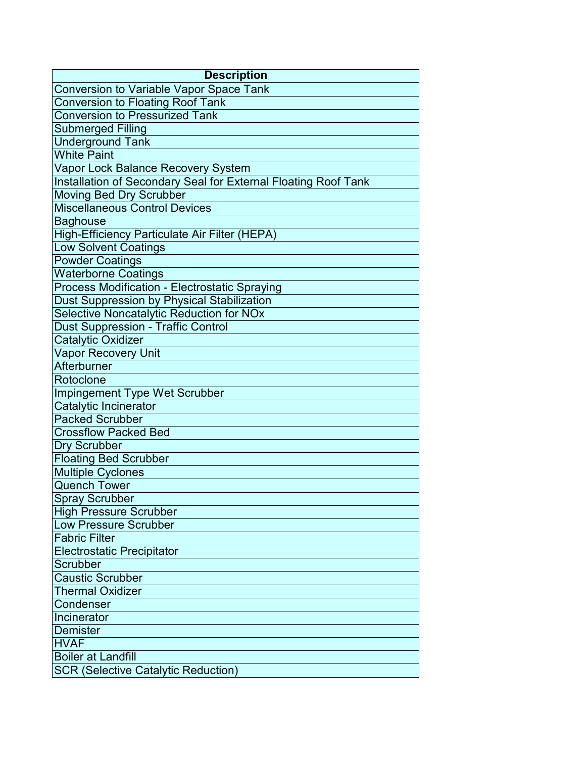| <b>Description</b>                                             |  |
|----------------------------------------------------------------|--|
| <b>Conversion to Variable Vapor Space Tank</b>                 |  |
| Conversion to Floating Roof Tank                               |  |
| <b>Conversion to Pressurized Tank</b>                          |  |
| <b>Submerged Filling</b>                                       |  |
| <b>Underground Tank</b>                                        |  |
| <b>White Paint</b>                                             |  |
| Vapor Lock Balance Recovery System                             |  |
| Installation of Secondary Seal for External Floating Roof Tank |  |
| Moving Bed Dry Scrubber                                        |  |
| <b>Miscellaneous Control Devices</b>                           |  |
| <b>Baghouse</b>                                                |  |
| High-Efficiency Particulate Air Filter (HEPA)                  |  |
| <b>Low Solvent Coatings</b>                                    |  |
| <b>Powder Coatings</b>                                         |  |
| <b>Waterborne Coatings</b>                                     |  |
| Process Modification - Electrostatic Spraying                  |  |
| Dust Suppression by Physical Stabilization                     |  |
| Selective Noncatalytic Reduction for NOx                       |  |
| <b>Dust Suppression - Traffic Control</b>                      |  |
| <b>Catalytic Oxidizer</b>                                      |  |
| Vapor Recovery Unit                                            |  |
| Afterburner                                                    |  |
| Rotoclone                                                      |  |
| Impingement Type Wet Scrubber                                  |  |
| Catalytic Incinerator                                          |  |
| <b>Packed Scrubber</b>                                         |  |
| <b>Crossflow Packed Bed</b>                                    |  |
| <b>Dry Scrubber</b>                                            |  |
| <b>Floating Bed Scrubber</b>                                   |  |
| <b>Multiple Cyclones</b>                                       |  |
| <b>Quench Tower</b>                                            |  |
| <b>Spray Scrubber</b>                                          |  |
| <b>High Pressure Scrubber</b>                                  |  |
| Low Pressure Scrubber                                          |  |
| <b>Fabric Filter</b>                                           |  |
| <b>Electrostatic Precipitator</b>                              |  |
| Scrubber                                                       |  |
| <b>Caustic Scrubber</b>                                        |  |
| <b>Thermal Oxidizer</b>                                        |  |
| Condenser                                                      |  |
| Incinerator                                                    |  |
| Demister                                                       |  |
| <b>HVAF</b>                                                    |  |
| <b>Boiler at Landfill</b>                                      |  |
| <b>SCR (Selective Catalytic Reduction)</b>                     |  |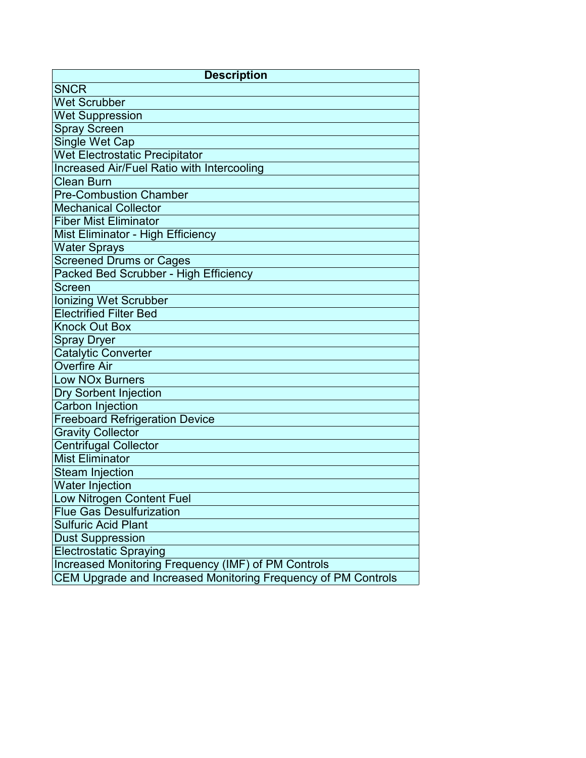| <b>Description</b>                                            |
|---------------------------------------------------------------|
| <b>SNCR</b>                                                   |
| <b>Wet Scrubber</b>                                           |
| <b>Wet Suppression</b>                                        |
| <b>Spray Screen</b>                                           |
| Single Wet Cap                                                |
| <b>Wet Electrostatic Precipitator</b>                         |
| <b>Increased Air/Fuel Ratio with Intercooling</b>             |
| <b>Clean Burn</b>                                             |
| <b>Pre-Combustion Chamber</b>                                 |
| <b>Mechanical Collector</b>                                   |
| <b>Fiber Mist Eliminator</b>                                  |
| Mist Eliminator - High Efficiency                             |
| Water Sprays                                                  |
| <b>Screened Drums or Cages</b>                                |
| Packed Bed Scrubber - High Efficiency                         |
| Screen                                                        |
| <b>Ionizing Wet Scrubber</b>                                  |
| <b>Electrified Filter Bed</b>                                 |
| <b>Knock Out Box</b>                                          |
| Spray Dryer                                                   |
| <b>Catalytic Converter</b>                                    |
| <b>Overfire Air</b>                                           |
| <b>Low NOx Burners</b>                                        |
| <b>Dry Sorbent Injection</b>                                  |
| Carbon Injection                                              |
| <b>Freeboard Refrigeration Device</b>                         |
| <b>Gravity Collector</b>                                      |
| <b>Centrifugal Collector</b>                                  |
| <b>Mist Eliminator</b>                                        |
| Steam Injection                                               |
| <b>Water Injection</b>                                        |
| Low Nitrogen Content Fuel                                     |
| <b>Flue Gas Desulfurization</b>                               |
| <b>Sulfuric Acid Plant</b>                                    |
| <b>Dust Suppression</b>                                       |
| <b>Electrostatic Spraying</b>                                 |
| Increased Monitoring Frequency (IMF) of PM Controls           |
| CEM Upgrade and Increased Monitoring Frequency of PM Controls |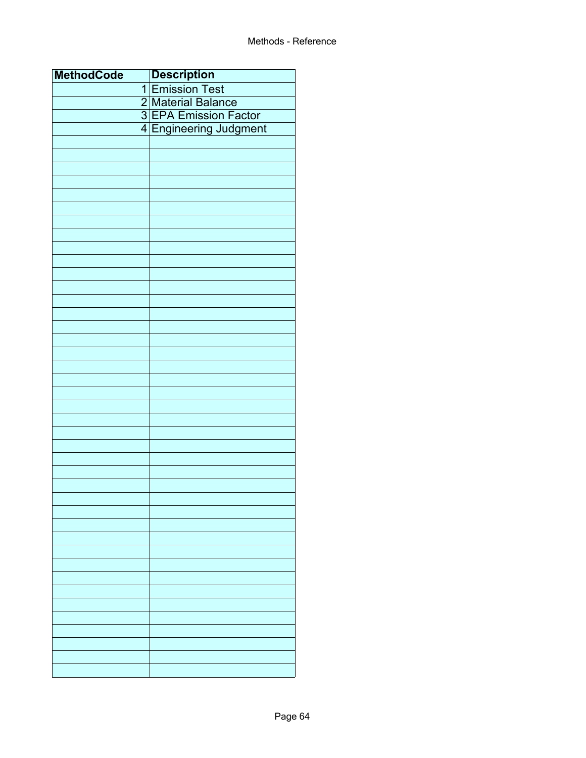| <b>MethodCode</b> | <b>Description</b><br>1 Emission Test |
|-------------------|---------------------------------------|
|                   |                                       |
|                   | 2 Material Balance                    |
|                   | 3 EPA Emission Factor                 |
|                   | 4 Engineering Judgment                |
|                   |                                       |
|                   |                                       |
|                   |                                       |
|                   |                                       |
|                   |                                       |
|                   |                                       |
|                   |                                       |
|                   |                                       |
|                   |                                       |
|                   |                                       |
|                   |                                       |
|                   |                                       |
|                   |                                       |
|                   |                                       |
|                   |                                       |
|                   |                                       |
|                   |                                       |
|                   |                                       |
|                   |                                       |
|                   |                                       |
|                   |                                       |
|                   |                                       |
|                   |                                       |
|                   |                                       |
|                   |                                       |
|                   |                                       |
|                   |                                       |
|                   |                                       |
|                   |                                       |
|                   |                                       |
|                   |                                       |
|                   |                                       |
|                   |                                       |
|                   |                                       |
|                   |                                       |
|                   |                                       |
|                   |                                       |
|                   |                                       |
|                   |                                       |
|                   |                                       |
|                   |                                       |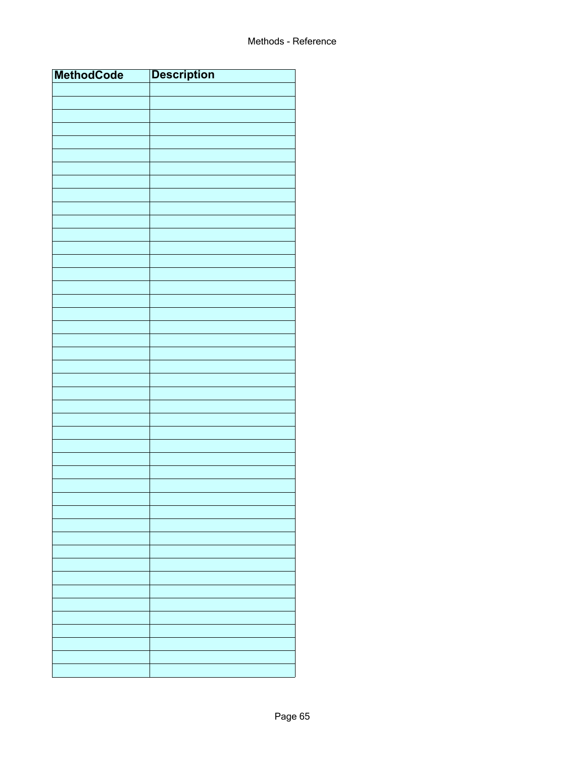| <b>MethodCode</b> | <b>Description</b> |
|-------------------|--------------------|
|                   |                    |
|                   |                    |
|                   |                    |
|                   |                    |
|                   |                    |
|                   |                    |
|                   |                    |
|                   |                    |
|                   |                    |
|                   |                    |
|                   |                    |
|                   |                    |
|                   |                    |
|                   |                    |
|                   |                    |
|                   |                    |
|                   |                    |
|                   |                    |
|                   |                    |
|                   |                    |
|                   |                    |
|                   |                    |
|                   |                    |
|                   |                    |
|                   |                    |
|                   |                    |
|                   |                    |
|                   |                    |
|                   |                    |
|                   |                    |
|                   |                    |
|                   |                    |
|                   |                    |
|                   |                    |
|                   |                    |
|                   |                    |
|                   |                    |
|                   |                    |
|                   |                    |
|                   |                    |
|                   |                    |
|                   |                    |
|                   |                    |
|                   |                    |
|                   |                    |
|                   |                    |
|                   |                    |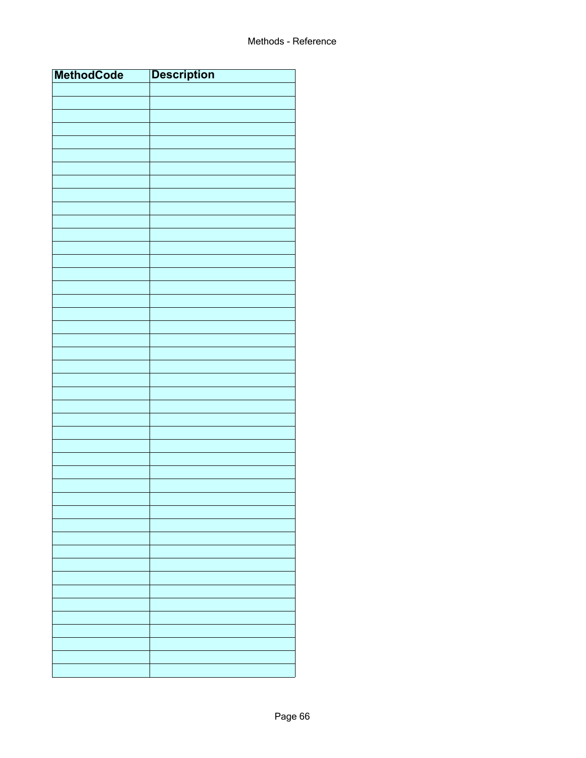| <b>MethodCode</b> | <b>Description</b> |
|-------------------|--------------------|
|                   |                    |
|                   |                    |
|                   |                    |
|                   |                    |
|                   |                    |
|                   |                    |
|                   |                    |
|                   |                    |
|                   |                    |
|                   |                    |
|                   |                    |
|                   |                    |
|                   |                    |
|                   |                    |
|                   |                    |
|                   |                    |
|                   |                    |
|                   |                    |
|                   |                    |
|                   |                    |
|                   |                    |
|                   |                    |
|                   |                    |
|                   |                    |
|                   |                    |
|                   |                    |
|                   |                    |
|                   |                    |
|                   |                    |
|                   |                    |
|                   |                    |
|                   |                    |
|                   |                    |
|                   |                    |
|                   |                    |
|                   |                    |
|                   |                    |
|                   |                    |
|                   |                    |
|                   |                    |
|                   |                    |
|                   |                    |
|                   |                    |
|                   |                    |
|                   |                    |
|                   |                    |
|                   |                    |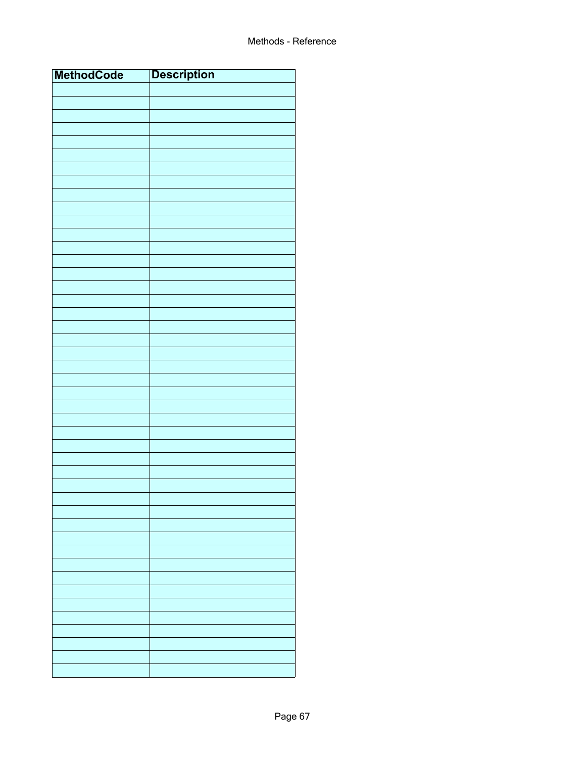| <b>MethodCode</b> | <b>Description</b> |
|-------------------|--------------------|
|                   |                    |
|                   |                    |
|                   |                    |
|                   |                    |
|                   |                    |
|                   |                    |
|                   |                    |
|                   |                    |
|                   |                    |
|                   |                    |
|                   |                    |
|                   |                    |
|                   |                    |
|                   |                    |
|                   |                    |
|                   |                    |
|                   |                    |
|                   |                    |
|                   |                    |
|                   |                    |
|                   |                    |
|                   |                    |
|                   |                    |
|                   |                    |
|                   |                    |
|                   |                    |
|                   |                    |
|                   |                    |
|                   |                    |
|                   |                    |
|                   |                    |
|                   |                    |
|                   |                    |
|                   |                    |
|                   |                    |
|                   |                    |
|                   |                    |
|                   |                    |
|                   |                    |
|                   |                    |
|                   |                    |
|                   |                    |
|                   |                    |
|                   |                    |
|                   |                    |
|                   |                    |
|                   |                    |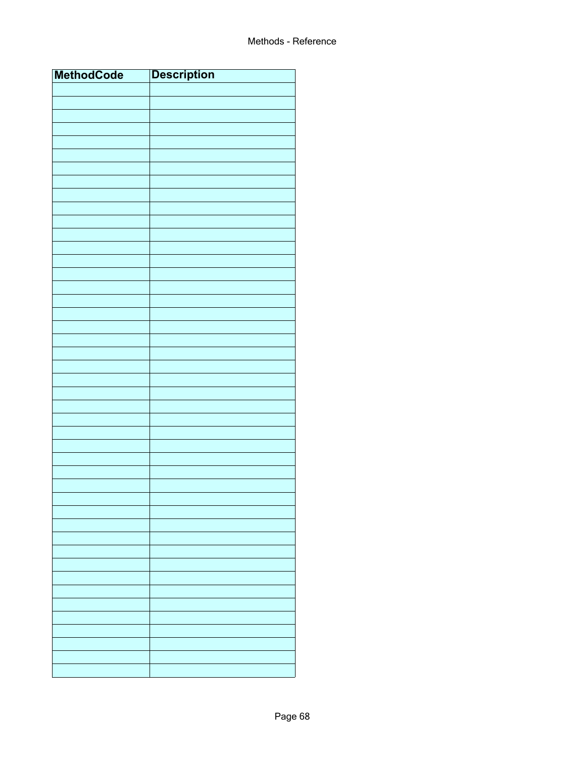| <b>MethodCode</b> | <b>Description</b> |
|-------------------|--------------------|
|                   |                    |
|                   |                    |
|                   |                    |
|                   |                    |
|                   |                    |
|                   |                    |
|                   |                    |
|                   |                    |
|                   |                    |
|                   |                    |
|                   |                    |
|                   |                    |
|                   |                    |
|                   |                    |
|                   |                    |
|                   |                    |
|                   |                    |
|                   |                    |
|                   |                    |
|                   |                    |
|                   |                    |
|                   |                    |
|                   |                    |
|                   |                    |
|                   |                    |
|                   |                    |
|                   |                    |
|                   |                    |
|                   |                    |
|                   |                    |
|                   |                    |
|                   |                    |
|                   |                    |
|                   |                    |
|                   |                    |
|                   |                    |
|                   |                    |
|                   |                    |
|                   |                    |
|                   |                    |
|                   |                    |
|                   |                    |
|                   |                    |
|                   |                    |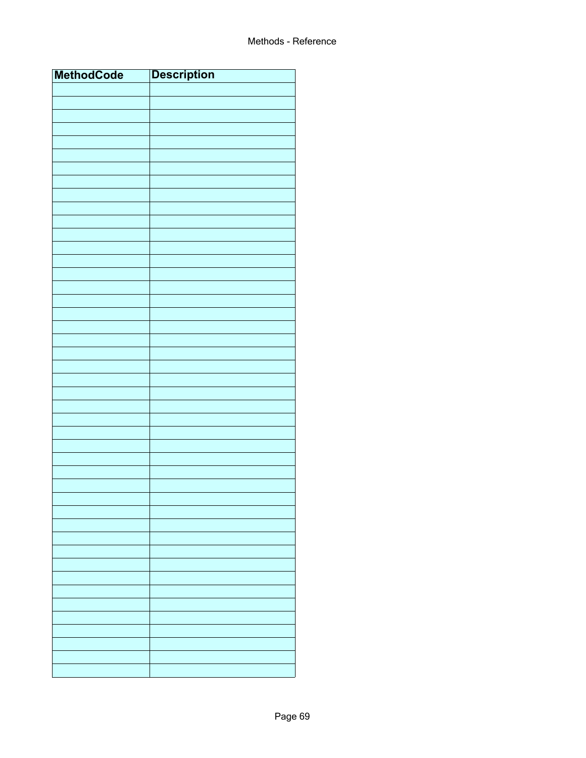| <b>MethodCode</b> | <b>Description</b> |
|-------------------|--------------------|
|                   |                    |
|                   |                    |
|                   |                    |
|                   |                    |
|                   |                    |
|                   |                    |
|                   |                    |
|                   |                    |
|                   |                    |
|                   |                    |
|                   |                    |
|                   |                    |
|                   |                    |
|                   |                    |
|                   |                    |
|                   |                    |
|                   |                    |
|                   |                    |
|                   |                    |
|                   |                    |
|                   |                    |
|                   |                    |
|                   |                    |
|                   |                    |
|                   |                    |
|                   |                    |
|                   |                    |
|                   |                    |
|                   |                    |
|                   |                    |
|                   |                    |
|                   |                    |
|                   |                    |
|                   |                    |
|                   |                    |
|                   |                    |
|                   |                    |
|                   |                    |
|                   |                    |
|                   |                    |
|                   |                    |
|                   |                    |
|                   |                    |
|                   |                    |
|                   |                    |
|                   |                    |
|                   |                    |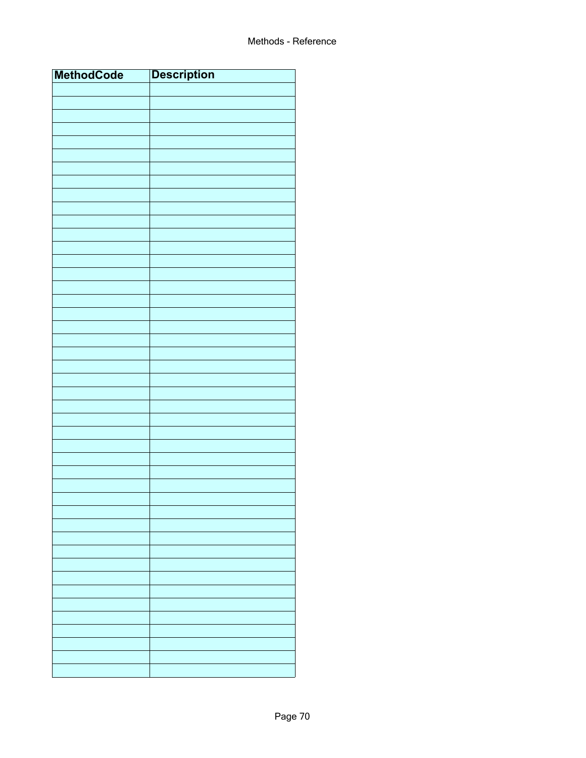| <b>MethodCode</b> | <b>Description</b> |
|-------------------|--------------------|
|                   |                    |
|                   |                    |
|                   |                    |
|                   |                    |
|                   |                    |
|                   |                    |
|                   |                    |
|                   |                    |
|                   |                    |
|                   |                    |
|                   |                    |
|                   |                    |
|                   |                    |
|                   |                    |
|                   |                    |
|                   |                    |
|                   |                    |
|                   |                    |
|                   |                    |
|                   |                    |
|                   |                    |
|                   |                    |
|                   |                    |
|                   |                    |
|                   |                    |
|                   |                    |
|                   |                    |
|                   |                    |
|                   |                    |
|                   |                    |
|                   |                    |
|                   |                    |
|                   |                    |
|                   |                    |
|                   |                    |
|                   |                    |
|                   |                    |
|                   |                    |
|                   |                    |
|                   |                    |
|                   |                    |
|                   |                    |
|                   |                    |
|                   |                    |
|                   |                    |
|                   |                    |
|                   |                    |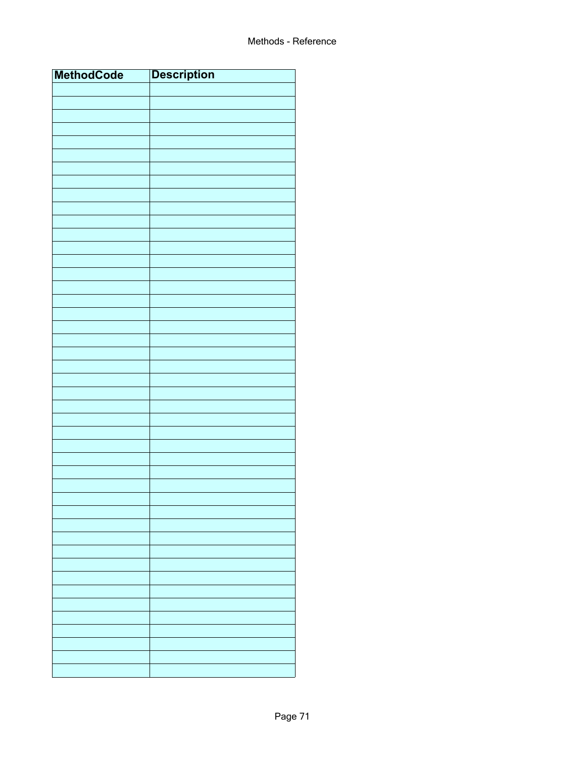| <b>MethodCode</b> | <b>Description</b> |
|-------------------|--------------------|
|                   |                    |
|                   |                    |
|                   |                    |
|                   |                    |
|                   |                    |
|                   |                    |
|                   |                    |
|                   |                    |
|                   |                    |
|                   |                    |
|                   |                    |
|                   |                    |
|                   |                    |
|                   |                    |
|                   |                    |
|                   |                    |
|                   |                    |
|                   |                    |
|                   |                    |
|                   |                    |
|                   |                    |
|                   |                    |
|                   |                    |
|                   |                    |
|                   |                    |
|                   |                    |
|                   |                    |
|                   |                    |
|                   |                    |
|                   |                    |
|                   |                    |
|                   |                    |
|                   |                    |
|                   |                    |
|                   |                    |
|                   |                    |
|                   |                    |
|                   |                    |
|                   |                    |
|                   |                    |
|                   |                    |
|                   |                    |
|                   |                    |
|                   |                    |
|                   |                    |
|                   |                    |
|                   |                    |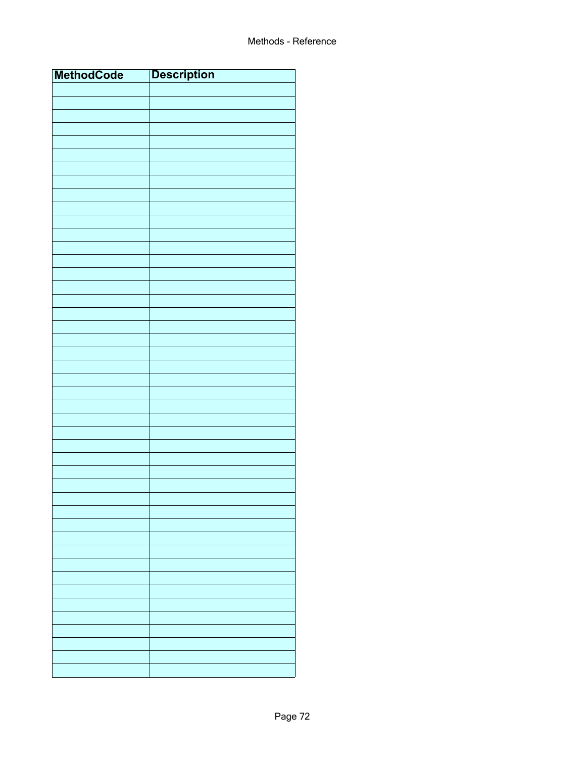| <b>MethodCode</b> | <b>Description</b> |
|-------------------|--------------------|
|                   |                    |
|                   |                    |
|                   |                    |
|                   |                    |
|                   |                    |
|                   |                    |
|                   |                    |
|                   |                    |
|                   |                    |
|                   |                    |
|                   |                    |
|                   |                    |
|                   |                    |
|                   |                    |
|                   |                    |
|                   |                    |
|                   |                    |
|                   |                    |
|                   |                    |
|                   |                    |
|                   |                    |
|                   |                    |
|                   |                    |
|                   |                    |
|                   |                    |
|                   |                    |
|                   |                    |
|                   |                    |
|                   |                    |
|                   |                    |
|                   |                    |
|                   |                    |
|                   |                    |
|                   |                    |
|                   |                    |
|                   |                    |
|                   |                    |
|                   |                    |
|                   |                    |
|                   |                    |
|                   |                    |
|                   |                    |
|                   |                    |
|                   |                    |
|                   |                    |
|                   |                    |
|                   |                    |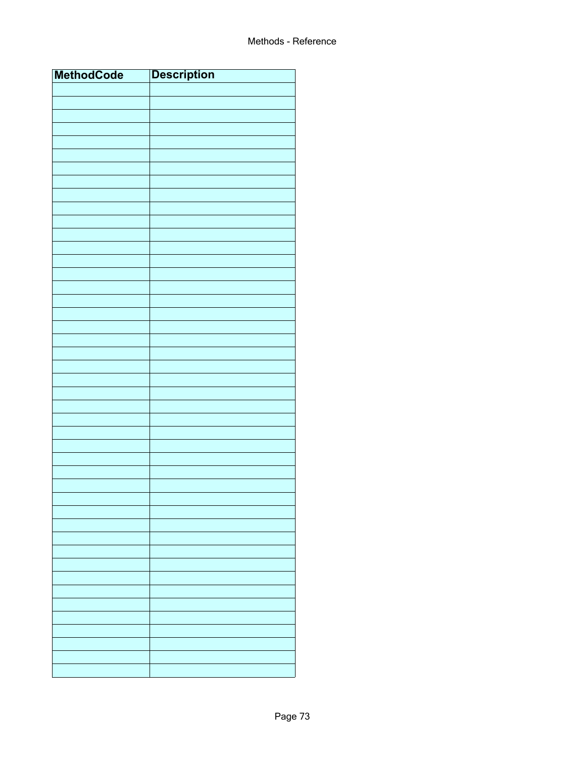| <b>MethodCode</b> | <b>Description</b> |
|-------------------|--------------------|
|                   |                    |
|                   |                    |
|                   |                    |
|                   |                    |
|                   |                    |
|                   |                    |
|                   |                    |
|                   |                    |
|                   |                    |
|                   |                    |
|                   |                    |
|                   |                    |
|                   |                    |
|                   |                    |
|                   |                    |
|                   |                    |
|                   |                    |
|                   |                    |
|                   |                    |
|                   |                    |
|                   |                    |
|                   |                    |
|                   |                    |
|                   |                    |
|                   |                    |
|                   |                    |
|                   |                    |
|                   |                    |
|                   |                    |
|                   |                    |
|                   |                    |
|                   |                    |
|                   |                    |
|                   |                    |
|                   |                    |
|                   |                    |
|                   |                    |
|                   |                    |
|                   |                    |
|                   |                    |
|                   |                    |
|                   |                    |
|                   |                    |
|                   |                    |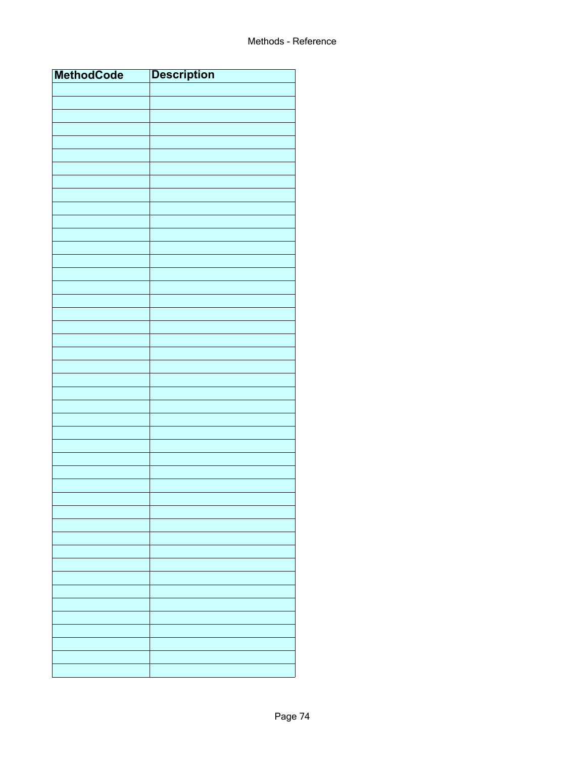| <b>MethodCode</b> | <b>Description</b> |
|-------------------|--------------------|
|                   |                    |
|                   |                    |
|                   |                    |
|                   |                    |
|                   |                    |
|                   |                    |
|                   |                    |
|                   |                    |
|                   |                    |
|                   |                    |
|                   |                    |
|                   |                    |
|                   |                    |
|                   |                    |
|                   |                    |
|                   |                    |
|                   |                    |
|                   |                    |
|                   |                    |
|                   |                    |
|                   |                    |
|                   |                    |
|                   |                    |
|                   |                    |
|                   |                    |
|                   |                    |
|                   |                    |
|                   |                    |
|                   |                    |
|                   |                    |
|                   |                    |
|                   |                    |
|                   |                    |
|                   |                    |
|                   |                    |
|                   |                    |
|                   |                    |
|                   |                    |
|                   |                    |
|                   |                    |
|                   |                    |
|                   |                    |
|                   |                    |
|                   |                    |
|                   |                    |
|                   |                    |
|                   |                    |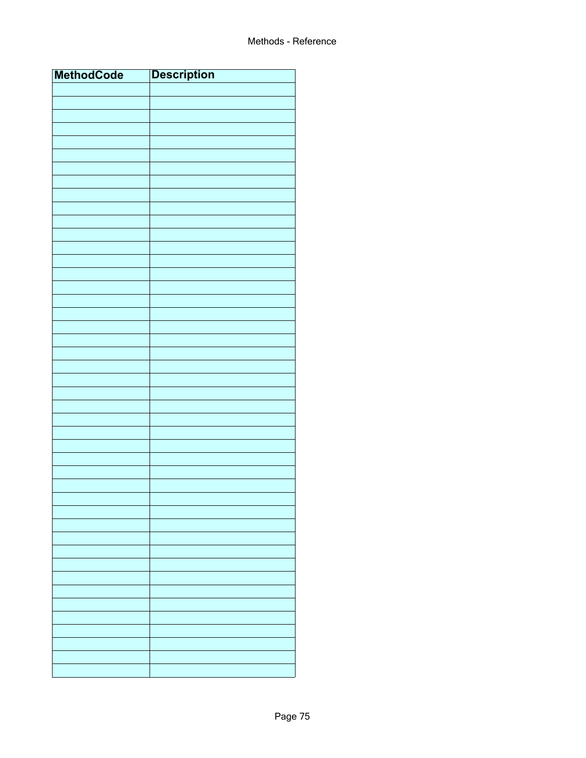| <b>MethodCode</b> | <b>Description</b> |
|-------------------|--------------------|
|                   |                    |
|                   |                    |
|                   |                    |
|                   |                    |
|                   |                    |
|                   |                    |
|                   |                    |
|                   |                    |
|                   |                    |
|                   |                    |
|                   |                    |
|                   |                    |
|                   |                    |
|                   |                    |
|                   |                    |
|                   |                    |
|                   |                    |
|                   |                    |
|                   |                    |
|                   |                    |
|                   |                    |
|                   |                    |
|                   |                    |
|                   |                    |
|                   |                    |
|                   |                    |
|                   |                    |
|                   |                    |
|                   |                    |
|                   |                    |
|                   |                    |
|                   |                    |
|                   |                    |
|                   |                    |
|                   |                    |
|                   |                    |
|                   |                    |
|                   |                    |
|                   |                    |
|                   |                    |
|                   |                    |
|                   |                    |
|                   |                    |
|                   |                    |
|                   |                    |
|                   |                    |
|                   |                    |